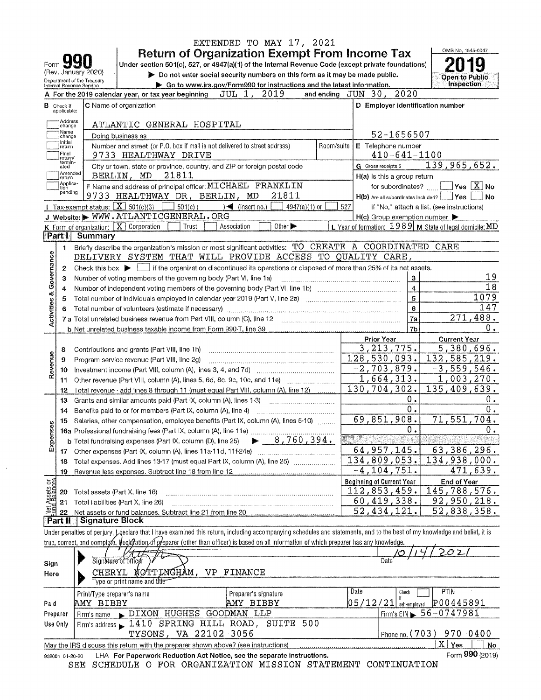|                           |                                                          |                                                        |                                                                                                                                                                            | EXTENDED TO MAY 17, 2021                                                    |                             |            |                     |                                                     |                                                                |
|---------------------------|----------------------------------------------------------|--------------------------------------------------------|----------------------------------------------------------------------------------------------------------------------------------------------------------------------------|-----------------------------------------------------------------------------|-----------------------------|------------|---------------------|-----------------------------------------------------|----------------------------------------------------------------|
|                           |                                                          |                                                        | <b>Return of Organization Exempt From Income Tax</b>                                                                                                                       |                                                                             |                             |            |                     |                                                     | OMB No. 1545-0047                                              |
| Form                      |                                                          |                                                        | Under section 501(c), 527, or 4947(a)(1) of the Internal Revenue Code (except private foundations)                                                                         |                                                                             |                             |            |                     |                                                     |                                                                |
|                           |                                                          | (Rev. January 2020)                                    |                                                                                                                                                                            | Do not enter social security numbers on this form as it may be made public. |                             |            |                     |                                                     | Open to Public                                                 |
|                           |                                                          | Department of the Treasury<br>Internal Revenue Service |                                                                                                                                                                            | Go to www.irs.gov/Form990 for instructions and the latest information.      |                             |            |                     |                                                     | Inspection                                                     |
|                           |                                                          |                                                        | A For the 2019 calendar year, or tax year beginning                                                                                                                        | JUL 1,                                                                      | 2019                        |            | and ending JUN 30,  | 2020                                                |                                                                |
|                           | <b>B</b> Check if<br>applicable:                         |                                                        | C Name of organization                                                                                                                                                     |                                                                             |                             |            |                     | D Employer identification number                    |                                                                |
|                           | Address                                                  |                                                        |                                                                                                                                                                            |                                                                             |                             |            |                     |                                                     |                                                                |
|                           | change<br>Name                                           |                                                        | ATLANTIC GENERAL HOSPITAL                                                                                                                                                  |                                                                             |                             |            |                     |                                                     |                                                                |
|                           | change<br>Initial                                        |                                                        | Doing business as                                                                                                                                                          |                                                                             |                             |            |                     | 52-1656507                                          |                                                                |
|                           | return<br>Final                                          |                                                        | Number and street (or P.O. box if mail is not delivered to street address)<br>9733 HEALTHWAY DRIVE                                                                         |                                                                             |                             | Room/suite |                     | E Telephone number<br>$410 - 641 - 1100$            |                                                                |
|                           | return/<br>termin-<br>ated                               |                                                        | City or town, state or province, country, and ZIP or foreign postal code                                                                                                   |                                                                             |                             |            | G Gross receipts \$ |                                                     | 139, 965, 652.                                                 |
|                           | Amended<br>return                                        |                                                        | 21811<br>BERLIN, MD                                                                                                                                                        |                                                                             |                             |            |                     | H(a) Is this a group return                         |                                                                |
|                           | Applica-<br>tion                                         |                                                        | F Name and address of principal officer: MICHAEL FRANKLIN                                                                                                                  |                                                                             |                             |            |                     | for subordinates?                                   | $\sqrt{\ }$ Yes $\sqrt{\ }$ No                                 |
|                           | pending                                                  |                                                        | 9733 HEALTHWAY DR, BERLIN, MD                                                                                                                                              |                                                                             | 21811                       |            |                     | $H(b)$ Are all subordinates included? $\lfloor$     | Yes <br>No                                                     |
|                           |                                                          | Tax-exempt status: $\boxed{\mathbf{X}}$ 501(c)(3)      | $501(c)$ (                                                                                                                                                                 | $\sqrt{ }$ (insert no.)                                                     | $4947(a)(1)$ or             |            | 527                 |                                                     | If "No," attach a list. (see instructions)                     |
|                           |                                                          |                                                        | J Website: WWW.ATLANTICGENERAL.ORG                                                                                                                                         |                                                                             |                             |            |                     | $H(c)$ Group exemption number $\blacktriangleright$ |                                                                |
|                           |                                                          |                                                        | <b>K</b> Form of organization: $\boxed{X}$ Corporation<br>Trust                                                                                                            | Association                                                                 | Other $\blacktriangleright$ |            |                     |                                                     | L Year of formation: $1989 \mid M$ State of legal domicile: MD |
|                           | <b>Part I</b>                                            | Summary                                                |                                                                                                                                                                            |                                                                             |                             |            |                     |                                                     |                                                                |
|                           | $\mathbf{1}$                                             |                                                        | Briefly describe the organization's mission or most significant activities: TO CREATE A COORDINATED CARE                                                                   |                                                                             |                             |            |                     |                                                     |                                                                |
|                           |                                                          |                                                        | DELIVERY SYSTEM THAT WILL PROVIDE ACCESS TO QUALITY CARE,                                                                                                                  |                                                                             |                             |            |                     |                                                     |                                                                |
| Governance                | 2                                                        |                                                        | Check this box $\blacktriangleright$ $\bot$ if the organization discontinued its operations or disposed of more than 25% of its net assets.                                |                                                                             |                             |            |                     |                                                     |                                                                |
|                           | 3                                                        |                                                        | Number of voting members of the governing body (Part VI, line 1a)                                                                                                          |                                                                             |                             |            |                     | 3<br>$\overline{\mathbf{4}}$                        | 19<br>18                                                       |
|                           | 4                                                        |                                                        | Total number of individuals employed in calendar year 2019 (Part V, line 2a) manufactured contains an intervention                                                         |                                                                             |                             |            |                     | $\overline{\mathbf{5}}$                             | 1079                                                           |
| <b>Activities &amp;</b>   | 5<br>6                                                   |                                                        |                                                                                                                                                                            |                                                                             |                             |            |                     | 6                                                   | 147                                                            |
|                           |                                                          |                                                        |                                                                                                                                                                            |                                                                             |                             |            |                     | 7a                                                  | 271,488.                                                       |
|                           |                                                          |                                                        |                                                                                                                                                                            |                                                                             |                             |            |                     | 7 <sub>b</sub>                                      | $0 \cdot$                                                      |
|                           |                                                          |                                                        |                                                                                                                                                                            |                                                                             |                             |            |                     | <b>Prior Year</b>                                   | <b>Current Year</b>                                            |
|                           | 8                                                        |                                                        | Contributions and grants (Part VIII, line 1h)                                                                                                                              |                                                                             |                             |            |                     | 3, 213, 775.                                        | 5,380,696.                                                     |
|                           | 9                                                        |                                                        | Program service revenue (Part VIII, line 2g)                                                                                                                               |                                                                             |                             |            |                     | 128,530,093.                                        | 132,585,219.                                                   |
| Revenue                   | 10                                                       |                                                        |                                                                                                                                                                            |                                                                             |                             |            |                     | $-2,703,879.$                                       | $-3,559,546.$                                                  |
|                           | 11                                                       |                                                        | Other revenue (Part VIII, column (A), lines 5, 6d, 8c, 9c, 10c, and 11e)                                                                                                   |                                                                             |                             |            |                     | 1,664,313.                                          | 1,003,270.                                                     |
|                           | 12                                                       |                                                        | Total revenue - add lines 8 through 11 (must equal Part VIII, column (A), line 12)                                                                                         |                                                                             |                             |            |                     | 130, 704, 302.                                      | 135,409,639.                                                   |
|                           | 13                                                       |                                                        | Grants and similar amounts paid (Part IX, column (A), lines 1-3)                                                                                                           |                                                                             |                             |            |                     | 0.                                                  | 0.                                                             |
|                           | 14                                                       |                                                        | Benefits paid to or for members (Part IX, column (A), line 4)                                                                                                              |                                                                             |                             |            |                     | 0.                                                  | 0.                                                             |
| nses                      | 15                                                       |                                                        | Salaries, other compensation, employee benefits (Part IX, column (A), lines 5-10)                                                                                          |                                                                             |                             |            |                     | 69,851,908.<br>0.                                   | 71,551,704.<br>0.                                              |
|                           |                                                          |                                                        | 16a Professional fundraising fees (Part IX, column (A), line 11e)                                                                                                          |                                                                             | $\triangleright$ 8,760,394. |            | <b>PATE</b>         |                                                     |                                                                |
| Exper                     | 17                                                       |                                                        | <b>b</b> Total fundraising expenses (Part IX, column (D), line 25)                                                                                                         |                                                                             |                             |            |                     | 64,957,145.                                         | 63,386,296.                                                    |
|                           | 18                                                       |                                                        | Total expenses. Add lines 13-17 (must equal Part IX, column (A), line 25)                                                                                                  |                                                                             |                             |            |                     | 134,809,053.                                        | 134,938,000.                                                   |
|                           | 19                                                       |                                                        | Revenue less expenses. Subtract line 18 from line 12                                                                                                                       |                                                                             |                             |            |                     | $-4, 104, 751.$                                     | 471,639.                                                       |
|                           |                                                          |                                                        |                                                                                                                                                                            |                                                                             |                             |            |                     | <b>Beginning of Current Year</b>                    | End of Year                                                    |
| t Assets or<br>d Balances | 20                                                       | Total assets (Part X, line 16)                         |                                                                                                                                                                            |                                                                             |                             |            |                     | 112,853,459.                                        | 145,788,576.                                                   |
|                           | 21                                                       |                                                        | Total liabilities (Part X, line 26)                                                                                                                                        |                                                                             |                             |            |                     | 60, 419, 338.                                       | 92,950,218.                                                    |
| Net                       | 22                                                       |                                                        | Net assets or fund balances. Subtract line 21 from line 20 [11] [12] [13] Net assets or fund balances. Subtract                                                            |                                                                             |                             |            |                     | 52,434,121.                                         | 52,838,358.                                                    |
|                           | Part II                                                  | <b>Signature Block</b>                                 |                                                                                                                                                                            |                                                                             |                             |            |                     |                                                     |                                                                |
|                           |                                                          |                                                        | Under penalties of perjury, L declare that I have examined this return, including accompanying schedules and statements, and to the best of my knowledge and belief, it is |                                                                             |                             |            |                     |                                                     |                                                                |
|                           |                                                          |                                                        | true, correct, and complete. DeckPation of p/eparer (other than officer) is based on all information of which preparer has any knowledge.                                  |                                                                             |                             |            |                     |                                                     |                                                                |
|                           |                                                          |                                                        | Signature of officer                                                                                                                                                       |                                                                             |                             |            |                     | Date                                                | 202                                                            |
| Sign                      |                                                          |                                                        | NOTTINGHAM,                                                                                                                                                                | VP                                                                          |                             |            |                     |                                                     |                                                                |
| Here                      |                                                          | CHERYL                                                 | Type or print name and title                                                                                                                                               | FINANCE                                                                     |                             |            |                     |                                                     |                                                                |
|                           |                                                          | Print/Type preparer's name                             |                                                                                                                                                                            | Preparer's signature                                                        |                             |            | Date                | Check                                               | PTIN                                                           |
| Paid                      |                                                          | AMY BIBBY                                              |                                                                                                                                                                            | AMY BIBBY                                                                   |                             |            |                     | $05/12/21$ self-employed                            | P00445891                                                      |
|                           | Preparer                                                 | Firm's name                                            | DIXON HUGHES GOODMAN LLP                                                                                                                                                   |                                                                             |                             |            |                     |                                                     | Firm's $EIN > 56 - 0747981$                                    |
|                           | Use Only                                                 | Firm's address                                         | 1410 SPRING HILL ROAD, SUITE 500                                                                                                                                           |                                                                             |                             |            |                     |                                                     |                                                                |
|                           | TYSONS, VA 22102-3056<br>$970 - 0400$<br>Phone no. (703) |                                                        |                                                                                                                                                                            |                                                                             |                             |            |                     |                                                     |                                                                |
|                           |                                                          |                                                        | May the IRS discuss this return with the preparer shown above? (see instructions)                                                                                          |                                                                             |                             |            |                     |                                                     | $\overline{\mathbf{x}}$<br>Yes<br><b>No</b>                    |
|                           | 932001 01-20-20                                          |                                                        | LHA For Paperwork Reduction Act Notice, see the separate instructions.                                                                                                     |                                                                             |                             |            |                     |                                                     | Form 990 (2019)                                                |
|                           |                                                          | SEE                                                    | SCHEDULE O FOR ORGANIZATION MISSION STATEMENT CONTINUATION                                                                                                                 |                                                                             |                             |            |                     |                                                     |                                                                |

 $\bar{z}$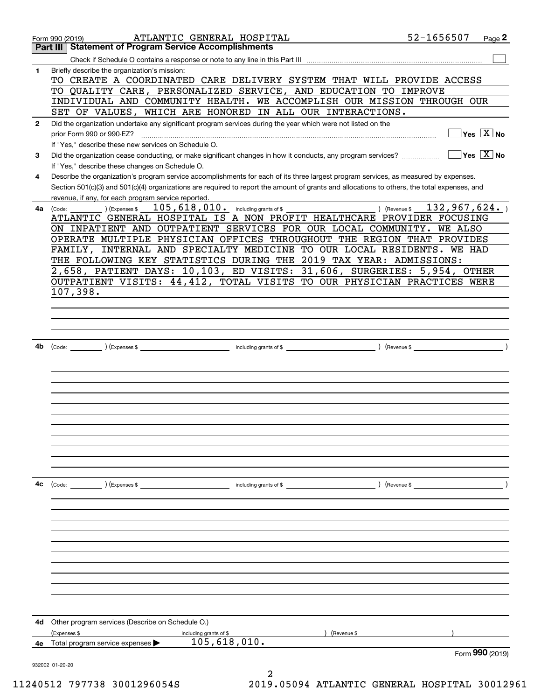|              | ATLANTIC GENERAL HOSPITAL<br>Form 990 (2019)                                                                                                                    | 52-1656507                    | Page 2                           |
|--------------|-----------------------------------------------------------------------------------------------------------------------------------------------------------------|-------------------------------|----------------------------------|
|              | <b>Part III   Statement of Program Service Accomplishments</b>                                                                                                  |                               |                                  |
|              |                                                                                                                                                                 |                               |                                  |
| 1            | Briefly describe the organization's mission:<br>TO CREATE A COORDINATED CARE DELIVERY SYSTEM THAT WILL PROVIDE ACCESS                                           |                               |                                  |
|              | TO QUALITY CARE, PERSONALIZED SERVICE, AND EDUCATION TO IMPROVE                                                                                                 |                               |                                  |
|              | INDIVIDUAL AND COMMUNITY HEALTH. WE ACCOMPLISH OUR MISSION THROUGH OUR                                                                                          |                               |                                  |
|              | SET OF VALUES, WHICH ARE HONORED IN ALL OUR INTERACTIONS.                                                                                                       |                               |                                  |
| $\mathbf{2}$ | Did the organization undertake any significant program services during the year which were not listed on the                                                    |                               |                                  |
|              | prior Form 990 or 990-EZ?                                                                                                                                       |                               | Yes $X$ No                       |
|              | If "Yes," describe these new services on Schedule O.                                                                                                            |                               | $\Box$ Yes $\boxed{\text{X}}$ No |
| 3            | Did the organization cease conducting, or make significant changes in how it conducts, any program services?<br>If "Yes," describe these changes on Schedule O. |                               |                                  |
| 4            | Describe the organization's program service accomplishments for each of its three largest program services, as measured by expenses.                            |                               |                                  |
|              | Section 501(c)(3) and 501(c)(4) organizations are required to report the amount of grants and allocations to others, the total expenses, and                    |                               |                                  |
|              | revenue, if any, for each program service reported.                                                                                                             |                               |                                  |
| 4a           | $105$ , $618$ , $010$ or including grants of \$<br>(Expenses \$<br>(Code:                                                                                       | 132, 967, 624.<br>(Revenue \$ |                                  |
|              | ATLANTIC GENERAL HOSPITAL IS A NON PROFIT HEALTHCARE PROVIDER FOCUSING                                                                                          |                               |                                  |
|              | ON INPATIENT AND OUTPATIENT SERVICES FOR OUR LOCAL COMMUNITY. WE ALSO                                                                                           |                               |                                  |
|              | OPERATE MULTIPLE PHYSICIAN OFFICES THROUGHOUT THE REGION THAT PROVIDES<br>FAMILY, INTERNAL AND SPECIALTY MEDICINE TO OUR LOCAL RESIDENTS. WE HAD                |                               |                                  |
|              | THE FOLLOWING KEY STATISTICS DURING THE 2019 TAX YEAR: ADMISSIONS:                                                                                              |                               |                                  |
|              | 2,658, PATIENT DAYS: 10,103, ED VISITS: 31,606, SURGERIES: 5,954, OTHER                                                                                         |                               |                                  |
|              | OUTPATIENT VISITS: 44,412, TOTAL VISITS TO OUR PHYSICIAN PRACTICES WERE                                                                                         |                               |                                  |
|              | 107,398.                                                                                                                                                        |                               |                                  |
|              |                                                                                                                                                                 |                               |                                  |
|              |                                                                                                                                                                 |                               |                                  |
|              |                                                                                                                                                                 |                               |                                  |
| 4b           |                                                                                                                                                                 |                               |                                  |
|              |                                                                                                                                                                 |                               |                                  |
|              |                                                                                                                                                                 |                               |                                  |
|              |                                                                                                                                                                 |                               |                                  |
|              |                                                                                                                                                                 |                               |                                  |
|              |                                                                                                                                                                 |                               |                                  |
|              |                                                                                                                                                                 |                               |                                  |
|              |                                                                                                                                                                 |                               |                                  |
|              |                                                                                                                                                                 |                               |                                  |
|              |                                                                                                                                                                 |                               |                                  |
|              |                                                                                                                                                                 |                               |                                  |
|              |                                                                                                                                                                 |                               |                                  |
| 4c           | $\left(\text{Code:}\right)$ $\left(\text{Expenses $}\right)$<br>including grants of \$                                                                          | ) (Revenue \$                 |                                  |
|              |                                                                                                                                                                 |                               |                                  |
|              |                                                                                                                                                                 |                               |                                  |
|              |                                                                                                                                                                 |                               |                                  |
|              |                                                                                                                                                                 |                               |                                  |
|              |                                                                                                                                                                 |                               |                                  |
|              |                                                                                                                                                                 |                               |                                  |
|              |                                                                                                                                                                 |                               |                                  |
|              |                                                                                                                                                                 |                               |                                  |
|              |                                                                                                                                                                 |                               |                                  |
|              |                                                                                                                                                                 |                               |                                  |
| 4d           | Other program services (Describe on Schedule O.)                                                                                                                |                               |                                  |
|              | (Expenses \$<br>(Revenue \$<br>including grants of \$                                                                                                           |                               |                                  |
| 4е           | 105,618,010.<br>Total program service expenses                                                                                                                  |                               |                                  |
|              | 932002 01-20-20                                                                                                                                                 |                               | Form 990 (2019)                  |

2 11240512 797738 3001296054S 2019.05094 ATLANTIC GENERAL HOSPITAL 30012961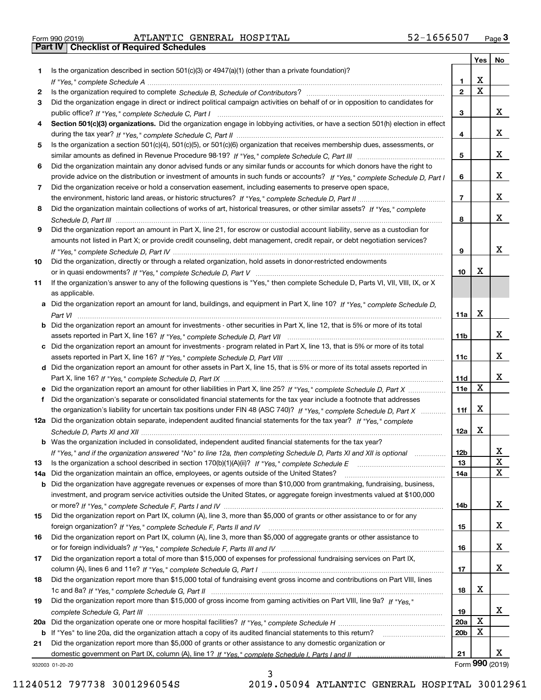| Form 990 (2019) |  |  |
|-----------------|--|--|

|     |                                                                                                                                       |                 | Yes                     | No              |
|-----|---------------------------------------------------------------------------------------------------------------------------------------|-----------------|-------------------------|-----------------|
| 1   | Is the organization described in section $501(c)(3)$ or $4947(a)(1)$ (other than a private foundation)?                               |                 |                         |                 |
|     |                                                                                                                                       | 1               | X                       |                 |
| 2   |                                                                                                                                       | $\overline{2}$  | $\overline{\mathbf{x}}$ |                 |
| 3   | Did the organization engage in direct or indirect political campaign activities on behalf of or in opposition to candidates for       |                 |                         |                 |
|     |                                                                                                                                       | 3               |                         | x               |
| 4   | Section 501(c)(3) organizations. Did the organization engage in lobbying activities, or have a section 501(h) election in effect      |                 |                         |                 |
|     |                                                                                                                                       | 4               |                         | x               |
| 5   | Is the organization a section 501(c)(4), 501(c)(5), or 501(c)(6) organization that receives membership dues, assessments, or          |                 |                         |                 |
|     |                                                                                                                                       | 5               |                         | x               |
| 6   | Did the organization maintain any donor advised funds or any similar funds or accounts for which donors have the right to             |                 |                         | x               |
|     | provide advice on the distribution or investment of amounts in such funds or accounts? If "Yes," complete Schedule D, Part I          | 6               |                         |                 |
| 7   | Did the organization receive or hold a conservation easement, including easements to preserve open space,                             | $\overline{7}$  |                         | x               |
|     | Did the organization maintain collections of works of art, historical treasures, or other similar assets? If "Yes," complete          |                 |                         |                 |
| 8   |                                                                                                                                       | 8               |                         | X               |
| 9   | Did the organization report an amount in Part X, line 21, for escrow or custodial account liability, serve as a custodian for         |                 |                         |                 |
|     | amounts not listed in Part X; or provide credit counseling, debt management, credit repair, or debt negotiation services?             |                 |                         |                 |
|     |                                                                                                                                       | 9               |                         | x               |
| 10  | Did the organization, directly or through a related organization, hold assets in donor-restricted endowments                          |                 |                         |                 |
|     |                                                                                                                                       | 10              | х                       |                 |
| 11  | If the organization's answer to any of the following questions is "Yes," then complete Schedule D, Parts VI, VII, VIII, IX, or X      |                 |                         |                 |
|     | as applicable.                                                                                                                        |                 |                         |                 |
|     | a Did the organization report an amount for land, buildings, and equipment in Part X, line 10? If "Yes." complete Schedule D.         |                 |                         |                 |
|     |                                                                                                                                       | 11a             | X                       |                 |
|     | <b>b</b> Did the organization report an amount for investments - other securities in Part X, line 12, that is 5% or more of its total |                 |                         |                 |
|     |                                                                                                                                       | 11b             |                         | x               |
|     | Did the organization report an amount for investments - program related in Part X, line 13, that is 5% or more of its total           |                 |                         |                 |
|     |                                                                                                                                       | 11c             |                         | x               |
|     | d Did the organization report an amount for other assets in Part X, line 15, that is 5% or more of its total assets reported in       |                 |                         |                 |
|     |                                                                                                                                       | 11d             |                         | x               |
|     | e Did the organization report an amount for other liabilities in Part X, line 25? If "Yes," complete Schedule D, Part X               | 11e             | X                       |                 |
| f   | Did the organization's separate or consolidated financial statements for the tax year include a footnote that addresses               |                 |                         |                 |
|     | the organization's liability for uncertain tax positions under FIN 48 (ASC 740)? If "Yes," complete Schedule D, Part X                | 11f             | X                       |                 |
|     | 12a Did the organization obtain separate, independent audited financial statements for the tax year? If "Yes," complete               |                 |                         |                 |
|     |                                                                                                                                       | 12a             | х                       |                 |
|     | <b>b</b> Was the organization included in consolidated, independent audited financial statements for the tax year?                    |                 |                         |                 |
|     | If "Yes," and if the organization answered "No" to line 12a, then completing Schedule D, Parts XI and XII is optional                 | 12b             |                         | ▵               |
| 13  |                                                                                                                                       | 13              |                         | X               |
| 14a | Did the organization maintain an office, employees, or agents outside of the United States?                                           | 14a             |                         | $\mathbf x$     |
| b   | Did the organization have aggregate revenues or expenses of more than \$10,000 from grantmaking, fundraising, business,               |                 |                         |                 |
|     | investment, and program service activities outside the United States, or aggregate foreign investments valued at \$100,000            |                 |                         |                 |
|     |                                                                                                                                       | 14b             |                         | x               |
| 15  | Did the organization report on Part IX, column (A), line 3, more than \$5,000 of grants or other assistance to or for any             |                 |                         |                 |
|     |                                                                                                                                       | 15              |                         | X               |
| 16  | Did the organization report on Part IX, column (A), line 3, more than \$5,000 of aggregate grants or other assistance to              |                 |                         |                 |
|     |                                                                                                                                       | 16              |                         | X               |
| 17  | Did the organization report a total of more than \$15,000 of expenses for professional fundraising services on Part IX,               |                 |                         |                 |
|     |                                                                                                                                       | 17              |                         | x               |
| 18  | Did the organization report more than \$15,000 total of fundraising event gross income and contributions on Part VIII, lines          |                 |                         |                 |
|     |                                                                                                                                       | 18              | х                       |                 |
| 19  | Did the organization report more than \$15,000 of gross income from gaming activities on Part VIII, line 9a? If "Yes."                |                 |                         |                 |
|     |                                                                                                                                       | 19              | X                       | x               |
| 20a |                                                                                                                                       | 20a             | X                       |                 |
|     | b If "Yes" to line 20a, did the organization attach a copy of its audited financial statements to this return?                        | 20 <sub>b</sub> |                         |                 |
| 21  | Did the organization report more than \$5,000 of grants or other assistance to any domestic organization or                           | 21              |                         | x               |
|     | 932003 01-20-20                                                                                                                       |                 |                         | Form 990 (2019) |
|     |                                                                                                                                       |                 |                         |                 |

932003 01-20-20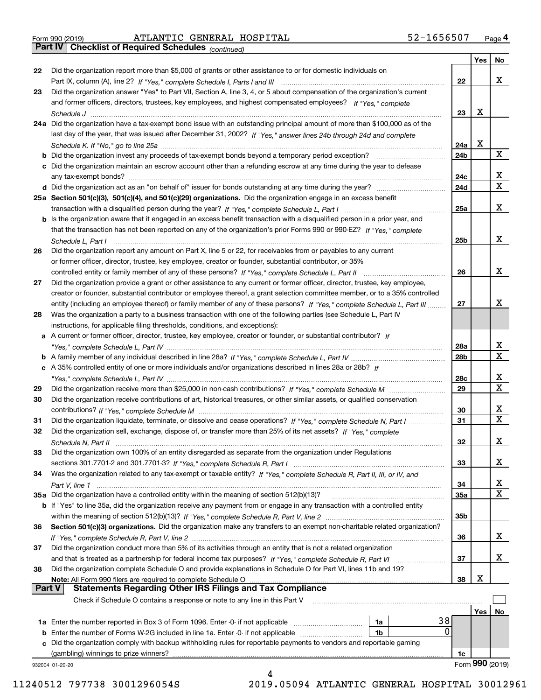| Form 990 (2019) |  |  |
|-----------------|--|--|

*(continued)*

|               |                                                                                                                              |                 | Yes | No.              |
|---------------|------------------------------------------------------------------------------------------------------------------------------|-----------------|-----|------------------|
| 22            | Did the organization report more than \$5,000 of grants or other assistance to or for domestic individuals on                |                 |     |                  |
|               |                                                                                                                              | 22              |     | x                |
| 23            | Did the organization answer "Yes" to Part VII, Section A, line 3, 4, or 5 about compensation of the organization's current   |                 |     |                  |
|               | and former officers, directors, trustees, key employees, and highest compensated employees? If "Yes," complete               |                 |     |                  |
|               |                                                                                                                              | 23              | x   |                  |
|               | 24a Did the organization have a tax-exempt bond issue with an outstanding principal amount of more than \$100,000 as of the  |                 |     |                  |
|               | last day of the year, that was issued after December 31, 2002? If "Yes," answer lines 24b through 24d and complete           |                 |     |                  |
|               |                                                                                                                              | 24a             | Х   |                  |
|               | b Did the organization invest any proceeds of tax-exempt bonds beyond a temporary period exception?                          | 24b             |     | x                |
|               | c Did the organization maintain an escrow account other than a refunding escrow at any time during the year to defease       |                 |     |                  |
|               | any tax-exempt bonds?                                                                                                        | 24c             |     | X                |
|               |                                                                                                                              | 24d             |     | $\mathbf X$      |
|               | 25a Section 501(c)(3), 501(c)(4), and 501(c)(29) organizations. Did the organization engage in an excess benefit             |                 |     |                  |
|               |                                                                                                                              | 25a             |     | х                |
|               | b Is the organization aware that it engaged in an excess benefit transaction with a disqualified person in a prior year, and |                 |     |                  |
|               | that the transaction has not been reported on any of the organization's prior Forms 990 or 990-EZ? If "Yes," complete        |                 |     |                  |
|               | Schedule L. Part I                                                                                                           | 25b             |     | х                |
| 26            | Did the organization report any amount on Part X, line 5 or 22, for receivables from or payables to any current              |                 |     |                  |
|               | or former officer, director, trustee, key employee, creator or founder, substantial contributor, or 35%                      |                 |     |                  |
|               |                                                                                                                              | 26              |     | х                |
| 27            | Did the organization provide a grant or other assistance to any current or former officer, director, trustee, key employee,  |                 |     |                  |
|               | creator or founder, substantial contributor or employee thereof, a grant selection committee member, or to a 35% controlled  |                 |     |                  |
|               | entity (including an employee thereof) or family member of any of these persons? If "Yes," complete Schedule L, Part III     | 27              |     | х                |
| 28            | Was the organization a party to a business transaction with one of the following parties (see Schedule L, Part IV            |                 |     |                  |
|               | instructions, for applicable filing thresholds, conditions, and exceptions):                                                 |                 |     |                  |
|               | a A current or former officer, director, trustee, key employee, creator or founder, or substantial contributor? If           |                 |     |                  |
|               |                                                                                                                              | 28a             |     | x                |
|               |                                                                                                                              | 28 <sub>b</sub> |     | $\mathbf X$      |
|               |                                                                                                                              |                 |     |                  |
|               | c A 35% controlled entity of one or more individuals and/or organizations described in lines 28a or 28b? If                  |                 |     | х                |
|               |                                                                                                                              | 28c             |     | $\mathbf X$      |
| 29            |                                                                                                                              | 29              |     |                  |
| 30            | Did the organization receive contributions of art, historical treasures, or other similar assets, or qualified conservation  |                 |     |                  |
|               |                                                                                                                              | 30              |     | x<br>$\mathbf x$ |
| 31            | Did the organization liquidate, terminate, or dissolve and cease operations? If "Yes," complete Schedule N, Part I           | 31              |     |                  |
| 32            | Did the organization sell, exchange, dispose of, or transfer more than 25% of its net assets? If "Yes," complete             |                 |     |                  |
|               |                                                                                                                              | 32              |     | х                |
| 33            | Did the organization own 100% of an entity disregarded as separate from the organization under Regulations                   |                 |     |                  |
|               |                                                                                                                              | 33              |     | х                |
| 34            | Was the organization related to any tax-exempt or taxable entity? If "Yes," complete Schedule R, Part II, III, or IV, and    |                 |     |                  |
|               |                                                                                                                              | 34              |     | х                |
|               | 35a Did the organization have a controlled entity within the meaning of section 512(b)(13)?                                  | 35a             |     | X                |
|               | b If "Yes" to line 35a, did the organization receive any payment from or engage in any transaction with a controlled entity  |                 |     |                  |
|               |                                                                                                                              | 35b             |     |                  |
| 36            | Section 501(c)(3) organizations. Did the organization make any transfers to an exempt non-charitable related organization?   |                 |     |                  |
|               |                                                                                                                              | 36              |     | x                |
| 37            | Did the organization conduct more than 5% of its activities through an entity that is not a related organization             |                 |     |                  |
|               | and that is treated as a partnership for federal income tax purposes? If "Yes," complete Schedule R, Part VI                 | 37              |     | x                |
| 38            | Did the organization complete Schedule O and provide explanations in Schedule O for Part VI, lines 11b and 19?               |                 |     |                  |
|               | Note: All Form 990 filers are required to complete Schedule O                                                                | 38              | х   |                  |
| <b>Part V</b> | <b>Statements Regarding Other IRS Filings and Tax Compliance</b>                                                             |                 |     |                  |
|               | Check if Schedule O contains a response or note to any line in this Part V                                                   |                 |     |                  |
|               |                                                                                                                              |                 | Yes | No               |
|               | 38<br><b>1a</b> Enter the number reported in Box 3 of Form 1096. Enter -0- if not applicable <i>manumumumum</i><br>1a        |                 |     |                  |
|               | 0<br><b>b</b> Enter the number of Forms W-2G included in line 1a. Enter -0- if not applicable<br>1b                          |                 |     |                  |
|               | c Did the organization comply with backup withholding rules for reportable payments to vendors and reportable gaming         |                 |     |                  |
|               | (gambling) winnings to prize winners?                                                                                        | 1c              |     |                  |
|               | 932004 01-20-20                                                                                                              |                 |     | Form 990 (2019)  |
|               |                                                                                                                              |                 |     |                  |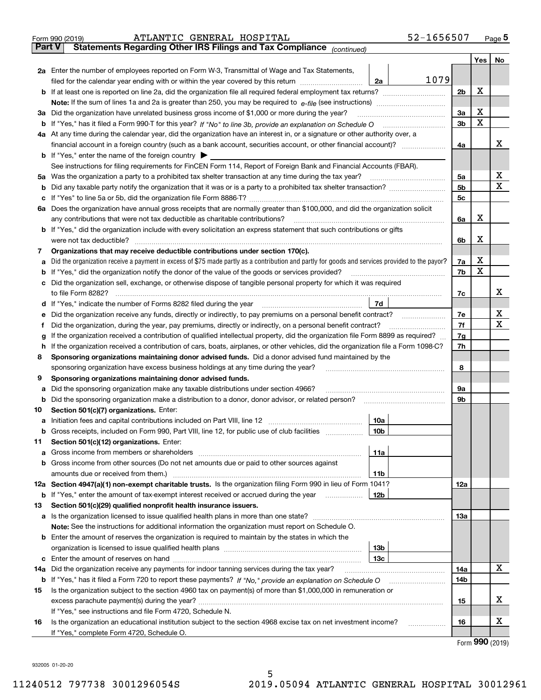|               | 52-1656507<br>ATLANTIC GENERAL HOSPITAL<br>Form 990 (2019)                                                                                                                                                                          |                |     | $_{\text{Page}}$ 5 |
|---------------|-------------------------------------------------------------------------------------------------------------------------------------------------------------------------------------------------------------------------------------|----------------|-----|--------------------|
| <b>Part V</b> | Statements Regarding Other IRS Filings and Tax Compliance (continued)                                                                                                                                                               |                |     |                    |
|               |                                                                                                                                                                                                                                     |                | Yes | No                 |
|               | 2a Enter the number of employees reported on Form W-3, Transmittal of Wage and Tax Statements,                                                                                                                                      |                |     |                    |
|               | 1079<br>filed for the calendar year ending with or within the year covered by this return <i>[[[[[[[[[[[[[[]]]</i> ]]<br>2a                                                                                                         |                |     |                    |
|               |                                                                                                                                                                                                                                     | 2b             | х   |                    |
|               |                                                                                                                                                                                                                                     |                |     |                    |
|               | 3a Did the organization have unrelated business gross income of \$1,000 or more during the year?                                                                                                                                    | 3a             | x   |                    |
|               |                                                                                                                                                                                                                                     | 3b             | X   |                    |
|               | 4a At any time during the calendar year, did the organization have an interest in, or a signature or other authority over, a                                                                                                        |                |     |                    |
|               |                                                                                                                                                                                                                                     | 4a             |     | х                  |
|               | <b>b</b> If "Yes," enter the name of the foreign country $\blacktriangleright$                                                                                                                                                      |                |     |                    |
|               | See instructions for filing requirements for FinCEN Form 114, Report of Foreign Bank and Financial Accounts (FBAR).                                                                                                                 |                |     |                    |
|               | 5a Was the organization a party to a prohibited tax shelter transaction at any time during the tax year?                                                                                                                            | 5a             |     | х                  |
| b             |                                                                                                                                                                                                                                     | 5 <sub>b</sub> |     | х                  |
| c             |                                                                                                                                                                                                                                     | 5c             |     |                    |
|               | 6a Does the organization have annual gross receipts that are normally greater than \$100,000, and did the organization solicit                                                                                                      |                |     |                    |
|               | any contributions that were not tax deductible as charitable contributions?                                                                                                                                                         | 6a             | x   |                    |
|               | <b>b</b> If "Yes," did the organization include with every solicitation an express statement that such contributions or gifts                                                                                                       |                |     |                    |
|               | were not tax deductible?                                                                                                                                                                                                            | 6b             | х   |                    |
| 7             | Organizations that may receive deductible contributions under section 170(c).                                                                                                                                                       |                |     |                    |
| а             | Did the organization receive a payment in excess of \$75 made partly as a contribution and partly for goods and services provided to the payor?                                                                                     | 7a             | х   |                    |
| b             | If "Yes," did the organization notify the donor of the value of the goods or services provided?                                                                                                                                     | 7b             | X   |                    |
|               | c Did the organization sell, exchange, or otherwise dispose of tangible personal property for which it was required                                                                                                                 |                |     |                    |
|               |                                                                                                                                                                                                                                     | 7c             |     | х                  |
|               | 7d<br>d If "Yes," indicate the number of Forms 8282 filed during the year [11] [11] The summinimum minimum in the summinimum of the Numminimum minimum in the Numminimum minimum in the Numminimum of the Numminimum minimum in the |                |     |                    |
| е             | Did the organization receive any funds, directly or indirectly, to pay premiums on a personal benefit contract?                                                                                                                     | 7e             |     | х                  |
| f             | Did the organization, during the year, pay premiums, directly or indirectly, on a personal benefit contract?                                                                                                                        | 7f             |     | х                  |
| g             | If the organization received a contribution of qualified intellectual property, did the organization file Form 8899 as required?                                                                                                    | 7g             |     |                    |
| h.            | If the organization received a contribution of cars, boats, airplanes, or other vehicles, did the organization file a Form 1098-C?                                                                                                  | 7h             |     |                    |
| 8             | Sponsoring organizations maintaining donor advised funds. Did a donor advised fund maintained by the                                                                                                                                |                |     |                    |
|               | sponsoring organization have excess business holdings at any time during the year?                                                                                                                                                  | 8              |     |                    |
| 9             | Sponsoring organizations maintaining donor advised funds.                                                                                                                                                                           |                |     |                    |
| а             | Did the sponsoring organization make any taxable distributions under section 4966?                                                                                                                                                  | 9а             |     |                    |
| b             | Did the sponsoring organization make a distribution to a donor, donor advisor, or related person?                                                                                                                                   | 9b             |     |                    |
| 10            | Section 501(c)(7) organizations. Enter:                                                                                                                                                                                             |                |     |                    |
|               | 10a                                                                                                                                                                                                                                 |                |     |                    |
|               | 10b <br>Gross receipts, included on Form 990, Part VIII, line 12, for public use of club facilities                                                                                                                                 |                |     |                    |
| 11            | Section 501(c)(12) organizations. Enter:                                                                                                                                                                                            |                |     |                    |
| a             | 11a                                                                                                                                                                                                                                 |                |     |                    |
|               | b Gross income from other sources (Do not net amounts due or paid to other sources against                                                                                                                                          |                |     |                    |
|               | 11b                                                                                                                                                                                                                                 |                |     |                    |
|               | 12a Section 4947(a)(1) non-exempt charitable trusts. Is the organization filing Form 990 in lieu of Form 1041?                                                                                                                      | <b>12a</b>     |     |                    |
|               | 12b<br><b>b</b> If "Yes," enter the amount of tax-exempt interest received or accrued during the year                                                                                                                               |                |     |                    |
| 13            | Section 501(c)(29) qualified nonprofit health insurance issuers.                                                                                                                                                                    | <b>13a</b>     |     |                    |
|               | a Is the organization licensed to issue qualified health plans in more than one state?<br>Note: See the instructions for additional information the organization must report on Schedule O.                                         |                |     |                    |
|               | <b>b</b> Enter the amount of reserves the organization is required to maintain by the states in which the                                                                                                                           |                |     |                    |
|               | 13b                                                                                                                                                                                                                                 |                |     |                    |
|               | 13с                                                                                                                                                                                                                                 |                |     |                    |
| 14a           | Did the organization receive any payments for indoor tanning services during the tax year?                                                                                                                                          | 14a            |     | x                  |
| b             | If "Yes," has it filed a Form 720 to report these payments? If "No," provide an explanation on Schedule O                                                                                                                           | 14b            |     |                    |
| 15            | Is the organization subject to the section 4960 tax on payment(s) of more than \$1,000,000 in remuneration or                                                                                                                       |                |     |                    |
|               |                                                                                                                                                                                                                                     | 15             |     | x                  |
|               | If "Yes," see instructions and file Form 4720, Schedule N.                                                                                                                                                                          |                |     |                    |
| 16            | Is the organization an educational institution subject to the section 4968 excise tax on net investment income?                                                                                                                     | 16             |     | х                  |
|               | If "Yes," complete Form 4720, Schedule O.                                                                                                                                                                                           |                |     |                    |
|               |                                                                                                                                                                                                                                     |                |     |                    |

Form (2019) **990**

932005 01-20-20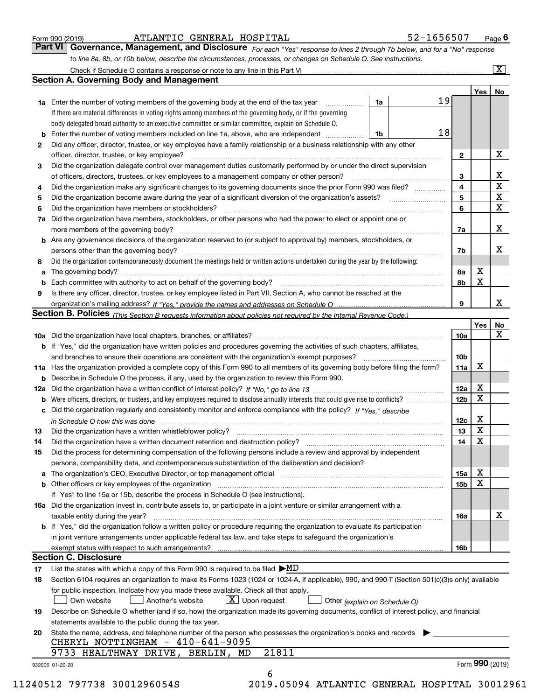| Form 990 (2019) |  |  |
|-----------------|--|--|
|                 |  |  |

| Form 990 (2019) | ATLANTIC GENERAL HOSPITAL                                                                                                     |  | 52-1656507 | $P_{\text{aqe}}$ 6 |
|-----------------|-------------------------------------------------------------------------------------------------------------------------------|--|------------|--------------------|
|                 | Part VI   Governance, Management, and Disclosure For each "Yes" response to lines 2 through 7b below, and for a "No" response |  |            |                    |
|                 | to line 8a, 8b, or 10b below, describe the circumstances, processes, or changes on Schedule O. See instructions.              |  |            |                    |

|     | Check if Schedule O contains a response or note to any line in this Part VI                                                                                                                                                                                                                                                                                                                                                       |    |    |                         |             | $\overline{\mathbf{X}}$ |
|-----|-----------------------------------------------------------------------------------------------------------------------------------------------------------------------------------------------------------------------------------------------------------------------------------------------------------------------------------------------------------------------------------------------------------------------------------|----|----|-------------------------|-------------|-------------------------|
|     | <b>Section A. Governing Body and Management</b>                                                                                                                                                                                                                                                                                                                                                                                   |    |    |                         |             |                         |
|     |                                                                                                                                                                                                                                                                                                                                                                                                                                   |    |    |                         | Yes         | No                      |
|     | <b>1a</b> Enter the number of voting members of the governing body at the end of the tax year                                                                                                                                                                                                                                                                                                                                     | 1a | 19 |                         |             |                         |
|     | If there are material differences in voting rights among members of the governing body, or if the governing                                                                                                                                                                                                                                                                                                                       |    |    |                         |             |                         |
|     | body delegated broad authority to an executive committee or similar committee, explain on Schedule O.                                                                                                                                                                                                                                                                                                                             |    |    |                         |             |                         |
| b   | Enter the number of voting members included on line 1a, above, who are independent                                                                                                                                                                                                                                                                                                                                                | 1b | 18 |                         |             |                         |
| 2   | Did any officer, director, trustee, or key employee have a family relationship or a business relationship with any other                                                                                                                                                                                                                                                                                                          |    |    |                         |             |                         |
|     | officer, director, trustee, or key employee?                                                                                                                                                                                                                                                                                                                                                                                      |    |    | $\mathbf{2}$            |             | X                       |
| 3   | Did the organization delegate control over management duties customarily performed by or under the direct supervision                                                                                                                                                                                                                                                                                                             |    |    |                         |             |                         |
|     | of officers, directors, trustees, or key employees to a management company or other person?                                                                                                                                                                                                                                                                                                                                       |    |    | 3                       |             | x                       |
| 4   | Did the organization make any significant changes to its governing documents since the prior Form 990 was filed?                                                                                                                                                                                                                                                                                                                  |    |    | $\overline{\mathbf{4}}$ |             | X                       |
| 5   | Did the organization become aware during the year of a significant diversion of the organization's assets?                                                                                                                                                                                                                                                                                                                        |    |    | 5                       |             | X                       |
| 6   | Did the organization have members or stockholders?                                                                                                                                                                                                                                                                                                                                                                                |    |    | 6                       |             | X                       |
| 7a  | Did the organization have members, stockholders, or other persons who had the power to elect or appoint one or                                                                                                                                                                                                                                                                                                                    |    |    |                         |             |                         |
|     | more members of the governing body?                                                                                                                                                                                                                                                                                                                                                                                               |    |    | 7a                      |             | X                       |
|     | <b>b</b> Are any governance decisions of the organization reserved to (or subject to approval by) members, stockholders, or                                                                                                                                                                                                                                                                                                       |    |    |                         |             |                         |
|     | persons other than the governing body?                                                                                                                                                                                                                                                                                                                                                                                            |    |    | 7b                      |             | x                       |
| 8   | Did the organization contemporaneously document the meetings held or written actions undertaken during the year by the following:                                                                                                                                                                                                                                                                                                 |    |    |                         |             |                         |
| a   |                                                                                                                                                                                                                                                                                                                                                                                                                                   |    |    | 8а                      | X           |                         |
| b   |                                                                                                                                                                                                                                                                                                                                                                                                                                   |    |    | 8b                      | X           |                         |
| 9   | Is there any officer, director, trustee, or key employee listed in Part VII, Section A, who cannot be reached at the                                                                                                                                                                                                                                                                                                              |    |    |                         |             |                         |
|     |                                                                                                                                                                                                                                                                                                                                                                                                                                   |    |    | 9                       |             | x                       |
|     | Section B. Policies <sub>(This Section B requests information about policies not required by the Internal Revenue Code.)</sub>                                                                                                                                                                                                                                                                                                    |    |    |                         |             |                         |
|     |                                                                                                                                                                                                                                                                                                                                                                                                                                   |    |    |                         | Yes         | No                      |
|     |                                                                                                                                                                                                                                                                                                                                                                                                                                   |    |    | 10a                     |             | X                       |
|     | <b>b</b> If "Yes," did the organization have written policies and procedures governing the activities of such chapters, affiliates,                                                                                                                                                                                                                                                                                               |    |    |                         |             |                         |
|     | and branches to ensure their operations are consistent with the organization's exempt purposes?                                                                                                                                                                                                                                                                                                                                   |    |    | 10 <sub>b</sub>         |             |                         |
|     | 11a Has the organization provided a complete copy of this Form 990 to all members of its governing body before filing the form?                                                                                                                                                                                                                                                                                                   |    |    | 11a                     | $\mathbf X$ |                         |
|     | Describe in Schedule O the process, if any, used by the organization to review this Form 990.                                                                                                                                                                                                                                                                                                                                     |    |    |                         |             |                         |
| b   |                                                                                                                                                                                                                                                                                                                                                                                                                                   |    |    | 12a                     | X           |                         |
| 12a | Were officers, directors, or trustees, and key employees required to disclose annually interests that could give rise to conflicts?                                                                                                                                                                                                                                                                                               |    |    | 12 <sub>b</sub>         | $\mathbf X$ |                         |
| b   |                                                                                                                                                                                                                                                                                                                                                                                                                                   |    |    |                         |             |                         |
| с   | Did the organization regularly and consistently monitor and enforce compliance with the policy? If "Yes," describe                                                                                                                                                                                                                                                                                                                |    |    |                         | X           |                         |
|     | in Schedule O how this was done measured and the control of the control of the state of the control of the cont                                                                                                                                                                                                                                                                                                                   |    |    | 12c                     | X           |                         |
| 13  | Did the organization have a written whistleblower policy?                                                                                                                                                                                                                                                                                                                                                                         |    |    | 13<br>14                | $\mathbf X$ |                         |
| 14  | Did the organization have a written document retention and destruction policy?                                                                                                                                                                                                                                                                                                                                                    |    |    |                         |             |                         |
| 15  | Did the process for determining compensation of the following persons include a review and approval by independent                                                                                                                                                                                                                                                                                                                |    |    |                         |             |                         |
|     | persons, comparability data, and contemporaneous substantiation of the deliberation and decision?                                                                                                                                                                                                                                                                                                                                 |    |    |                         |             |                         |
|     | The organization's CEO, Executive Director, or top management official manufactured contains and contained a support of the Director, or top management official manufactured and contain a support of the state of the state                                                                                                                                                                                                     |    |    | 15a                     | х<br>X      |                         |
| b   | Other officers or key employees of the organization                                                                                                                                                                                                                                                                                                                                                                               |    |    | 15b                     |             |                         |
|     | If "Yes" to line 15a or 15b, describe the process in Schedule O (see instructions).                                                                                                                                                                                                                                                                                                                                               |    |    |                         |             |                         |
|     | 16a Did the organization invest in, contribute assets to, or participate in a joint venture or similar arrangement with a                                                                                                                                                                                                                                                                                                         |    |    |                         |             |                         |
|     | taxable entity during the year?                                                                                                                                                                                                                                                                                                                                                                                                   |    |    | 16a                     |             | X                       |
|     | b If "Yes," did the organization follow a written policy or procedure requiring the organization to evaluate its participation                                                                                                                                                                                                                                                                                                    |    |    |                         |             |                         |
|     | in joint venture arrangements under applicable federal tax law, and take steps to safeguard the organization's                                                                                                                                                                                                                                                                                                                    |    |    |                         |             |                         |
|     | exempt status with respect to such arrangements?                                                                                                                                                                                                                                                                                                                                                                                  |    |    | 16b                     |             |                         |
|     | <b>Section C. Disclosure</b>                                                                                                                                                                                                                                                                                                                                                                                                      |    |    |                         |             |                         |
| 17  | List the states with which a copy of this Form 990 is required to be filed $\blacktriangleright \underline{MD}$                                                                                                                                                                                                                                                                                                                   |    |    |                         |             |                         |
| 18  | Section 6104 requires an organization to make its Forms 1023 (1024 or 1024-A, if applicable), 990, and 990-T (Section 501(c)(3)s only) available                                                                                                                                                                                                                                                                                  |    |    |                         |             |                         |
|     | for public inspection. Indicate how you made these available. Check all that apply.                                                                                                                                                                                                                                                                                                                                               |    |    |                         |             |                         |
|     | $X$ Upon request<br>Own website<br>Another's website<br>Other (explain on Schedule O)                                                                                                                                                                                                                                                                                                                                             |    |    |                         |             |                         |
| 19  | Describe on Schedule O whether (and if so, how) the organization made its governing documents, conflict of interest policy, and financial                                                                                                                                                                                                                                                                                         |    |    |                         |             |                         |
|     | statements available to the public during the tax year.                                                                                                                                                                                                                                                                                                                                                                           |    |    |                         |             |                         |
| 20  | State the name, address, and telephone number of the person who possesses the organization's books and records                                                                                                                                                                                                                                                                                                                    |    |    |                         |             |                         |
|     | CHERYL NOTTINGHAM - 410-641-9095                                                                                                                                                                                                                                                                                                                                                                                                  |    |    |                         |             |                         |
|     | 21811<br>9733 HEALTHWAY DRIVE, BERLIN, MD                                                                                                                                                                                                                                                                                                                                                                                         |    |    |                         |             |                         |
|     | 932006 01-20-20                                                                                                                                                                                                                                                                                                                                                                                                                   |    |    |                         |             | Form 990 (2019)         |
|     | 6<br>$\begin{array}{c} \n\mathbf{1} & \mathbf{1} & \mathbf{1} & \mathbf{1} & \mathbf{1} & \mathbf{1} & \mathbf{1} & \mathbf{1} & \mathbf{1} & \mathbf{1} & \mathbf{1} & \mathbf{1} & \mathbf{1} & \mathbf{1} & \mathbf{1} & \mathbf{1} & \mathbf{1} & \mathbf{1} & \mathbf{1} & \mathbf{1} & \mathbf{1} & \mathbf{1} & \mathbf{1} & \mathbf{1} & \mathbf{1} & \mathbf{1} & \mathbf{1} & \mathbf{1} & \mathbf{1} & \mathbf{1} & \$ |    |    |                         |             |                         |

11240512 797738 3001296054S 2019.05094 ATLANTIC GENERAL HOSPITAL 30012961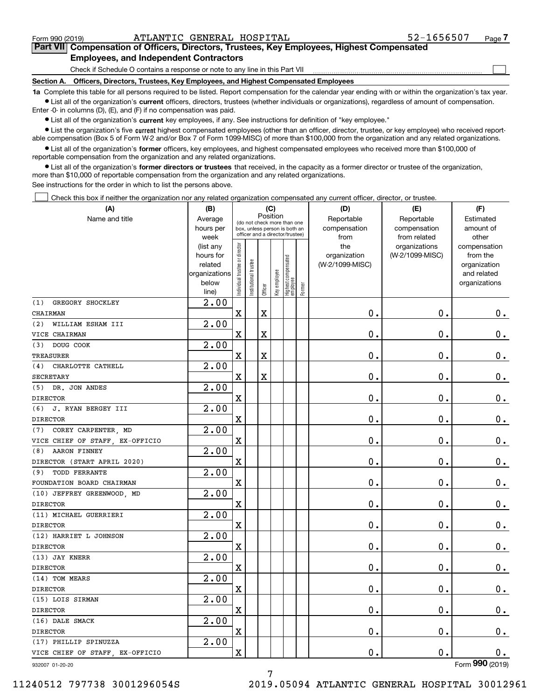$\mathcal{L}^{\text{max}}$ 

# **7Part VII Compensation of Officers, Directors, Trustees, Key Employees, Highest Compensated Employees, and Independent Contractors**

Check if Schedule O contains a response or note to any line in this Part VII

**Section A. Officers, Directors, Trustees, Key Employees, and Highest Compensated Employees**

**1a**  Complete this table for all persons required to be listed. Report compensation for the calendar year ending with or within the organization's tax year. **•** List all of the organization's current officers, directors, trustees (whether individuals or organizations), regardless of amount of compensation.

Enter -0- in columns (D), (E), and (F) if no compensation was paid.

 $\bullet$  List all of the organization's  $\,$ current key employees, if any. See instructions for definition of "key employee."

**•** List the organization's five current highest compensated employees (other than an officer, director, trustee, or key employee) who received reportable compensation (Box 5 of Form W-2 and/or Box 7 of Form 1099-MISC) of more than \$100,000 from the organization and any related organizations.

**•** List all of the organization's former officers, key employees, and highest compensated employees who received more than \$100,000 of reportable compensation from the organization and any related organizations.

**former directors or trustees**  ¥ List all of the organization's that received, in the capacity as a former director or trustee of the organization, more than \$10,000 of reportable compensation from the organization and any related organizations.

See instructions for the order in which to list the persons above.

Check this box if neither the organization nor any related organization compensated any current officer, director, or trustee.  $\mathcal{L}^{\text{max}}$ 

| (A)                             | (B)               |                                |                       |          | (C)          |                                               | (D)                | (E)             | (F)             |
|---------------------------------|-------------------|--------------------------------|-----------------------|----------|--------------|-----------------------------------------------|--------------------|-----------------|-----------------|
| Name and title                  | Average           |                                |                       | Position |              | (do not check more than one                   | Reportable         | Reportable      | Estimated       |
|                                 | hours per         |                                |                       |          |              | box, unless person is both an                 | compensation       | compensation    | amount of       |
|                                 | week              |                                |                       |          |              | officer and a director/trustee)               | from               | from related    | other           |
|                                 | (list any         |                                |                       |          |              |                                               | the                | organizations   | compensation    |
|                                 | hours for         |                                |                       |          |              |                                               | organization       | (W-2/1099-MISC) | from the        |
|                                 | related           |                                |                       |          |              |                                               | (W-2/1099-MISC)    |                 | organization    |
|                                 | organizations     |                                |                       |          |              |                                               |                    |                 | and related     |
|                                 | below<br>line)    | Individual trustee or director | Institutional trustee | Officer  | Key employee | Highest compensated<br>  employee<br>  Former |                    |                 | organizations   |
| GREGORY SHOCKLEY<br>(1)         | $\overline{2.00}$ |                                |                       |          |              |                                               |                    |                 |                 |
| CHAIRMAN                        |                   | $\mathbf X$                    |                       | X        |              |                                               | 0.                 | 0.              | $0_{.}$         |
| WILLIAM ESHAM III<br>(2)        | 2.00              |                                |                       |          |              |                                               |                    |                 |                 |
| VICE CHAIRMAN                   |                   | $\mathbf X$                    |                       | Χ        |              |                                               | 0.                 | 0.              | $0_{.}$         |
| DOUG COOK<br>(3)                | 2.00              |                                |                       |          |              |                                               |                    |                 |                 |
| <b>TREASURER</b>                |                   | $\mathbf X$                    |                       | X        |              |                                               | 0.                 | 0.              | $0_{.}$         |
| CHARLOTTE CATHELL<br>(4)        | 2.00              |                                |                       |          |              |                                               |                    |                 |                 |
| <b>SECRETARY</b>                |                   | $\mathbf X$                    |                       | X        |              |                                               | 0.                 | 0.              | $0_{.}$         |
| (5) DR. JON ANDES               | 2.00              |                                |                       |          |              |                                               |                    |                 |                 |
| <b>DIRECTOR</b>                 |                   | $\mathbf X$                    |                       |          |              |                                               | 0.                 | 0.              | $0_{.}$         |
| J. RYAN BERGEY III<br>(6)       | 2.00              |                                |                       |          |              |                                               |                    |                 |                 |
| <b>DIRECTOR</b>                 |                   | $\mathbf X$                    |                       |          |              |                                               | 0.                 | 0.              | $0_{.}$         |
| COREY CARPENTER, MD<br>(7)      | 2.00              |                                |                       |          |              |                                               |                    |                 |                 |
| VICE CHIEF OF STAFF, EX-OFFICIO |                   | $\mathbf X$                    |                       |          |              |                                               | 0.                 | 0.              | $0_{.}$         |
| AARON FINNEY<br>(8)             | 2.00              |                                |                       |          |              |                                               |                    |                 |                 |
| DIRECTOR (START APRIL 2020)     |                   | $\mathbf X$                    |                       |          |              |                                               | 0.                 | 0.              | $\mathbf 0$ .   |
| TODD FERRANTE<br>(9)            | 2.00              |                                |                       |          |              |                                               |                    |                 |                 |
| FOUNDATION BOARD CHAIRMAN       |                   | $\mathbf X$                    |                       |          |              |                                               | 0.                 | 0.              | $\mathbf 0$ .   |
| (10) JEFFREY GREENWOOD, MD      | 2.00              |                                |                       |          |              |                                               |                    |                 |                 |
| <b>DIRECTOR</b>                 |                   | $\mathbf X$                    |                       |          |              |                                               | 0.                 | 0.              | $\mathbf 0$ .   |
| (11) MICHAEL GUERRIERI          | 2.00              |                                |                       |          |              |                                               |                    |                 |                 |
| <b>DIRECTOR</b>                 |                   | $\mathbf X$                    |                       |          |              |                                               | 0.                 | 0.              | $\mathbf 0$ .   |
| (12) HARRIET L JOHNSON          | 2.00              |                                |                       |          |              |                                               |                    |                 |                 |
| <b>DIRECTOR</b>                 |                   | $\mathbf X$                    |                       |          |              |                                               | 0.                 | 0.              | 0.              |
| (13) JAY KNERR                  | 2.00              |                                |                       |          |              |                                               |                    |                 |                 |
| <b>DIRECTOR</b>                 |                   | $\mathbf X$                    |                       |          |              |                                               | 0.                 | 0.              | 0.              |
| (14) TOM MEARS                  | $\overline{2.00}$ |                                |                       |          |              |                                               |                    |                 |                 |
| <b>DIRECTOR</b>                 |                   | $\mathbf X$                    |                       |          |              |                                               | 0.                 | 0.              | 0.              |
| (15) LOIS SIRMAN                | $\overline{2.00}$ |                                |                       |          |              |                                               |                    |                 |                 |
| <b>DIRECTOR</b>                 |                   | X                              |                       |          |              |                                               | $\boldsymbol{0}$ . | $\mathbf 0$ .   | 0.              |
| (16) DALE SMACK                 | 2.00              |                                |                       |          |              |                                               |                    |                 |                 |
| <b>DIRECTOR</b>                 |                   | $\mathbf X$                    |                       |          |              |                                               | $\mathbf 0$ .      | $\mathbf 0$ .   | $\mathbf{0}$ .  |
| (17) PHILLIP SPINUZZA           | 2.00              |                                |                       |          |              |                                               |                    |                 |                 |
| VICE CHIEF OF STAFF, EX-OFFICIO |                   | $\mathbf X$                    |                       |          |              |                                               | $\mathbf 0$ .      | $\mathbf 0$ .   | 0.              |
| 932007 01-20-20                 |                   |                                |                       |          |              |                                               |                    |                 | Form 990 (2019) |

932007 01-20-20

11240512 797738 3001296054S 2019.05094 ATLANTIC GENERAL HOSPITAL 30012961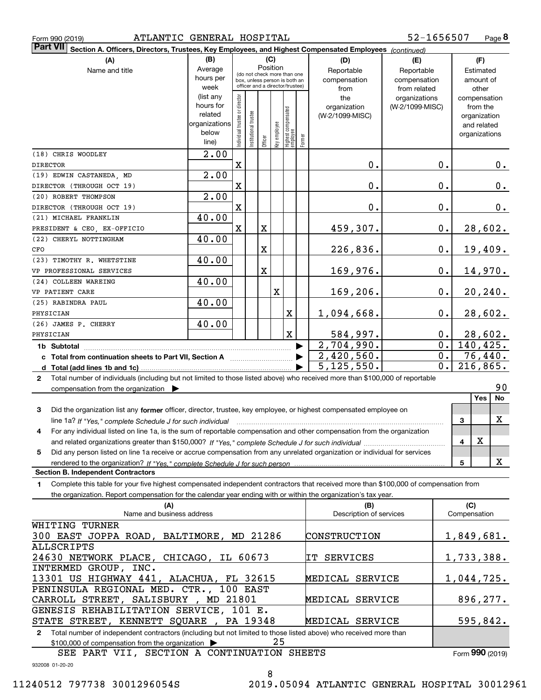|  | Form 990 (2019) |
|--|-----------------|
|  |                 |

| <b>Part VII</b><br>Section A. Officers, Directors, Trustees, Key Employees, and Highest Compensated Employees (continued)                      |                   |                               |                      |          |              |                                                                  |            |                         |                               |    |                       |       |
|------------------------------------------------------------------------------------------------------------------------------------------------|-------------------|-------------------------------|----------------------|----------|--------------|------------------------------------------------------------------|------------|-------------------------|-------------------------------|----|-----------------------|-------|
| (A)                                                                                                                                            | (B)<br>(C)        |                               |                      |          |              | (D)                                                              | (F)        |                         |                               |    |                       |       |
| Name and title                                                                                                                                 | Average           |                               |                      | Position |              | (do not check more than one                                      |            | Reportable              | Reportable                    |    | Estimated             |       |
|                                                                                                                                                | hours per<br>week |                               |                      |          |              | box, unless person is both an<br>officer and a director/trustee) |            | compensation            | compensation                  |    | amount of             |       |
|                                                                                                                                                | (list any         |                               |                      |          |              |                                                                  |            | from<br>the             | from related<br>organizations |    | other<br>compensation |       |
|                                                                                                                                                | hours for         |                               |                      |          |              |                                                                  |            | organization            | (W-2/1099-MISC)               |    | from the              |       |
|                                                                                                                                                | related           |                               |                      |          |              |                                                                  |            | (W-2/1099-MISC)         |                               |    | organization          |       |
|                                                                                                                                                | organizations     |                               |                      |          |              |                                                                  |            |                         |                               |    | and related           |       |
|                                                                                                                                                | below<br>line)    | ndividual trustee or director | nstitutional trustee | Officer  | key employee | Highest compensated<br> employee                                 | Former     |                         |                               |    | organizations         |       |
| (18) CHRIS WOODLEY                                                                                                                             | 2.00              |                               |                      |          |              |                                                                  |            |                         |                               |    |                       |       |
| <b>DIRECTOR</b>                                                                                                                                |                   | X                             |                      |          |              |                                                                  |            | 0.                      |                               | 0. |                       | $0$ . |
| (19) EDWIN CASTANEDA, MD                                                                                                                       | 2.00              |                               |                      |          |              |                                                                  |            |                         |                               |    |                       |       |
| DIRECTOR (THROUGH OCT 19)                                                                                                                      |                   | $\mathbf X$                   |                      |          |              |                                                                  |            | 0.                      |                               | 0. |                       | $0$ . |
| (20) ROBERT THOMPSON                                                                                                                           | 2.00              |                               |                      |          |              |                                                                  |            |                         |                               |    |                       |       |
| DIRECTOR (THROUGH OCT 19)                                                                                                                      |                   | $\mathbf X$                   |                      |          |              |                                                                  |            | 0.                      |                               | 0. |                       | $0$ . |
| (21) MICHAEL FRANKLIN                                                                                                                          | 40.00             |                               |                      |          |              |                                                                  |            |                         |                               |    |                       |       |
| PRESIDENT & CEO, EX-OFFICIO                                                                                                                    |                   | $\mathbf X$                   |                      | X        |              |                                                                  |            | 459,307.                |                               | 0. | 28,602.               |       |
| (22) CHERYL NOTTINGHAM                                                                                                                         | 40.00             |                               |                      |          |              |                                                                  |            |                         |                               |    |                       |       |
| CFO                                                                                                                                            |                   |                               |                      | X        |              |                                                                  |            | 226,836.                |                               | 0. | 19,409.               |       |
| (23) TIMOTHY R. WHETSTINE                                                                                                                      | 40.00             |                               |                      |          |              |                                                                  |            |                         |                               |    |                       |       |
| VP PROFESSIONAL SERVICES                                                                                                                       |                   |                               |                      | X        |              |                                                                  |            | 169,976.                |                               | 0. | 14,970.               |       |
| (24) COLLEEN WAREING<br>VP PATIENT CARE                                                                                                        | 40.00             |                               |                      |          | X            |                                                                  |            | 169,206.                |                               | 0. | 20, 240.              |       |
| (25) RABINDRA PAUL                                                                                                                             | 40.00             |                               |                      |          |              |                                                                  |            |                         |                               |    |                       |       |
| PHYSICIAN                                                                                                                                      |                   |                               |                      |          |              | х                                                                |            | 1,094,668.              |                               | 0. | 28,602.               |       |
| (26) JAMES P. CHERRY                                                                                                                           | 40.00             |                               |                      |          |              |                                                                  |            |                         |                               |    |                       |       |
| PHYSICIAN                                                                                                                                      |                   |                               |                      |          |              | X                                                                |            | 584,997.                |                               | 0. | 28,602.               |       |
| 1b Subtotal                                                                                                                                    |                   |                               |                      |          |              |                                                                  |            | 2,704,990.              |                               | 0. | 140,425.              |       |
| c Total from continuation sheets to Part VII, Section A manufactured and response Total from extension                                         |                   |                               |                      |          |              |                                                                  |            | 2,420,560.              |                               | 0. | 76,440.               |       |
|                                                                                                                                                |                   |                               |                      |          |              |                                                                  |            | 5, 125, 550.            |                               | 0. | 216,865.              |       |
| Total number of individuals (including but not limited to those listed above) who received more than \$100,000 of reportable<br>$\overline{2}$ |                   |                               |                      |          |              |                                                                  |            |                         |                               |    |                       |       |
| compensation from the organization $\blacktriangleright$                                                                                       |                   |                               |                      |          |              |                                                                  |            |                         |                               |    |                       | 90    |
|                                                                                                                                                |                   |                               |                      |          |              |                                                                  |            |                         |                               |    | <b>Yes</b>            | No    |
| Did the organization list any former officer, director, trustee, key employee, or highest compensated employee on<br>3                         |                   |                               |                      |          |              |                                                                  |            |                         |                               |    |                       |       |
| line 1a? If "Yes," complete Schedule J for such individual                                                                                     |                   |                               |                      |          |              |                                                                  |            |                         |                               |    | 3                     | х     |
| For any individual listed on line 1a, is the sum of reportable compensation and other compensation from the organization<br>4                  |                   |                               |                      |          |              |                                                                  |            |                         |                               |    |                       |       |
|                                                                                                                                                |                   |                               |                      |          |              |                                                                  |            |                         |                               |    | x<br>4                |       |
| Did any person listed on line 1a receive or accrue compensation from any unrelated organization or individual for services<br>5                |                   |                               |                      |          |              |                                                                  |            |                         |                               |    | 5                     | x     |
| rendered to the organization? If "Yes." complete Schedule J for such person<br><b>Section B. Independent Contractors</b>                       |                   |                               |                      |          |              |                                                                  |            |                         |                               |    |                       |       |
| Complete this table for your five highest compensated independent contractors that received more than \$100,000 of compensation from<br>1      |                   |                               |                      |          |              |                                                                  |            |                         |                               |    |                       |       |
| the organization. Report compensation for the calendar year ending with or within the organization's tax year.                                 |                   |                               |                      |          |              |                                                                  |            |                         |                               |    |                       |       |
| (A)                                                                                                                                            |                   |                               |                      |          |              |                                                                  |            | (B)                     |                               |    | (C)                   |       |
| Name and business address                                                                                                                      |                   |                               |                      |          |              |                                                                  |            | Description of services |                               |    | Compensation          |       |
| WHITING TURNER<br>21286<br>300 EAST JOPPA ROAD, BALTIMORE,<br>CONSTRUCTION<br>MD                                                               |                   |                               |                      |          |              |                                                                  | 1,849,681. |                         |                               |    |                       |       |
| ALLSCRIPTS                                                                                                                                     |                   |                               |                      |          |              |                                                                  |            |                         |                               |    |                       |       |

| ALLSCRIPTS                                                                                                                         |                    |                 |
|------------------------------------------------------------------------------------------------------------------------------------|--------------------|-----------------|
| 24630 NETWORK PLACE, CHICAGO, IL 60673                                                                                             | <b>IT SERVICES</b> | 1,733,388.      |
| INTERMED GROUP, INC.                                                                                                               |                    |                 |
| 13301 US HIGHWAY 441, ALACHUA, FL 32615                                                                                            | MEDICAL SERVICE    | 1,044,725.      |
| PENINSULA REGIONAL MED. CTR., 100 EAST                                                                                             |                    |                 |
| CARROLL STREET, SALISBURY, MD 21801                                                                                                | MEDICAL SERVICE    | 896,277.        |
| GENESIS REHABILITATION SERVICE, 101 E.                                                                                             |                    |                 |
| STATE STREET, KENNETT SOUARE, PA 19348                                                                                             | MEDICAL SERVICE    | 595,842.        |
| Total number of independent contractors (including but not limited to those listed above) who received more than<br>$\overline{2}$ |                    |                 |
| 25<br>$$100,000$ of compensation from the organization $\triangleright$                                                            |                    |                 |
| SEE PART VII, SECTION A CONTINUATION SHEETS                                                                                        |                    | Form 990 (2019) |

932008 01-20-20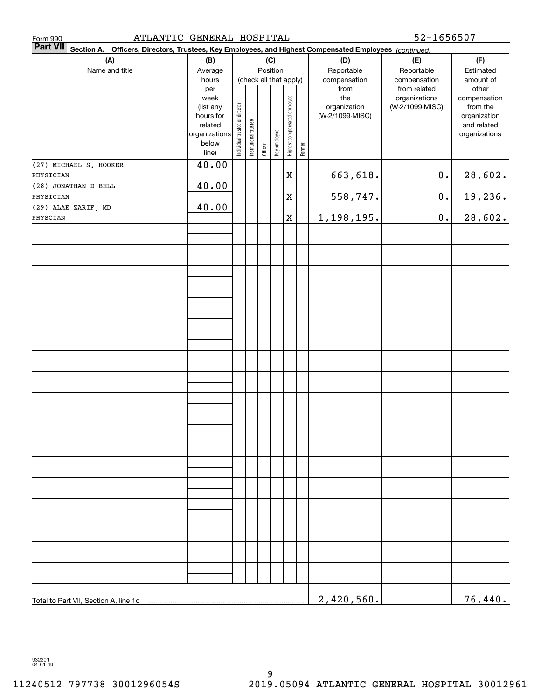| ATLANTIC GENERAL HOSPITAL<br>Form 990                                                                              |                                                                                     |                                |                                    |         |              | 52-1656507                   |        |                                                |                                                  |                                                                                   |
|--------------------------------------------------------------------------------------------------------------------|-------------------------------------------------------------------------------------|--------------------------------|------------------------------------|---------|--------------|------------------------------|--------|------------------------------------------------|--------------------------------------------------|-----------------------------------------------------------------------------------|
| Part VII Section A.<br>Officers, Directors, Trustees, Key Employees, and Highest Compensated Employees (continued) |                                                                                     |                                |                                    |         |              |                              |        |                                                |                                                  |                                                                                   |
| (A)                                                                                                                | (B)                                                                                 |                                |                                    |         | (C)          |                              |        | (D)                                            | (E)                                              | (F)                                                                               |
| Name and title                                                                                                     | Average<br>hours                                                                    |                                | Position<br>(check all that apply) |         |              |                              |        | Reportable<br>compensation                     | Reportable<br>compensation                       | Estimated<br>amount of                                                            |
|                                                                                                                    | per<br>week<br>(list any<br>hours for<br>related<br>organizations<br>below<br>line) | Individual trustee or director | Institutional trustee              | Officer | Key employee | Highest compensated employee | Former | from<br>the<br>organization<br>(W-2/1099-MISC) | from related<br>organizations<br>(W-2/1099-MISC) | other<br>compensation<br>from the<br>organization<br>and related<br>organizations |
| (27) MICHAEL S. HOOKER<br>PHYSICIAN                                                                                | 40.00                                                                               |                                |                                    |         |              | $\rm X$                      |        | 663,618.                                       | $\mathbf 0$ .                                    | 28,602.                                                                           |
| (28) JONATHAN D BELL<br>PHYSICIAN                                                                                  | 40.00                                                                               |                                |                                    |         |              | $\rm X$                      |        | 558,747.                                       | $\mathbf 0$ .                                    | <u>19,236.</u>                                                                    |
| (29) ALAE ZARIF, MD                                                                                                | 40.00                                                                               |                                |                                    |         |              |                              |        |                                                |                                                  |                                                                                   |
| PHYSCIAN                                                                                                           |                                                                                     |                                |                                    |         |              | $\mathbf X$                  |        | 1,198,195.                                     | $0$ .                                            | 28,602.                                                                           |
|                                                                                                                    |                                                                                     |                                |                                    |         |              |                              |        |                                                |                                                  |                                                                                   |
|                                                                                                                    |                                                                                     |                                |                                    |         |              |                              |        |                                                |                                                  |                                                                                   |
|                                                                                                                    |                                                                                     |                                |                                    |         |              |                              |        |                                                |                                                  |                                                                                   |
|                                                                                                                    |                                                                                     |                                |                                    |         |              |                              |        |                                                |                                                  |                                                                                   |
|                                                                                                                    |                                                                                     |                                |                                    |         |              |                              |        |                                                |                                                  |                                                                                   |
|                                                                                                                    |                                                                                     |                                |                                    |         |              |                              |        |                                                |                                                  |                                                                                   |
|                                                                                                                    |                                                                                     |                                |                                    |         |              |                              |        |                                                |                                                  |                                                                                   |
|                                                                                                                    |                                                                                     |                                |                                    |         |              |                              |        |                                                |                                                  |                                                                                   |
|                                                                                                                    |                                                                                     |                                |                                    |         |              |                              |        |                                                |                                                  |                                                                                   |
|                                                                                                                    |                                                                                     |                                |                                    |         |              |                              |        |                                                |                                                  |                                                                                   |
|                                                                                                                    |                                                                                     |                                |                                    |         |              |                              |        |                                                |                                                  |                                                                                   |
|                                                                                                                    |                                                                                     |                                |                                    |         |              |                              |        |                                                |                                                  |                                                                                   |
|                                                                                                                    |                                                                                     |                                |                                    |         |              |                              |        |                                                |                                                  |                                                                                   |
|                                                                                                                    |                                                                                     |                                |                                    |         |              |                              |        |                                                |                                                  |                                                                                   |
|                                                                                                                    |                                                                                     |                                |                                    |         |              |                              |        |                                                |                                                  |                                                                                   |
|                                                                                                                    |                                                                                     |                                |                                    |         |              |                              |        |                                                |                                                  |                                                                                   |
|                                                                                                                    |                                                                                     |                                |                                    |         |              |                              |        |                                                |                                                  |                                                                                   |
|                                                                                                                    |                                                                                     |                                |                                    |         |              |                              |        |                                                |                                                  |                                                                                   |
|                                                                                                                    |                                                                                     |                                |                                    |         |              |                              |        |                                                |                                                  |                                                                                   |
| Total to Part VII, Section A, line 1c                                                                              |                                                                                     |                                |                                    |         |              |                              |        | 2,420,560.                                     |                                                  | 76,440.                                                                           |

932201 04-01-19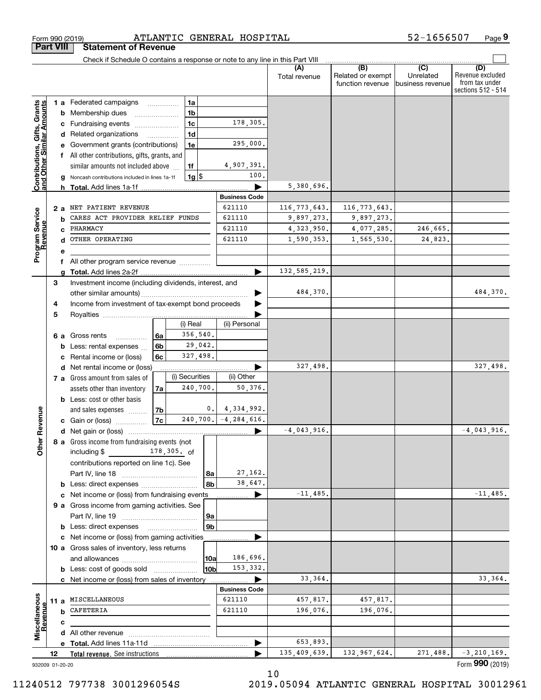|                                                           |        | Check if Schedule O contains a response or note to any line in this Part VIII |                          |                    |                      |                |                                              |                                      |                                                                 |
|-----------------------------------------------------------|--------|-------------------------------------------------------------------------------|--------------------------|--------------------|----------------------|----------------|----------------------------------------------|--------------------------------------|-----------------------------------------------------------------|
|                                                           |        |                                                                               |                          |                    |                      | Total revenue  | (B)<br>Related or exempt<br>function revenue | (C)<br>Unrelated<br>business revenue | (D)<br>Revenue excluded<br>from tax under<br>sections 512 - 514 |
|                                                           |        | <b>1 a</b> Federated campaigns                                                |                          | 1a                 |                      |                |                                              |                                      |                                                                 |
|                                                           | b      | Membership dues                                                               |                          | 1 <sub>b</sub>     |                      |                |                                              |                                      |                                                                 |
|                                                           | с      | Fundraising events                                                            |                          | 1 <sub>c</sub>     | 178,305.             |                |                                              |                                      |                                                                 |
|                                                           |        | Related organizations                                                         | $\overline{\phantom{a}}$ | 1 <sub>d</sub>     |                      |                |                                              |                                      |                                                                 |
|                                                           |        | Government grants (contributions)                                             |                          | 1e                 | 295,000.             |                |                                              |                                      |                                                                 |
|                                                           |        | f All other contributions, gifts, grants, and                                 |                          |                    |                      |                |                                              |                                      |                                                                 |
|                                                           |        | similar amounts not included above                                            |                          | 1f                 | 4,907,391.           |                |                                              |                                      |                                                                 |
|                                                           | g      | Noncash contributions included in lines 1a-1f                                 |                          | $1g$ $\frac{1}{3}$ | 100.                 |                |                                              |                                      |                                                                 |
| Contributions, Gifts, Grants<br>and Other Similar Amounts |        | h Total. Add lines 1a-1f                                                      |                          |                    |                      | 5,380,696.     |                                              |                                      |                                                                 |
|                                                           |        |                                                                               |                          |                    | <b>Business Code</b> |                |                                              |                                      |                                                                 |
|                                                           | 2a     | NET PATIENT REVENUE                                                           |                          |                    | 621110               | 116, 773, 643. | 116, 773, 643.                               |                                      |                                                                 |
|                                                           | b      | CARES ACT PROVIDER RELIEF FUNDS                                               |                          |                    | 621110               | 9,897,273.     | 9,897,273.                                   |                                      |                                                                 |
|                                                           | C.     | PHARMACY                                                                      |                          |                    | 621110               | 4,323,950.     | 4,077,285.                                   | 246,665.                             |                                                                 |
|                                                           | d      | OTHER OPERATING                                                               |                          |                    | 621110               | 1,590,353.     | 1,565,530.                                   | 24,823.                              |                                                                 |
| Program Service<br>Revenue                                | е      |                                                                               |                          |                    |                      |                |                                              |                                      |                                                                 |
|                                                           | f      | All other program service revenue                                             |                          |                    |                      |                |                                              |                                      |                                                                 |
|                                                           |        |                                                                               |                          |                    |                      | 132, 585, 219. |                                              |                                      |                                                                 |
|                                                           | 3      | Investment income (including dividends, interest, and                         |                          |                    |                      |                |                                              |                                      |                                                                 |
|                                                           |        |                                                                               |                          |                    |                      | 484,370.       |                                              |                                      | 484,370.                                                        |
|                                                           | 4      | Income from investment of tax-exempt bond proceeds                            |                          |                    |                      |                |                                              |                                      |                                                                 |
|                                                           | 5      |                                                                               |                          |                    |                      |                |                                              |                                      |                                                                 |
|                                                           |        | (i) Real                                                                      |                          | (ii) Personal      |                      |                |                                              |                                      |                                                                 |
|                                                           | 6а     | Gross rents<br>.                                                              | 6а                       | 356,540.           |                      |                |                                              |                                      |                                                                 |
|                                                           |        | Less: rental expenses                                                         | 6b                       | 29,042.            |                      |                |                                              |                                      |                                                                 |
|                                                           | с      | Rental income or (loss)                                                       | 6c                       | 327,498.           |                      |                |                                              |                                      |                                                                 |
|                                                           | d      | Net rental income or (loss)                                                   |                          |                    |                      | 327,498.       |                                              |                                      | 327,498.                                                        |
|                                                           |        | 7 a Gross amount from sales of                                                |                          | (i) Securities     | (ii) Other           |                |                                              |                                      |                                                                 |
|                                                           |        | assets other than inventory                                                   | 7a                       | 240,700.           | 50,376.              |                |                                              |                                      |                                                                 |
|                                                           |        | <b>b</b> Less: cost or other basis                                            |                          |                    |                      |                |                                              |                                      |                                                                 |
| ther Revenue                                              |        | and sales expenses                                                            | 7b                       | 0.                 | 4,334,992.           |                |                                              |                                      |                                                                 |
|                                                           |        | <b>c</b> Gain or (loss) $\ldots$                                              | 7c                       | 240,700.           | $-4, 284, 616.$      |                |                                              |                                      |                                                                 |
|                                                           |        |                                                                               |                          |                    |                      | $-4,043,916.$  |                                              |                                      | $-4,043,916.$                                                   |
|                                                           |        | 8 a Gross income from fundraising events (not                                 |                          |                    |                      |                |                                              |                                      |                                                                 |
| 0                                                         |        | including \$ 178,305. of                                                      |                          |                    |                      |                |                                              |                                      |                                                                 |
|                                                           |        | contributions reported on line 1c). See                                       |                          |                    | 27,162.              |                |                                              |                                      |                                                                 |
|                                                           |        | Part IV, line 18                                                              |                          | 8a<br>8b           | 38,647.              |                |                                              |                                      |                                                                 |
|                                                           | b<br>с | Less: direct expenses<br>Net income or (loss) from fundraising events         |                          |                    |                      | $-11,485.$     |                                              |                                      | $-11,485.$                                                      |
|                                                           |        | 9 a Gross income from gaming activities. See                                  |                          |                    |                      |                |                                              |                                      |                                                                 |
|                                                           |        |                                                                               |                          | 9а                 |                      |                |                                              |                                      |                                                                 |
|                                                           |        |                                                                               |                          | 9 <sub>b</sub>     |                      |                |                                              |                                      |                                                                 |
|                                                           | с      | Net income or (loss) from gaming activities                                   |                          |                    |                      |                |                                              |                                      |                                                                 |
|                                                           |        | 10 a Gross sales of inventory, less returns                                   |                          |                    |                      |                |                                              |                                      |                                                                 |
|                                                           |        |                                                                               |                          | 10a                | 186,696.             |                |                                              |                                      |                                                                 |
|                                                           |        | <b>b</b> Less: cost of goods sold                                             |                          | 10bl               | 153,332.             |                |                                              |                                      |                                                                 |
|                                                           |        | c Net income or (loss) from sales of inventory                                |                          |                    |                      | 33, 364.       |                                              |                                      | 33,364.                                                         |
|                                                           |        |                                                                               |                          |                    | <b>Business Code</b> |                |                                              |                                      |                                                                 |
| Miscellaneous<br>Revenue                                  |        | 11 a MISCELLANEOUS                                                            |                          |                    | 621110               | 457,817.       | 457,817.                                     |                                      |                                                                 |
|                                                           | b      | CAFETERIA                                                                     |                          |                    | 621110               | 196,076.       | 196,076.                                     |                                      |                                                                 |
|                                                           | с      |                                                                               |                          |                    |                      |                |                                              |                                      |                                                                 |
|                                                           |        |                                                                               |                          |                    |                      |                |                                              |                                      |                                                                 |
|                                                           |        |                                                                               |                          |                    |                      | 653,893.       |                                              |                                      |                                                                 |
|                                                           | 12     | Total revenue. See instructions                                               |                          |                    |                      | 135,409,639.   | 132,967,624.                                 | 271,488.                             | $-3, 210, 169.$                                                 |

Form 990 (2019) Page ATLANTIC GENERAL HOSPITAL

932009 01-20-20

**Part VIII Statement of Revenue**

11240512 797738 3001296054S 2019.05094 ATLANTIC GENERAL HOSPITAL 30012961

Form (2019) **990**

**9**

52-1656507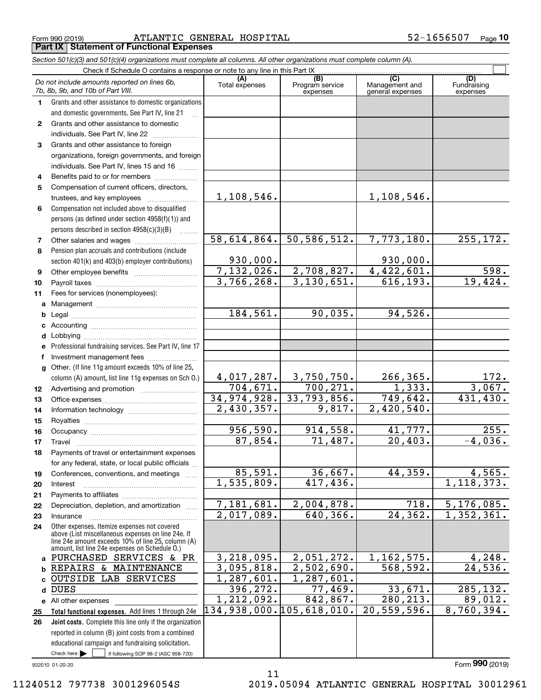Form 990 (2019) Page ATLANTIC GENERAL HOSPITAL 52-1656507 **Part IX Statement of Functional Expenses**

*Section 501(c)(3) and 501(c)(4) organizations must complete all columns. All other organizations must complete column (A).*

|              | Check if Schedule O contains a response or note to any line in this Part IX                        |                          |                                    |                                                      |                                |  |  |  |  |  |
|--------------|----------------------------------------------------------------------------------------------------|--------------------------|------------------------------------|------------------------------------------------------|--------------------------------|--|--|--|--|--|
|              | Do not include amounts reported on lines 6b,<br>7b, 8b, 9b, and 10b of Part VIII.                  | (A)<br>Total expenses    | (B)<br>Program service<br>expenses | $\overline{C}$<br>Management and<br>general expenses | (D)<br>Fundraising<br>expenses |  |  |  |  |  |
| 1.           | Grants and other assistance to domestic organizations                                              |                          |                                    |                                                      |                                |  |  |  |  |  |
|              | and domestic governments. See Part IV, line 21                                                     |                          |                                    |                                                      |                                |  |  |  |  |  |
| $\mathbf{2}$ | Grants and other assistance to domestic                                                            |                          |                                    |                                                      |                                |  |  |  |  |  |
|              | individuals. See Part IV, line 22                                                                  |                          |                                    |                                                      |                                |  |  |  |  |  |
| 3            | Grants and other assistance to foreign                                                             |                          |                                    |                                                      |                                |  |  |  |  |  |
|              | organizations, foreign governments, and foreign                                                    |                          |                                    |                                                      |                                |  |  |  |  |  |
|              | individuals. See Part IV, lines 15 and 16                                                          |                          |                                    |                                                      |                                |  |  |  |  |  |
| 4            | Benefits paid to or for members                                                                    |                          |                                    |                                                      |                                |  |  |  |  |  |
| 5            | Compensation of current officers, directors,                                                       |                          |                                    |                                                      |                                |  |  |  |  |  |
|              | trustees, and key employees                                                                        | 1,108,546.               |                                    | 1,108,546.                                           |                                |  |  |  |  |  |
| 6            | Compensation not included above to disqualified                                                    |                          |                                    |                                                      |                                |  |  |  |  |  |
|              | persons (as defined under section 4958(f)(1)) and                                                  |                          |                                    |                                                      |                                |  |  |  |  |  |
|              | persons described in section 4958(c)(3)(B)                                                         |                          |                                    |                                                      |                                |  |  |  |  |  |
| 7            |                                                                                                    | 58,614,864.              | 50, 586, 512.                      | 7,773,180.                                           | 255, 172.                      |  |  |  |  |  |
| 8            | Pension plan accruals and contributions (include                                                   |                          |                                    |                                                      |                                |  |  |  |  |  |
|              | section 401(k) and 403(b) employer contributions)                                                  | 930,000.                 |                                    | 930,000.                                             |                                |  |  |  |  |  |
| 9            |                                                                                                    | 7,132,026.               | 2,708,827.                         | 4,422,601.                                           | 598.                           |  |  |  |  |  |
| 10           |                                                                                                    | 3,766,268.               | 3,130,651.                         | 616, 193.                                            | 19,424.                        |  |  |  |  |  |
| 11           | Fees for services (nonemployees):                                                                  |                          |                                    |                                                      |                                |  |  |  |  |  |
| a            |                                                                                                    |                          |                                    |                                                      |                                |  |  |  |  |  |
| b            |                                                                                                    | 184,561.                 | 90,035.                            | 94,526.                                              |                                |  |  |  |  |  |
| с            |                                                                                                    |                          |                                    |                                                      |                                |  |  |  |  |  |
| d            |                                                                                                    |                          |                                    |                                                      |                                |  |  |  |  |  |
| е            | Professional fundraising services. See Part IV, line 17                                            |                          |                                    |                                                      |                                |  |  |  |  |  |
| f            | Investment management fees                                                                         |                          |                                    |                                                      |                                |  |  |  |  |  |
| g            | Other. (If line 11g amount exceeds 10% of line 25,                                                 |                          |                                    |                                                      |                                |  |  |  |  |  |
|              | column (A) amount, list line 11g expenses on Sch O.)                                               | 4,017,287.               | 3,750,750.                         | 266, 365.                                            | $\frac{172}{3,067}$            |  |  |  |  |  |
| 12           |                                                                                                    | 704, 671.                | 700, 271.                          | 1,333.                                               |                                |  |  |  |  |  |
| 13           |                                                                                                    | 34,974,928.              | 33,793,856.                        | 749,642.                                             | 431, 430.                      |  |  |  |  |  |
| 14           |                                                                                                    | 2,430,357.               | 9,817.                             | 2,420,540.                                           |                                |  |  |  |  |  |
| 15           |                                                                                                    |                          |                                    |                                                      |                                |  |  |  |  |  |
| 16           |                                                                                                    | 956,590.                 | 914,558.                           | 41,777.                                              | 255.                           |  |  |  |  |  |
| 17           | Travel                                                                                             | 87,854.                  | 71,487.                            | 20, 403.                                             | $-4,036.$                      |  |  |  |  |  |
| 18           | Payments of travel or entertainment expenses                                                       |                          |                                    |                                                      |                                |  |  |  |  |  |
|              | for any federal, state, or local public officials                                                  |                          |                                    |                                                      |                                |  |  |  |  |  |
| 19           | Conferences, conventions, and meetings                                                             | 85,591.                  | 36,667.                            | 44,359.                                              | 4,565.                         |  |  |  |  |  |
| 20           | Interest                                                                                           | $\overline{1,535,809}$ . | 417, 436.                          |                                                      | 1,118,373.                     |  |  |  |  |  |
| 21           |                                                                                                    |                          |                                    |                                                      |                                |  |  |  |  |  |
| 22           | Depreciation, depletion, and amortization                                                          | 7,181,681.               | 2,004,878.                         | 718.                                                 | 5, 176, 085.                   |  |  |  |  |  |
| 23           | Insurance                                                                                          | $\overline{2,017,089}$ . | 640, 366.                          | 24, 362.                                             | 1,352,361.                     |  |  |  |  |  |
| 24           | Other expenses. Itemize expenses not covered<br>above (List miscellaneous expenses on line 24e. If |                          |                                    |                                                      |                                |  |  |  |  |  |
|              | line 24e amount exceeds 10% of line 25, column (A)                                                 |                          |                                    |                                                      |                                |  |  |  |  |  |
|              | amount, list line 24e expenses on Schedule O.)                                                     |                          |                                    |                                                      |                                |  |  |  |  |  |
| a            | PURCHASED SERVICES & PR                                                                            | 3, 218, 095.             | 2,051,272.                         | 1,162,575.                                           | 4,248.                         |  |  |  |  |  |
| b            | REPAIRS & MAINTENANCE                                                                              | 3,095,818.               | 2,502,690.                         | 568,592.                                             | 24,536.                        |  |  |  |  |  |
| c            | OUTSIDE LAB SERVICES                                                                               | $\overline{1,287,601}$ . | 1,287,601.                         |                                                      |                                |  |  |  |  |  |
| d            | <b>DUES</b>                                                                                        | 396,272.                 | $\overline{77, 469}$ .             | 33,671.                                              | 285, 132.                      |  |  |  |  |  |
|              | e All other expenses                                                                               | 1,212,092.               | 842,867.                           | 280, 213.                                            | 89,012.                        |  |  |  |  |  |
| 25           | Total functional expenses. Add lines 1 through 24e                                                 | 134,938,000.105,618,010. |                                    | 20,559,596.                                          | $\overline{8,760,394}$ .       |  |  |  |  |  |
| 26           | Joint costs. Complete this line only if the organization                                           |                          |                                    |                                                      |                                |  |  |  |  |  |
|              | reported in column (B) joint costs from a combined                                                 |                          |                                    |                                                      |                                |  |  |  |  |  |
|              | educational campaign and fundraising solicitation.                                                 |                          |                                    |                                                      |                                |  |  |  |  |  |
|              | Check here $\blacktriangleright$<br>if following SOP 98-2 (ASC 958-720)                            |                          |                                    |                                                      |                                |  |  |  |  |  |

11

932010 01-20-20

## 11240512 797738 3001296054S 2019.05094 ATLANTIC GENERAL HOSPITAL 30012961

Form (2019) **990**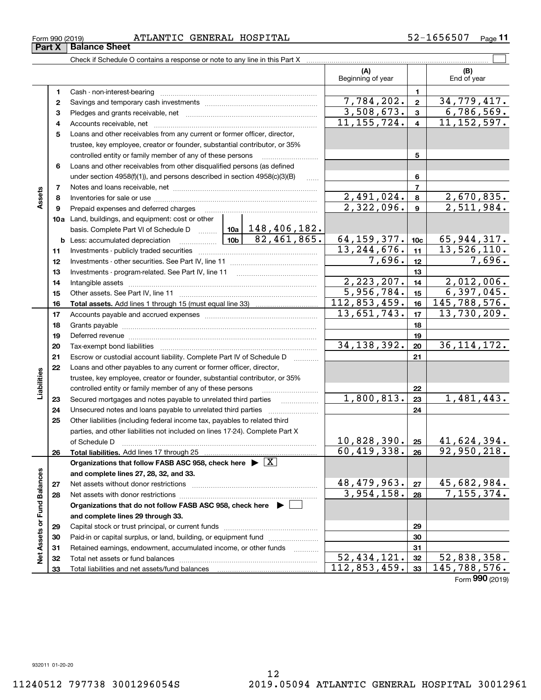**33**

Total liabilities and net assets/fund balances

**33**

112,853,459. 145,788,576.

Form (2019) **990**

### Form 990 (2019) Page ATLANTIC GENERAL HOSPITAL 52-1656507

Check if Schedule O contains a response or note to any line in this Part X

 $\mathcal{L}^{\text{max}}$ **(A) (B)** Beginning of year | | End of year **11**Cash - non-interest-bearing ~~~~~~~~~~~~~~~~~~~~~~~~~ 7,784,202. 34,779,417. **22**Savings and temporary cash investments ~~~~~~~~~~~~~~~~~~ $3,508,673.$   $3 \mid 6,786,569.$ **33** Pledges and grants receivable, net  $\ldots$  **multimes contained and grants receivable**, net **multimes contained and grants receivable**, net **multimes contained and grants receivable**  $11, 155, 724. | 4 | 11, 152, 597.$ Accounts receivable, net ~~~~~~~~~~~~~~~~~~~~~~~~~~ **445**Loans and other receivables from any current or former officer, director, trustee, key employee, creator or founder, substantial contributor, or 35% controlled entity or family member of any of these persons ~~~~~~~~~ **5**Loans and other receivables from other disqualified persons (as defined **6**under section  $4958(f)(1)$ , and persons described in section  $4958(c)(3)(B)$ **677**Notes and loans receivable, net ~~~~~~~~~~~~~~~~~~~~~~~**Assets**  $2,491,024.$  8  $2,670,835.$ **88**Inventories for sale or use ~~~~~~~~~~~~~~~~~~~~~~~~~~ 2,322,096. 2,511,984. **99**Prepaid expenses and deferred charges ~~~~~~~~~~~~~~~~~~ **10a**Land, buildings, and equipment: cost or other **10a** basis. Complete Part VI of Schedule D ~~~ 148,406,182.  $82,461,865.$  64, 159, 377. 10c 65, 944, 317. **10cb** Less: accumulated depreciation  $\ldots$  **10b**  $13,244,676.$  11  $13,526,110.$ **1111**Investments - publicly traded securities ~~~~~~~~~~~~~~~~~~~ 7,696. 7,696. **1212**Investments - other securities. See Part IV, line 11 ~~~~~~~~~~~~~~**1313**Investments - program-related. See Part IV, line 11 [2010] [2010] [2010] [2010] [2010] [2010] [2010] [2010] [2 2,223,207. 2,012,006. **1414**Intangible assets ~~~~~~~~~~~~~~~~~~~~~~~~~~~~~~ Other assets. See Part IV, line 11 ~~~~~~~~~~~~~~~~~~~~~~  $5,956,784.$   $15$  6,397,045. **1515**112,853,459. 145,788,576. **1616Total assets.**  Add lines 1 through 15 (must equal line 33) 13,651,743. 13,730,209. **1717**Accounts payable and accrued expenses ~~~~~~~~~~~~~~~~~~**1818**Grants payable ~~~~~~~~~~~~~~~~~~~~~~~~~~~~~~~ **1919**Deferred revenue ~~~~~~~~~~~~~~~~~~~~~~~~~~~~~~34,138,392. 36,114,172. **2020**Tax-exempt bond liabilities …………………………………………………………… Escrow or custodial account liability. Complete Part IV of Schedule D **212122**Loans and other payables to any current or former officer, director, **Liabilities** iabilities trustee, key employee, creator or founder, substantial contributor, or 35% controlled entity or family member of any of these persons ~~~~~~~~~**22** $1,800,813.$  23 1,481,443. **2323**Secured mortgages and notes payable to unrelated third parties Unsecured notes and loans payable to unrelated third parties **242425**Other liabilities (including federal income tax, payables to related third parties, and other liabilities not included on lines 17-24). Complete Part X of Schedule D ~~~~~~~~~~~~~~~~~~~~~~~~~~~~~~~ 10,828,390. 41,624,394. **25** $60,419,338.$  26 92,950,218. **2626Total liabilities.**  Add lines 17 through 25 **Organizations that follow FASB ASC 958, check here** | X Assets or Fund Balances **Net Assets or Fund Balances and complete lines 27, 28, 32, and 33.**  $48,479,963.$   $27$  |  $45,682,984.$ **2727**Net assets without donor restrictions <sub>…………………………………………………</sub>……  $3,954,158. |28 | 7,155,374.$ **2828**Net assets with donor restrictions ~~~~~~~~~~~~~~~~~~~~~~**Organizations that do not follow FASB ASC 958, check here** | **and complete lines 29 through 33. 2929**Capital stock or trust principal, or current funds ~~~~~~~~~~~~~~~ **3030**Paid-in or capital surplus, or land, building, or equipment fund www.commun.com **3131**Retained earnings, endowment, accumulated income, or other funds www.com  $\frac{1}{2}$ Total net assets or fund balances ~~~~~~~~~~~~~~~~~~~~~~ 52,434,121. 52,838,358. **3232**

| Form 990 (2019) |                               | A'l'I |
|-----------------|-------------------------------|-------|
|                 | <b>Part X   Balance Sheet</b> |       |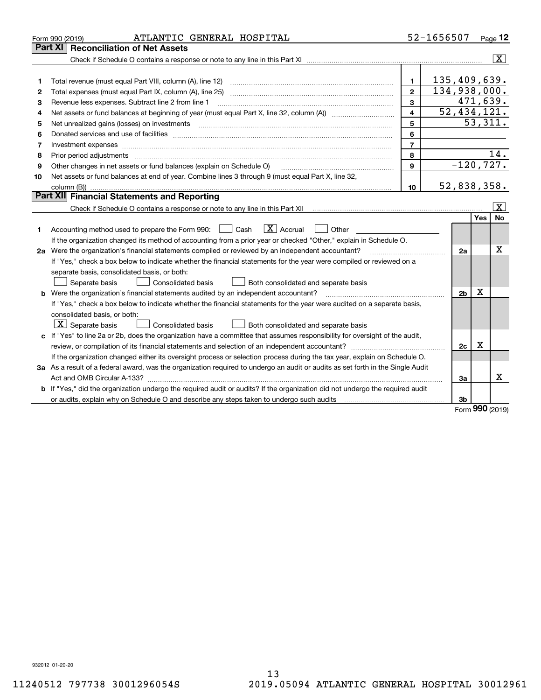|    | ATLANTIC GENERAL HOSPITAL<br>Form 990 (2019)                                                                                    |                          | 52-1656507                  | Page $12$               |                         |
|----|---------------------------------------------------------------------------------------------------------------------------------|--------------------------|-----------------------------|-------------------------|-------------------------|
|    | <b>Reconciliation of Net Assets</b><br>Part XI                                                                                  |                          |                             |                         |                         |
|    |                                                                                                                                 |                          |                             |                         | $\overline{\mathbf{x}}$ |
|    |                                                                                                                                 |                          |                             |                         |                         |
| 1  | Total revenue (must equal Part VIII, column (A), line 12)                                                                       | $\mathbf{1}$             | 135,409,639.                |                         |                         |
| 2  | Total expenses (must equal Part IX, column (A), line 25)                                                                        | $\overline{2}$           | 134,938,000.                |                         |                         |
| 3  | Revenue less expenses. Subtract line 2 from line 1                                                                              | 3                        |                             | $\overline{471,639}$ .  |                         |
| 4  |                                                                                                                                 | 4                        | $\overline{52}$ , 434, 121. |                         |                         |
| 5  |                                                                                                                                 | 5                        |                             | 53,311.                 |                         |
| 6  |                                                                                                                                 | 6                        |                             |                         |                         |
| 7  | Investment expenses www.communication.com/www.communication.com/www.communication.com/www.com                                   | $\overline{\phantom{a}}$ |                             |                         |                         |
| 8  | Prior period adjustments www.communication.communication.communication.com/                                                     | 8                        |                             | 14.                     |                         |
| 9  | Other changes in net assets or fund balances (explain on Schedule O)                                                            | 9                        |                             | $-120, 727.$            |                         |
| 10 | Net assets or fund balances at end of year. Combine lines 3 through 9 (must equal Part X, line 32,                              |                          |                             |                         |                         |
|    |                                                                                                                                 | 10                       | 52,838,358.                 |                         |                         |
|    | Part XII Financial Statements and Reporting                                                                                     |                          |                             |                         |                         |
|    |                                                                                                                                 |                          |                             | $\overline{\mathbf{x}}$ |                         |
|    |                                                                                                                                 |                          |                             | Yes<br>No               |                         |
| 1  | $\boxed{\mathbf{X}}$ Accrual<br>Accounting method used to prepare the Form 990: <u>June</u> Cash<br>Other                       |                          |                             |                         |                         |
|    | If the organization changed its method of accounting from a prior year or checked "Other," explain in Schedule O.               |                          |                             |                         |                         |
|    | 2a Were the organization's financial statements compiled or reviewed by an independent accountant?                              |                          | 2a                          | х                       |                         |
|    | If "Yes," check a box below to indicate whether the financial statements for the year were compiled or reviewed on a            |                          |                             |                         |                         |
|    | separate basis, consolidated basis, or both:                                                                                    |                          |                             |                         |                         |
|    | Separate basis<br>Both consolidated and separate basis<br>Consolidated basis                                                    |                          |                             |                         |                         |
|    | <b>b</b> Were the organization's financial statements audited by an independent accountant?                                     |                          | 2 <sub>b</sub>              | х                       |                         |
|    | If "Yes," check a box below to indicate whether the financial statements for the year were audited on a separate basis,         |                          |                             |                         |                         |
|    | consolidated basis, or both:                                                                                                    |                          |                             |                         |                         |
|    | $ \mathbf{X} $ Separate basis<br><b>Consolidated basis</b><br>Both consolidated and separate basis                              |                          |                             |                         |                         |
|    | c If "Yes" to line 2a or 2b, does the organization have a committee that assumes responsibility for oversight of the audit,     |                          |                             |                         |                         |
|    |                                                                                                                                 |                          | 2c                          | x                       |                         |
|    | If the organization changed either its oversight process or selection process during the tax year, explain on Schedule O.       |                          |                             |                         |                         |
|    | 3a As a result of a federal award, was the organization required to undergo an audit or audits as set forth in the Single Audit |                          |                             |                         |                         |
|    |                                                                                                                                 |                          | За                          | x                       |                         |
|    | b If "Yes," did the organization undergo the required audit or audits? If the organization did not undergo the required audit   |                          |                             |                         |                         |
|    | or audits, explain why on Schedule O and describe any steps taken to undergo such audits                                        |                          | 3 <sub>b</sub>              |                         |                         |

Form (2019) **990**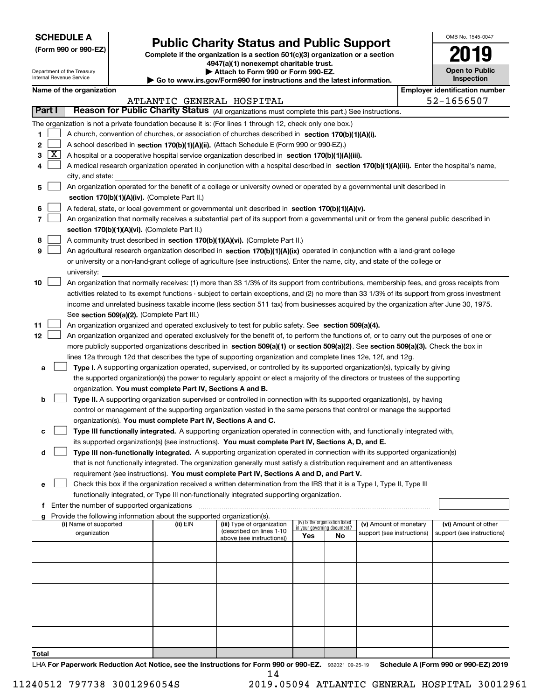| <b>SCHEDULE A</b> |
|-------------------|
|-------------------|

Department of the Treasury Internal Revenue Service

**(Form 990 or 990-EZ)**

# **Public Charity Status and Public Support**

**Complete if the organization is a section 501(c)(3) organization or a section 4947(a)(1) nonexempt charitable trust. | Attach to Form 990 or Form 990-EZ.** 

|  | $\blacksquare$                                                           |  |  |
|--|--------------------------------------------------------------------------|--|--|
|  | ▶ Go to www.irs.gov/Form990 for instructions and the latest information. |  |  |
|  |                                                                          |  |  |

| OMB No 1545-0047                    |
|-------------------------------------|
| 2019                                |
| <b>Open to Public</b><br>Inspection |

| Name of the organization<br>ATLANTIC GENERAL HOSPITAL |                                                                                                           |                                                                                                                                                                            |          |                            |                             |                                 |                            | <b>Employer identification number</b> |                            |  |  |  |
|-------------------------------------------------------|-----------------------------------------------------------------------------------------------------------|----------------------------------------------------------------------------------------------------------------------------------------------------------------------------|----------|----------------------------|-----------------------------|---------------------------------|----------------------------|---------------------------------------|----------------------------|--|--|--|
|                                                       | Part I                                                                                                    |                                                                                                                                                                            |          |                            |                             |                                 |                            |                                       | 52-1656507                 |  |  |  |
|                                                       |                                                                                                           | Reason for Public Charity Status (All organizations must complete this part.) See instructions.                                                                            |          |                            |                             |                                 |                            |                                       |                            |  |  |  |
|                                                       | The organization is not a private foundation because it is: (For lines 1 through 12, check only one box.) |                                                                                                                                                                            |          |                            |                             |                                 |                            |                                       |                            |  |  |  |
| 1                                                     |                                                                                                           | A church, convention of churches, or association of churches described in section 170(b)(1)(A)(i).                                                                         |          |                            |                             |                                 |                            |                                       |                            |  |  |  |
| 2                                                     |                                                                                                           | A school described in section 170(b)(1)(A)(ii). (Attach Schedule E (Form 990 or 990-EZ).)                                                                                  |          |                            |                             |                                 |                            |                                       |                            |  |  |  |
| 3.                                                    |                                                                                                           | $\lfloor x \rfloor$<br>A hospital or a cooperative hospital service organization described in section 170(b)(1)(A)(iii).                                                   |          |                            |                             |                                 |                            |                                       |                            |  |  |  |
|                                                       |                                                                                                           | A medical research organization operated in conjunction with a hospital described in section 170(b)(1)(A)(iii). Enter the hospital's name,<br>city, and state:             |          |                            |                             |                                 |                            |                                       |                            |  |  |  |
| 5                                                     |                                                                                                           | An organization operated for the benefit of a college or university owned or operated by a governmental unit described in<br>section 170(b)(1)(A)(iv). (Complete Part II.) |          |                            |                             |                                 |                            |                                       |                            |  |  |  |
| 6                                                     |                                                                                                           | A federal, state, or local government or governmental unit described in section 170(b)(1)(A)(v).                                                                           |          |                            |                             |                                 |                            |                                       |                            |  |  |  |
| 7                                                     |                                                                                                           | An organization that normally receives a substantial part of its support from a governmental unit or from the general public described in                                  |          |                            |                             |                                 |                            |                                       |                            |  |  |  |
|                                                       |                                                                                                           | section 170(b)(1)(A)(vi). (Complete Part II.)                                                                                                                              |          |                            |                             |                                 |                            |                                       |                            |  |  |  |
| 8                                                     |                                                                                                           | A community trust described in section 170(b)(1)(A)(vi). (Complete Part II.)                                                                                               |          |                            |                             |                                 |                            |                                       |                            |  |  |  |
| 9                                                     |                                                                                                           | An agricultural research organization described in section 170(b)(1)(A)(ix) operated in conjunction with a land-grant college                                              |          |                            |                             |                                 |                            |                                       |                            |  |  |  |
|                                                       |                                                                                                           | or university or a non-land-grant college of agriculture (see instructions). Enter the name, city, and state of the college or                                             |          |                            |                             |                                 |                            |                                       |                            |  |  |  |
|                                                       |                                                                                                           | university:                                                                                                                                                                |          |                            |                             |                                 |                            |                                       |                            |  |  |  |
| 10                                                    |                                                                                                           | An organization that normally receives: (1) more than 33 1/3% of its support from contributions, membership fees, and gross receipts from                                  |          |                            |                             |                                 |                            |                                       |                            |  |  |  |
|                                                       |                                                                                                           | activities related to its exempt functions - subject to certain exceptions, and (2) no more than 33 1/3% of its support from gross investment                              |          |                            |                             |                                 |                            |                                       |                            |  |  |  |
|                                                       |                                                                                                           | income and unrelated business taxable income (less section 511 tax) from businesses acquired by the organization after June 30, 1975.                                      |          |                            |                             |                                 |                            |                                       |                            |  |  |  |
|                                                       |                                                                                                           | See section 509(a)(2). (Complete Part III.)                                                                                                                                |          |                            |                             |                                 |                            |                                       |                            |  |  |  |
| 11                                                    |                                                                                                           | An organization organized and operated exclusively to test for public safety. See section 509(a)(4).                                                                       |          |                            |                             |                                 |                            |                                       |                            |  |  |  |
| 12                                                    |                                                                                                           | An organization organized and operated exclusively for the benefit of, to perform the functions of, or to carry out the purposes of one or                                 |          |                            |                             |                                 |                            |                                       |                            |  |  |  |
|                                                       |                                                                                                           | more publicly supported organizations described in section 509(a)(1) or section 509(a)(2). See section 509(a)(3). Check the box in                                         |          |                            |                             |                                 |                            |                                       |                            |  |  |  |
|                                                       |                                                                                                           | lines 12a through 12d that describes the type of supporting organization and complete lines 12e, 12f, and 12g.                                                             |          |                            |                             |                                 |                            |                                       |                            |  |  |  |
| а                                                     |                                                                                                           | Type I. A supporting organization operated, supervised, or controlled by its supported organization(s), typically by giving                                                |          |                            |                             |                                 |                            |                                       |                            |  |  |  |
|                                                       |                                                                                                           | the supported organization(s) the power to regularly appoint or elect a majority of the directors or trustees of the supporting                                            |          |                            |                             |                                 |                            |                                       |                            |  |  |  |
|                                                       |                                                                                                           | organization. You must complete Part IV, Sections A and B.                                                                                                                 |          |                            |                             |                                 |                            |                                       |                            |  |  |  |
| b                                                     |                                                                                                           | Type II. A supporting organization supervised or controlled in connection with its supported organization(s), by having                                                    |          |                            |                             |                                 |                            |                                       |                            |  |  |  |
|                                                       |                                                                                                           | control or management of the supporting organization vested in the same persons that control or manage the supported                                                       |          |                            |                             |                                 |                            |                                       |                            |  |  |  |
|                                                       |                                                                                                           | organization(s). You must complete Part IV, Sections A and C.                                                                                                              |          |                            |                             |                                 |                            |                                       |                            |  |  |  |
| с                                                     |                                                                                                           | Type III functionally integrated. A supporting organization operated in connection with, and functionally integrated with,                                                 |          |                            |                             |                                 |                            |                                       |                            |  |  |  |
|                                                       |                                                                                                           | its supported organization(s) (see instructions). You must complete Part IV, Sections A, D, and E.                                                                         |          |                            |                             |                                 |                            |                                       |                            |  |  |  |
| d                                                     |                                                                                                           | Type III non-functionally integrated. A supporting organization operated in connection with its supported organization(s)                                                  |          |                            |                             |                                 |                            |                                       |                            |  |  |  |
|                                                       |                                                                                                           | that is not functionally integrated. The organization generally must satisfy a distribution requirement and an attentiveness                                               |          |                            |                             |                                 |                            |                                       |                            |  |  |  |
|                                                       |                                                                                                           | requirement (see instructions). You must complete Part IV, Sections A and D, and Part V.                                                                                   |          |                            |                             |                                 |                            |                                       |                            |  |  |  |
|                                                       |                                                                                                           | Check this box if the organization received a written determination from the IRS that it is a Type I, Type II, Type III                                                    |          |                            |                             |                                 |                            |                                       |                            |  |  |  |
|                                                       |                                                                                                           | functionally integrated, or Type III non-functionally integrated supporting organization.                                                                                  |          |                            |                             |                                 |                            |                                       |                            |  |  |  |
|                                                       |                                                                                                           | f Enter the number of supported organizations                                                                                                                              |          |                            |                             |                                 |                            |                                       |                            |  |  |  |
|                                                       |                                                                                                           | g Provide the following information about the supported organization(s).<br>(i) Name of supported                                                                          | (ii) EIN | (iii) Type of organization |                             | (iv) Is the organization listed | (v) Amount of monetary     |                                       | (vi) Amount of other       |  |  |  |
|                                                       |                                                                                                           | organization                                                                                                                                                               |          | (described on lines 1-10   | in your governing document? |                                 | support (see instructions) |                                       | support (see instructions) |  |  |  |
|                                                       |                                                                                                           |                                                                                                                                                                            |          | above (see instructions))  | Yes                         | No                              |                            |                                       |                            |  |  |  |
|                                                       |                                                                                                           |                                                                                                                                                                            |          |                            |                             |                                 |                            |                                       |                            |  |  |  |
|                                                       |                                                                                                           |                                                                                                                                                                            |          |                            |                             |                                 |                            |                                       |                            |  |  |  |
|                                                       |                                                                                                           |                                                                                                                                                                            |          |                            |                             |                                 |                            |                                       |                            |  |  |  |
|                                                       |                                                                                                           |                                                                                                                                                                            |          |                            |                             |                                 |                            |                                       |                            |  |  |  |
|                                                       |                                                                                                           |                                                                                                                                                                            |          |                            |                             |                                 |                            |                                       |                            |  |  |  |
|                                                       |                                                                                                           |                                                                                                                                                                            |          |                            |                             |                                 |                            |                                       |                            |  |  |  |

**Total**

LHA For Paperwork Reduction Act Notice, see the Instructions for Form 990 or 990-EZ. 932021 09-25-19 Schedule A (Form 990 or 990-EZ) 2019 14

 $\mathbf{I}$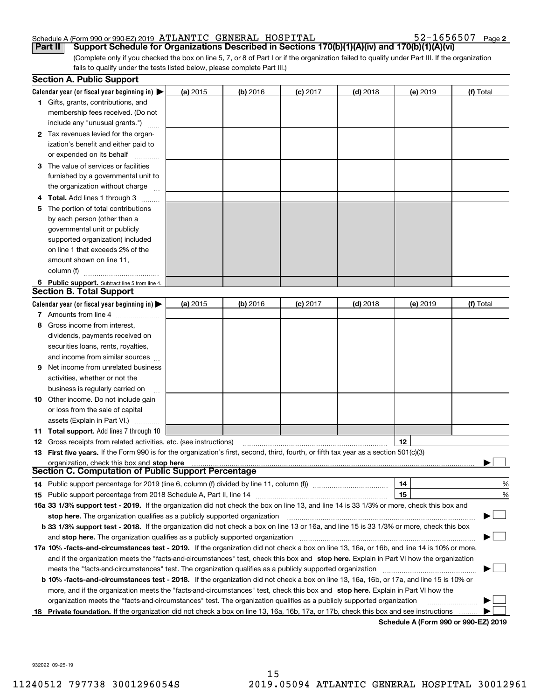52-1656507 Page 2

(Complete only if you checked the box on line 5, 7, or 8 of Part I or if the organization failed to qualify under Part III. If the organization fails to qualify under the tests listed below, please complete Part III.) **Part II Support Schedule for Organizations Described in Sections 170(b)(1)(A)(iv) and 170(b)(1)(A)(vi)**

|    | <b>Section A. Public Support</b>                                                                                                               |          |            |            |            |                                      |           |
|----|------------------------------------------------------------------------------------------------------------------------------------------------|----------|------------|------------|------------|--------------------------------------|-----------|
|    | Calendar year (or fiscal year beginning in) $\blacktriangleright$                                                                              | (a) 2015 | $(b)$ 2016 | $(c)$ 2017 | $(d)$ 2018 | (e) 2019                             | (f) Total |
|    | <b>1</b> Gifts, grants, contributions, and                                                                                                     |          |            |            |            |                                      |           |
|    | membership fees received. (Do not                                                                                                              |          |            |            |            |                                      |           |
|    | include any "unusual grants.")                                                                                                                 |          |            |            |            |                                      |           |
|    | <b>2</b> Tax revenues levied for the organ-                                                                                                    |          |            |            |            |                                      |           |
|    | ization's benefit and either paid to                                                                                                           |          |            |            |            |                                      |           |
|    | or expended on its behalf                                                                                                                      |          |            |            |            |                                      |           |
|    | 3 The value of services or facilities                                                                                                          |          |            |            |            |                                      |           |
|    | furnished by a governmental unit to                                                                                                            |          |            |            |            |                                      |           |
|    | the organization without charge                                                                                                                |          |            |            |            |                                      |           |
|    | 4 Total. Add lines 1 through 3                                                                                                                 |          |            |            |            |                                      |           |
| 5. | The portion of total contributions                                                                                                             |          |            |            |            |                                      |           |
|    | by each person (other than a                                                                                                                   |          |            |            |            |                                      |           |
|    | governmental unit or publicly                                                                                                                  |          |            |            |            |                                      |           |
|    | supported organization) included                                                                                                               |          |            |            |            |                                      |           |
|    | on line 1 that exceeds 2% of the                                                                                                               |          |            |            |            |                                      |           |
|    | amount shown on line 11,                                                                                                                       |          |            |            |            |                                      |           |
|    | column (f)                                                                                                                                     |          |            |            |            |                                      |           |
|    | 6 Public support. Subtract line 5 from line 4.                                                                                                 |          |            |            |            |                                      |           |
|    | <b>Section B. Total Support</b>                                                                                                                |          |            |            |            |                                      |           |
|    | Calendar year (or fiscal year beginning in)                                                                                                    | (a) 2015 | $(b)$ 2016 | $(c)$ 2017 | $(d)$ 2018 | (e) 2019                             | (f) Total |
|    | 7 Amounts from line 4                                                                                                                          |          |            |            |            |                                      |           |
|    | 8 Gross income from interest,                                                                                                                  |          |            |            |            |                                      |           |
|    | dividends, payments received on                                                                                                                |          |            |            |            |                                      |           |
|    | securities loans, rents, royalties,                                                                                                            |          |            |            |            |                                      |           |
|    | and income from similar sources                                                                                                                |          |            |            |            |                                      |           |
| 9. | Net income from unrelated business                                                                                                             |          |            |            |            |                                      |           |
|    | activities, whether or not the                                                                                                                 |          |            |            |            |                                      |           |
|    | business is regularly carried on                                                                                                               |          |            |            |            |                                      |           |
|    | <b>10</b> Other income. Do not include gain                                                                                                    |          |            |            |            |                                      |           |
|    | or loss from the sale of capital                                                                                                               |          |            |            |            |                                      |           |
|    | assets (Explain in Part VI.)                                                                                                                   |          |            |            |            |                                      |           |
|    | <b>11 Total support.</b> Add lines 7 through 10                                                                                                |          |            |            |            |                                      |           |
|    | <b>12</b> Gross receipts from related activities, etc. (see instructions)                                                                      |          |            |            |            | 12                                   |           |
|    | 13 First five years. If the Form 990 is for the organization's first, second, third, fourth, or fifth tax year as a section 501(c)(3)          |          |            |            |            |                                      |           |
|    | organization, check this box and stop here                                                                                                     |          |            |            |            |                                      |           |
|    | <b>Section C. Computation of Public Support Percentage</b>                                                                                     |          |            |            |            |                                      |           |
|    | 14 Public support percentage for 2019 (line 6, column (f) divided by line 11, column (f) <i>manumanomeron</i>                                  |          |            |            |            | 14                                   | %         |
|    |                                                                                                                                                |          |            |            |            | 15                                   | %         |
|    | 16a 33 1/3% support test - 2019. If the organization did not check the box on line 13, and line 14 is 33 1/3% or more, check this box and      |          |            |            |            |                                      |           |
|    | stop here. The organization qualifies as a publicly supported organization                                                                     |          |            |            |            |                                      |           |
|    | b 33 1/3% support test - 2018. If the organization did not check a box on line 13 or 16a, and line 15 is 33 1/3% or more, check this box       |          |            |            |            |                                      |           |
|    | and stop here. The organization qualifies as a publicly supported organization                                                                 |          |            |            |            |                                      |           |
|    | 17a 10% -facts-and-circumstances test - 2019. If the organization did not check a box on line 13, 16a, or 16b, and line 14 is 10% or more,     |          |            |            |            |                                      |           |
|    | and if the organization meets the "facts-and-circumstances" test, check this box and stop here. Explain in Part VI how the organization        |          |            |            |            |                                      |           |
|    | meets the "facts-and-circumstances" test. The organization qualifies as a publicly supported organization                                      |          |            |            |            |                                      |           |
|    | <b>b 10% -facts-and-circumstances test - 2018.</b> If the organization did not check a box on line 13, 16a, 16b, or 17a, and line 15 is 10% or |          |            |            |            |                                      |           |
|    | more, and if the organization meets the "facts-and-circumstances" test, check this box and stop here. Explain in Part VI how the               |          |            |            |            |                                      |           |
|    | organization meets the "facts-and-circumstances" test. The organization qualifies as a publicly supported organization                         |          |            |            |            |                                      |           |
|    | 18 Private foundation. If the organization did not check a box on line 13, 16a, 16b, 17a, or 17b, check this box and see instructions          |          |            |            |            | Schodule A (Form 000 or 000 F7) 2010 |           |

**Schedule A (Form 990 or 990-EZ) 2019**

932022 09-25-19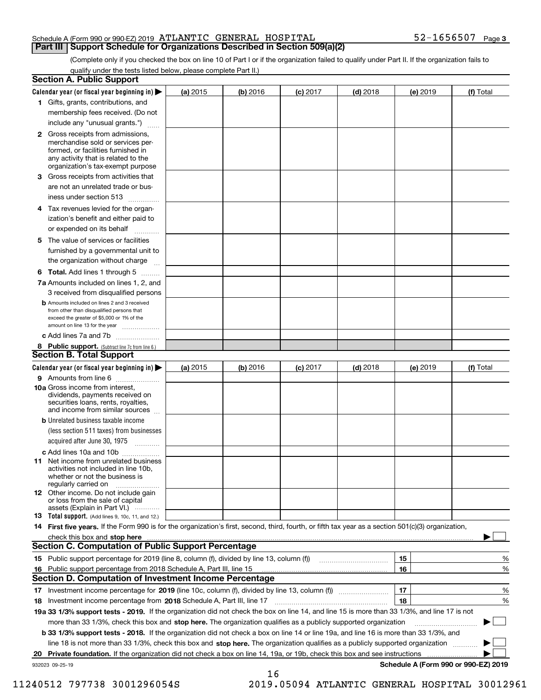(Complete only if you checked the box on line 10 of Part I or if the organization failed to qualify under Part II. If the organization fails to qualify under the tests listed below, please complete Part II.)

|     | <b>Section A. Public Support</b>                                                                                                                                                                                               |          |          |            |            |          |                                      |
|-----|--------------------------------------------------------------------------------------------------------------------------------------------------------------------------------------------------------------------------------|----------|----------|------------|------------|----------|--------------------------------------|
|     | Calendar year (or fiscal year beginning in) $\blacktriangleright$                                                                                                                                                              | (a) 2015 | (b) 2016 | $(c)$ 2017 | $(d)$ 2018 | (e) 2019 | (f) Total                            |
|     | 1 Gifts, grants, contributions, and                                                                                                                                                                                            |          |          |            |            |          |                                      |
|     | membership fees received. (Do not                                                                                                                                                                                              |          |          |            |            |          |                                      |
|     | include any "unusual grants.")                                                                                                                                                                                                 |          |          |            |            |          |                                      |
|     | <b>2</b> Gross receipts from admissions,<br>merchandise sold or services per-<br>formed, or facilities furnished in<br>any activity that is related to the<br>organization's tax-exempt purpose                                |          |          |            |            |          |                                      |
|     | 3 Gross receipts from activities that<br>are not an unrelated trade or bus-                                                                                                                                                    |          |          |            |            |          |                                      |
|     | iness under section 513                                                                                                                                                                                                        |          |          |            |            |          |                                      |
|     | 4 Tax revenues levied for the organ-<br>ization's benefit and either paid to                                                                                                                                                   |          |          |            |            |          |                                      |
|     | or expended on its behalf<br>.                                                                                                                                                                                                 |          |          |            |            |          |                                      |
|     | 5 The value of services or facilities<br>furnished by a governmental unit to                                                                                                                                                   |          |          |            |            |          |                                      |
|     | the organization without charge                                                                                                                                                                                                |          |          |            |            |          |                                      |
|     | <b>6 Total.</b> Add lines 1 through 5                                                                                                                                                                                          |          |          |            |            |          |                                      |
|     | 7a Amounts included on lines 1, 2, and<br>3 received from disqualified persons                                                                                                                                                 |          |          |            |            |          |                                      |
|     | <b>b</b> Amounts included on lines 2 and 3 received<br>from other than disqualified persons that<br>exceed the greater of \$5,000 or 1% of the<br>amount on line 13 for the year                                               |          |          |            |            |          |                                      |
|     | c Add lines 7a and 7b                                                                                                                                                                                                          |          |          |            |            |          |                                      |
|     | 8 Public support. (Subtract line 7c from line 6.)<br><b>Section B. Total Support</b>                                                                                                                                           |          |          |            |            |          |                                      |
|     | Calendar year (or fiscal year beginning in)                                                                                                                                                                                    | (a) 2015 | (b) 2016 | $(c)$ 2017 | $(d)$ 2018 | (e) 2019 | (f) Total                            |
|     | 9 Amounts from line 6                                                                                                                                                                                                          |          |          |            |            |          |                                      |
|     | 10a Gross income from interest,<br>dividends, payments received on<br>securities loans, rents, royalties,<br>and income from similar sources                                                                                   |          |          |            |            |          |                                      |
|     | <b>b</b> Unrelated business taxable income<br>(less section 511 taxes) from businesses                                                                                                                                         |          |          |            |            |          |                                      |
|     | acquired after June 30, 1975                                                                                                                                                                                                   |          |          |            |            |          |                                      |
|     | c Add lines 10a and 10b<br>11 Net income from unrelated business<br>activities not included in line 10b,<br>whether or not the business is<br>regularly carried on                                                             |          |          |            |            |          |                                      |
|     | <b>12</b> Other income. Do not include gain<br>or loss from the sale of capital<br>assets (Explain in Part VI.)                                                                                                                |          |          |            |            |          |                                      |
|     | 13 Total support. (Add lines 9, 10c, 11, and 12.)                                                                                                                                                                              |          |          |            |            |          |                                      |
|     | 14 First five years. If the Form 990 is for the organization's first, second, third, fourth, or fifth tax year as a section 501(c)(3) organization,                                                                            |          |          |            |            |          |                                      |
|     | check this box and stop here measurements are all the state of the state of the state of the state of the state of the state of the state of the state of the state of the state of the state of the state of the state of the |          |          |            |            |          |                                      |
|     | <b>Section C. Computation of Public Support Percentage</b>                                                                                                                                                                     |          |          |            |            |          |                                      |
|     | 15 Public support percentage for 2019 (line 8, column (f), divided by line 13, column (f))                                                                                                                                     |          |          |            |            | 15       | %                                    |
| 16. | Public support percentage from 2018 Schedule A, Part III, line 15                                                                                                                                                              |          |          |            |            | 16       | %                                    |
|     | <b>Section D. Computation of Investment Income Percentage</b>                                                                                                                                                                  |          |          |            |            |          |                                      |
|     | 17 Investment income percentage for 2019 (line 10c, column (f), divided by line 13, column (f))<br>18 Investment income percentage from 2018 Schedule A, Part III, line 17                                                     |          |          |            |            | 17<br>18 | %<br>%                               |
|     | 19a 33 1/3% support tests - 2019. If the organization did not check the box on line 14, and line 15 is more than 33 1/3%, and line 17 is not                                                                                   |          |          |            |            |          |                                      |
|     | more than 33 1/3%, check this box and stop here. The organization qualifies as a publicly supported organization                                                                                                               |          |          |            |            |          |                                      |
|     | b 33 1/3% support tests - 2018. If the organization did not check a box on line 14 or line 19a, and line 16 is more than 33 1/3%, and                                                                                          |          |          |            |            |          |                                      |
|     | line 18 is not more than 33 1/3%, check this box and stop here. The organization qualifies as a publicly supported organization                                                                                                |          |          |            |            |          |                                      |
|     | 20 Private foundation. If the organization did not check a box on line 14, 19a, or 19b, check this box and see instructions                                                                                                    |          |          |            |            |          | .                                    |
|     | 932023 09-25-19                                                                                                                                                                                                                |          |          |            |            |          | Schedule A (Form 990 or 990-EZ) 2019 |
|     |                                                                                                                                                                                                                                |          | 16       |            |            |          |                                      |

 <sup>11240512 797738 3001296054</sup>S 2019.05094 ATLANTIC GENERAL HOSPITAL 30012961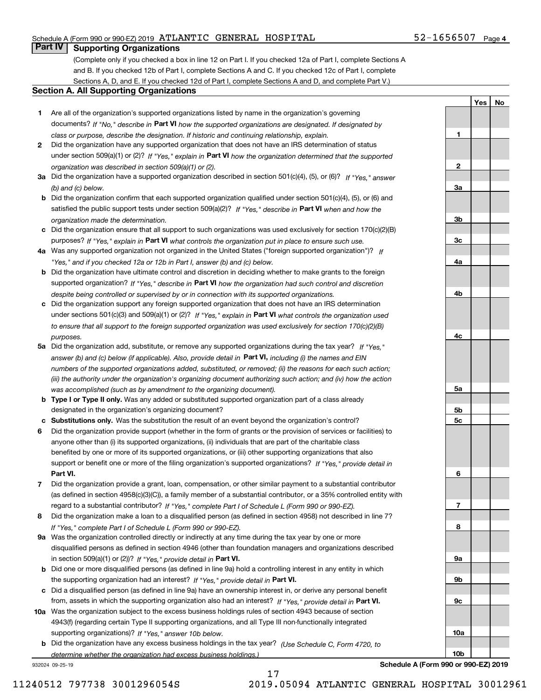## **Part IV Supporting Organizations**

(Complete only if you checked a box in line 12 on Part I. If you checked 12a of Part I, complete Sections A and B. If you checked 12b of Part I, complete Sections A and C. If you checked 12c of Part I, complete Sections A, D, and E. If you checked 12d of Part I, complete Sections A and D, and complete Part V.)

#### **Section A. All Supporting Organizations**

- **1** Are all of the organization's supported organizations listed by name in the organization's governing documents? If "No," describe in **Part VI** how the supported organizations are designated. If designated by *class or purpose, describe the designation. If historic and continuing relationship, explain.*
- **2** Did the organization have any supported organization that does not have an IRS determination of status under section 509(a)(1) or (2)? If "Yes," explain in Part VI how the organization determined that the supported *organization was described in section 509(a)(1) or (2).*
- **3a** Did the organization have a supported organization described in section 501(c)(4), (5), or (6)? If "Yes," answer *(b) and (c) below.*
- **b** Did the organization confirm that each supported organization qualified under section 501(c)(4), (5), or (6) and satisfied the public support tests under section 509(a)(2)? If "Yes," describe in **Part VI** when and how the *organization made the determination.*
- **c**Did the organization ensure that all support to such organizations was used exclusively for section 170(c)(2)(B) purposes? If "Yes," explain in **Part VI** what controls the organization put in place to ensure such use.
- **4a***If* Was any supported organization not organized in the United States ("foreign supported organization")? *"Yes," and if you checked 12a or 12b in Part I, answer (b) and (c) below.*
- **b** Did the organization have ultimate control and discretion in deciding whether to make grants to the foreign supported organization? If "Yes," describe in **Part VI** how the organization had such control and discretion *despite being controlled or supervised by or in connection with its supported organizations.*
- **c** Did the organization support any foreign supported organization that does not have an IRS determination under sections 501(c)(3) and 509(a)(1) or (2)? If "Yes," explain in **Part VI** what controls the organization used *to ensure that all support to the foreign supported organization was used exclusively for section 170(c)(2)(B) purposes.*
- **5a** Did the organization add, substitute, or remove any supported organizations during the tax year? If "Yes," answer (b) and (c) below (if applicable). Also, provide detail in **Part VI,** including (i) the names and EIN *numbers of the supported organizations added, substituted, or removed; (ii) the reasons for each such action; (iii) the authority under the organization's organizing document authorizing such action; and (iv) how the action was accomplished (such as by amendment to the organizing document).*
- **b** Type I or Type II only. Was any added or substituted supported organization part of a class already designated in the organization's organizing document?
- **cSubstitutions only.**  Was the substitution the result of an event beyond the organization's control?
- **6** Did the organization provide support (whether in the form of grants or the provision of services or facilities) to **Part VI.** *If "Yes," provide detail in* support or benefit one or more of the filing organization's supported organizations? anyone other than (i) its supported organizations, (ii) individuals that are part of the charitable class benefited by one or more of its supported organizations, or (iii) other supporting organizations that also
- **7**Did the organization provide a grant, loan, compensation, or other similar payment to a substantial contributor *If "Yes," complete Part I of Schedule L (Form 990 or 990-EZ).* regard to a substantial contributor? (as defined in section 4958(c)(3)(C)), a family member of a substantial contributor, or a 35% controlled entity with
- **8** Did the organization make a loan to a disqualified person (as defined in section 4958) not described in line 7? *If "Yes," complete Part I of Schedule L (Form 990 or 990-EZ).*
- **9a** Was the organization controlled directly or indirectly at any time during the tax year by one or more in section 509(a)(1) or (2))? If "Yes," *provide detail in* <code>Part VI.</code> disqualified persons as defined in section 4946 (other than foundation managers and organizations described
- **b** Did one or more disqualified persons (as defined in line 9a) hold a controlling interest in any entity in which the supporting organization had an interest? If "Yes," provide detail in P**art VI**.
- **c**Did a disqualified person (as defined in line 9a) have an ownership interest in, or derive any personal benefit from, assets in which the supporting organization also had an interest? If "Yes," provide detail in P**art VI.**
- **10a** Was the organization subject to the excess business holdings rules of section 4943 because of section supporting organizations)? If "Yes," answer 10b below. 4943(f) (regarding certain Type II supporting organizations, and all Type III non-functionally integrated
- **b** Did the organization have any excess business holdings in the tax year? (Use Schedule C, Form 4720, to *determine whether the organization had excess business holdings.)*

17

932024 09-25-19

**Schedule A (Form 990 or 990-EZ) 2019**

**YesNo**

**1**

**2**

**3b**

**3c**

**4a**

**4b**

**4c**

**5a**

**5b5c**

**6**

**7**

**8**

**9a**

**9b**

**9c**

**10a**

**10b**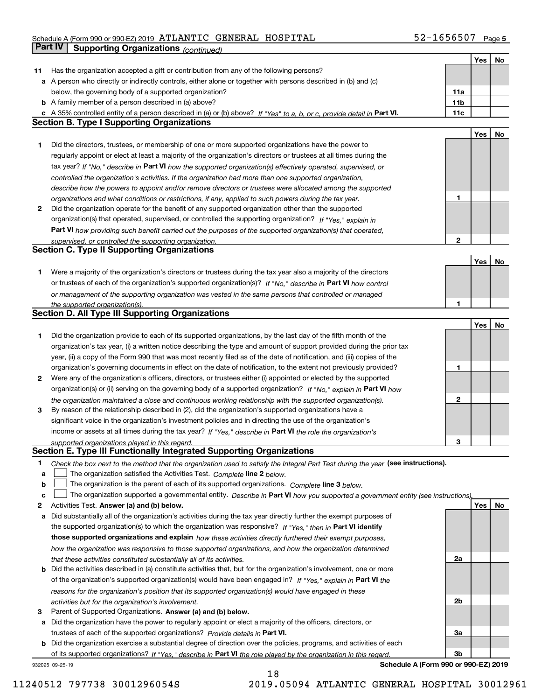#### Schedule A (Form 990 or 990-EZ) 2019 Page ATLANTIC GENERAL HOSPITAL 52-1656507

|        | Part IV<br><b>Supporting Organizations (continued)</b>                                                                                                                                                                            |                 |     |    |
|--------|-----------------------------------------------------------------------------------------------------------------------------------------------------------------------------------------------------------------------------------|-----------------|-----|----|
|        |                                                                                                                                                                                                                                   |                 | Yes | No |
| 11     | Has the organization accepted a gift or contribution from any of the following persons?                                                                                                                                           |                 |     |    |
|        | a A person who directly or indirectly controls, either alone or together with persons described in (b) and (c)                                                                                                                    |                 |     |    |
|        | below, the governing body of a supported organization?                                                                                                                                                                            | 11a             |     |    |
|        | <b>b</b> A family member of a person described in (a) above?                                                                                                                                                                      | 11 <sub>b</sub> |     |    |
|        | c A 35% controlled entity of a person described in (a) or (b) above? If "Yes" to a, b, or c, provide detail in Part VI.                                                                                                           | 11c             |     |    |
|        | <b>Section B. Type I Supporting Organizations</b>                                                                                                                                                                                 |                 |     |    |
|        |                                                                                                                                                                                                                                   |                 | Yes | No |
| 1      | Did the directors, trustees, or membership of one or more supported organizations have the power to                                                                                                                               |                 |     |    |
|        | regularly appoint or elect at least a majority of the organization's directors or trustees at all times during the                                                                                                                |                 |     |    |
|        | tax year? If "No," describe in Part VI how the supported organization(s) effectively operated, supervised, or                                                                                                                     |                 |     |    |
|        | controlled the organization's activities. If the organization had more than one supported organization,                                                                                                                           |                 |     |    |
|        | describe how the powers to appoint and/or remove directors or trustees were allocated among the supported                                                                                                                         |                 |     |    |
|        | organizations and what conditions or restrictions, if any, applied to such powers during the tax year.                                                                                                                            | 1               |     |    |
| 2      | Did the organization operate for the benefit of any supported organization other than the supported                                                                                                                               |                 |     |    |
|        | organization(s) that operated, supervised, or controlled the supporting organization? If "Yes," explain in                                                                                                                        |                 |     |    |
|        | Part VI how providing such benefit carried out the purposes of the supported organization(s) that operated,                                                                                                                       |                 |     |    |
|        | supervised, or controlled the supporting organization.                                                                                                                                                                            | 2               |     |    |
|        | <b>Section C. Type II Supporting Organizations</b>                                                                                                                                                                                |                 |     |    |
|        |                                                                                                                                                                                                                                   |                 | Yes | No |
| 1      | Were a majority of the organization's directors or trustees during the tax year also a majority of the directors<br>or trustees of each of the organization's supported organization(s)? If "No," describe in Part VI how control |                 |     |    |
|        |                                                                                                                                                                                                                                   |                 |     |    |
|        | or management of the supporting organization was vested in the same persons that controlled or managed<br>the supported organization(s).                                                                                          | 1               |     |    |
|        | <b>Section D. All Type III Supporting Organizations</b>                                                                                                                                                                           |                 |     |    |
|        |                                                                                                                                                                                                                                   |                 | Yes | No |
| 1      | Did the organization provide to each of its supported organizations, by the last day of the fifth month of the                                                                                                                    |                 |     |    |
|        | organization's tax year, (i) a written notice describing the type and amount of support provided during the prior tax                                                                                                             |                 |     |    |
|        | year, (ii) a copy of the Form 990 that was most recently filed as of the date of notification, and (iii) copies of the                                                                                                            |                 |     |    |
|        | organization's governing documents in effect on the date of notification, to the extent not previously provided?                                                                                                                  | 1               |     |    |
| 2      | Were any of the organization's officers, directors, or trustees either (i) appointed or elected by the supported                                                                                                                  |                 |     |    |
|        | organization(s) or (ii) serving on the governing body of a supported organization? If "No," explain in Part VI how                                                                                                                |                 |     |    |
|        | the organization maintained a close and continuous working relationship with the supported organization(s).                                                                                                                       | 2               |     |    |
| з      | By reason of the relationship described in (2), did the organization's supported organizations have a                                                                                                                             |                 |     |    |
|        | significant voice in the organization's investment policies and in directing the use of the organization's                                                                                                                        |                 |     |    |
|        | income or assets at all times during the tax year? If "Yes," describe in Part VI the role the organization's                                                                                                                      |                 |     |    |
|        | supported organizations played in this regard.                                                                                                                                                                                    | 3               |     |    |
|        | Section E. Type III Functionally Integrated Supporting Organizations                                                                                                                                                              |                 |     |    |
| 1      | Check the box next to the method that the organization used to satisfy the Integral Part Test during the year (see instructions).                                                                                                 |                 |     |    |
| a      | The organization satisfied the Activities Test. Complete line 2 below.                                                                                                                                                            |                 |     |    |
| b      | The organization is the parent of each of its supported organizations. Complete line 3 below.                                                                                                                                     |                 |     |    |
| c<br>2 | The organization supported a governmental entity. Describe in Part VI how you supported a government entity (see instructions),<br>Activities Test. Answer (a) and (b) below.                                                     |                 | Yes | No |
| а      | Did substantially all of the organization's activities during the tax year directly further the exempt purposes of                                                                                                                |                 |     |    |
|        | the supported organization(s) to which the organization was responsive? If "Yes," then in Part VI identify                                                                                                                        |                 |     |    |
|        | those supported organizations and explain how these activities directly furthered their exempt purposes,                                                                                                                          |                 |     |    |
|        | how the organization was responsive to those supported organizations, and how the organization determined                                                                                                                         |                 |     |    |
|        | that these activities constituted substantially all of its activities.                                                                                                                                                            | 2a              |     |    |
| b      | Did the activities described in (a) constitute activities that, but for the organization's involvement, one or more                                                                                                               |                 |     |    |
|        | of the organization's supported organization(s) would have been engaged in? If "Yes," explain in Part VI the                                                                                                                      |                 |     |    |
|        | reasons for the organization's position that its supported organization(s) would have engaged in these                                                                                                                            |                 |     |    |
|        | activities but for the organization's involvement.                                                                                                                                                                                | 2b              |     |    |
| з      | Parent of Supported Organizations. Answer (a) and (b) below.                                                                                                                                                                      |                 |     |    |
| а      | Did the organization have the power to regularly appoint or elect a majority of the officers, directors, or                                                                                                                       |                 |     |    |
|        | trustees of each of the supported organizations? Provide details in Part VI.                                                                                                                                                      | За              |     |    |
| b      | Did the organization exercise a substantial degree of direction over the policies, programs, and activities of each                                                                                                               |                 |     |    |
|        | of its supported organizations? If "Yes," describe in Part VI the role played by the organization in this regard.                                                                                                                 | Зb              |     |    |

18

932025 09-25-19

**Schedule A (Form 990 or 990-EZ) 2019**

11240512 797738 3001296054S 2019.05094 ATLANTIC GENERAL HOSPITAL 30012961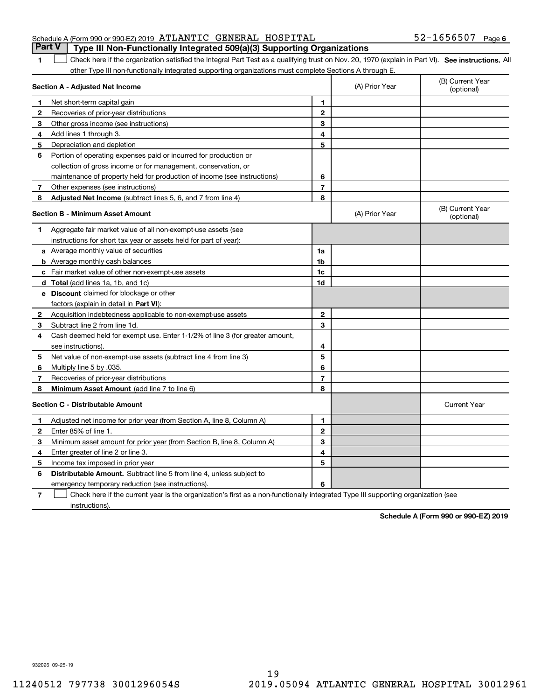|                                                                |  | <b>Part V</b>   Type III Non-Functionally Integrated 509(a)(3) Supporting Organizations |                       |  |
|----------------------------------------------------------------|--|-----------------------------------------------------------------------------------------|-----------------------|--|
| Schedule A (Form 990 or 990-EZ) 2019 ATLANTIC GENERAL HOSPITAL |  |                                                                                         | $52 - 1656507$ Page 6 |  |

1 Check here if the organization satisfied the Integral Part Test as a qualifying trust on Nov. 20, 1970 (explain in Part VI). See instructions. All other Type III non-functionally integrated supporting organizations must complete Sections A through E.

|    | Section A - Adjusted Net Income                                              |                | (A) Prior Year | (B) Current Year<br>(optional) |
|----|------------------------------------------------------------------------------|----------------|----------------|--------------------------------|
| 1  | Net short-term capital gain                                                  | 1              |                |                                |
| 2  | Recoveries of prior-year distributions                                       | $\overline{2}$ |                |                                |
| З  | Other gross income (see instructions)                                        | 3              |                |                                |
| 4  | Add lines 1 through 3.                                                       | 4              |                |                                |
| 5  | Depreciation and depletion                                                   | 5              |                |                                |
| 6  | Portion of operating expenses paid or incurred for production or             |                |                |                                |
|    | collection of gross income or for management, conservation, or               |                |                |                                |
|    | maintenance of property held for production of income (see instructions)     | 6              |                |                                |
| 7  | Other expenses (see instructions)                                            | 7              |                |                                |
| 8  | Adjusted Net Income (subtract lines 5, 6, and 7 from line 4)                 | 8              |                |                                |
|    | <b>Section B - Minimum Asset Amount</b>                                      |                | (A) Prior Year | (B) Current Year<br>(optional) |
| 1. | Aggregate fair market value of all non-exempt-use assets (see                |                |                |                                |
|    | instructions for short tax year or assets held for part of year):            |                |                |                                |
|    | a Average monthly value of securities                                        | 1a             |                |                                |
|    | <b>b</b> Average monthly cash balances                                       | 1b             |                |                                |
|    | c Fair market value of other non-exempt-use assets                           | 1c             |                |                                |
|    | <b>d</b> Total (add lines 1a, 1b, and 1c)                                    | 1d             |                |                                |
|    | e Discount claimed for blockage or other                                     |                |                |                                |
|    | factors (explain in detail in Part VI):                                      |                |                |                                |
| 2  | Acquisition indebtedness applicable to non-exempt-use assets                 | $\mathbf{2}$   |                |                                |
| З  | Subtract line 2 from line 1d.                                                | 3              |                |                                |
| 4  | Cash deemed held for exempt use. Enter 1-1/2% of line 3 (for greater amount, |                |                |                                |
|    | see instructions)                                                            | 4              |                |                                |
| 5  | Net value of non-exempt-use assets (subtract line 4 from line 3)             | 5              |                |                                |
| 6  | Multiply line 5 by .035.                                                     | 6              |                |                                |
| 7  | Recoveries of prior-year distributions                                       | $\overline{7}$ |                |                                |
| 8  | Minimum Asset Amount (add line 7 to line 6)                                  | 8              |                |                                |
|    | <b>Section C - Distributable Amount</b>                                      |                |                | <b>Current Year</b>            |
| 1  | Adjusted net income for prior year (from Section A, line 8, Column A)        | 1              |                |                                |
| 2  | Enter 85% of line 1.                                                         | $\overline{2}$ |                |                                |
| 3  | Minimum asset amount for prior year (from Section B, line 8, Column A)       | 3              |                |                                |
| 4  | Enter greater of line 2 or line 3.                                           | 4              |                |                                |
| 5  | Income tax imposed in prior year                                             | 5              |                |                                |
| 6  | <b>Distributable Amount.</b> Subtract line 5 from line 4, unless subject to  |                |                |                                |
|    | emergency temporary reduction (see instructions).                            | 6              |                |                                |
|    |                                                                              |                |                |                                |

**7**Check here if the current year is the organization's first as a non-functionally integrated Type III supporting organization (see instructions).

**Schedule A (Form 990 or 990-EZ) 2019**

932026 09-25-19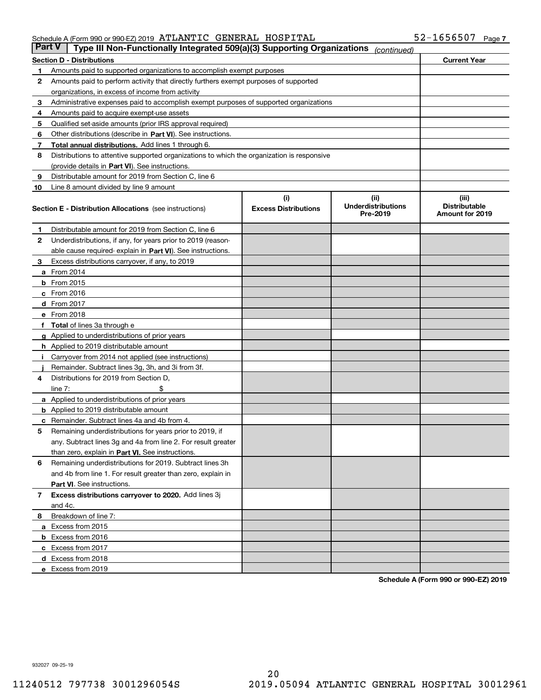| Part V | Type III Non-Functionally Integrated 509(a)(3) Supporting Organizations                    |                             | (continued)                           |                                         |
|--------|--------------------------------------------------------------------------------------------|-----------------------------|---------------------------------------|-----------------------------------------|
|        | <b>Section D - Distributions</b>                                                           |                             |                                       | <b>Current Year</b>                     |
| 1      | Amounts paid to supported organizations to accomplish exempt purposes                      |                             |                                       |                                         |
| 2      | Amounts paid to perform activity that directly furthers exempt purposes of supported       |                             |                                       |                                         |
|        | organizations, in excess of income from activity                                           |                             |                                       |                                         |
| з      | Administrative expenses paid to accomplish exempt purposes of supported organizations      |                             |                                       |                                         |
| 4      | Amounts paid to acquire exempt-use assets                                                  |                             |                                       |                                         |
| 5      | Qualified set-aside amounts (prior IRS approval required)                                  |                             |                                       |                                         |
| 6      | Other distributions (describe in Part VI). See instructions.                               |                             |                                       |                                         |
| 7      | <b>Total annual distributions.</b> Add lines 1 through 6.                                  |                             |                                       |                                         |
| 8      | Distributions to attentive supported organizations to which the organization is responsive |                             |                                       |                                         |
|        | (provide details in Part VI). See instructions.                                            |                             |                                       |                                         |
| 9      | Distributable amount for 2019 from Section C, line 6                                       |                             |                                       |                                         |
| 10     | Line 8 amount divided by line 9 amount                                                     |                             |                                       |                                         |
|        |                                                                                            | (i)                         | (iii)                                 | (iii)                                   |
|        | <b>Section E - Distribution Allocations</b> (see instructions)                             | <b>Excess Distributions</b> | <b>Underdistributions</b><br>Pre-2019 | <b>Distributable</b><br>Amount for 2019 |
| 1      | Distributable amount for 2019 from Section C, line 6                                       |                             |                                       |                                         |
| 2      | Underdistributions, if any, for years prior to 2019 (reason-                               |                             |                                       |                                         |
|        | able cause required- explain in <b>Part VI</b> ). See instructions.                        |                             |                                       |                                         |
| з      | Excess distributions carryover, if any, to 2019                                            |                             |                                       |                                         |
|        | <b>a</b> From 2014                                                                         |                             |                                       |                                         |
|        | <b>b</b> From 2015                                                                         |                             |                                       |                                         |
|        | $c$ From 2016                                                                              |                             |                                       |                                         |
|        | d From 2017                                                                                |                             |                                       |                                         |
|        | e From 2018                                                                                |                             |                                       |                                         |
|        | Total of lines 3a through e                                                                |                             |                                       |                                         |
|        | <b>g</b> Applied to underdistributions of prior years                                      |                             |                                       |                                         |
|        | <b>h</b> Applied to 2019 distributable amount                                              |                             |                                       |                                         |
|        | Carryover from 2014 not applied (see instructions)                                         |                             |                                       |                                         |
|        | Remainder. Subtract lines 3g, 3h, and 3i from 3f.                                          |                             |                                       |                                         |
| 4      | Distributions for 2019 from Section D,                                                     |                             |                                       |                                         |
|        | line $7:$                                                                                  |                             |                                       |                                         |
|        | <b>a</b> Applied to underdistributions of prior years                                      |                             |                                       |                                         |
|        | <b>b</b> Applied to 2019 distributable amount                                              |                             |                                       |                                         |
| c      | Remainder. Subtract lines 4a and 4b from 4.                                                |                             |                                       |                                         |
| 5      | Remaining underdistributions for years prior to 2019, if                                   |                             |                                       |                                         |
|        | any. Subtract lines 3g and 4a from line 2. For result greater                              |                             |                                       |                                         |
|        | than zero, explain in Part VI. See instructions.                                           |                             |                                       |                                         |
| 6      | Remaining underdistributions for 2019. Subtract lines 3h                                   |                             |                                       |                                         |
|        | and 4b from line 1. For result greater than zero, explain in                               |                             |                                       |                                         |
|        | Part VI. See instructions.                                                                 |                             |                                       |                                         |
| 7      | Excess distributions carryover to 2020. Add lines 3j                                       |                             |                                       |                                         |
|        | and 4c.                                                                                    |                             |                                       |                                         |
| 8      | Breakdown of line 7:                                                                       |                             |                                       |                                         |
|        | a Excess from 2015                                                                         |                             |                                       |                                         |
|        | <b>b</b> Excess from 2016                                                                  |                             |                                       |                                         |
|        | c Excess from 2017                                                                         |                             |                                       |                                         |
|        | d Excess from 2018                                                                         |                             |                                       |                                         |
|        | e Excess from 2019                                                                         |                             |                                       |                                         |
|        |                                                                                            |                             |                                       |                                         |

**Schedule A (Form 990 or 990-EZ) 2019**

932027 09-25-19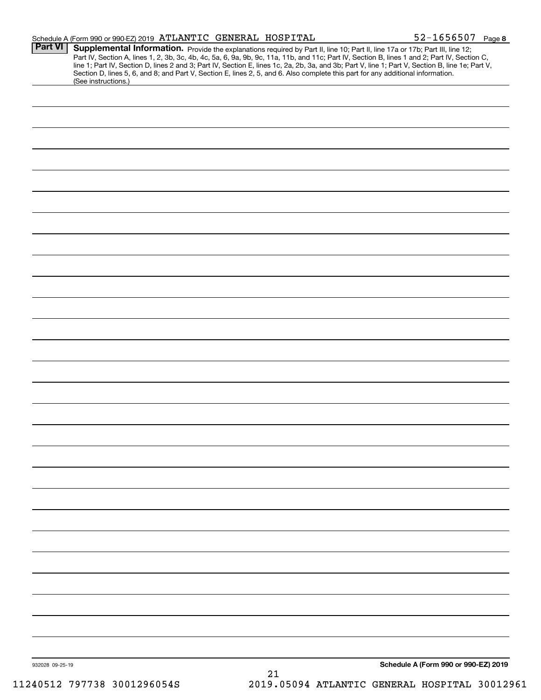|                 | Schedule A (Form 990 or 990-EZ) 2019 ATLANTIC GENERAL HOSPITAL |  |    | 52-1656507 Page 8                                                                                                                                                                                                                                                                                                                                                                                                                                                                                                                                                    |
|-----------------|----------------------------------------------------------------|--|----|----------------------------------------------------------------------------------------------------------------------------------------------------------------------------------------------------------------------------------------------------------------------------------------------------------------------------------------------------------------------------------------------------------------------------------------------------------------------------------------------------------------------------------------------------------------------|
| <b>Part VI</b>  | (See instructions.)                                            |  |    | Supplemental Information. Provide the explanations required by Part II, line 10; Part II, line 17a or 17b; Part III, line 12;<br>Part IV, Section A, lines 1, 2, 3b, 3c, 4b, 4c, 5a, 6, 9a, 9b, 9c, 11a, 11b, and 11c; Part IV, Section B, lines 1 and 2; Part IV, Section C,<br>line 1; Part IV, Section D, lines 2 and 3; Part IV, Section E, lines 1c, 2a, 2b, 3a, and 3b; Part V, line 1; Part V, Section B, line 1e; Part V,<br>Section D, lines 5, 6, and 8; and Part V, Section E, lines 2, 5, and 6. Also complete this part for any additional information. |
|                 |                                                                |  |    |                                                                                                                                                                                                                                                                                                                                                                                                                                                                                                                                                                      |
|                 |                                                                |  |    |                                                                                                                                                                                                                                                                                                                                                                                                                                                                                                                                                                      |
|                 |                                                                |  |    |                                                                                                                                                                                                                                                                                                                                                                                                                                                                                                                                                                      |
|                 |                                                                |  |    |                                                                                                                                                                                                                                                                                                                                                                                                                                                                                                                                                                      |
|                 |                                                                |  |    |                                                                                                                                                                                                                                                                                                                                                                                                                                                                                                                                                                      |
|                 |                                                                |  |    |                                                                                                                                                                                                                                                                                                                                                                                                                                                                                                                                                                      |
|                 |                                                                |  |    |                                                                                                                                                                                                                                                                                                                                                                                                                                                                                                                                                                      |
|                 |                                                                |  |    |                                                                                                                                                                                                                                                                                                                                                                                                                                                                                                                                                                      |
|                 |                                                                |  |    |                                                                                                                                                                                                                                                                                                                                                                                                                                                                                                                                                                      |
|                 |                                                                |  |    |                                                                                                                                                                                                                                                                                                                                                                                                                                                                                                                                                                      |
|                 |                                                                |  |    |                                                                                                                                                                                                                                                                                                                                                                                                                                                                                                                                                                      |
|                 |                                                                |  |    |                                                                                                                                                                                                                                                                                                                                                                                                                                                                                                                                                                      |
|                 |                                                                |  |    |                                                                                                                                                                                                                                                                                                                                                                                                                                                                                                                                                                      |
|                 |                                                                |  |    |                                                                                                                                                                                                                                                                                                                                                                                                                                                                                                                                                                      |
|                 |                                                                |  |    |                                                                                                                                                                                                                                                                                                                                                                                                                                                                                                                                                                      |
|                 |                                                                |  |    |                                                                                                                                                                                                                                                                                                                                                                                                                                                                                                                                                                      |
|                 |                                                                |  |    |                                                                                                                                                                                                                                                                                                                                                                                                                                                                                                                                                                      |
|                 |                                                                |  |    |                                                                                                                                                                                                                                                                                                                                                                                                                                                                                                                                                                      |
|                 |                                                                |  |    |                                                                                                                                                                                                                                                                                                                                                                                                                                                                                                                                                                      |
|                 |                                                                |  |    |                                                                                                                                                                                                                                                                                                                                                                                                                                                                                                                                                                      |
|                 |                                                                |  |    |                                                                                                                                                                                                                                                                                                                                                                                                                                                                                                                                                                      |
|                 |                                                                |  |    |                                                                                                                                                                                                                                                                                                                                                                                                                                                                                                                                                                      |
|                 |                                                                |  |    |                                                                                                                                                                                                                                                                                                                                                                                                                                                                                                                                                                      |
|                 |                                                                |  |    |                                                                                                                                                                                                                                                                                                                                                                                                                                                                                                                                                                      |
|                 |                                                                |  |    |                                                                                                                                                                                                                                                                                                                                                                                                                                                                                                                                                                      |
|                 |                                                                |  |    |                                                                                                                                                                                                                                                                                                                                                                                                                                                                                                                                                                      |
|                 |                                                                |  |    |                                                                                                                                                                                                                                                                                                                                                                                                                                                                                                                                                                      |
|                 |                                                                |  |    |                                                                                                                                                                                                                                                                                                                                                                                                                                                                                                                                                                      |
|                 |                                                                |  |    |                                                                                                                                                                                                                                                                                                                                                                                                                                                                                                                                                                      |
|                 |                                                                |  |    |                                                                                                                                                                                                                                                                                                                                                                                                                                                                                                                                                                      |
| 932028 09-25-19 |                                                                |  | 21 | Schedule A (Form 990 or 990-EZ) 2019                                                                                                                                                                                                                                                                                                                                                                                                                                                                                                                                 |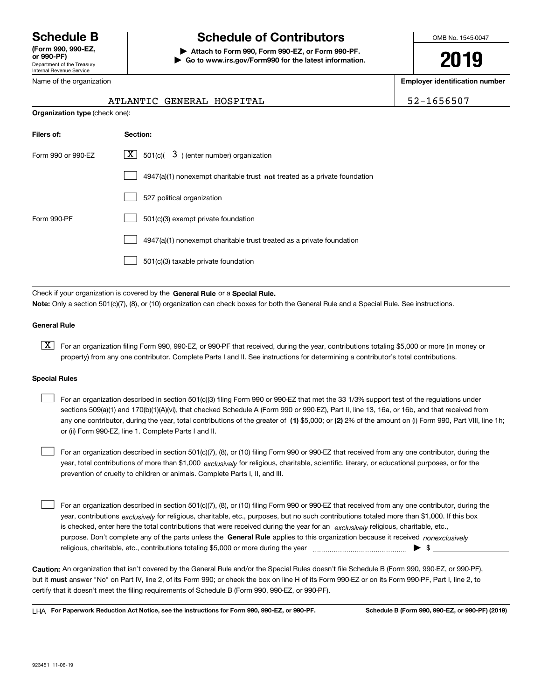Department of the Treasury Internal Revenue Service **(Form 990, 990-EZ, or 990-PF)**

# **Schedule B Schedule of Contributors**

**| Attach to Form 990, Form 990-EZ, or Form 990-PF. | Go to www.irs.gov/Form990 for the latest information.** OMB No. 1545-0047

**2019**

**Employer identification number**

| ATLANTIC GENERAL HOSPITAL | 52-1656507 |
|---------------------------|------------|
|---------------------------|------------|

| Jepartment of the Treasury |
|----------------------------|
| nternal Revenue Service    |
| Name of the organization   |

| <b>Organization type (check one):</b> |          |  |  |  |  |  |  |
|---------------------------------------|----------|--|--|--|--|--|--|
| Filers of:                            | Section: |  |  |  |  |  |  |

| Form 990 or 990-EZ | $\boxed{\mathbf{X}}$ 501(c)( 3) (enter number) organization                 |
|--------------------|-----------------------------------------------------------------------------|
|                    | $4947(a)(1)$ nonexempt charitable trust not treated as a private foundation |
|                    | 527 political organization                                                  |
| Form 990-PF        | 501(c)(3) exempt private foundation                                         |
|                    | 4947(a)(1) nonexempt charitable trust treated as a private foundation       |
|                    | 501(c)(3) taxable private foundation                                        |

Check if your organization is covered by the **General Rule** or a **Special Rule. Note:**  Only a section 501(c)(7), (8), or (10) organization can check boxes for both the General Rule and a Special Rule. See instructions.

### **General Rule**

 $\boxed{\textbf{X}}$  For an organization filing Form 990, 990-EZ, or 990-PF that received, during the year, contributions totaling \$5,000 or more (in money or property) from any one contributor. Complete Parts I and II. See instructions for determining a contributor's total contributions.

#### **Special Rules**

any one contributor, during the year, total contributions of the greater of  $\,$  (1) \$5,000; or **(2)** 2% of the amount on (i) Form 990, Part VIII, line 1h; For an organization described in section 501(c)(3) filing Form 990 or 990-EZ that met the 33 1/3% support test of the regulations under sections 509(a)(1) and 170(b)(1)(A)(vi), that checked Schedule A (Form 990 or 990-EZ), Part II, line 13, 16a, or 16b, and that received from or (ii) Form 990-EZ, line 1. Complete Parts I and II.  $\mathcal{L}^{\text{max}}$ 

year, total contributions of more than \$1,000 *exclusively* for religious, charitable, scientific, literary, or educational purposes, or for the For an organization described in section 501(c)(7), (8), or (10) filing Form 990 or 990-EZ that received from any one contributor, during the prevention of cruelty to children or animals. Complete Parts I, II, and III.  $\mathcal{L}^{\text{max}}$ 

purpose. Don't complete any of the parts unless the **General Rule** applies to this organization because it received *nonexclusively* year, contributions <sub>exclusively</sub> for religious, charitable, etc., purposes, but no such contributions totaled more than \$1,000. If this box is checked, enter here the total contributions that were received during the year for an  $\;$ exclusively religious, charitable, etc., For an organization described in section 501(c)(7), (8), or (10) filing Form 990 or 990-EZ that received from any one contributor, during the religious, charitable, etc., contributions totaling \$5,000 or more during the year  $\Box$ — $\Box$  =  $\Box$  $\mathcal{L}^{\text{max}}$ 

**Caution:**  An organization that isn't covered by the General Rule and/or the Special Rules doesn't file Schedule B (Form 990, 990-EZ, or 990-PF),  **must** but it answer "No" on Part IV, line 2, of its Form 990; or check the box on line H of its Form 990-EZ or on its Form 990-PF, Part I, line 2, to certify that it doesn't meet the filing requirements of Schedule B (Form 990, 990-EZ, or 990-PF).

**For Paperwork Reduction Act Notice, see the instructions for Form 990, 990-EZ, or 990-PF. Schedule B (Form 990, 990-EZ, or 990-PF) (2019)** LHA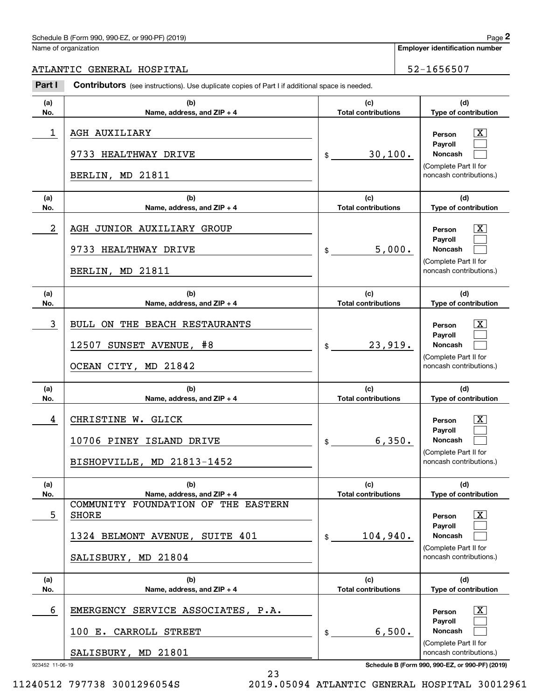$\lceil \text{X} \rceil$  $\mathcal{L}^{\text{max}}$  $\mathcal{L}^{\text{max}}$ 

 $\boxed{\text{X}}$  $\mathcal{L}^{\text{max}}$  $\mathcal{L}^{\text{max}}$ 

 $|X|$  $\mathcal{L}^{\text{max}}$  $\mathcal{L}^{\text{max}}$ 

 $|X|$  $\mathcal{L}^{\text{max}}$  $\mathcal{L}^{\text{max}}$ 

 $\boxed{\text{X}}$  $\mathcal{L}^{\text{max}}$ 

**(d)**

**(d)**

**(d)**

**(d)**

**(d)**

**Employer identification number (a)No.(b)Name, address, and ZIP + 4 (c)Total contributions Type of contribution PersonPayrollNoncash (a)No.(b)Name, address, and ZIP + 4 (c)Total contributions Type of contribution PersonPayrollNoncash (a)No.(b)Name, address, and ZIP + 4 (c)Total contributions Type of contribution PersonPayrollNoncash (a) No.(b)Name, address, and ZIP + 4 (c) Total contributions Type of contribution PersonPayrollNoncash(a) No.(b)Name, address, and ZIP + 4 (c) Total contributions Type of contribution PersonPayroll**Schedule B (Form 990, 990-EZ, or 990-PF) (2019) **Page 2** and the state of the state of the state of the state of the state of the state of the state of the state of the state of the state of the state of the state of the s Name of organization **Contributors** (see instructions). Use duplicate copies of Part I if additional space is needed. \$(Complete Part II for noncash contributions.) \$(Complete Part II for noncash contributions.) \$(Complete Part II for noncash contributions.) \$(Complete Part II for noncash contributions.) \$Employer identification Page 2<br>
Iame of organization<br> **2PARTIC GENERAL HOSPITAL**<br> **2PARTIC CONTRIBUTORS** (see instructions). Use duplicate copies of Part I if additional space is needed. 1 X AGH AUXILIARY 30,100. 9733 HEALTHWAY DRIVE BERLIN, MD 21811 2 X AGH JUNIOR AUXILIARY GROUP 5,000. 9733 HEALTHWAY DRIVE BERLIN, MD 21811 3 BULL ON THE BEACH RESTAURANTS THE RESTAUR OF STATE RESOLUTION ON THE BEACH RESTAURANTS 23,919. 12507 SUNSET AVENUE, #8 OCEAN CITY, MD 21842 4 X CHRISTINE W. GLICK 6,350. 10706 PINEY ISLAND DRIVE BISHOPVILLE, MD 21813-1452 5 SHORE RESOLUTION AND THE SERVICE SERVICE SERVICE SERVICE SERVICE SERVICE SERVICE SERVICE SERVICE SERVICE SERVICE SERVICE SERVICE SERVICE SERVICE SERVICE SERVICE SERVICE SERVICE SERVICE SERVICE SERVICE SERVICE SERVICE SER 104,940. SHORE COMMUNITY FOUNDATION OF THE EASTERN 1324 BELMONT AVENUE, SUITE 401 ATLANTIC GENERAL HOSPITAL 52-1656507

|                | 1324 BELMONT AVENUE, SUITE 401<br>SALISBURY, MD 21804                              | 104,940.<br>\$                    | <b>Noncash</b><br>(Complete Part II for<br>noncash contributions.)                                                        |
|----------------|------------------------------------------------------------------------------------|-----------------------------------|---------------------------------------------------------------------------------------------------------------------------|
| (a)<br>No.     | (b)<br>Name, address, and $ZIP + 4$                                                | (c)<br><b>Total contributions</b> | (d)<br><b>Type of contribution</b>                                                                                        |
| $\overline{6}$ | EMERGENCY SERVICE ASSOCIATES, P.A.<br>100 E. CARROLL STREET<br>SALISBURY, MD 21801 | 6,500.<br>\$.                     | $\overline{\mathbf{X}}$<br><b>Person</b><br>Payroll<br><b>Noncash</b><br>(Complete Part II for<br>noncash contributions.) |

923452 11-06-19 **Schedule B (Form 990, 990-EZ, or 990-PF) (2019)**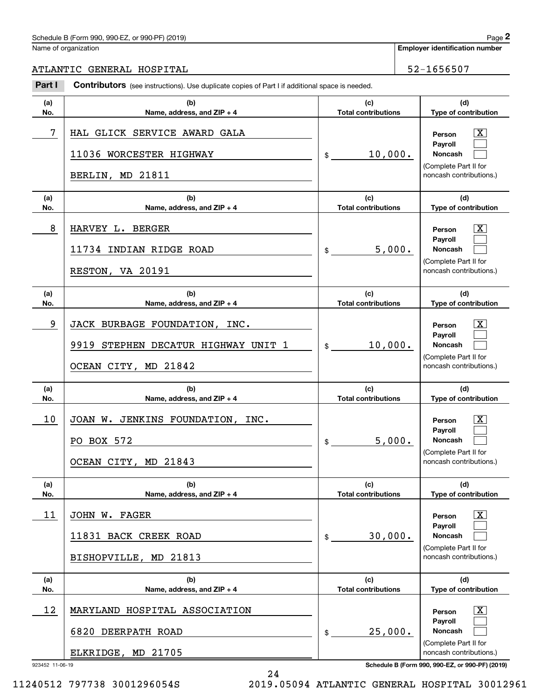Name of organization

**Employer identification number**

#### ATLANTIC GENERAL HOSPITAL 52-1656507

**(a)No.(b)Name, address, and ZIP + 4 (c)Total contributions (d)Type of contribution PersonPayrollNoncash (a)No.(b)Name, address, and ZIP + 4 (c)Total contributions (d)Type of contribution PersonPayrollNoncash (a)No.(b)Name, address, and ZIP + 4 (c)Total contributions (d)Type of contribution PersonPayrollNoncash (a) No.(b)Name, address, and ZIP + 4 (c) Total contributions (d)Type of contribution PersonPayrollNoncash(a) No.(b)Name, address, and ZIP + 4 (c)Total contributions (d)Type of contribution PersonPayrollNoncash(a)No.(b)Name, address, and ZIP + 4 (c)Total contributions (d)Type of contribution PersonPayrollNoncash Contributors** (see instructions). Use duplicate copies of Part I if additional space is needed. \$(Complete Part II for noncash contributions.) \$(Complete Part II for noncash contributions.) \$(Complete Part II for noncash contributions.) \$(Complete Part II for noncash contributions.) \$(Complete Part II for noncash contributions.) \$(Complete Part II for noncash contributions.) Employer identification Page 2<br>
Iame of organization<br> **2PARTIC GENERAL HOSPITAL**<br> **2PARTIC CONTRIBUTORS** (see instructions). Use duplicate copies of Part I if additional space is needed.  $\lceil \text{X} \rceil$  $\mathcal{L}^{\text{max}}$  $\mathcal{L}^{\text{max}}$  $\boxed{\text{X}}$  $\mathcal{L}^{\text{max}}$  $\mathcal{L}^{\text{max}}$  $|X|$  $\mathcal{L}^{\text{max}}$  $\mathcal{L}^{\text{max}}$  $|X|$  $\mathcal{L}^{\text{max}}$  $\mathcal{L}^{\text{max}}$  $|X|$  $\mathcal{L}^{\text{max}}$  $\mathcal{L}^{\text{max}}$  $\boxed{\text{X}}$  $\mathcal{L}^{\text{max}}$  $\mathcal{L}^{\text{max}}$ 7 X HAL GLICK SERVICE AWARD GALA 10,000. 11036 WORCESTER HIGHWAY BERLIN, MD 21811 8 X HARVEY L. BERGER 5,000. 11734 INDIAN RIDGE ROAD RESTON, VA 20191 9 X JACK BURBAGE FOUNDATION, INC. 10,000. 9919 STEPHEN DECATUR HIGHWAY UNIT 1 OCEAN CITY, MD 21842  $10$  | JOAN W. JENKINS FOUNDATION, INC.  $\hskip10mm$   $\hskip10mm$   $\hskip10mm$  Person  $\hskip10mm$   $\hskip10mm$   $\hskip10mm$   $\hskip10mm$   $\hskip10mm$   $\hskip10mm$   $\hskip10mm$   $\hskip10mm$   $\hskip10mm$   $\hskip10mm$   $\hskip10mm$   $\hskip10mm$   $\hskip10mm$   $\hskip10mm$   $\hskip10mm$   $\hskip10mm$   $\h$ 5,000. PO BOX 572 OCEAN CITY, MD 21843 11 X JOHN W. FAGER 30,000. 11831 BACK CREEK ROAD BISHOPVILLE, MD 21813 12 X MARYLAND HOSPITAL ASSOCIATION 25,000. 6820 DEERPATH ROAD ELKRIDGE, MD 21705

923452 11-06-19 **Schedule B (Form 990, 990-EZ, or 990-PF) (2019)**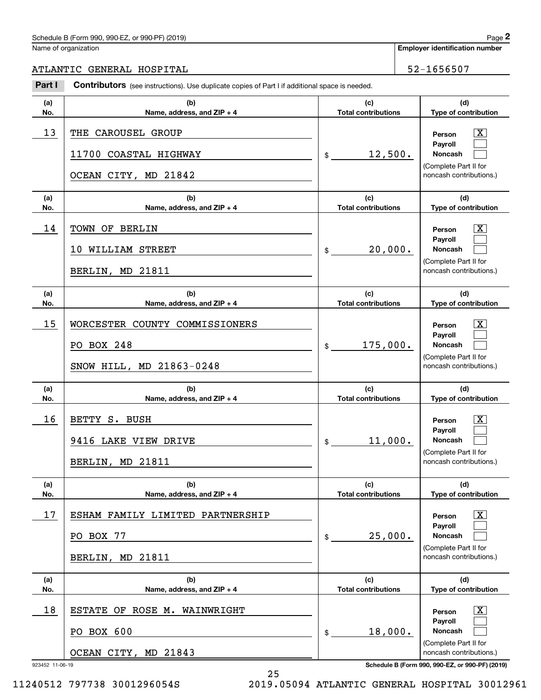Name of organization

 $\lceil \text{X} \rceil$  $\mathcal{L}^{\text{max}}$  $\mathcal{L}^{\text{max}}$ 

 $\boxed{\text{X}}$  $\mathcal{L}^{\text{max}}$  $\mathcal{L}^{\text{max}}$ 

 $|X|$  $\mathcal{L}^{\text{max}}$  $\mathcal{L}^{\text{max}}$ 

 $|X|$  $\mathcal{L}^{\text{max}}$  $\mathcal{L}^{\text{max}}$ 

 $|X|$  $\mathcal{L}^{\text{max}}$  $\mathcal{L}^{\text{max}}$ 

 $\boxed{\text{X}}$  $\mathcal{L}^{\text{max}}$  $\mathcal{L}^{\text{max}}$ 

**Employer identification number**

**(a)No.(b) Name, address, and ZIP + 4 (c)Total contributions (d)Type of contribution PersonPayrollNoncash (a)No.(b)Name, address, and ZIP + 4 (c)Total contributions (d)Type of contribution PersonPayrollNoncash (a)No.(b)Name, address, and ZIP + 4 (c)Total contributions (d)Type of contribution PersonPayrollNoncash (a) No.(b)Name, address, and ZIP + 4 (c) Total contributions (d) Type of contribution PersonPayrollNoncash(a) No.(b)Name, address, and ZIP + 4 (c) Total contributions (d)Type of contribution PersonPayrollNoncash(a)No.(b)Name, address, and ZIP + 4 (c)Total contributions (d)Type of contribution PersonPayrollNoncash Contributors** (see instructions). Use duplicate copies of Part I if additional space is needed. \$(Complete Part II for noncash contributions.) \$(Complete Part II for noncash contributions.) \$(Complete Part II for noncash contributions.) \$(Complete Part II for noncash contributions.) \$(Complete Part II for noncash contributions.) \$(Complete Part II for noncash contributions.) Employer identification Page 2<br>
Iame of organization<br> **2PARTIC GENERAL HOSPITAL**<br> **2PARTIC CONTRIBUTORS** (see instructions). Use duplicate copies of Part I if additional space is needed.  $13$  | THE CAROUSEL GROUP  $\qquad$   $\qquad$   $\qquad$   $\qquad$   $\qquad$   $\qquad$   $\qquad$   $\qquad$   $\qquad$   $\qquad$   $\qquad$   $\qquad$   $\qquad$   $\qquad$   $\qquad$   $\qquad$   $\qquad$   $\qquad$   $\qquad$   $\qquad$   $\qquad$   $\qquad$   $\qquad$   $\qquad$   $\qquad$   $\qquad$   $\qquad$   $\qquad$   $\qquad$   $\qquad$   $\qquad$   $\qquad$   $\qquad$ 12,500. 11700 COASTAL HIGHWAY OCEAN CITY, MD 21842 14 X TOWN OF BERLIN 20,000. 10 WILLIAM STREET BERLIN, MD 21811 15 X WORCESTER COUNTY COMMISSIONERS 175,000. PO BOX 248 SNOW HILL, MD 21863-0248 16 X BETTY S. BUSH 11,000. 9416 LAKE VIEW DRIVE BERLIN, MD 21811 17 X ESHAM FAMILY LIMITED PARTNERSHIP 25,000. PO BOX 77 BERLIN, MD 21811 18 X ESTATE OF ROSE M. WAINWRIGHT 18,000. PO BOX 600 OCEAN CITY, MD 21843 ATLANTIC GENERAL HOSPITAL 52-1656507

25

923452 11-06-19 **Schedule B (Form 990, 990-EZ, or 990-PF) (2019)**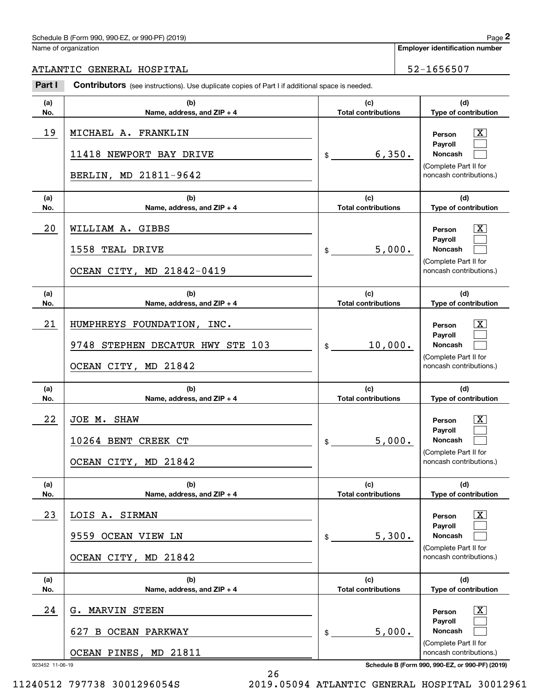Name of organization

#### ATLANTIC GENERAL HOSPITAL 52-1656507

**(a)No.(b) Name, address, and ZIP + 4 (c)Total contributions (d)Type of contribution PersonPayrollNoncash (a)No.(b)Name, address, and ZIP + 4 (c)Total contributions (d)Type of contribution PersonPayrollNoncash (a)No.(b)Name, address, and ZIP + 4 (c)Total contributions (d)Type of contribution PersonPayrollNoncash (a) No.(b)Name, address, and ZIP + 4 (c) Total contributions (d) Type of contribution PersonPayrollNoncash (a) No.(b)Name, address, and ZIP + 4 (c)Total contributions (d)Type of contribution PersonPayrollNoncash(a)No.(b)Name, address, and ZIP + 4 (c)Total contributions (d)Type of contribution PersonPayrollNoncash Contributors** (see instructions). Use duplicate copies of Part I if additional space is needed. \$(Complete Part II for noncash contributions.) \$(Complete Part II for noncash contributions.) \$(Complete Part II for noncash contributions.) \$(Complete Part II for noncash contributions.) \$(Complete Part II for noncash contributions.) \$(Complete Part II for noncash contributions.) Employer identification Page 2<br>
Iame of organization<br> **2PARTIC GENERAL HOSPITAL**<br> **2PARTIC CONTRIBUTORS** (see instructions). Use duplicate copies of Part I if additional space is needed.  $\lceil \text{X} \rceil$  $\mathcal{L}^{\text{max}}$  $\mathcal{L}^{\text{max}}$  $\boxed{\text{X}}$  $\mathcal{L}^{\text{max}}$  $\mathcal{L}^{\text{max}}$  $|X|$  $\mathcal{L}^{\text{max}}$  $\mathcal{L}^{\text{max}}$  $|X|$  $\mathcal{L}^{\text{max}}$  $\mathcal{L}^{\text{max}}$  $|X|$  $\mathcal{L}^{\text{max}}$  $\mathcal{L}^{\text{max}}$  $\boxed{\text{X}}$  $\mathcal{L}^{\text{max}}$  $\mathcal{L}^{\text{max}}$ 19 X MICHAEL A. FRANKLIN  $6,350.$ 11418 NEWPORT BAY DRIVE BERLIN, MD 21811-9642 20 X WILLIAM A. GIBBS 5,000. 1558 TEAL DRIVE OCEAN CITY, MD 21842-0419 21 X HUMPHREYS FOUNDATION, INC. 10,000. 9748 STEPHEN DECATUR HWY STE 103 OCEAN CITY, MD 21842 22 X JOE M. SHAW 5,000. 10264 BENT CREEK CT OCEAN CITY, MD 21842 23 X LOIS A. SIRMAN 5,300. 9559 OCEAN VIEW LN OCEAN CITY, MD 21842 24 X G. MARVIN STEEN 5,000. 627 B OCEAN PARKWAY OCEAN PINES, MD 21811

26

923452 11-06-19 **Schedule B (Form 990, 990-EZ, or 990-PF) (2019)**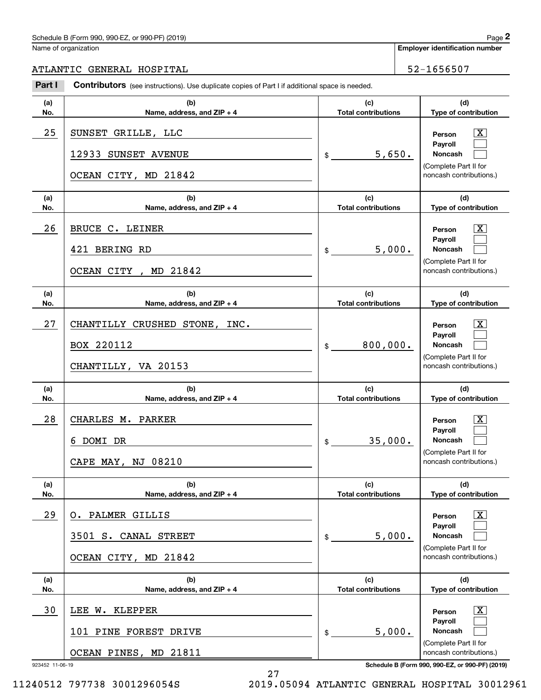|            | Schedule B (Form 990, 990-EZ, or 990-PF) (2019)                                                |                                   | Page 2                                           |
|------------|------------------------------------------------------------------------------------------------|-----------------------------------|--------------------------------------------------|
|            | Name of organization                                                                           |                                   | <b>Employer identification number</b>            |
|            | ATLANTIC GENERAL HOSPITAL                                                                      |                                   | 52-1656507                                       |
| Part I     | Contributors (see instructions). Use duplicate copies of Part I if additional space is needed. |                                   |                                                  |
| (a)<br>No. | (b)<br>Name, address, and ZIP + 4                                                              | (c)<br><b>Total contributions</b> | (d)<br>Type of contribution                      |
| 25         | SUNSET GRILLE, LLC                                                                             |                                   | $\mathbf{X}$<br>Person                           |
|            | 12933 SUNSET AVENUE                                                                            | 5,650.<br>$\mathsf{\$}$           | Payroll<br>Noncash                               |
|            | OCEAN CITY, MD 21842                                                                           |                                   | (Complete Part II for<br>noncash contributions.) |
| (a)<br>No. | (b)<br>Name, address, and ZIP + 4                                                              | (c)<br><b>Total contributions</b> | (d)<br>Type of contribution                      |
| 26         | BRUCE C. LEINER                                                                                |                                   | $\mathbf{X}$<br>Person                           |
|            | 421 BERING RD                                                                                  | 5,000.<br>\$                      | Payroll<br>Noncash                               |
|            | , MD 21842<br>OCEAN CITY                                                                       |                                   | (Complete Part II for<br>noncash contributions.) |
| (a)<br>No. | (b)<br>Name, address, and ZIP + 4                                                              | (c)<br><b>Total contributions</b> | (d)<br>Type of contribution                      |
| 27         | CHANTILLY CRUSHED STONE, INC.                                                                  |                                   | $\mathbf{X}$<br>Person                           |
|            | BOX 220112                                                                                     | 800,000.<br>\$                    | Payroll<br>Noncash                               |
|            | CHANTILLY, VA 20153                                                                            |                                   | (Complete Part II for<br>noncash contributions.) |
| (a)<br>No. | (b)<br>Name, address, and ZIP + 4                                                              | (c)<br><b>Total contributions</b> | (d)<br>Type of contribution                      |
| 28         | CHARLES M. PARKER                                                                              |                                   | $\mathbf{X}$<br>Person                           |
|            | DOMI DR<br>6                                                                                   | 35,000.<br>\$                     | Payroll<br>Noncash                               |
|            | CAPE MAY, NJ 08210                                                                             |                                   | (Complete Part II for<br>noncash contributions.) |
| (a)<br>No. | (b)<br>Name, address, and ZIP + 4                                                              | (c)<br><b>Total contributions</b> | (d)<br>Type of contribution                      |
| 29         |                                                                                                |                                   |                                                  |
|            | O. PALMER GILLIS                                                                               |                                   | $\boxed{\text{X}}$<br>Person<br>Payroll          |
|            | 3501 S. CANAL STREET                                                                           | 5,000.<br>\$                      | Noncash<br>(Complete Part II for                 |
|            | OCEAN CITY, MD 21842                                                                           |                                   | noncash contributions.)                          |
| (a)<br>No. | (b)<br>Name, address, and ZIP + 4                                                              | (c)<br><b>Total contributions</b> | (d)<br>Type of contribution                      |
| 30         | LEE W. KLEPPER                                                                                 |                                   | $\boxed{\text{X}}$<br>Person                     |
|            | 101 PINE FOREST DRIVE                                                                          | 5,000.<br>\$                      | Payroll<br>Noncash                               |
|            | OCEAN PINES, MD 21811                                                                          |                                   | (Complete Part II for<br>noncash contributions.) |

923452 11-06-19 **Schedule B (Form 990, 990-EZ, or 990-PF) (2019)**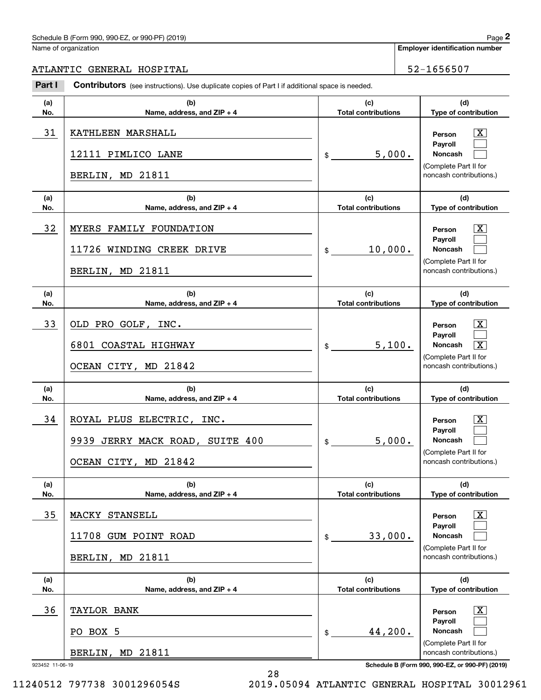## ATLANTIC GENERAL HOSPITAL 52-1656507

|            | Schedule B (Form 990, 990-EZ, or 990-PF) (2019)                                                       |                                   |                             | Page 2                                             |  |  |
|------------|-------------------------------------------------------------------------------------------------------|-----------------------------------|-----------------------------|----------------------------------------------------|--|--|
|            | Name of organization                                                                                  |                                   |                             | <b>Employer identification number</b>              |  |  |
|            | ATLANTIC GENERAL HOSPITAL                                                                             |                                   |                             | 52-1656507                                         |  |  |
| Part I     | <b>Contributors</b> (see instructions). Use duplicate copies of Part I if additional space is needed. |                                   |                             |                                                    |  |  |
| (a)<br>No. | (b)<br>Name, address, and ZIP + 4                                                                     | (c)<br><b>Total contributions</b> | (d)<br>Type of contribution |                                                    |  |  |
| 31         | KATHLEEN MARSHALL                                                                                     |                                   |                             | $\mathbf{X}$<br>Person                             |  |  |
|            | 12111 PIMLICO LANE                                                                                    | 5,000.<br>\$                      |                             | Payroll<br>Noncash                                 |  |  |
|            | BERLIN, MD 21811                                                                                      |                                   |                             | (Complete Part II for<br>noncash contributions.)   |  |  |
| (a)<br>No. | (b)<br>Name, address, and ZIP + 4                                                                     | (c)<br><b>Total contributions</b> |                             | (d)<br>Type of contribution                        |  |  |
| 32         | FAMILY FOUNDATION<br>MYERS                                                                            |                                   |                             | $\mathbf{X}$<br>Person                             |  |  |
|            | 11726 WINDING CREEK DRIVE                                                                             | 10,000.<br>\$                     |                             | Payroll<br>Noncash                                 |  |  |
|            | BERLIN, MD 21811                                                                                      |                                   |                             | (Complete Part II for<br>noncash contributions.)   |  |  |
| (a)<br>No. | (b)<br>Name, address, and ZIP + 4                                                                     | (c)<br><b>Total contributions</b> | (d)<br>Type of contribution |                                                    |  |  |
| 33         | OLD PRO GOLF, INC.                                                                                    |                                   |                             | $\mathbf{X}$<br>Person                             |  |  |
|            | 6801 COASTAL HIGHWAY                                                                                  | 5,100.<br>\$                      |                             | Payroll<br>$\overline{\mathbf{X}}$<br>Noncash      |  |  |
|            | OCEAN CITY, MD 21842                                                                                  |                                   |                             | (Complete Part II for<br>noncash contributions.)   |  |  |
| (a)<br>No. | (b)<br>Name, address, and ZIP + 4                                                                     | (c)<br><b>Total contributions</b> | (d)<br>Type of contribution |                                                    |  |  |
| 34         | ROYAL PLUS ELECTRIC, INC.                                                                             |                                   |                             | $\mathbf{X}$<br>Person                             |  |  |
|            | 9939 JERRY MACK ROAD, SUITE 400                                                                       | 5,000.<br>\$                      |                             | <b>Payroll</b><br>Noncash                          |  |  |
|            | OCEAN CITY, MD 21842                                                                                  |                                   |                             | (Complete Part II for<br>noncash contributions.)   |  |  |
| (a)<br>No. | (b)<br>Name, address, and ZIP + 4                                                                     | (c)<br><b>Total contributions</b> |                             | (d)<br>Type of contribution                        |  |  |
| 35         | MACKY STANSELL                                                                                        |                                   |                             | $\boxed{\text{X}}$<br>Person                       |  |  |
|            | 11708 GUM POINT ROAD                                                                                  | 33,000.<br>\$                     |                             | Payroll<br><b>Noncash</b><br>(Complete Part II for |  |  |
|            | BERLIN, MD 21811                                                                                      |                                   |                             | noncash contributions.)                            |  |  |
| (a)<br>No. | (b)<br>Name, address, and ZIP + 4                                                                     | (c)<br><b>Total contributions</b> |                             | (d)<br>Type of contribution                        |  |  |
| 36         | TAYLOR BANK                                                                                           |                                   |                             | $\boxed{\text{X}}$<br>Person                       |  |  |
|            | PO BOX 5                                                                                              | 44,200.<br>\$                     |                             | Payroll<br><b>Noncash</b>                          |  |  |
|            | BERLIN, MD 21811                                                                                      |                                   |                             | (Complete Part II for<br>noncash contributions.)   |  |  |

923452 11-06-19 **Schedule B (Form 990, 990-EZ, or 990-PF) (2019)**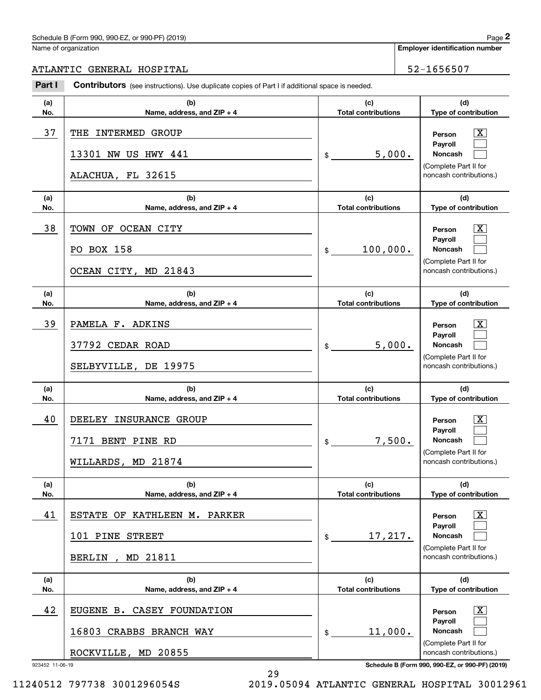**Employer identification number**

**(d)**

 $\lceil \text{X} \rceil$  $\mathcal{L}^{\text{max}}$  $\mathcal{L}^{\text{max}}$ 

 $\boxed{\text{X}}$  $\mathcal{L}^{\text{max}}$  $\mathcal{L}^{\text{max}}$ 

 $|X|$  $\mathcal{L}^{\text{max}}$  $\mathcal{L}^{\text{max}}$ 

 $|X|$  $\mathcal{L}^{\text{max}}$  $\mathcal{L}^{\text{max}}$ 

 $|X|$  $\mathcal{L}^{\text{max}}$  $\mathcal{L}^{\text{max}}$ 

 $\boxed{\text{X}}$  $\mathcal{L}^{\text{max}}$  $\mathcal{L}^{\text{max}}$ 

**(d)**

**(d)**

**(d)**

**(d)**

**(d)**

**(a)No.(b) Name, address, and ZIP + 4 (c)Total contributions Type of contribution PersonPayrollNoncash (a)No.(b)Name, address, and ZIP + 4 (c)Total contributions Type of contribution PersonPayrollNoncash (a)No.(b)Name, address, and ZIP + 4 (c)Total contributions Type of contribution PersonPayrollNoncash (a) No.(b)Name, address, and ZIP + 4 (c) Total contributions Type of contribution PersonPayrollNoncash(a) No.(b)Name, address, and ZIP + 4 (c) Total contributions Type of contribution PersonPayrollNoncash(a)No.(b)Name, address, and ZIP + 4 (c)Total contributions Type of contribution PersonPayroll**Schedule B (Form 990, 990-EZ, or 990-PF) (2019)  $P_0 = 2$ Name of organization **Contributors** (see instructions). Use duplicate copies of Part I if additional space is needed. \$(Complete Part II for noncash contributions.) \$(Complete Part II for noncash contributions.) \$(Complete Part II for noncash contributions.) \$(Complete Part II for noncash contributions.) \$(Complete Part II for noncash contributions.) Employer identification Page 2<br>
Iame of organization<br> **2PARTIC GENERAL HOSPITAL**<br> **2PARTIC CONTRIBUTORS** (see instructions). Use duplicate copies of Part I if additional space is needed. 37 X THE INTERMED GROUP 5,000. 13301 NW US HWY 441 ALACHUA, FL 32615 38 X TOWN OF OCEAN CITY 100,000. PO BOX 158 OCEAN CITY, MD 21843 39 X PAMELA F. ADKINS 5,000. 37792 CEDAR ROAD SELBYVILLE, DE 19975 40 X DEELEY INSURANCE GROUP 7,500. 7171 BENT PINE RD WILLARDS, MD 21874 41 X ESTATE OF KATHLEEN M. PARKER 17,217. 101 PINE STREET BERLIN , MD 21811 42 X EUGENE B. CASEY FOUNDATION ATLANTIC GENERAL HOSPITAL 52-1656507

923452 11-06-19 **Schedule B (Form 990, 990-EZ, or 990-PF) (2019)**

**Noncash**

(Complete Part II for noncash contributions.)

16803 CRABBS BRANCH WAY

ROCKVILLE, MD 20855

11,000.

29

\$

11240512 797738 3001296054S 2019.05094 ATLANTIC GENERAL HOSPITAL 30012961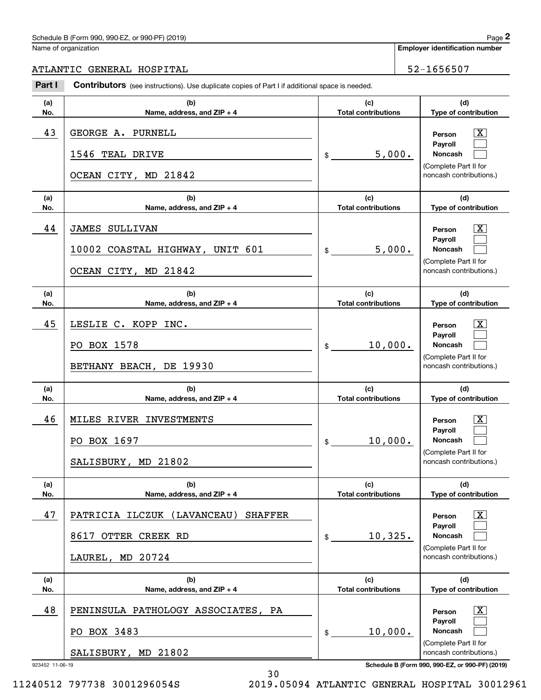Name of organization

**Employer identification number**

#### ATLANTIC GENERAL HOSPITAL 52-1656507

923452 11-06-19 **Schedule B (Form 990, 990-EZ, or 990-PF) (2019) (a)No.(b) Name, address, and ZIP + 4 (c)Total contributions (d)Type of contribution PersonPayrollNoncash (a)No.(b)Name, address, and ZIP + 4 (c)Total contributions (d)Type of contribution PersonPayrollNoncash (a)No.(b)Name, address, and ZIP + 4 (c)Total contributions (d)Type of contribution PersonPayrollNoncash (a) No.(b)Name, address, and ZIP + 4 (c) Total contributions (d) Type of contribution PersonPayrollNoncash(a) No.(b)Name, address, and ZIP + 4 (c)Total contributions (d)Type of contribution PersonPayrollNoncash(a)No.(b)Name, address, and ZIP + 4 (c)Total contributions (d)Type of contribution PersonPayrollNoncash Contributors** (see instructions). Use duplicate copies of Part I if additional space is needed. \$(Complete Part II for noncash contributions.) \$(Complete Part II for noncash contributions.) \$(Complete Part II for noncash contributions.) \$(Complete Part II for noncash contributions.) \$(Complete Part II for noncash contributions.) \$(Complete Part II for noncash contributions.) Employer identification Page 2<br>
Iame of organization<br> **2PARTIC GENERAL HOSPITAL**<br> **2PARTIC CONTRIBUTORS** (see instructions). Use duplicate copies of Part I if additional space is needed.  $\lceil \text{X} \rceil$  $\mathcal{L}^{\text{max}}$  $\mathcal{L}^{\text{max}}$  $\boxed{\text{X}}$  $\mathcal{L}^{\text{max}}$  $\mathcal{L}^{\text{max}}$  $|X|$  $\mathcal{L}^{\text{max}}$  $\mathcal{L}^{\text{max}}$  $|X|$  $\mathcal{L}^{\text{max}}$  $\mathcal{L}^{\text{max}}$  $|X|$  $\mathcal{L}^{\text{max}}$  $\mathcal{L}^{\text{max}}$  $\boxed{\text{X}}$  $\mathcal{L}^{\text{max}}$  $\mathcal{L}^{\text{max}}$ 43 X GEORGE A. PURNELL 5,000. 1546 TEAL DRIVE OCEAN CITY, MD 21842 44 X JAMES SULLIVAN 5,000. 10002 COASTAL HIGHWAY, UNIT 601 OCEAN CITY, MD 21842 45 X LESLIE C. KOPP INC. 10,000. PO BOX 1578 BETHANY BEACH, DE 19930 46 X MILES RIVER INVESTMENTS 10,000. PO BOX 1697 SALISBURY, MD 21802  $47$  | <code>PATRICIA ILCZUK</code> (LAVANCEAU) SHAFFER  $\hbox{~~}$  |  $\hbox{~~}$  Person  $\hbox{~~}$   $\hbox{~~}$ 10,325. 8617 OTTER CREEK RD LAUREL, MD 20724 48 X PENINSULA PATHOLOGY ASSOCIATES, PA 10,000. PO BOX 3483 SALISBURY, MD 21802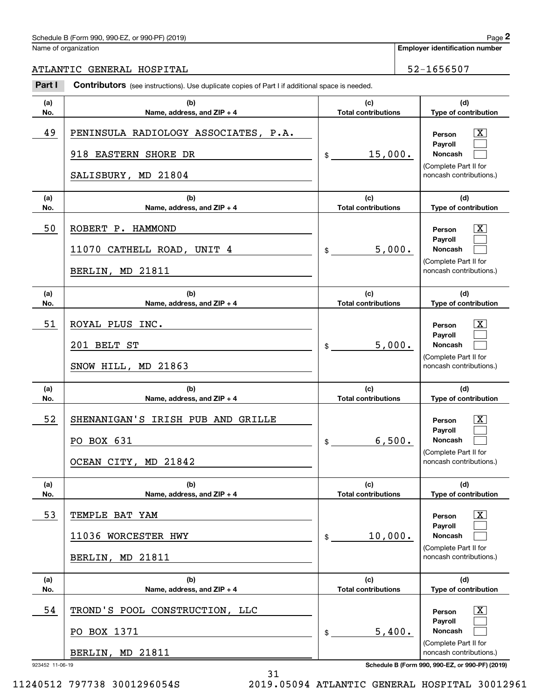## ATLANTIC GENERAL HOSPITAL 52-1656507

|            | Schedule B (Form 990, 990-EZ, or 990-PF) (2019)                                                |                                   |                             | Page 2                                                                                                             |  |  |
|------------|------------------------------------------------------------------------------------------------|-----------------------------------|-----------------------------|--------------------------------------------------------------------------------------------------------------------|--|--|
|            | Name of organization                                                                           |                                   |                             | <b>Employer identification number</b>                                                                              |  |  |
|            | ATLANTIC GENERAL HOSPITAL                                                                      |                                   |                             | 52-1656507                                                                                                         |  |  |
| Part I     | Contributors (see instructions). Use duplicate copies of Part I if additional space is needed. |                                   |                             |                                                                                                                    |  |  |
| (a)<br>No. | (b)<br>Name, address, and ZIP + 4                                                              | (c)<br><b>Total contributions</b> |                             | (d)<br>Type of contribution                                                                                        |  |  |
| 49         | PENINSULA RADIOLOGY ASSOCIATES, P.A.<br>918 EASTERN SHORE DR<br>SALISBURY, MD 21804            | 15,000.<br>\$                     |                             | $\mathbf{X}$<br>Person<br>Payroll<br>Noncash<br>(Complete Part II for<br>noncash contributions.)                   |  |  |
| (a)<br>No. | (b)<br>Name, address, and ZIP + 4                                                              | (c)<br><b>Total contributions</b> |                             | (d)<br>Type of contribution                                                                                        |  |  |
| 50         | ROBERT P. HAMMOND<br>11070 CATHELL ROAD, UNIT 4<br>BERLIN, MD 21811                            | 5,000.<br>\$                      |                             | $\overline{\text{X}}$<br>Person<br>Payroll<br>Noncash<br>(Complete Part II for<br>noncash contributions.)          |  |  |
| (a)<br>No. | (b)<br>Name, address, and ZIP + 4                                                              | (c)<br><b>Total contributions</b> | (d)<br>Type of contribution |                                                                                                                    |  |  |
| 51         | ROYAL PLUS INC.<br>201 BELT ST<br>SNOW HILL, MD 21863                                          | 5,000.<br>\$                      |                             | $\mathbf{X}$<br>Person<br>Payroll<br>Noncash<br>(Complete Part II for<br>noncash contributions.)                   |  |  |
| (a)<br>No. | (b)<br>Name, address, and ZIP + 4                                                              | (c)<br><b>Total contributions</b> |                             | (d)<br>Type of contribution                                                                                        |  |  |
| 52         | SHENANIGAN'S IRISH PUB AND GRILLE<br>PO BOX 631<br>OCEAN CITY, MD 21842                        | 6,500.<br>\$                      |                             | $\mathbf{X}$<br>Person<br>Payroll<br><b>Noncash</b><br>(Complete Part II for<br>noncash contributions.)            |  |  |
| (a)<br>No. | (b)<br>Name, address, and ZIP + 4                                                              | (c)<br><b>Total contributions</b> |                             | (d)<br>Type of contribution                                                                                        |  |  |
| 53         | TEMPLE BAT YAM<br>11036 WORCESTER HWY<br>BERLIN, MD 21811                                      | 10,000.<br>\$                     |                             | $\overline{\mathbf{X}}$<br>Person<br>Payroll<br><b>Noncash</b><br>(Complete Part II for<br>noncash contributions.) |  |  |
| (a)<br>No. | (b)<br>Name, address, and ZIP + 4                                                              | (c)<br><b>Total contributions</b> |                             | (d)<br>Type of contribution                                                                                        |  |  |
| 54         | TROND'S POOL CONSTRUCTION, LLC<br>PO BOX 1371<br>BERLIN, MD 21811                              | 5,400.<br>\$                      |                             | $\boxed{\text{X}}$<br>Person<br>Payroll<br><b>Noncash</b><br>(Complete Part II for<br>noncash contributions.)      |  |  |

923452 11-06-19 **Schedule B (Form 990, 990-EZ, or 990-PF) (2019)**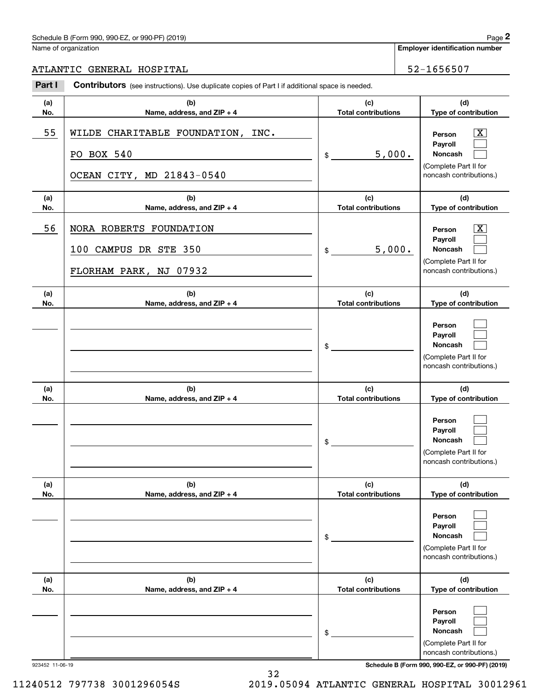## ATLANTIC GENERAL HOSPITAL 52-1656507

|            | Schedule B (Form 990, 990-EZ, or 990-PF) (2019)                                                |                                   |                                   |                             | Page 2                                                                           |
|------------|------------------------------------------------------------------------------------------------|-----------------------------------|-----------------------------------|-----------------------------|----------------------------------------------------------------------------------|
|            | Name of organization                                                                           |                                   |                                   |                             | <b>Employer identification number</b>                                            |
|            | ATLANTIC GENERAL HOSPITAL                                                                      |                                   |                                   |                             | 52-1656507                                                                       |
| Part I     | Contributors (see instructions). Use duplicate copies of Part I if additional space is needed. |                                   |                                   |                             |                                                                                  |
| (a)<br>No. | (b)<br>Name, address, and ZIP + 4                                                              |                                   | (c)<br><b>Total contributions</b> |                             | (d)<br>Type of contribution                                                      |
| 55         | WILDE CHARITABLE FOUNDATION, INC.<br>PO BOX 540                                                | \$                                | 5,000.                            |                             | $\mathbf{X}$<br>Person<br>Payroll<br>Noncash                                     |
|            | OCEAN CITY, MD 21843-0540                                                                      |                                   |                                   |                             | (Complete Part II for<br>noncash contributions.)                                 |
| (a)<br>No. | (b)<br>Name, address, and ZIP + 4                                                              |                                   | (c)<br><b>Total contributions</b> |                             | (d)<br>Type of contribution                                                      |
| 56         | NORA ROBERTS FOUNDATION<br>100 CAMPUS DR STE 350                                               | \$                                | 5,000.                            |                             | $\overline{\mathbf{X}}$<br>Person<br>Payroll<br>Noncash<br>(Complete Part II for |
|            | FLORHAM PARK, NJ 07932                                                                         |                                   |                                   |                             | noncash contributions.)                                                          |
| (a)<br>No. | (b)<br>Name, address, and ZIP + 4                                                              | (c)<br><b>Total contributions</b> |                                   | (d)<br>Type of contribution |                                                                                  |
|            |                                                                                                | \$                                |                                   |                             | Person<br>Payroll<br>Noncash<br>(Complete Part II for<br>noncash contributions.) |
| (a)<br>No. | (b)<br>Name, address, and ZIP + 4                                                              |                                   | (c)<br><b>Total contributions</b> |                             | (d)<br>Type of contribution                                                      |
|            |                                                                                                | \$                                |                                   |                             | Person<br>Payroll<br>Noncash<br>(Complete Part II for<br>noncash contributions.) |
| (a)<br>No. | (b)<br>Name, address, and ZIP + 4                                                              |                                   | (c)<br><b>Total contributions</b> |                             | (d)<br>Type of contribution                                                      |
|            |                                                                                                | \$                                |                                   |                             | Person<br>Payroll<br>Noncash<br>(Complete Part II for<br>noncash contributions.) |
| (a)<br>No. | (b)<br>Name, address, and ZIP + 4                                                              |                                   | (c)<br><b>Total contributions</b> |                             | (d)<br>Type of contribution                                                      |
|            |                                                                                                | \$                                |                                   |                             | Person<br>Payroll<br>Noncash<br>(Complete Part II for<br>noncash contributions.) |

923452 11-06-19 **Schedule B (Form 990, 990-EZ, or 990-PF) (2019)**

11240512 797738 3001296054S 2019.05094 ATLANTIC GENERAL HOSPITAL 30012961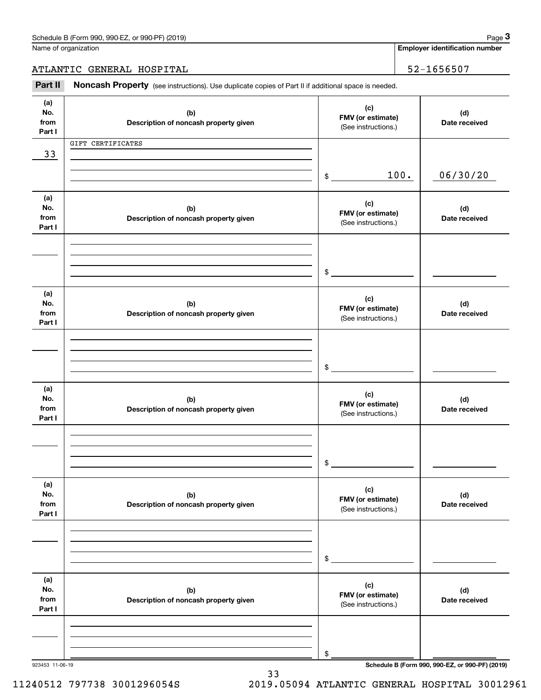**Employer identification number**

ATLANTIC GENERAL HOSPITAL 52-1656507

Fage 3 Employer identification pumber<br>
Iame of organization<br> **3PARTIC GENERAL HOSPITAL**<br> **Part II Noncash Property** (see instructions). Use duplicate copies of Part II if additional space is needed.

| (a)<br>No.<br>from | (b)<br>Description of noncash property given | (c)<br>FMV (or estimate)<br>(See instructions.) | (d)<br>Date received                            |
|--------------------|----------------------------------------------|-------------------------------------------------|-------------------------------------------------|
| Part I             |                                              |                                                 |                                                 |
|                    | GIFT CERTIFICATES                            |                                                 |                                                 |
| 33                 |                                              |                                                 |                                                 |
|                    |                                              |                                                 |                                                 |
|                    |                                              | 100.<br>$\frac{1}{2}$                           | 06/30/20                                        |
|                    |                                              |                                                 |                                                 |
| (a)                |                                              | (c)                                             |                                                 |
| No.                | (b)                                          | FMV (or estimate)                               | (d)                                             |
| from               | Description of noncash property given        | (See instructions.)                             | Date received                                   |
| Part I             |                                              |                                                 |                                                 |
|                    |                                              |                                                 |                                                 |
|                    |                                              |                                                 |                                                 |
|                    |                                              |                                                 |                                                 |
|                    |                                              | $\frac{1}{2}$                                   |                                                 |
|                    |                                              |                                                 |                                                 |
| (a)                |                                              | (c)                                             |                                                 |
| No.                | (b)                                          | FMV (or estimate)                               | (d)                                             |
| from               | Description of noncash property given        | (See instructions.)                             | Date received                                   |
| Part I             |                                              |                                                 |                                                 |
|                    |                                              |                                                 |                                                 |
|                    |                                              |                                                 |                                                 |
|                    |                                              |                                                 |                                                 |
|                    |                                              | $\frac{1}{2}$                                   |                                                 |
|                    |                                              |                                                 |                                                 |
| (a)<br>No.         |                                              | (c)                                             |                                                 |
| from               | (b)<br>Description of noncash property given | FMV (or estimate)                               | (d)<br>Date received                            |
| Part I             |                                              | (See instructions.)                             |                                                 |
|                    |                                              |                                                 |                                                 |
|                    |                                              |                                                 |                                                 |
|                    |                                              |                                                 |                                                 |
|                    |                                              | \$                                              |                                                 |
|                    |                                              |                                                 |                                                 |
| (a)                |                                              |                                                 |                                                 |
| No.                | (b)                                          | (c)                                             | (d)                                             |
| from               | Description of noncash property given        | FMV (or estimate)<br>(See instructions.)        | Date received                                   |
| Part I             |                                              |                                                 |                                                 |
|                    |                                              |                                                 |                                                 |
|                    |                                              |                                                 |                                                 |
|                    |                                              |                                                 |                                                 |
|                    |                                              | \$                                              |                                                 |
|                    |                                              |                                                 |                                                 |
| (a)                |                                              | (c)                                             |                                                 |
| No.                | (b)                                          | FMV (or estimate)                               | (d)                                             |
| from               | Description of noncash property given        | (See instructions.)                             | Date received                                   |
| Part I             |                                              |                                                 |                                                 |
|                    |                                              |                                                 |                                                 |
|                    |                                              |                                                 |                                                 |
|                    |                                              |                                                 |                                                 |
|                    |                                              | \$                                              |                                                 |
| 923453 11-06-19    |                                              |                                                 | Schedule B (Form 990, 990-EZ, or 990-PF) (2019) |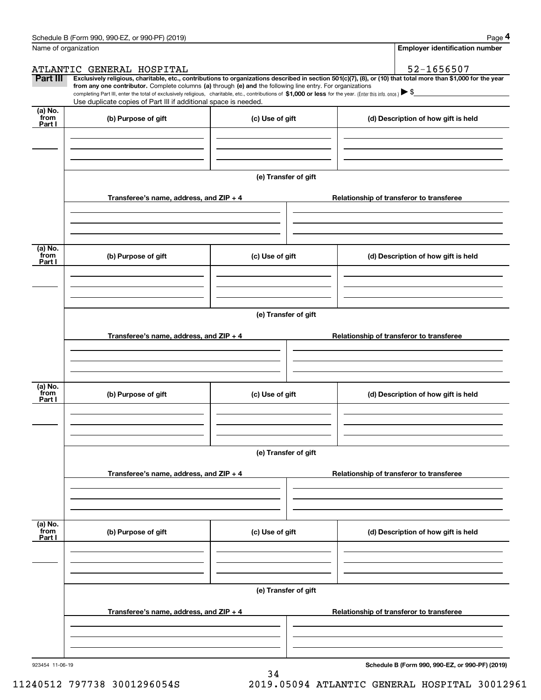|                           | Schedule B (Form 990, 990-EZ, or 990-PF) (2019)                                                                                                                                                                                                                                                 |                      | Page 4                                                                                                                                                         |  |  |  |  |
|---------------------------|-------------------------------------------------------------------------------------------------------------------------------------------------------------------------------------------------------------------------------------------------------------------------------------------------|----------------------|----------------------------------------------------------------------------------------------------------------------------------------------------------------|--|--|--|--|
|                           | Name of organization                                                                                                                                                                                                                                                                            |                      | <b>Employer identification number</b>                                                                                                                          |  |  |  |  |
|                           | ATLANTIC GENERAL HOSPITAL                                                                                                                                                                                                                                                                       |                      | 52-1656507                                                                                                                                                     |  |  |  |  |
| Part III                  | from any one contributor. Complete columns (a) through (e) and the following line entry. For organizations<br>completing Part III, enter the total of exclusively religious, charitable, etc., contributions of \$1,000 or less for the year. (Enter this info. once.) $\blacktriangleright$ \$ |                      | Exclusively religious, charitable, etc., contributions to organizations described in section 501(c)(7), (8), or (10) that total more than \$1,000 for the year |  |  |  |  |
|                           | Use duplicate copies of Part III if additional space is needed.                                                                                                                                                                                                                                 |                      |                                                                                                                                                                |  |  |  |  |
| (a) No.<br>from<br>Part I | (b) Purpose of gift                                                                                                                                                                                                                                                                             | (c) Use of gift      | (d) Description of how gift is held                                                                                                                            |  |  |  |  |
|                           |                                                                                                                                                                                                                                                                                                 |                      |                                                                                                                                                                |  |  |  |  |
|                           |                                                                                                                                                                                                                                                                                                 |                      |                                                                                                                                                                |  |  |  |  |
|                           |                                                                                                                                                                                                                                                                                                 | (e) Transfer of gift |                                                                                                                                                                |  |  |  |  |
|                           | Transferee's name, address, and ZIP + 4                                                                                                                                                                                                                                                         |                      | Relationship of transferor to transferee                                                                                                                       |  |  |  |  |
|                           |                                                                                                                                                                                                                                                                                                 |                      |                                                                                                                                                                |  |  |  |  |
| (a) No.<br>from<br>Part I | (b) Purpose of gift                                                                                                                                                                                                                                                                             | (c) Use of gift      | (d) Description of how gift is held                                                                                                                            |  |  |  |  |
|                           |                                                                                                                                                                                                                                                                                                 |                      |                                                                                                                                                                |  |  |  |  |
|                           |                                                                                                                                                                                                                                                                                                 |                      |                                                                                                                                                                |  |  |  |  |
|                           | (e) Transfer of gift                                                                                                                                                                                                                                                                            |                      |                                                                                                                                                                |  |  |  |  |
|                           | Transferee's name, address, and ZIP + 4                                                                                                                                                                                                                                                         |                      | Relationship of transferor to transferee                                                                                                                       |  |  |  |  |
|                           |                                                                                                                                                                                                                                                                                                 |                      |                                                                                                                                                                |  |  |  |  |
|                           |                                                                                                                                                                                                                                                                                                 |                      |                                                                                                                                                                |  |  |  |  |
| (a) No.<br>from<br>Part I | (b) Purpose of gift                                                                                                                                                                                                                                                                             | (c) Use of gift      | (d) Description of how gift is held                                                                                                                            |  |  |  |  |
|                           |                                                                                                                                                                                                                                                                                                 |                      |                                                                                                                                                                |  |  |  |  |
|                           |                                                                                                                                                                                                                                                                                                 |                      |                                                                                                                                                                |  |  |  |  |
|                           | (e) Transfer of gift                                                                                                                                                                                                                                                                            |                      |                                                                                                                                                                |  |  |  |  |
|                           | Transferee's name, address, and ZIP + 4                                                                                                                                                                                                                                                         |                      | Relationship of transferor to transferee                                                                                                                       |  |  |  |  |
|                           |                                                                                                                                                                                                                                                                                                 |                      |                                                                                                                                                                |  |  |  |  |
|                           |                                                                                                                                                                                                                                                                                                 |                      |                                                                                                                                                                |  |  |  |  |
| (a) No.<br>from<br>Part I | (b) Purpose of gift                                                                                                                                                                                                                                                                             | (c) Use of gift      | (d) Description of how gift is held                                                                                                                            |  |  |  |  |
|                           |                                                                                                                                                                                                                                                                                                 |                      |                                                                                                                                                                |  |  |  |  |
|                           |                                                                                                                                                                                                                                                                                                 |                      |                                                                                                                                                                |  |  |  |  |
|                           | (e) Transfer of gift                                                                                                                                                                                                                                                                            |                      |                                                                                                                                                                |  |  |  |  |
|                           | Transferee's name, address, and ZIP + 4                                                                                                                                                                                                                                                         |                      | Relationship of transferor to transferee                                                                                                                       |  |  |  |  |
|                           |                                                                                                                                                                                                                                                                                                 |                      |                                                                                                                                                                |  |  |  |  |
|                           |                                                                                                                                                                                                                                                                                                 |                      |                                                                                                                                                                |  |  |  |  |

34

923454 11-06-19

**Schedule B (Form 990, 990-EZ, or 990-PF) (2019)**

11240512 797738 3001296054S 2019.05094 ATLANTIC GENERAL HOSPITAL 30012961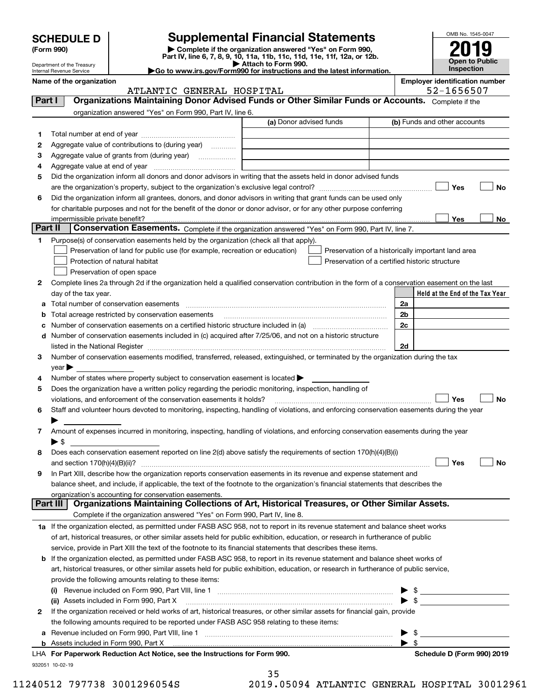| <b>SCHEDULE D</b><br>(Form 990)<br>Department of the Treasury<br>Internal Revenue Service | <b>Supplemental Financial Statements</b><br>Complete if the organization answered "Yes" on Form 990,<br>Part IV, line 6, 7, 8, 9, 10, 11a, 11b, 11c, 11d, 11e, 11f, 12a, or 12b.<br>Attach to Form 990.<br>Go to www.irs.gov/Form990 for instructions and the latest information. |  | OMB No. 1545-0047<br>2019<br>Open to Public<br><b>Inspection</b> |
|-------------------------------------------------------------------------------------------|-----------------------------------------------------------------------------------------------------------------------------------------------------------------------------------------------------------------------------------------------------------------------------------|--|------------------------------------------------------------------|
| Name of the organization                                                                  | ATLANTIC GENERAL HOSPITAL                                                                                                                                                                                                                                                         |  | <b>Employer identification number</b><br>52-1656507              |

# **ncial Statements**



|          | ATLANTIC GENERAL HOSPITAL                                                                                                                             |                         | 52-1656507                                                                                                                                                                                                                                                                                                               |  |  |  |
|----------|-------------------------------------------------------------------------------------------------------------------------------------------------------|-------------------------|--------------------------------------------------------------------------------------------------------------------------------------------------------------------------------------------------------------------------------------------------------------------------------------------------------------------------|--|--|--|
| Part I   | Organizations Maintaining Donor Advised Funds or Other Similar Funds or Accounts. Complete if the                                                     |                         |                                                                                                                                                                                                                                                                                                                          |  |  |  |
|          | organization answered "Yes" on Form 990, Part IV, line 6.                                                                                             |                         |                                                                                                                                                                                                                                                                                                                          |  |  |  |
|          |                                                                                                                                                       | (a) Donor advised funds | (b) Funds and other accounts                                                                                                                                                                                                                                                                                             |  |  |  |
| 1        |                                                                                                                                                       |                         |                                                                                                                                                                                                                                                                                                                          |  |  |  |
| 2        | Aggregate value of contributions to (during year)                                                                                                     |                         |                                                                                                                                                                                                                                                                                                                          |  |  |  |
| з        |                                                                                                                                                       |                         |                                                                                                                                                                                                                                                                                                                          |  |  |  |
| 4        |                                                                                                                                                       |                         |                                                                                                                                                                                                                                                                                                                          |  |  |  |
| 5        | Did the organization inform all donors and donor advisors in writing that the assets held in donor advised funds                                      |                         |                                                                                                                                                                                                                                                                                                                          |  |  |  |
|          |                                                                                                                                                       |                         | Yes<br>No                                                                                                                                                                                                                                                                                                                |  |  |  |
| 6        | Did the organization inform all grantees, donors, and donor advisors in writing that grant funds can be used only                                     |                         |                                                                                                                                                                                                                                                                                                                          |  |  |  |
|          | for charitable purposes and not for the benefit of the donor or donor advisor, or for any other purpose conferring                                    |                         |                                                                                                                                                                                                                                                                                                                          |  |  |  |
|          |                                                                                                                                                       |                         | No<br>Yes                                                                                                                                                                                                                                                                                                                |  |  |  |
| Part II  | Conservation Easements. Complete if the organization answered "Yes" on Form 990, Part IV, line 7.                                                     |                         |                                                                                                                                                                                                                                                                                                                          |  |  |  |
| 1        | Purpose(s) of conservation easements held by the organization (check all that apply).                                                                 |                         |                                                                                                                                                                                                                                                                                                                          |  |  |  |
|          | Preservation of land for public use (for example, recreation or education)                                                                            |                         | Preservation of a historically important land area                                                                                                                                                                                                                                                                       |  |  |  |
|          | Protection of natural habitat                                                                                                                         |                         | Preservation of a certified historic structure                                                                                                                                                                                                                                                                           |  |  |  |
|          | Preservation of open space                                                                                                                            |                         |                                                                                                                                                                                                                                                                                                                          |  |  |  |
| 2        | Complete lines 2a through 2d if the organization held a qualified conservation contribution in the form of a conservation easement on the last        |                         |                                                                                                                                                                                                                                                                                                                          |  |  |  |
|          | day of the tax year.                                                                                                                                  |                         | Held at the End of the Tax Year                                                                                                                                                                                                                                                                                          |  |  |  |
|          | Total number of conservation easements                                                                                                                |                         | 2a                                                                                                                                                                                                                                                                                                                       |  |  |  |
| а        | Total acreage restricted by conservation easements                                                                                                    |                         | 2 <sub>b</sub>                                                                                                                                                                                                                                                                                                           |  |  |  |
| b        |                                                                                                                                                       |                         | 2c                                                                                                                                                                                                                                                                                                                       |  |  |  |
| с        | Number of conservation easements on a certified historic structure included in (a) manufacture included in (a)                                        |                         |                                                                                                                                                                                                                                                                                                                          |  |  |  |
| d        | Number of conservation easements included in (c) acquired after 7/25/06, and not on a historic structure                                              |                         | 2d                                                                                                                                                                                                                                                                                                                       |  |  |  |
| 3        | Number of conservation easements modified, transferred, released, extinguished, or terminated by the organization during the tax                      |                         |                                                                                                                                                                                                                                                                                                                          |  |  |  |
|          |                                                                                                                                                       |                         |                                                                                                                                                                                                                                                                                                                          |  |  |  |
|          | year                                                                                                                                                  |                         |                                                                                                                                                                                                                                                                                                                          |  |  |  |
| 4        | Number of states where property subject to conservation easement is located >                                                                         |                         |                                                                                                                                                                                                                                                                                                                          |  |  |  |
| 5        | Does the organization have a written policy regarding the periodic monitoring, inspection, handling of                                                |                         | Yes<br>No                                                                                                                                                                                                                                                                                                                |  |  |  |
|          | violations, and enforcement of the conservation easements it holds?                                                                                   |                         |                                                                                                                                                                                                                                                                                                                          |  |  |  |
| 6        | Staff and volunteer hours devoted to monitoring, inspecting, handling of violations, and enforcing conservation easements during the year             |                         |                                                                                                                                                                                                                                                                                                                          |  |  |  |
|          |                                                                                                                                                       |                         |                                                                                                                                                                                                                                                                                                                          |  |  |  |
| 7        | Amount of expenses incurred in monitoring, inspecting, handling of violations, and enforcing conservation easements during the year                   |                         |                                                                                                                                                                                                                                                                                                                          |  |  |  |
|          | $\blacktriangleright$ s                                                                                                                               |                         |                                                                                                                                                                                                                                                                                                                          |  |  |  |
| 8        | Does each conservation easement reported on line 2(d) above satisfy the requirements of section 170(h)(4)(B)(i)                                       |                         |                                                                                                                                                                                                                                                                                                                          |  |  |  |
|          |                                                                                                                                                       |                         | Yes<br>No                                                                                                                                                                                                                                                                                                                |  |  |  |
| 9        | In Part XIII, describe how the organization reports conservation easements in its revenue and expense statement and                                   |                         |                                                                                                                                                                                                                                                                                                                          |  |  |  |
|          | balance sheet, and include, if applicable, the text of the footnote to the organization's financial statements that describes the                     |                         |                                                                                                                                                                                                                                                                                                                          |  |  |  |
| Part III | organization's accounting for conservation easements.<br>Organizations Maintaining Collections of Art, Historical Treasures, or Other Similar Assets. |                         |                                                                                                                                                                                                                                                                                                                          |  |  |  |
|          | Complete if the organization answered "Yes" on Form 990, Part IV, line 8.                                                                             |                         |                                                                                                                                                                                                                                                                                                                          |  |  |  |
|          |                                                                                                                                                       |                         |                                                                                                                                                                                                                                                                                                                          |  |  |  |
|          | 1a If the organization elected, as permitted under FASB ASC 958, not to report in its revenue statement and balance sheet works                       |                         |                                                                                                                                                                                                                                                                                                                          |  |  |  |
|          | of art, historical treasures, or other similar assets held for public exhibition, education, or research in furtherance of public                     |                         |                                                                                                                                                                                                                                                                                                                          |  |  |  |
|          | service, provide in Part XIII the text of the footnote to its financial statements that describes these items.                                        |                         |                                                                                                                                                                                                                                                                                                                          |  |  |  |
| b        | If the organization elected, as permitted under FASB ASC 958, to report in its revenue statement and balance sheet works of                           |                         |                                                                                                                                                                                                                                                                                                                          |  |  |  |
|          | art, historical treasures, or other similar assets held for public exhibition, education, or research in furtherance of public service,               |                         |                                                                                                                                                                                                                                                                                                                          |  |  |  |
|          | provide the following amounts relating to these items:                                                                                                |                         |                                                                                                                                                                                                                                                                                                                          |  |  |  |
|          |                                                                                                                                                       |                         | $\frac{1}{2}$ $\frac{1}{2}$ $\frac{1}{2}$ $\frac{1}{2}$ $\frac{1}{2}$ $\frac{1}{2}$ $\frac{1}{2}$ $\frac{1}{2}$ $\frac{1}{2}$ $\frac{1}{2}$ $\frac{1}{2}$ $\frac{1}{2}$ $\frac{1}{2}$ $\frac{1}{2}$ $\frac{1}{2}$ $\frac{1}{2}$ $\frac{1}{2}$ $\frac{1}{2}$ $\frac{1}{2}$ $\frac{1}{2}$ $\frac{1}{2}$ $\frac{1}{2}$<br>▶ |  |  |  |
|          | (ii) Assets included in Form 990, Part X                                                                                                              |                         |                                                                                                                                                                                                                                                                                                                          |  |  |  |
| 2        | If the organization received or held works of art, historical treasures, or other similar assets for financial gain, provide                          |                         |                                                                                                                                                                                                                                                                                                                          |  |  |  |
|          | the following amounts required to be reported under FASB ASC 958 relating to these items:                                                             |                         |                                                                                                                                                                                                                                                                                                                          |  |  |  |
| а        |                                                                                                                                                       |                         | - \$<br>▶                                                                                                                                                                                                                                                                                                                |  |  |  |
|          | b Assets incl <u>uded in Form 990, Part X [Construction in the construction in the set of the set of the set of</u>                                   |                         | $\blacktriangleright$ s                                                                                                                                                                                                                                                                                                  |  |  |  |
|          | LHA For Paperwork Reduction Act Notice, see the Instructions for Form 990.                                                                            |                         | Schedule D (Form 990) 2019                                                                                                                                                                                                                                                                                               |  |  |  |
|          | 932051 10-02-19                                                                                                                                       |                         |                                                                                                                                                                                                                                                                                                                          |  |  |  |

| 35  |  |  |                                    |   |
|-----|--|--|------------------------------------|---|
| 1 ∩ |  |  | $\sim$ $\sim$ $\sim$ $\sim$ $\sim$ | - |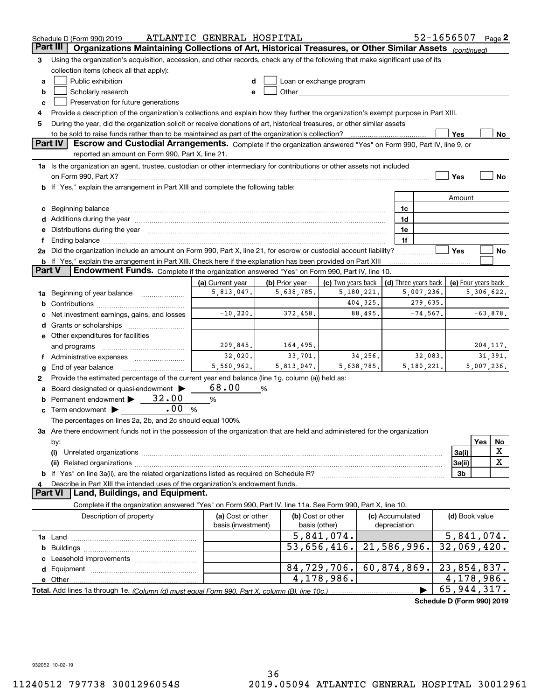|               | Schedule D (Form 990) 2019                                                                                                                                                                                                     | ATLANTIC GENERAL HOSPITAL |                |                          |              |                      | 52-1656507                 |     | Page 2     |  |
|---------------|--------------------------------------------------------------------------------------------------------------------------------------------------------------------------------------------------------------------------------|---------------------------|----------------|--------------------------|--------------|----------------------|----------------------------|-----|------------|--|
| Part III      | Organizations Maintaining Collections of Art, Historical Treasures, or Other Similar Assets (continued)                                                                                                                        |                           |                |                          |              |                      |                            |     |            |  |
| 3             | Using the organization's acquisition, accession, and other records, check any of the following that make significant use of its                                                                                                |                           |                |                          |              |                      |                            |     |            |  |
|               | collection items (check all that apply):                                                                                                                                                                                       |                           |                |                          |              |                      |                            |     |            |  |
| a             | Public exhibition                                                                                                                                                                                                              |                           |                | Loan or exchange program |              |                      |                            |     |            |  |
| b             | Scholarly research                                                                                                                                                                                                             | e                         |                |                          |              |                      |                            |     |            |  |
| c             | Preservation for future generations                                                                                                                                                                                            |                           |                |                          |              |                      |                            |     |            |  |
| 4             | Provide a description of the organization's collections and explain how they further the organization's exempt purpose in Part XIII.                                                                                           |                           |                |                          |              |                      |                            |     |            |  |
|               |                                                                                                                                                                                                                                |                           |                |                          |              |                      |                            |     |            |  |
| 5             | During the year, did the organization solicit or receive donations of art, historical treasures, or other similar assets                                                                                                       |                           |                |                          |              |                      |                            |     |            |  |
|               | Yes<br>No<br><b>Part IV</b><br>Escrow and Custodial Arrangements. Complete if the organization answered "Yes" on Form 990, Part IV, line 9, or                                                                                 |                           |                |                          |              |                      |                            |     |            |  |
|               | reported an amount on Form 990, Part X, line 21.                                                                                                                                                                               |                           |                |                          |              |                      |                            |     |            |  |
|               |                                                                                                                                                                                                                                |                           |                |                          |              |                      |                            |     |            |  |
|               | 1a Is the organization an agent, trustee, custodian or other intermediary for contributions or other assets not included                                                                                                       |                           |                |                          |              |                      |                            |     |            |  |
|               |                                                                                                                                                                                                                                |                           |                |                          |              |                      | Yes                        |     | No         |  |
|               | b If "Yes," explain the arrangement in Part XIII and complete the following table:                                                                                                                                             |                           |                |                          |              |                      |                            |     |            |  |
|               |                                                                                                                                                                                                                                |                           |                |                          |              |                      | Amount                     |     |            |  |
| c             | Beginning balance <b>contract to the contract of the contract of the contract of the contract of the contract of t</b>                                                                                                         |                           |                |                          |              | 1c                   |                            |     |            |  |
| d             | Additions during the year manufactured and an according to the year manufactured and according the year manufactured and according the year manufactured and according the year manufactured and according the year manufactur |                           |                |                          |              | 1d                   |                            |     |            |  |
| е             | Distributions during the year manufactured and continuum and contact the year manufactured and contact the year                                                                                                                |                           |                |                          |              | 1e                   |                            |     |            |  |
| f             |                                                                                                                                                                                                                                |                           |                |                          |              | 1f                   |                            |     |            |  |
|               | 2a Did the organization include an amount on Form 990, Part X, line 21, for escrow or custodial account liability?                                                                                                             |                           |                |                          |              |                      | <b>Yes</b>                 |     | No         |  |
|               | <b>b</b> If "Yes," explain the arrangement in Part XIII. Check here if the explanation has been provided on Part XIII                                                                                                          |                           |                |                          |              |                      |                            |     |            |  |
| <b>Part V</b> | Endowment Funds. Complete if the organization answered "Yes" on Form 990, Part IV, line 10.                                                                                                                                    |                           |                |                          |              |                      |                            |     |            |  |
|               |                                                                                                                                                                                                                                | (a) Current year          | (b) Prior year | (c) Two years back       |              | (d) Three years back | (e) Four years back        |     |            |  |
| 1a            | Beginning of year balance                                                                                                                                                                                                      | 5,813,047.                | 5,638,785.     | 5,180,221.               |              | 5,007,236.           |                            |     | 5,306,622. |  |
| b             |                                                                                                                                                                                                                                |                           |                | 404,325.                 |              | 279,635.             |                            |     |            |  |
|               | Net investment earnings, gains, and losses                                                                                                                                                                                     | $-10,220.$                | 372,458.       | 88,495.                  |              | $-74,567.$           |                            |     | $-63,878.$ |  |
| d             |                                                                                                                                                                                                                                |                           |                |                          |              |                      |                            |     |            |  |
|               | e Other expenditures for facilities                                                                                                                                                                                            |                           |                |                          |              |                      |                            |     |            |  |
|               | and programs                                                                                                                                                                                                                   | 209,845.                  | 164,495.       |                          |              |                      |                            |     | 204, 117.  |  |
|               | f Administrative expenses <i></i>                                                                                                                                                                                              | 32,020.                   | 33,701.        | 34,256.                  |              | 32,083.              |                            |     | 31,391.    |  |
| g             | End of year balance                                                                                                                                                                                                            | 5,560,962.                | 5,813,047.     | 5,638,785.               |              | 5,180,221.           |                            |     | 5,007,236. |  |
| 2             | Provide the estimated percentage of the current year end balance (line 1g, column (a)) held as:                                                                                                                                |                           |                |                          |              |                      |                            |     |            |  |
|               | Board designated or quasi-endowment                                                                                                                                                                                            | 68.00                     | %              |                          |              |                      |                            |     |            |  |
|               | Permanent endowment $\triangleright$ 32.00                                                                                                                                                                                     | %                         |                |                          |              |                      |                            |     |            |  |
| c             | .00<br>Term endowment $\blacktriangleright$                                                                                                                                                                                    | %                         |                |                          |              |                      |                            |     |            |  |
|               | The percentages on lines 2a, 2b, and 2c should equal 100%.                                                                                                                                                                     |                           |                |                          |              |                      |                            |     |            |  |
|               | 3a Are there endowment funds not in the possession of the organization that are held and administered for the organization                                                                                                     |                           |                |                          |              |                      |                            |     |            |  |
|               | by:                                                                                                                                                                                                                            |                           |                |                          |              |                      |                            | Yes | No         |  |
|               | (i)                                                                                                                                                                                                                            |                           |                |                          |              |                      | 3a(i)                      |     | х          |  |
|               |                                                                                                                                                                                                                                |                           |                |                          |              |                      | 3a(ii)                     |     | X          |  |
|               |                                                                                                                                                                                                                                |                           |                |                          |              |                      | 3 <sub>b</sub>             |     |            |  |
|               |                                                                                                                                                                                                                                |                           |                |                          |              |                      |                            |     |            |  |
|               | Describe in Part XIII the intended uses of the organization's endowment funds.<br><b>Part VI</b><br>Land, Buildings, and Equipment.                                                                                            |                           |                |                          |              |                      |                            |     |            |  |
|               |                                                                                                                                                                                                                                |                           |                |                          |              |                      |                            |     |            |  |
|               | Complete if the organization answered "Yes" on Form 990, Part IV, line 11a. See Form 990, Part X, line 10.                                                                                                                     |                           |                |                          |              |                      |                            |     |            |  |
|               | Description of property                                                                                                                                                                                                        | (a) Cost or other         |                | (b) Cost or other        |              | (c) Accumulated      | (d) Book value             |     |            |  |
|               |                                                                                                                                                                                                                                | basis (investment)        |                | basis (other)            | depreciation |                      |                            |     |            |  |
|               |                                                                                                                                                                                                                                |                           |                | 5,841,074.               |              |                      | 5,841,074.                 |     |            |  |
| b             |                                                                                                                                                                                                                                |                           |                | 53,656,416.              |              | 21,586,996.          | 32,069,420.                |     |            |  |
|               |                                                                                                                                                                                                                                |                           |                |                          |              |                      |                            |     |            |  |
|               |                                                                                                                                                                                                                                |                           |                | 84,729,706.              |              | 60,874,869.          | 23,854,837.                |     |            |  |
|               |                                                                                                                                                                                                                                |                           |                | 4,178,986.               |              |                      | $\overline{4,178,986}$ .   |     |            |  |
|               | Total. Add lines 1a through 1e. (Column (d) must equal Form 990. Part X. column (B). line 10c.)                                                                                                                                |                           |                |                          |              |                      | 65, 944, 317.              |     |            |  |
|               |                                                                                                                                                                                                                                |                           |                |                          |              |                      | Schedule D (Form 990) 2019 |     |            |  |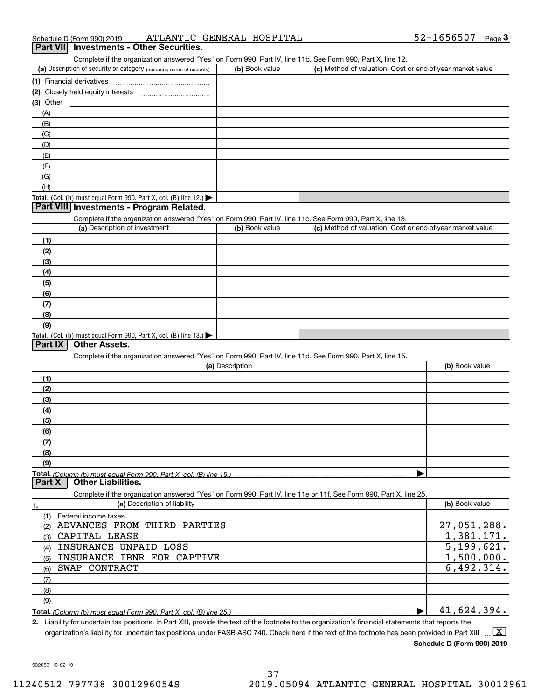|  | Schedule D (Form 990) 2019 | ATLANTIC GENERAL HOSPITAL |  |  | 52-1656507 | Page |  |
|--|----------------------------|---------------------------|--|--|------------|------|--|
|--|----------------------------|---------------------------|--|--|------------|------|--|

#### **Part VII Investments - Other Securities.**

Complete if the organization answered "Yes" on Form 990, Part IV, line 11b. See Form 990, Part X, line 12.

| (a) Description of security or category (including name of security)       | (b) Book value | (c) Method of valuation: Cost or end-of-year market value |
|----------------------------------------------------------------------------|----------------|-----------------------------------------------------------|
| (1) Financial derivatives                                                  |                |                                                           |
| (2) Closely held equity interests                                          |                |                                                           |
| $(3)$ Other                                                                |                |                                                           |
| (A)                                                                        |                |                                                           |
| (B)                                                                        |                |                                                           |
| (C)                                                                        |                |                                                           |
| (D)                                                                        |                |                                                           |
| (E)                                                                        |                |                                                           |
| (F)                                                                        |                |                                                           |
| (G)                                                                        |                |                                                           |
| (H)                                                                        |                |                                                           |
| <b>Total.</b> (Col. (b) must equal Form 990, Part X, col. (B) line $12$ .) |                |                                                           |

## **Part VIII Investments - Program Related.**

Complete if the organization answered "Yes" on Form 990, Part IV, line 11c. See Form 990, Part X, line 13.

| (a) Description of investment                                    | (b) Book value | (c) Method of valuation: Cost or end-of-year market value |
|------------------------------------------------------------------|----------------|-----------------------------------------------------------|
| (1)                                                              |                |                                                           |
| (2)                                                              |                |                                                           |
| $\frac{1}{2}$                                                    |                |                                                           |
| (4)                                                              |                |                                                           |
| (5)                                                              |                |                                                           |
| (6)                                                              |                |                                                           |
| (7)                                                              |                |                                                           |
| (8)                                                              |                |                                                           |
| (9)                                                              |                |                                                           |
| Total. (Col. (b) must equal Form 990, Part X, col. (B) line 13.) |                |                                                           |

# **Part IX Other Assets.**

Complete if the organization answered "Yes" on Form 990, Part IV, line 11d. See Form 990, Part X, line 15.

| $\sim$ . The contract of the contract in the contract of the contract of the contract of the contract of the contract of the contract of the contract of the contract of the contract of the contract of the contract of the co<br>(a) Description | (b) Book value |
|----------------------------------------------------------------------------------------------------------------------------------------------------------------------------------------------------------------------------------------------------|----------------|
| (1)                                                                                                                                                                                                                                                |                |
| (2)                                                                                                                                                                                                                                                |                |
| (3)                                                                                                                                                                                                                                                |                |
| (4)                                                                                                                                                                                                                                                |                |
| (5)                                                                                                                                                                                                                                                |                |
| (6)                                                                                                                                                                                                                                                |                |
| (7)                                                                                                                                                                                                                                                |                |
| (8)                                                                                                                                                                                                                                                |                |
| (9)                                                                                                                                                                                                                                                |                |
|                                                                                                                                                                                                                                                    |                |
| <b>Other Liabilities.</b><br>Part X                                                                                                                                                                                                                |                |
| Complete if the organization answered "Yes" on Form 990, Part IV, line 11e or 11f. See Form 990, Part X, line 25.                                                                                                                                  |                |
| (a) Description of liability<br>1.                                                                                                                                                                                                                 | (b) Book value |
| Federal income taxes<br>(1)                                                                                                                                                                                                                        |                |
| ADVANCES FROM THIRD PARTIES<br>(2)                                                                                                                                                                                                                 | 27,051,288.    |
| CAPITAL LEASE<br>(3)                                                                                                                                                                                                                               | 1,381,171.     |
| INSURANCE UNPAID LOSS<br>(4)                                                                                                                                                                                                                       | 5, 199, 621.   |
| INSURANCE IBNR FOR CAPTIVE<br>(5)                                                                                                                                                                                                                  | 1,500,000.     |
| SWAP CONTRACT<br>(6)                                                                                                                                                                                                                               | 6,492,314.     |
| (7)                                                                                                                                                                                                                                                |                |

**Total.**  *(Column (b) must equal Form 990, Part X, col. (B) line 25.)*  $\blacktriangleright$ 41,624,394.

**2.**Liability for uncertain tax positions. In Part XIII, provide the text of the footnote to the organization's financial statements that reports the

organization's liability for uncertain tax positions under FASB ASC 740. Check here if the text of the footnote has been provided in Part XIII  $\boxed{\text{X}}$ 

**Schedule D (Form 990) 2019**

932053 10-02-19

(8)(9)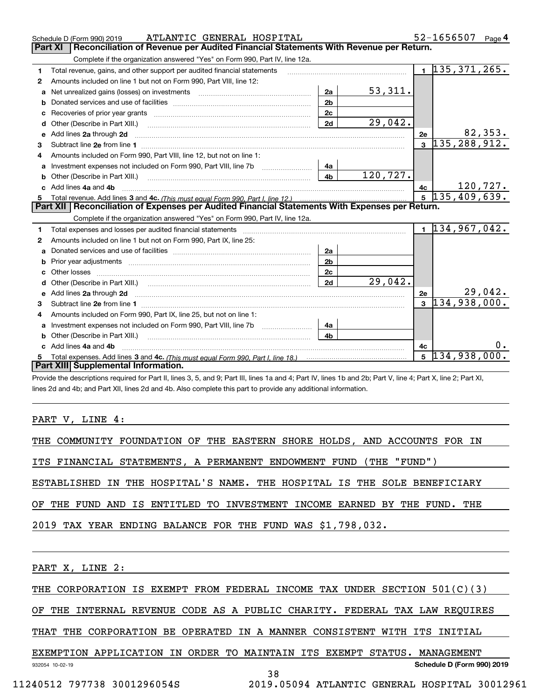|    | ATLANTIC GENERAL HOSPITAL<br>Schedule D (Form 990) 2019                                                                                      |                |              |                         | 52-1656507                                                                                                                                                     | Page $4$ |
|----|----------------------------------------------------------------------------------------------------------------------------------------------|----------------|--------------|-------------------------|----------------------------------------------------------------------------------------------------------------------------------------------------------------|----------|
|    | <b>Part XI</b><br>Reconciliation of Revenue per Audited Financial Statements With Revenue per Return.                                        |                |              |                         |                                                                                                                                                                |          |
|    | Complete if the organization answered "Yes" on Form 990, Part IV, line 12a.                                                                  |                |              |                         |                                                                                                                                                                |          |
| 1  | Total revenue, gains, and other support per audited financial statements                                                                     |                |              |                         | $1\overline{135,371,265}$                                                                                                                                      |          |
| 2  | Amounts included on line 1 but not on Form 990, Part VIII, line 12:                                                                          |                |              |                         |                                                                                                                                                                |          |
| a  |                                                                                                                                              | 2a             | 53,311.      |                         |                                                                                                                                                                |          |
| b  |                                                                                                                                              | 2 <sub>b</sub> |              |                         |                                                                                                                                                                |          |
| с  |                                                                                                                                              | 2c             |              |                         |                                                                                                                                                                |          |
|    | Other (Describe in Part XIII.)                                                                                                               | 2d             | 29,042.      |                         |                                                                                                                                                                |          |
|    | e Add lines 2a through 2d                                                                                                                    |                |              | 2e                      |                                                                                                                                                                | 82,353.  |
| 3  |                                                                                                                                              |                |              |                         | $3\;135,288,912.$                                                                                                                                              |          |
| 4  | Amounts included on Form 990, Part VIII, line 12, but not on line 1:                                                                         |                |              |                         |                                                                                                                                                                |          |
| a  |                                                                                                                                              | 4a             |              |                         |                                                                                                                                                                |          |
| b  | Other (Describe in Part XIII.) <b>Construction Contract Construction</b> [2011]                                                              | 4 <sub>b</sub> | 120,727.     |                         |                                                                                                                                                                |          |
|    | c Add lines 4a and 4b                                                                                                                        |                |              | 4с                      |                                                                                                                                                                | 120,727. |
|    |                                                                                                                                              | 5 <sup>1</sup> | 135,409,639. |                         |                                                                                                                                                                |          |
|    | Part XII   Reconciliation of Expenses per Audited Financial Statements With Expenses per Return.                                             |                |              |                         |                                                                                                                                                                |          |
|    | Complete if the organization answered "Yes" on Form 990, Part IV, line 12a.                                                                  |                |              |                         |                                                                                                                                                                |          |
| 1. | Total expenses and losses per audited financial statements                                                                                   |                |              |                         | $1\overline{134,967,042}$ .                                                                                                                                    |          |
| 2  | Amounts included on line 1 but not on Form 990, Part IX, line 25:                                                                            |                |              |                         |                                                                                                                                                                |          |
| a  |                                                                                                                                              | 2a             |              |                         |                                                                                                                                                                |          |
| b  |                                                                                                                                              | 2 <sub>b</sub> |              |                         |                                                                                                                                                                |          |
|    | Other losses                                                                                                                                 | 2c             |              |                         |                                                                                                                                                                |          |
|    |                                                                                                                                              | 2d             | 29,042.      |                         |                                                                                                                                                                |          |
|    | e Add lines 2a through 2d <b>[10]</b> Manuscription and the Add lines 2a through 2d <b>[10]</b> Manuscription <b>Add lines</b> 2a through 2d |                |              | 2e                      |                                                                                                                                                                | 29,042.  |
| 3  |                                                                                                                                              |                |              | $\overline{\mathbf{3}}$ | 134,938,000.                                                                                                                                                   |          |
|    | Amounts included on Form 990, Part IX, line 25, but not on line 1:                                                                           |                |              |                         |                                                                                                                                                                |          |
| a  | Investment expenses not included on Form 990, Part VIII, line 7b [11, 111, 111, 111]                                                         | 4a             |              |                         |                                                                                                                                                                |          |
|    |                                                                                                                                              | 4h             |              |                         |                                                                                                                                                                |          |
|    | c Add lines 4a and 4b                                                                                                                        |                |              | 4c                      |                                                                                                                                                                | 0.       |
|    |                                                                                                                                              |                |              | $\overline{5}$          | 134,938,000.                                                                                                                                                   |          |
|    | Part XIII Supplemental Information.                                                                                                          |                |              |                         |                                                                                                                                                                |          |
|    |                                                                                                                                              |                |              |                         | Provide the descriptions required for Part II, lines 3, 5, and 9; Part III, lines 1a and 4; Part IV, lines 1b and 2b; Part V, line 4; Part X, line 2; Part XI, |          |

lines 2d and 4b; and Part XII, lines 2d and 4b. Also complete this part to provide any additional information.

PART V, LINE 4:

THE COMMUNITY FOUNDATION OF THE EASTERN SHORE HOLDS, AND ACCOUNTS FOR IN

ITS FINANCIAL STATEMENTS, A PERMANENT ENDOWMENT FUND (THE "FUND")

ESTABLISHED IN THE HOSPITAL'S NAME. THE HOSPITAL IS THE SOLE BENEFICIARY

OF THE FUND AND IS ENTITLED TO INVESTMENT INCOME EARNED BY THE FUND. THE

2019 TAX YEAR ENDING BALANCE FOR THE FUND WAS \$1,798,032.

PART X, LINE 2:

932054 10-02-19

THE CORPORATION IS EXEMPT FROM FEDERAL INCOME TAX UNDER SECTION 501(C)(3)

OF THE INTERNAL REVENUE CODE AS A PUBLIC CHARITY. FEDERAL TAX LAW REQUIRES

THAT THE CORPORATION BE OPERATED IN A MANNER CONSISTENT WITH ITS INITIAL

EXEMPTION APPLICATION IN ORDER TO MAINTAIN ITS EXEMPT STATUS. MANAGEMENT

**Schedule D (Form 990) 2019**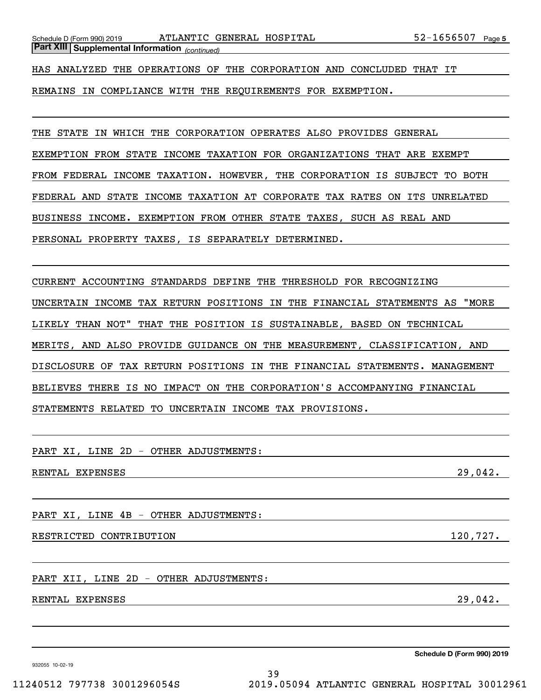*(continued)* **Part XIII Supplemental Information** 

HAS ANALYZED THE OPERATIONS OF THE CORPORATION AND CONCLUDED THAT IT

REMAINS IN COMPLIANCE WITH THE REQUIREMENTS FOR EXEMPTION.

THE STATE IN WHICH THE CORPORATION OPERATES ALSO PROVIDES GENERAL

EXEMPTION FROM STATE INCOME TAXATION FOR ORGANIZATIONS THAT ARE EXEMPT

FROM FEDERAL INCOME TAXATION. HOWEVER, THE CORPORATION IS SUBJECT TO BOTH

FEDERAL AND STATE INCOME TAXATION AT CORPORATE TAX RATES ON ITS UNRELATED

BUSINESS INCOME. EXEMPTION FROM OTHER STATE TAXES, SUCH AS REAL AND

PERSONAL PROPERTY TAXES, IS SEPARATELY DETERMINED.

CURRENT ACCOUNTING STANDARDS DEFINE THE THRESHOLD FOR RECOGNIZING UNCERTAIN INCOME TAX RETURN POSITIONS IN THE FINANCIAL STATEMENTS AS "MORE LIKELY THAN NOT" THAT THE POSITION IS SUSTAINABLE, BASED ON TECHNICAL MERITS, AND ALSO PROVIDE GUIDANCE ON THE MEASUREMENT, CLASSIFICATION, AND DISCLOSURE OF TAX RETURN POSITIONS IN THE FINANCIAL STATEMENTS. MANAGEMENT BELIEVES THERE IS NO IMPACT ON THE CORPORATION'S ACCOMPANYING FINANCIAL STATEMENTS RELATED TO UNCERTAIN INCOME TAX PROVISIONS.

39

PART XI, LINE 2D - OTHER ADJUSTMENTS:

RENTAL EXPENSES 29,042.

PART XI, LINE 4B - OTHER ADJUSTMENTS:

RESTRICTED CONTRIBUTION  $120,727$ .

PART XII, LINE 2D - OTHER ADJUSTMENTS:

RENTAL EXPENSES 29,042.

**Schedule D (Form 990) 2019**

932055 10-02-19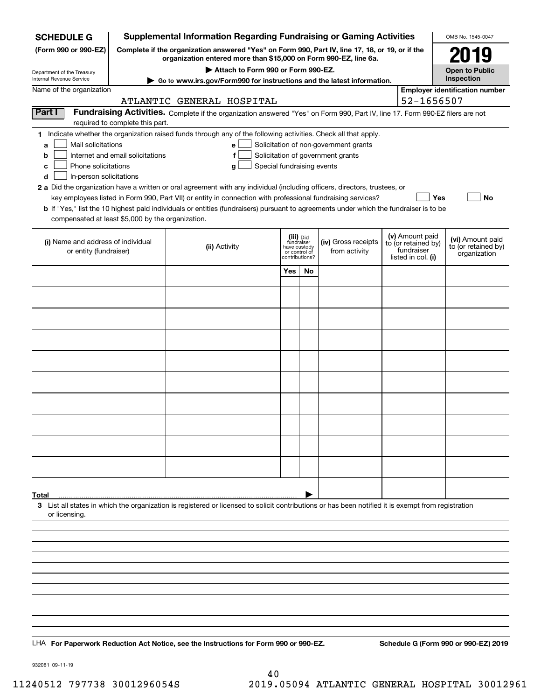| <b>SCHEDULE G</b>                                                                                                                             |                                                                                                                                                                     | <b>Supplemental Information Regarding Fundraising or Gaming Activities</b>                                                                                                                                                                                                                                                                                                                                                                                                                                                                                |                                                            |              |                                                                            |  |                                                                            | OMB No. 1545-0047                                       |  |  |
|-----------------------------------------------------------------------------------------------------------------------------------------------|---------------------------------------------------------------------------------------------------------------------------------------------------------------------|-----------------------------------------------------------------------------------------------------------------------------------------------------------------------------------------------------------------------------------------------------------------------------------------------------------------------------------------------------------------------------------------------------------------------------------------------------------------------------------------------------------------------------------------------------------|------------------------------------------------------------|--------------|----------------------------------------------------------------------------|--|----------------------------------------------------------------------------|---------------------------------------------------------|--|--|
| (Form 990 or 990-EZ)                                                                                                                          | Complete if the organization answered "Yes" on Form 990, Part IV, line 17, 18, or 19, or if the<br>organization entered more than \$15,000 on Form 990-EZ, line 6a. |                                                                                                                                                                                                                                                                                                                                                                                                                                                                                                                                                           |                                                            |              |                                                                            |  |                                                                            | 2019                                                    |  |  |
| Department of the Treasury                                                                                                                    |                                                                                                                                                                     |                                                                                                                                                                                                                                                                                                                                                                                                                                                                                                                                                           | <b>Open to Public</b>                                      |              |                                                                            |  |                                                                            |                                                         |  |  |
| Internal Revenue Service<br>Name of the organization                                                                                          |                                                                                                                                                                     | Inspection                                                                                                                                                                                                                                                                                                                                                                                                                                                                                                                                                |                                                            |              |                                                                            |  |                                                                            |                                                         |  |  |
|                                                                                                                                               | <b>Employer identification number</b><br>52-1656507<br>ATLANTIC GENERAL HOSPITAL                                                                                    |                                                                                                                                                                                                                                                                                                                                                                                                                                                                                                                                                           |                                                            |              |                                                                            |  |                                                                            |                                                         |  |  |
| Part I                                                                                                                                        | required to complete this part.                                                                                                                                     | Fundraising Activities. Complete if the organization answered "Yes" on Form 990, Part IV, line 17. Form 990-EZ filers are not                                                                                                                                                                                                                                                                                                                                                                                                                             |                                                            |              |                                                                            |  |                                                                            |                                                         |  |  |
| Mail solicitations<br>a<br>b<br>Phone solicitations<br>с<br>d<br>In-person solicitations<br>compensated at least \$5,000 by the organization. | Internet and email solicitations                                                                                                                                    | 1 Indicate whether the organization raised funds through any of the following activities. Check all that apply.<br>e<br>f<br>Special fundraising events<br>g<br>2 a Did the organization have a written or oral agreement with any individual (including officers, directors, trustees, or<br>key employees listed in Form 990, Part VII) or entity in connection with professional fundraising services?<br><b>b</b> If "Yes," list the 10 highest paid individuals or entities (fundraisers) pursuant to agreements under which the fundraiser is to be |                                                            |              | Solicitation of non-government grants<br>Solicitation of government grants |  | Yes                                                                        | No                                                      |  |  |
| (i) Name and address of individual<br>or entity (fundraiser)                                                                                  |                                                                                                                                                                     | (ii) Activity                                                                                                                                                                                                                                                                                                                                                                                                                                                                                                                                             | (iii) Did<br>fundraiser<br>or control of<br>contributions? | have custody | (iv) Gross receipts<br>from activity                                       |  | (v) Amount paid<br>to (or retained by)<br>fundraiser<br>listed in col. (i) | (vi) Amount paid<br>to (or retained by)<br>organization |  |  |
|                                                                                                                                               |                                                                                                                                                                     |                                                                                                                                                                                                                                                                                                                                                                                                                                                                                                                                                           | Yes                                                        | No           |                                                                            |  |                                                                            |                                                         |  |  |
|                                                                                                                                               |                                                                                                                                                                     |                                                                                                                                                                                                                                                                                                                                                                                                                                                                                                                                                           |                                                            |              |                                                                            |  |                                                                            |                                                         |  |  |
|                                                                                                                                               |                                                                                                                                                                     |                                                                                                                                                                                                                                                                                                                                                                                                                                                                                                                                                           |                                                            |              |                                                                            |  |                                                                            |                                                         |  |  |
|                                                                                                                                               |                                                                                                                                                                     |                                                                                                                                                                                                                                                                                                                                                                                                                                                                                                                                                           |                                                            |              |                                                                            |  |                                                                            |                                                         |  |  |
|                                                                                                                                               |                                                                                                                                                                     |                                                                                                                                                                                                                                                                                                                                                                                                                                                                                                                                                           |                                                            |              |                                                                            |  |                                                                            |                                                         |  |  |
|                                                                                                                                               |                                                                                                                                                                     |                                                                                                                                                                                                                                                                                                                                                                                                                                                                                                                                                           |                                                            |              |                                                                            |  |                                                                            |                                                         |  |  |
|                                                                                                                                               |                                                                                                                                                                     |                                                                                                                                                                                                                                                                                                                                                                                                                                                                                                                                                           |                                                            |              |                                                                            |  |                                                                            |                                                         |  |  |
|                                                                                                                                               |                                                                                                                                                                     |                                                                                                                                                                                                                                                                                                                                                                                                                                                                                                                                                           |                                                            |              |                                                                            |  |                                                                            |                                                         |  |  |
|                                                                                                                                               |                                                                                                                                                                     |                                                                                                                                                                                                                                                                                                                                                                                                                                                                                                                                                           |                                                            |              |                                                                            |  |                                                                            |                                                         |  |  |
|                                                                                                                                               |                                                                                                                                                                     |                                                                                                                                                                                                                                                                                                                                                                                                                                                                                                                                                           |                                                            |              |                                                                            |  |                                                                            |                                                         |  |  |
|                                                                                                                                               |                                                                                                                                                                     |                                                                                                                                                                                                                                                                                                                                                                                                                                                                                                                                                           |                                                            |              |                                                                            |  |                                                                            |                                                         |  |  |
|                                                                                                                                               |                                                                                                                                                                     |                                                                                                                                                                                                                                                                                                                                                                                                                                                                                                                                                           |                                                            |              |                                                                            |  |                                                                            |                                                         |  |  |
|                                                                                                                                               |                                                                                                                                                                     |                                                                                                                                                                                                                                                                                                                                                                                                                                                                                                                                                           |                                                            |              |                                                                            |  |                                                                            |                                                         |  |  |
| Total                                                                                                                                         |                                                                                                                                                                     | 3 List all states in which the organization is registered or licensed to solicit contributions or has been notified it is exempt from registration                                                                                                                                                                                                                                                                                                                                                                                                        |                                                            |              |                                                                            |  |                                                                            |                                                         |  |  |
| or licensing.                                                                                                                                 |                                                                                                                                                                     |                                                                                                                                                                                                                                                                                                                                                                                                                                                                                                                                                           |                                                            |              |                                                                            |  |                                                                            |                                                         |  |  |
|                                                                                                                                               |                                                                                                                                                                     |                                                                                                                                                                                                                                                                                                                                                                                                                                                                                                                                                           |                                                            |              |                                                                            |  |                                                                            |                                                         |  |  |
|                                                                                                                                               |                                                                                                                                                                     |                                                                                                                                                                                                                                                                                                                                                                                                                                                                                                                                                           |                                                            |              |                                                                            |  |                                                                            |                                                         |  |  |
|                                                                                                                                               |                                                                                                                                                                     |                                                                                                                                                                                                                                                                                                                                                                                                                                                                                                                                                           |                                                            |              |                                                                            |  |                                                                            |                                                         |  |  |
|                                                                                                                                               |                                                                                                                                                                     |                                                                                                                                                                                                                                                                                                                                                                                                                                                                                                                                                           |                                                            |              |                                                                            |  |                                                                            |                                                         |  |  |
|                                                                                                                                               |                                                                                                                                                                     |                                                                                                                                                                                                                                                                                                                                                                                                                                                                                                                                                           |                                                            |              |                                                                            |  |                                                                            |                                                         |  |  |
|                                                                                                                                               |                                                                                                                                                                     |                                                                                                                                                                                                                                                                                                                                                                                                                                                                                                                                                           |                                                            |              |                                                                            |  |                                                                            |                                                         |  |  |
|                                                                                                                                               |                                                                                                                                                                     | LHA For Paperwork Reduction Act Notice, see the Instructions for Form 990 or 990-EZ.                                                                                                                                                                                                                                                                                                                                                                                                                                                                      |                                                            |              |                                                                            |  |                                                                            | Schedule G (Form 990 or 990-EZ) 2019                    |  |  |
|                                                                                                                                               |                                                                                                                                                                     |                                                                                                                                                                                                                                                                                                                                                                                                                                                                                                                                                           |                                                            |              |                                                                            |  |                                                                            |                                                         |  |  |

932081 09-11-19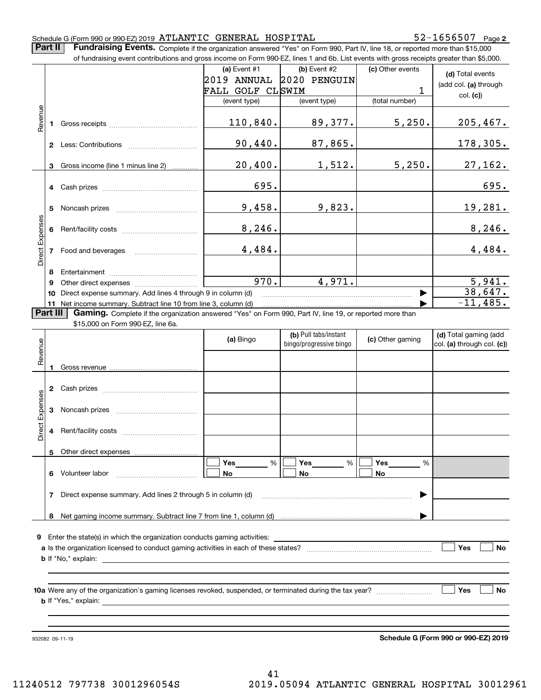## Schedule G (Form 990 or 990-EZ) 2019 <code>ATLANTIC GENERAL HOSPITAL</code>  $52-1656507$  <code>Page</code>

**2**

**Part II** | Fundraising Events. Complete if the organization answered "Yes" on Form 990, Part IV, line 18, or reported more than \$15,000

|                 |          | of fundraising event contributions and gross income on Form 990-EZ, lines 1 and 6b. List events with gross receipts greater than \$5,000.      |                  |                         |                  |                            |
|-----------------|----------|------------------------------------------------------------------------------------------------------------------------------------------------|------------------|-------------------------|------------------|----------------------------|
|                 |          |                                                                                                                                                | (a) Event #1     | $(b)$ Event #2          | (c) Other events | (d) Total events           |
|                 |          |                                                                                                                                                | 2019 ANNUAL      | 2020 PENGUIN            |                  | (add col. (a) through      |
|                 |          |                                                                                                                                                | FALL GOLF CLSWIM |                         | $\mathbf 1$      | col. (c)                   |
|                 |          |                                                                                                                                                | (event type)     | (event type)            | (total number)   |                            |
| Revenue         |          |                                                                                                                                                |                  |                         |                  |                            |
|                 |          |                                                                                                                                                | 110,840.         | 89,377.                 | 5,250.           | 205,467.                   |
|                 |          |                                                                                                                                                |                  |                         |                  |                            |
|                 |          |                                                                                                                                                | 90,440.          | 87,865.                 |                  | 178,305.                   |
|                 |          |                                                                                                                                                |                  |                         |                  |                            |
|                 | 3        | Gross income (line 1 minus line 2)                                                                                                             | 20,400.          | 1,512.                  | 5,250.           | 27,162.                    |
|                 |          |                                                                                                                                                |                  |                         |                  |                            |
|                 |          |                                                                                                                                                | 695.             |                         |                  | 695.                       |
|                 |          |                                                                                                                                                |                  |                         |                  |                            |
|                 |          |                                                                                                                                                | 9,458.           | 9,823.                  |                  | 19,281.                    |
|                 |          |                                                                                                                                                | 8, 246.          |                         |                  | 8,246.                     |
|                 |          |                                                                                                                                                |                  |                         |                  |                            |
| Direct Expenses |          |                                                                                                                                                | 4,484.           |                         |                  | 4,484.                     |
|                 |          |                                                                                                                                                |                  |                         |                  |                            |
|                 | 8        |                                                                                                                                                |                  |                         |                  |                            |
|                 | 9        |                                                                                                                                                | 970.             | 4,971.                  |                  | 5,941.                     |
|                 | 10       | Direct expense summary. Add lines 4 through 9 in column (d)                                                                                    |                  |                         |                  | 38,647.                    |
|                 | 11       | Net income summary. Subtract line 10 from line 3, column (d)                                                                                   |                  |                         |                  | $-11,485.$                 |
|                 | Part III | <b>Gaming.</b> Complete if the organization answered "Yes" on Form 990, Part IV, line 19, or reported more than                                |                  |                         |                  |                            |
|                 |          | \$15,000 on Form 990-EZ, line 6a.                                                                                                              |                  |                         |                  |                            |
|                 |          |                                                                                                                                                | (a) Bingo        | (b) Pull tabs/instant   | (c) Other gaming | (d) Total gaming (add      |
|                 |          |                                                                                                                                                |                  | bingo/progressive bingo |                  | col. (a) through col. (c)) |
| Revenue         |          |                                                                                                                                                |                  |                         |                  |                            |
|                 |          |                                                                                                                                                |                  |                         |                  |                            |
|                 |          |                                                                                                                                                |                  |                         |                  |                            |
|                 |          |                                                                                                                                                |                  |                         |                  |                            |
| Expenses        |          |                                                                                                                                                |                  |                         |                  |                            |
|                 |          |                                                                                                                                                |                  |                         |                  |                            |
| Direct          |          |                                                                                                                                                |                  |                         |                  |                            |
|                 |          |                                                                                                                                                |                  |                         |                  |                            |
|                 |          |                                                                                                                                                |                  |                         |                  |                            |
|                 |          | 5 Other direct expenses                                                                                                                        |                  |                         |                  |                            |
|                 |          |                                                                                                                                                | %<br>Yes         | %<br>Yes                | Yes<br>%         |                            |
|                 |          | 6 Volunteer labor                                                                                                                              | No               | No                      | No               |                            |
|                 |          |                                                                                                                                                |                  |                         |                  |                            |
|                 | 7        | Direct expense summary. Add lines 2 through 5 in column (d)                                                                                    |                  |                         |                  |                            |
|                 |          |                                                                                                                                                |                  |                         |                  |                            |
|                 | 8        |                                                                                                                                                |                  |                         |                  |                            |
|                 |          |                                                                                                                                                |                  |                         |                  |                            |
|                 |          |                                                                                                                                                |                  |                         |                  |                            |
|                 |          |                                                                                                                                                |                  |                         |                  | Yes<br><b>No</b>           |
|                 |          | <b>b</b> If "No," explain:<br>and the control of the control of the control of the control of the control of the control of the control of the |                  |                         |                  |                            |
|                 |          |                                                                                                                                                |                  |                         |                  |                            |
|                 |          |                                                                                                                                                |                  |                         |                  | Yes<br><b>No</b>           |
|                 |          |                                                                                                                                                |                  |                         |                  |                            |

932082 09-11-19

**Schedule G (Form 990 or 990-EZ) 2019**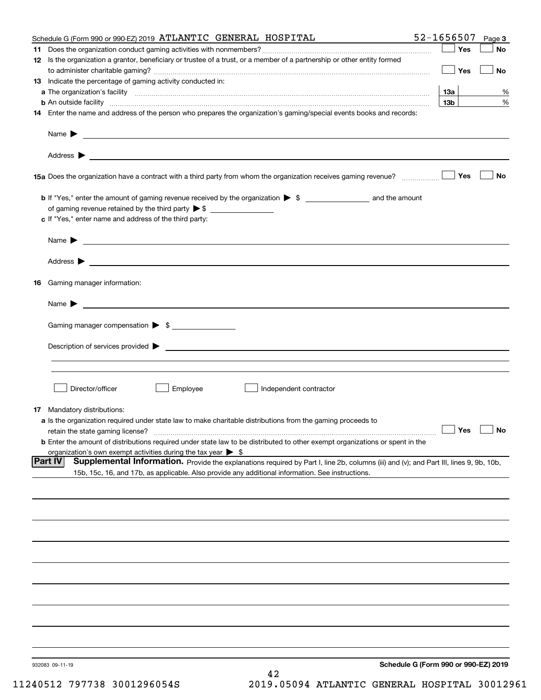|    | Schedule G (Form 990 or 990-EZ) 2019 ATLANTIC GENERAL HOSPITAL                                                                                                                                                      | 52-1656507      |            | Page 3    |
|----|---------------------------------------------------------------------------------------------------------------------------------------------------------------------------------------------------------------------|-----------------|------------|-----------|
| 11 |                                                                                                                                                                                                                     |                 | Yes        | No        |
|    | 12 Is the organization a grantor, beneficiary or trustee of a trust, or a member of a partnership or other entity formed                                                                                            |                 |            |           |
|    |                                                                                                                                                                                                                     |                 | Yes        | No        |
|    | 13 Indicate the percentage of gaming activity conducted in:                                                                                                                                                         |                 |            |           |
|    |                                                                                                                                                                                                                     | 13а             |            | %         |
|    | <b>b</b> An outside facility <i>www.communicality www.communicality.communicality www.communicality www.communicality.communicality www.communicality.com</i>                                                       | 13 <sub>b</sub> |            | %         |
|    | 14 Enter the name and address of the person who prepares the organization's gaming/special events books and records:                                                                                                |                 |            |           |
|    |                                                                                                                                                                                                                     |                 |            |           |
|    | Name $\triangleright$ $\square$                                                                                                                                                                                     |                 |            |           |
|    |                                                                                                                                                                                                                     |                 |            |           |
|    | 15a Does the organization have a contract with a third party from whom the organization receives gaming revenue?                                                                                                    |                 | Yes        | <b>No</b> |
|    |                                                                                                                                                                                                                     |                 |            |           |
|    |                                                                                                                                                                                                                     |                 |            |           |
|    | c If "Yes," enter name and address of the third party:                                                                                                                                                              |                 |            |           |
|    | $Name \rightarrow$                                                                                                                                                                                                  |                 |            |           |
|    |                                                                                                                                                                                                                     |                 |            |           |
|    |                                                                                                                                                                                                                     |                 |            |           |
| 16 | Gaming manager information:                                                                                                                                                                                         |                 |            |           |
|    | Name $\blacktriangleright$                                                                                                                                                                                          |                 |            |           |
|    |                                                                                                                                                                                                                     |                 |            |           |
|    | Gaming manager compensation > \$                                                                                                                                                                                    |                 |            |           |
|    | $Description of services provided \triangleright$                                                                                                                                                                   |                 |            |           |
|    |                                                                                                                                                                                                                     |                 |            |           |
|    |                                                                                                                                                                                                                     |                 |            |           |
|    | Director/officer<br>Employee<br>Independent contractor                                                                                                                                                              |                 |            |           |
|    |                                                                                                                                                                                                                     |                 |            |           |
|    | 17 Mandatory distributions:                                                                                                                                                                                         |                 |            |           |
|    | a Is the organization required under state law to make charitable distributions from the gaming proceeds to                                                                                                         |                 | $\Box$ Yes |           |
|    | retain the state gaming license?                                                                                                                                                                                    |                 |            | $\Box$ No |
|    | <b>b</b> Enter the amount of distributions required under state law to be distributed to other exempt organizations or spent in the<br>organization's own exempt activities during the tax year $\triangleright$ \$ |                 |            |           |
|    | Supplemental Information. Provide the explanations required by Part I, line 2b, columns (iii) and (v); and Part III, lines 9, 9b, 10b,<br> Part IV                                                                  |                 |            |           |
|    | 15b, 15c, 16, and 17b, as applicable. Also provide any additional information. See instructions.                                                                                                                    |                 |            |           |
|    |                                                                                                                                                                                                                     |                 |            |           |
|    |                                                                                                                                                                                                                     |                 |            |           |
|    |                                                                                                                                                                                                                     |                 |            |           |
|    |                                                                                                                                                                                                                     |                 |            |           |
|    |                                                                                                                                                                                                                     |                 |            |           |
|    |                                                                                                                                                                                                                     |                 |            |           |
|    |                                                                                                                                                                                                                     |                 |            |           |
|    |                                                                                                                                                                                                                     |                 |            |           |
|    |                                                                                                                                                                                                                     |                 |            |           |
|    |                                                                                                                                                                                                                     |                 |            |           |
|    |                                                                                                                                                                                                                     |                 |            |           |
|    | Schedule G (Form 990 or 990-EZ) 2019<br>932083 09-11-19<br>42                                                                                                                                                       |                 |            |           |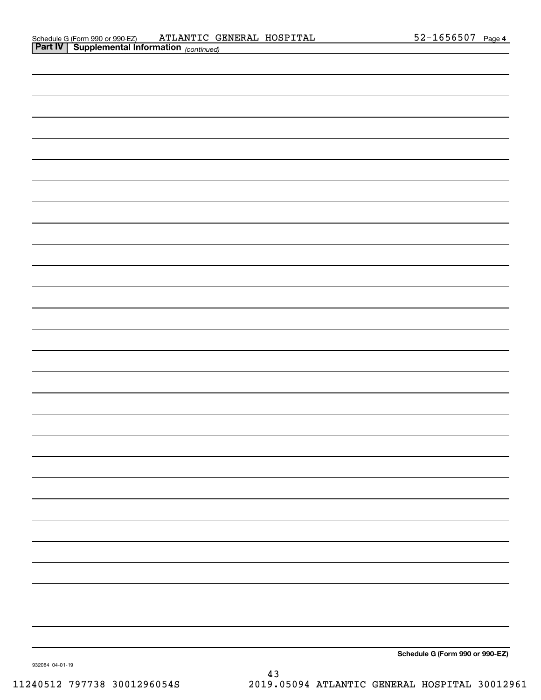| <b>Part IV   Supplemental Information</b> (continued) |
|-------------------------------------------------------|
|                                                       |
|                                                       |
|                                                       |
|                                                       |
|                                                       |
|                                                       |
|                                                       |
|                                                       |
|                                                       |
|                                                       |
|                                                       |
|                                                       |
|                                                       |
|                                                       |
|                                                       |
|                                                       |
|                                                       |
|                                                       |
|                                                       |
|                                                       |
|                                                       |
|                                                       |
|                                                       |
|                                                       |
|                                                       |
|                                                       |
|                                                       |
|                                                       |
| Schedule G (Form 990 or 990-EZ)                       |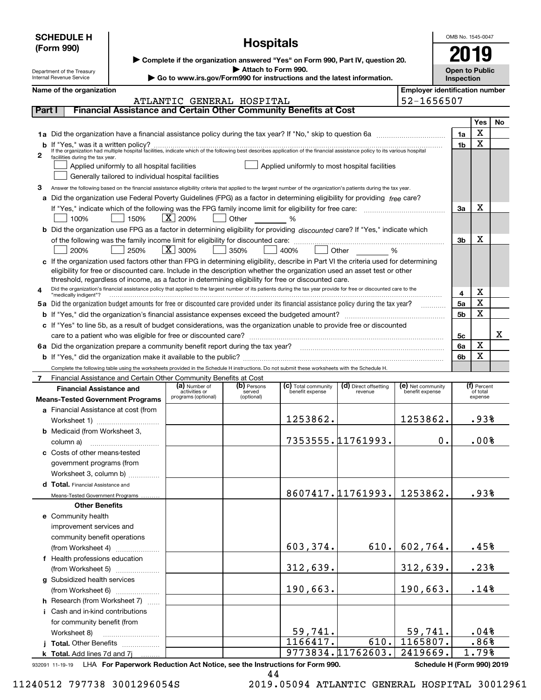| <b>Hospitals</b><br>(Form 990)<br>2019<br>▶ Complete if the organization answered "Yes" on Form 990, Part IV, question 20.<br>Attach to Form 990.<br><b>Open to Public</b><br>Department of the Treasury<br>Go to www.irs.gov/Form990 for instructions and the latest information.<br>Internal Revenue Service<br>Inspection<br><b>Employer identification number</b><br>Name of the organization<br>52-1656507<br>ATLANTIC GENERAL HOSPITAL<br>Financial Assistance and Certain Other Community Benefits at Cost<br>Part I<br>Yes<br><b>No</b><br>X<br>1a Did the organization have a financial assistance policy during the tax year? If "No," skip to question 6a<br>1a<br>X<br>1b<br>2<br>facilities during the tax vear.<br>Applied uniformly to all hospital facilities<br>Applied uniformly to most hospital facilities<br>Generally tailored to individual hospital facilities<br>З<br>Answer the following based on the financial assistance eligibility criteria that applied to the largest number of the organization's patients during the tax year.<br>a Did the organization use Federal Poverty Guidelines (FPG) as a factor in determining eligibility for providing free care?<br>X<br>За<br>$\boxed{\text{X}}$ 200%<br>150%<br>Other<br>100%<br>$\frac{9}{6}$<br><b>b</b> Did the organization use FPG as a factor in determining eligibility for providing <i>discounted</i> care? If "Yes," indicate which<br>х<br>3b<br>$\boxed{\text{X}}$ 300%<br>250%<br>350%<br>Other<br>400%<br>%<br>200%<br>c If the organization used factors other than FPG in determining eligibility, describe in Part VI the criteria used for determining<br>eligibility for free or discounted care. Include in the description whether the organization used an asset test or other<br>threshold, regardless of income, as a factor in determining eligibility for free or discounted care.<br>Did the organization's financial assistance policy that applied to the largest number of its patients during the tax year provide for free or discounted care to the<br>4<br>X<br>4<br>"medically indigent"?<br>$\mathbf X$<br>5a<br>5a Did the organization budget amounts for free or discounted care provided under its financial assistance policy during the tax year?<br>X<br>5b<br>c If "Yes" to line 5b, as a result of budget considerations, was the organization unable to provide free or discounted<br>x<br>5c<br>X<br>6a<br>X<br>6b<br>Complete the following table using the worksheets provided in the Schedule H instructions. Do not submit these worksheets with the Schedule H.<br>Financial Assistance and Certain Other Community Benefits at Cost<br>(a) Number of<br>(e) Net community<br>(f) Percent<br>(b) Persons<br>(c) Total community<br>(d) Direct offsetting<br><b>Financial Assistance and</b><br>activities or<br>served<br>benefit expense<br>revenue<br>benefit expense<br>of total<br>programs (optional)<br>(optional)<br>expense<br><b>Means-Tested Government Programs</b><br><b>a</b> Financial Assistance at cost (from<br>1253862.<br>1253862.<br>.93%<br>Worksheet 1)<br><b>b</b> Medicaid (from Worksheet 3,<br>7353555.11761993.<br>0.<br>.00%<br>column a)<br>c Costs of other means-tested<br>government programs (from<br>Worksheet 3, column b)<br>d Total. Financial Assistance and<br>8607417.11761993.<br>1253862.<br>.93%<br>Means-Tested Government Programs<br><b>Other Benefits</b><br>e Community health<br>improvement services and<br>community benefit operations<br>603,374.<br>610.<br>602,764.<br>.45%<br>(from Worksheet 4)<br>f Health professions education<br>312,639.<br>312,639.<br>.23%<br>(from Worksheet 5)<br>g Subsidized health services<br>190,663.<br>190,663.<br>.14%<br>(from Worksheet 6)<br><b>h</b> Research (from Worksheet 7) $\ldots$<br>i Cash and in-kind contributions<br>for community benefit (from<br>.04%<br>59,741.<br>$\frac{59,741}{1165807}$<br>Worksheet 8)<br>1166417.<br>.86%<br>610.<br>Total. Other Benefits<br>9773834.11762603.<br>2419669.<br>1.79%<br>k Total. Add lines 7d and 7j | <b>SCHEDULE H</b> |  |  |  |  |  |  | OMB No. 1545-0047 |  |  |  |
|------------------------------------------------------------------------------------------------------------------------------------------------------------------------------------------------------------------------------------------------------------------------------------------------------------------------------------------------------------------------------------------------------------------------------------------------------------------------------------------------------------------------------------------------------------------------------------------------------------------------------------------------------------------------------------------------------------------------------------------------------------------------------------------------------------------------------------------------------------------------------------------------------------------------------------------------------------------------------------------------------------------------------------------------------------------------------------------------------------------------------------------------------------------------------------------------------------------------------------------------------------------------------------------------------------------------------------------------------------------------------------------------------------------------------------------------------------------------------------------------------------------------------------------------------------------------------------------------------------------------------------------------------------------------------------------------------------------------------------------------------------------------------------------------------------------------------------------------------------------------------------------------------------------------------------------------------------------------------------------------------------------------------------------------------------------------------------------------------------------------------------------------------------------------------------------------------------------------------------------------------------------------------------------------------------------------------------------------------------------------------------------------------------------------------------------------------------------------------------------------------------------------------------------------------------------------------------------------------------------------------------------------------------------------------------------------------------------------------------------------------------------------------------------------------------------------------------------------------------------------------------------------------------------------------------------------------------------------------------------------------------------------------------------------------------------------------------------------------------------------------------------------------------------------------------------------------------------------------------------------------------------------------------------------------------------------------------------------------------------------------------------------------------------------------------------------------------------------------------------------------------------------------------------------------------------------------------------------------------------------------------------------------------------------------------------------------------------------------------------------------------------------------------------------------------------------------------------------------------------------------------------------------------------------------------------------------------------------------------------------------------------------------------------------------------------------------------------------|-------------------|--|--|--|--|--|--|-------------------|--|--|--|
|                                                                                                                                                                                                                                                                                                                                                                                                                                                                                                                                                                                                                                                                                                                                                                                                                                                                                                                                                                                                                                                                                                                                                                                                                                                                                                                                                                                                                                                                                                                                                                                                                                                                                                                                                                                                                                                                                                                                                                                                                                                                                                                                                                                                                                                                                                                                                                                                                                                                                                                                                                                                                                                                                                                                                                                                                                                                                                                                                                                                                                                                                                                                                                                                                                                                                                                                                                                                                                                                                                                                                                                                                                                                                                                                                                                                                                                                                                                                                                                                                                                                                                |                   |  |  |  |  |  |  |                   |  |  |  |
|                                                                                                                                                                                                                                                                                                                                                                                                                                                                                                                                                                                                                                                                                                                                                                                                                                                                                                                                                                                                                                                                                                                                                                                                                                                                                                                                                                                                                                                                                                                                                                                                                                                                                                                                                                                                                                                                                                                                                                                                                                                                                                                                                                                                                                                                                                                                                                                                                                                                                                                                                                                                                                                                                                                                                                                                                                                                                                                                                                                                                                                                                                                                                                                                                                                                                                                                                                                                                                                                                                                                                                                                                                                                                                                                                                                                                                                                                                                                                                                                                                                                                                |                   |  |  |  |  |  |  |                   |  |  |  |
|                                                                                                                                                                                                                                                                                                                                                                                                                                                                                                                                                                                                                                                                                                                                                                                                                                                                                                                                                                                                                                                                                                                                                                                                                                                                                                                                                                                                                                                                                                                                                                                                                                                                                                                                                                                                                                                                                                                                                                                                                                                                                                                                                                                                                                                                                                                                                                                                                                                                                                                                                                                                                                                                                                                                                                                                                                                                                                                                                                                                                                                                                                                                                                                                                                                                                                                                                                                                                                                                                                                                                                                                                                                                                                                                                                                                                                                                                                                                                                                                                                                                                                |                   |  |  |  |  |  |  |                   |  |  |  |
|                                                                                                                                                                                                                                                                                                                                                                                                                                                                                                                                                                                                                                                                                                                                                                                                                                                                                                                                                                                                                                                                                                                                                                                                                                                                                                                                                                                                                                                                                                                                                                                                                                                                                                                                                                                                                                                                                                                                                                                                                                                                                                                                                                                                                                                                                                                                                                                                                                                                                                                                                                                                                                                                                                                                                                                                                                                                                                                                                                                                                                                                                                                                                                                                                                                                                                                                                                                                                                                                                                                                                                                                                                                                                                                                                                                                                                                                                                                                                                                                                                                                                                |                   |  |  |  |  |  |  |                   |  |  |  |
|                                                                                                                                                                                                                                                                                                                                                                                                                                                                                                                                                                                                                                                                                                                                                                                                                                                                                                                                                                                                                                                                                                                                                                                                                                                                                                                                                                                                                                                                                                                                                                                                                                                                                                                                                                                                                                                                                                                                                                                                                                                                                                                                                                                                                                                                                                                                                                                                                                                                                                                                                                                                                                                                                                                                                                                                                                                                                                                                                                                                                                                                                                                                                                                                                                                                                                                                                                                                                                                                                                                                                                                                                                                                                                                                                                                                                                                                                                                                                                                                                                                                                                |                   |  |  |  |  |  |  |                   |  |  |  |
|                                                                                                                                                                                                                                                                                                                                                                                                                                                                                                                                                                                                                                                                                                                                                                                                                                                                                                                                                                                                                                                                                                                                                                                                                                                                                                                                                                                                                                                                                                                                                                                                                                                                                                                                                                                                                                                                                                                                                                                                                                                                                                                                                                                                                                                                                                                                                                                                                                                                                                                                                                                                                                                                                                                                                                                                                                                                                                                                                                                                                                                                                                                                                                                                                                                                                                                                                                                                                                                                                                                                                                                                                                                                                                                                                                                                                                                                                                                                                                                                                                                                                                |                   |  |  |  |  |  |  |                   |  |  |  |
|                                                                                                                                                                                                                                                                                                                                                                                                                                                                                                                                                                                                                                                                                                                                                                                                                                                                                                                                                                                                                                                                                                                                                                                                                                                                                                                                                                                                                                                                                                                                                                                                                                                                                                                                                                                                                                                                                                                                                                                                                                                                                                                                                                                                                                                                                                                                                                                                                                                                                                                                                                                                                                                                                                                                                                                                                                                                                                                                                                                                                                                                                                                                                                                                                                                                                                                                                                                                                                                                                                                                                                                                                                                                                                                                                                                                                                                                                                                                                                                                                                                                                                |                   |  |  |  |  |  |  |                   |  |  |  |
|                                                                                                                                                                                                                                                                                                                                                                                                                                                                                                                                                                                                                                                                                                                                                                                                                                                                                                                                                                                                                                                                                                                                                                                                                                                                                                                                                                                                                                                                                                                                                                                                                                                                                                                                                                                                                                                                                                                                                                                                                                                                                                                                                                                                                                                                                                                                                                                                                                                                                                                                                                                                                                                                                                                                                                                                                                                                                                                                                                                                                                                                                                                                                                                                                                                                                                                                                                                                                                                                                                                                                                                                                                                                                                                                                                                                                                                                                                                                                                                                                                                                                                |                   |  |  |  |  |  |  |                   |  |  |  |
|                                                                                                                                                                                                                                                                                                                                                                                                                                                                                                                                                                                                                                                                                                                                                                                                                                                                                                                                                                                                                                                                                                                                                                                                                                                                                                                                                                                                                                                                                                                                                                                                                                                                                                                                                                                                                                                                                                                                                                                                                                                                                                                                                                                                                                                                                                                                                                                                                                                                                                                                                                                                                                                                                                                                                                                                                                                                                                                                                                                                                                                                                                                                                                                                                                                                                                                                                                                                                                                                                                                                                                                                                                                                                                                                                                                                                                                                                                                                                                                                                                                                                                |                   |  |  |  |  |  |  |                   |  |  |  |
|                                                                                                                                                                                                                                                                                                                                                                                                                                                                                                                                                                                                                                                                                                                                                                                                                                                                                                                                                                                                                                                                                                                                                                                                                                                                                                                                                                                                                                                                                                                                                                                                                                                                                                                                                                                                                                                                                                                                                                                                                                                                                                                                                                                                                                                                                                                                                                                                                                                                                                                                                                                                                                                                                                                                                                                                                                                                                                                                                                                                                                                                                                                                                                                                                                                                                                                                                                                                                                                                                                                                                                                                                                                                                                                                                                                                                                                                                                                                                                                                                                                                                                |                   |  |  |  |  |  |  |                   |  |  |  |
|                                                                                                                                                                                                                                                                                                                                                                                                                                                                                                                                                                                                                                                                                                                                                                                                                                                                                                                                                                                                                                                                                                                                                                                                                                                                                                                                                                                                                                                                                                                                                                                                                                                                                                                                                                                                                                                                                                                                                                                                                                                                                                                                                                                                                                                                                                                                                                                                                                                                                                                                                                                                                                                                                                                                                                                                                                                                                                                                                                                                                                                                                                                                                                                                                                                                                                                                                                                                                                                                                                                                                                                                                                                                                                                                                                                                                                                                                                                                                                                                                                                                                                |                   |  |  |  |  |  |  |                   |  |  |  |
|                                                                                                                                                                                                                                                                                                                                                                                                                                                                                                                                                                                                                                                                                                                                                                                                                                                                                                                                                                                                                                                                                                                                                                                                                                                                                                                                                                                                                                                                                                                                                                                                                                                                                                                                                                                                                                                                                                                                                                                                                                                                                                                                                                                                                                                                                                                                                                                                                                                                                                                                                                                                                                                                                                                                                                                                                                                                                                                                                                                                                                                                                                                                                                                                                                                                                                                                                                                                                                                                                                                                                                                                                                                                                                                                                                                                                                                                                                                                                                                                                                                                                                |                   |  |  |  |  |  |  |                   |  |  |  |
|                                                                                                                                                                                                                                                                                                                                                                                                                                                                                                                                                                                                                                                                                                                                                                                                                                                                                                                                                                                                                                                                                                                                                                                                                                                                                                                                                                                                                                                                                                                                                                                                                                                                                                                                                                                                                                                                                                                                                                                                                                                                                                                                                                                                                                                                                                                                                                                                                                                                                                                                                                                                                                                                                                                                                                                                                                                                                                                                                                                                                                                                                                                                                                                                                                                                                                                                                                                                                                                                                                                                                                                                                                                                                                                                                                                                                                                                                                                                                                                                                                                                                                |                   |  |  |  |  |  |  |                   |  |  |  |
|                                                                                                                                                                                                                                                                                                                                                                                                                                                                                                                                                                                                                                                                                                                                                                                                                                                                                                                                                                                                                                                                                                                                                                                                                                                                                                                                                                                                                                                                                                                                                                                                                                                                                                                                                                                                                                                                                                                                                                                                                                                                                                                                                                                                                                                                                                                                                                                                                                                                                                                                                                                                                                                                                                                                                                                                                                                                                                                                                                                                                                                                                                                                                                                                                                                                                                                                                                                                                                                                                                                                                                                                                                                                                                                                                                                                                                                                                                                                                                                                                                                                                                |                   |  |  |  |  |  |  |                   |  |  |  |
|                                                                                                                                                                                                                                                                                                                                                                                                                                                                                                                                                                                                                                                                                                                                                                                                                                                                                                                                                                                                                                                                                                                                                                                                                                                                                                                                                                                                                                                                                                                                                                                                                                                                                                                                                                                                                                                                                                                                                                                                                                                                                                                                                                                                                                                                                                                                                                                                                                                                                                                                                                                                                                                                                                                                                                                                                                                                                                                                                                                                                                                                                                                                                                                                                                                                                                                                                                                                                                                                                                                                                                                                                                                                                                                                                                                                                                                                                                                                                                                                                                                                                                |                   |  |  |  |  |  |  |                   |  |  |  |
|                                                                                                                                                                                                                                                                                                                                                                                                                                                                                                                                                                                                                                                                                                                                                                                                                                                                                                                                                                                                                                                                                                                                                                                                                                                                                                                                                                                                                                                                                                                                                                                                                                                                                                                                                                                                                                                                                                                                                                                                                                                                                                                                                                                                                                                                                                                                                                                                                                                                                                                                                                                                                                                                                                                                                                                                                                                                                                                                                                                                                                                                                                                                                                                                                                                                                                                                                                                                                                                                                                                                                                                                                                                                                                                                                                                                                                                                                                                                                                                                                                                                                                |                   |  |  |  |  |  |  |                   |  |  |  |
|                                                                                                                                                                                                                                                                                                                                                                                                                                                                                                                                                                                                                                                                                                                                                                                                                                                                                                                                                                                                                                                                                                                                                                                                                                                                                                                                                                                                                                                                                                                                                                                                                                                                                                                                                                                                                                                                                                                                                                                                                                                                                                                                                                                                                                                                                                                                                                                                                                                                                                                                                                                                                                                                                                                                                                                                                                                                                                                                                                                                                                                                                                                                                                                                                                                                                                                                                                                                                                                                                                                                                                                                                                                                                                                                                                                                                                                                                                                                                                                                                                                                                                |                   |  |  |  |  |  |  |                   |  |  |  |
|                                                                                                                                                                                                                                                                                                                                                                                                                                                                                                                                                                                                                                                                                                                                                                                                                                                                                                                                                                                                                                                                                                                                                                                                                                                                                                                                                                                                                                                                                                                                                                                                                                                                                                                                                                                                                                                                                                                                                                                                                                                                                                                                                                                                                                                                                                                                                                                                                                                                                                                                                                                                                                                                                                                                                                                                                                                                                                                                                                                                                                                                                                                                                                                                                                                                                                                                                                                                                                                                                                                                                                                                                                                                                                                                                                                                                                                                                                                                                                                                                                                                                                |                   |  |  |  |  |  |  |                   |  |  |  |
|                                                                                                                                                                                                                                                                                                                                                                                                                                                                                                                                                                                                                                                                                                                                                                                                                                                                                                                                                                                                                                                                                                                                                                                                                                                                                                                                                                                                                                                                                                                                                                                                                                                                                                                                                                                                                                                                                                                                                                                                                                                                                                                                                                                                                                                                                                                                                                                                                                                                                                                                                                                                                                                                                                                                                                                                                                                                                                                                                                                                                                                                                                                                                                                                                                                                                                                                                                                                                                                                                                                                                                                                                                                                                                                                                                                                                                                                                                                                                                                                                                                                                                |                   |  |  |  |  |  |  |                   |  |  |  |
|                                                                                                                                                                                                                                                                                                                                                                                                                                                                                                                                                                                                                                                                                                                                                                                                                                                                                                                                                                                                                                                                                                                                                                                                                                                                                                                                                                                                                                                                                                                                                                                                                                                                                                                                                                                                                                                                                                                                                                                                                                                                                                                                                                                                                                                                                                                                                                                                                                                                                                                                                                                                                                                                                                                                                                                                                                                                                                                                                                                                                                                                                                                                                                                                                                                                                                                                                                                                                                                                                                                                                                                                                                                                                                                                                                                                                                                                                                                                                                                                                                                                                                |                   |  |  |  |  |  |  |                   |  |  |  |
|                                                                                                                                                                                                                                                                                                                                                                                                                                                                                                                                                                                                                                                                                                                                                                                                                                                                                                                                                                                                                                                                                                                                                                                                                                                                                                                                                                                                                                                                                                                                                                                                                                                                                                                                                                                                                                                                                                                                                                                                                                                                                                                                                                                                                                                                                                                                                                                                                                                                                                                                                                                                                                                                                                                                                                                                                                                                                                                                                                                                                                                                                                                                                                                                                                                                                                                                                                                                                                                                                                                                                                                                                                                                                                                                                                                                                                                                                                                                                                                                                                                                                                |                   |  |  |  |  |  |  |                   |  |  |  |
|                                                                                                                                                                                                                                                                                                                                                                                                                                                                                                                                                                                                                                                                                                                                                                                                                                                                                                                                                                                                                                                                                                                                                                                                                                                                                                                                                                                                                                                                                                                                                                                                                                                                                                                                                                                                                                                                                                                                                                                                                                                                                                                                                                                                                                                                                                                                                                                                                                                                                                                                                                                                                                                                                                                                                                                                                                                                                                                                                                                                                                                                                                                                                                                                                                                                                                                                                                                                                                                                                                                                                                                                                                                                                                                                                                                                                                                                                                                                                                                                                                                                                                |                   |  |  |  |  |  |  |                   |  |  |  |
|                                                                                                                                                                                                                                                                                                                                                                                                                                                                                                                                                                                                                                                                                                                                                                                                                                                                                                                                                                                                                                                                                                                                                                                                                                                                                                                                                                                                                                                                                                                                                                                                                                                                                                                                                                                                                                                                                                                                                                                                                                                                                                                                                                                                                                                                                                                                                                                                                                                                                                                                                                                                                                                                                                                                                                                                                                                                                                                                                                                                                                                                                                                                                                                                                                                                                                                                                                                                                                                                                                                                                                                                                                                                                                                                                                                                                                                                                                                                                                                                                                                                                                |                   |  |  |  |  |  |  |                   |  |  |  |
|                                                                                                                                                                                                                                                                                                                                                                                                                                                                                                                                                                                                                                                                                                                                                                                                                                                                                                                                                                                                                                                                                                                                                                                                                                                                                                                                                                                                                                                                                                                                                                                                                                                                                                                                                                                                                                                                                                                                                                                                                                                                                                                                                                                                                                                                                                                                                                                                                                                                                                                                                                                                                                                                                                                                                                                                                                                                                                                                                                                                                                                                                                                                                                                                                                                                                                                                                                                                                                                                                                                                                                                                                                                                                                                                                                                                                                                                                                                                                                                                                                                                                                |                   |  |  |  |  |  |  |                   |  |  |  |
|                                                                                                                                                                                                                                                                                                                                                                                                                                                                                                                                                                                                                                                                                                                                                                                                                                                                                                                                                                                                                                                                                                                                                                                                                                                                                                                                                                                                                                                                                                                                                                                                                                                                                                                                                                                                                                                                                                                                                                                                                                                                                                                                                                                                                                                                                                                                                                                                                                                                                                                                                                                                                                                                                                                                                                                                                                                                                                                                                                                                                                                                                                                                                                                                                                                                                                                                                                                                                                                                                                                                                                                                                                                                                                                                                                                                                                                                                                                                                                                                                                                                                                |                   |  |  |  |  |  |  |                   |  |  |  |
|                                                                                                                                                                                                                                                                                                                                                                                                                                                                                                                                                                                                                                                                                                                                                                                                                                                                                                                                                                                                                                                                                                                                                                                                                                                                                                                                                                                                                                                                                                                                                                                                                                                                                                                                                                                                                                                                                                                                                                                                                                                                                                                                                                                                                                                                                                                                                                                                                                                                                                                                                                                                                                                                                                                                                                                                                                                                                                                                                                                                                                                                                                                                                                                                                                                                                                                                                                                                                                                                                                                                                                                                                                                                                                                                                                                                                                                                                                                                                                                                                                                                                                |                   |  |  |  |  |  |  |                   |  |  |  |
|                                                                                                                                                                                                                                                                                                                                                                                                                                                                                                                                                                                                                                                                                                                                                                                                                                                                                                                                                                                                                                                                                                                                                                                                                                                                                                                                                                                                                                                                                                                                                                                                                                                                                                                                                                                                                                                                                                                                                                                                                                                                                                                                                                                                                                                                                                                                                                                                                                                                                                                                                                                                                                                                                                                                                                                                                                                                                                                                                                                                                                                                                                                                                                                                                                                                                                                                                                                                                                                                                                                                                                                                                                                                                                                                                                                                                                                                                                                                                                                                                                                                                                |                   |  |  |  |  |  |  |                   |  |  |  |
|                                                                                                                                                                                                                                                                                                                                                                                                                                                                                                                                                                                                                                                                                                                                                                                                                                                                                                                                                                                                                                                                                                                                                                                                                                                                                                                                                                                                                                                                                                                                                                                                                                                                                                                                                                                                                                                                                                                                                                                                                                                                                                                                                                                                                                                                                                                                                                                                                                                                                                                                                                                                                                                                                                                                                                                                                                                                                                                                                                                                                                                                                                                                                                                                                                                                                                                                                                                                                                                                                                                                                                                                                                                                                                                                                                                                                                                                                                                                                                                                                                                                                                |                   |  |  |  |  |  |  |                   |  |  |  |
|                                                                                                                                                                                                                                                                                                                                                                                                                                                                                                                                                                                                                                                                                                                                                                                                                                                                                                                                                                                                                                                                                                                                                                                                                                                                                                                                                                                                                                                                                                                                                                                                                                                                                                                                                                                                                                                                                                                                                                                                                                                                                                                                                                                                                                                                                                                                                                                                                                                                                                                                                                                                                                                                                                                                                                                                                                                                                                                                                                                                                                                                                                                                                                                                                                                                                                                                                                                                                                                                                                                                                                                                                                                                                                                                                                                                                                                                                                                                                                                                                                                                                                |                   |  |  |  |  |  |  |                   |  |  |  |
|                                                                                                                                                                                                                                                                                                                                                                                                                                                                                                                                                                                                                                                                                                                                                                                                                                                                                                                                                                                                                                                                                                                                                                                                                                                                                                                                                                                                                                                                                                                                                                                                                                                                                                                                                                                                                                                                                                                                                                                                                                                                                                                                                                                                                                                                                                                                                                                                                                                                                                                                                                                                                                                                                                                                                                                                                                                                                                                                                                                                                                                                                                                                                                                                                                                                                                                                                                                                                                                                                                                                                                                                                                                                                                                                                                                                                                                                                                                                                                                                                                                                                                |                   |  |  |  |  |  |  |                   |  |  |  |
|                                                                                                                                                                                                                                                                                                                                                                                                                                                                                                                                                                                                                                                                                                                                                                                                                                                                                                                                                                                                                                                                                                                                                                                                                                                                                                                                                                                                                                                                                                                                                                                                                                                                                                                                                                                                                                                                                                                                                                                                                                                                                                                                                                                                                                                                                                                                                                                                                                                                                                                                                                                                                                                                                                                                                                                                                                                                                                                                                                                                                                                                                                                                                                                                                                                                                                                                                                                                                                                                                                                                                                                                                                                                                                                                                                                                                                                                                                                                                                                                                                                                                                |                   |  |  |  |  |  |  |                   |  |  |  |
|                                                                                                                                                                                                                                                                                                                                                                                                                                                                                                                                                                                                                                                                                                                                                                                                                                                                                                                                                                                                                                                                                                                                                                                                                                                                                                                                                                                                                                                                                                                                                                                                                                                                                                                                                                                                                                                                                                                                                                                                                                                                                                                                                                                                                                                                                                                                                                                                                                                                                                                                                                                                                                                                                                                                                                                                                                                                                                                                                                                                                                                                                                                                                                                                                                                                                                                                                                                                                                                                                                                                                                                                                                                                                                                                                                                                                                                                                                                                                                                                                                                                                                |                   |  |  |  |  |  |  |                   |  |  |  |
|                                                                                                                                                                                                                                                                                                                                                                                                                                                                                                                                                                                                                                                                                                                                                                                                                                                                                                                                                                                                                                                                                                                                                                                                                                                                                                                                                                                                                                                                                                                                                                                                                                                                                                                                                                                                                                                                                                                                                                                                                                                                                                                                                                                                                                                                                                                                                                                                                                                                                                                                                                                                                                                                                                                                                                                                                                                                                                                                                                                                                                                                                                                                                                                                                                                                                                                                                                                                                                                                                                                                                                                                                                                                                                                                                                                                                                                                                                                                                                                                                                                                                                |                   |  |  |  |  |  |  |                   |  |  |  |
|                                                                                                                                                                                                                                                                                                                                                                                                                                                                                                                                                                                                                                                                                                                                                                                                                                                                                                                                                                                                                                                                                                                                                                                                                                                                                                                                                                                                                                                                                                                                                                                                                                                                                                                                                                                                                                                                                                                                                                                                                                                                                                                                                                                                                                                                                                                                                                                                                                                                                                                                                                                                                                                                                                                                                                                                                                                                                                                                                                                                                                                                                                                                                                                                                                                                                                                                                                                                                                                                                                                                                                                                                                                                                                                                                                                                                                                                                                                                                                                                                                                                                                |                   |  |  |  |  |  |  |                   |  |  |  |
|                                                                                                                                                                                                                                                                                                                                                                                                                                                                                                                                                                                                                                                                                                                                                                                                                                                                                                                                                                                                                                                                                                                                                                                                                                                                                                                                                                                                                                                                                                                                                                                                                                                                                                                                                                                                                                                                                                                                                                                                                                                                                                                                                                                                                                                                                                                                                                                                                                                                                                                                                                                                                                                                                                                                                                                                                                                                                                                                                                                                                                                                                                                                                                                                                                                                                                                                                                                                                                                                                                                                                                                                                                                                                                                                                                                                                                                                                                                                                                                                                                                                                                |                   |  |  |  |  |  |  |                   |  |  |  |
|                                                                                                                                                                                                                                                                                                                                                                                                                                                                                                                                                                                                                                                                                                                                                                                                                                                                                                                                                                                                                                                                                                                                                                                                                                                                                                                                                                                                                                                                                                                                                                                                                                                                                                                                                                                                                                                                                                                                                                                                                                                                                                                                                                                                                                                                                                                                                                                                                                                                                                                                                                                                                                                                                                                                                                                                                                                                                                                                                                                                                                                                                                                                                                                                                                                                                                                                                                                                                                                                                                                                                                                                                                                                                                                                                                                                                                                                                                                                                                                                                                                                                                |                   |  |  |  |  |  |  |                   |  |  |  |
|                                                                                                                                                                                                                                                                                                                                                                                                                                                                                                                                                                                                                                                                                                                                                                                                                                                                                                                                                                                                                                                                                                                                                                                                                                                                                                                                                                                                                                                                                                                                                                                                                                                                                                                                                                                                                                                                                                                                                                                                                                                                                                                                                                                                                                                                                                                                                                                                                                                                                                                                                                                                                                                                                                                                                                                                                                                                                                                                                                                                                                                                                                                                                                                                                                                                                                                                                                                                                                                                                                                                                                                                                                                                                                                                                                                                                                                                                                                                                                                                                                                                                                |                   |  |  |  |  |  |  |                   |  |  |  |
|                                                                                                                                                                                                                                                                                                                                                                                                                                                                                                                                                                                                                                                                                                                                                                                                                                                                                                                                                                                                                                                                                                                                                                                                                                                                                                                                                                                                                                                                                                                                                                                                                                                                                                                                                                                                                                                                                                                                                                                                                                                                                                                                                                                                                                                                                                                                                                                                                                                                                                                                                                                                                                                                                                                                                                                                                                                                                                                                                                                                                                                                                                                                                                                                                                                                                                                                                                                                                                                                                                                                                                                                                                                                                                                                                                                                                                                                                                                                                                                                                                                                                                |                   |  |  |  |  |  |  |                   |  |  |  |
|                                                                                                                                                                                                                                                                                                                                                                                                                                                                                                                                                                                                                                                                                                                                                                                                                                                                                                                                                                                                                                                                                                                                                                                                                                                                                                                                                                                                                                                                                                                                                                                                                                                                                                                                                                                                                                                                                                                                                                                                                                                                                                                                                                                                                                                                                                                                                                                                                                                                                                                                                                                                                                                                                                                                                                                                                                                                                                                                                                                                                                                                                                                                                                                                                                                                                                                                                                                                                                                                                                                                                                                                                                                                                                                                                                                                                                                                                                                                                                                                                                                                                                |                   |  |  |  |  |  |  |                   |  |  |  |
|                                                                                                                                                                                                                                                                                                                                                                                                                                                                                                                                                                                                                                                                                                                                                                                                                                                                                                                                                                                                                                                                                                                                                                                                                                                                                                                                                                                                                                                                                                                                                                                                                                                                                                                                                                                                                                                                                                                                                                                                                                                                                                                                                                                                                                                                                                                                                                                                                                                                                                                                                                                                                                                                                                                                                                                                                                                                                                                                                                                                                                                                                                                                                                                                                                                                                                                                                                                                                                                                                                                                                                                                                                                                                                                                                                                                                                                                                                                                                                                                                                                                                                |                   |  |  |  |  |  |  |                   |  |  |  |
|                                                                                                                                                                                                                                                                                                                                                                                                                                                                                                                                                                                                                                                                                                                                                                                                                                                                                                                                                                                                                                                                                                                                                                                                                                                                                                                                                                                                                                                                                                                                                                                                                                                                                                                                                                                                                                                                                                                                                                                                                                                                                                                                                                                                                                                                                                                                                                                                                                                                                                                                                                                                                                                                                                                                                                                                                                                                                                                                                                                                                                                                                                                                                                                                                                                                                                                                                                                                                                                                                                                                                                                                                                                                                                                                                                                                                                                                                                                                                                                                                                                                                                |                   |  |  |  |  |  |  |                   |  |  |  |
|                                                                                                                                                                                                                                                                                                                                                                                                                                                                                                                                                                                                                                                                                                                                                                                                                                                                                                                                                                                                                                                                                                                                                                                                                                                                                                                                                                                                                                                                                                                                                                                                                                                                                                                                                                                                                                                                                                                                                                                                                                                                                                                                                                                                                                                                                                                                                                                                                                                                                                                                                                                                                                                                                                                                                                                                                                                                                                                                                                                                                                                                                                                                                                                                                                                                                                                                                                                                                                                                                                                                                                                                                                                                                                                                                                                                                                                                                                                                                                                                                                                                                                |                   |  |  |  |  |  |  |                   |  |  |  |
|                                                                                                                                                                                                                                                                                                                                                                                                                                                                                                                                                                                                                                                                                                                                                                                                                                                                                                                                                                                                                                                                                                                                                                                                                                                                                                                                                                                                                                                                                                                                                                                                                                                                                                                                                                                                                                                                                                                                                                                                                                                                                                                                                                                                                                                                                                                                                                                                                                                                                                                                                                                                                                                                                                                                                                                                                                                                                                                                                                                                                                                                                                                                                                                                                                                                                                                                                                                                                                                                                                                                                                                                                                                                                                                                                                                                                                                                                                                                                                                                                                                                                                |                   |  |  |  |  |  |  |                   |  |  |  |
|                                                                                                                                                                                                                                                                                                                                                                                                                                                                                                                                                                                                                                                                                                                                                                                                                                                                                                                                                                                                                                                                                                                                                                                                                                                                                                                                                                                                                                                                                                                                                                                                                                                                                                                                                                                                                                                                                                                                                                                                                                                                                                                                                                                                                                                                                                                                                                                                                                                                                                                                                                                                                                                                                                                                                                                                                                                                                                                                                                                                                                                                                                                                                                                                                                                                                                                                                                                                                                                                                                                                                                                                                                                                                                                                                                                                                                                                                                                                                                                                                                                                                                |                   |  |  |  |  |  |  |                   |  |  |  |
|                                                                                                                                                                                                                                                                                                                                                                                                                                                                                                                                                                                                                                                                                                                                                                                                                                                                                                                                                                                                                                                                                                                                                                                                                                                                                                                                                                                                                                                                                                                                                                                                                                                                                                                                                                                                                                                                                                                                                                                                                                                                                                                                                                                                                                                                                                                                                                                                                                                                                                                                                                                                                                                                                                                                                                                                                                                                                                                                                                                                                                                                                                                                                                                                                                                                                                                                                                                                                                                                                                                                                                                                                                                                                                                                                                                                                                                                                                                                                                                                                                                                                                |                   |  |  |  |  |  |  |                   |  |  |  |
|                                                                                                                                                                                                                                                                                                                                                                                                                                                                                                                                                                                                                                                                                                                                                                                                                                                                                                                                                                                                                                                                                                                                                                                                                                                                                                                                                                                                                                                                                                                                                                                                                                                                                                                                                                                                                                                                                                                                                                                                                                                                                                                                                                                                                                                                                                                                                                                                                                                                                                                                                                                                                                                                                                                                                                                                                                                                                                                                                                                                                                                                                                                                                                                                                                                                                                                                                                                                                                                                                                                                                                                                                                                                                                                                                                                                                                                                                                                                                                                                                                                                                                |                   |  |  |  |  |  |  |                   |  |  |  |
|                                                                                                                                                                                                                                                                                                                                                                                                                                                                                                                                                                                                                                                                                                                                                                                                                                                                                                                                                                                                                                                                                                                                                                                                                                                                                                                                                                                                                                                                                                                                                                                                                                                                                                                                                                                                                                                                                                                                                                                                                                                                                                                                                                                                                                                                                                                                                                                                                                                                                                                                                                                                                                                                                                                                                                                                                                                                                                                                                                                                                                                                                                                                                                                                                                                                                                                                                                                                                                                                                                                                                                                                                                                                                                                                                                                                                                                                                                                                                                                                                                                                                                |                   |  |  |  |  |  |  |                   |  |  |  |
|                                                                                                                                                                                                                                                                                                                                                                                                                                                                                                                                                                                                                                                                                                                                                                                                                                                                                                                                                                                                                                                                                                                                                                                                                                                                                                                                                                                                                                                                                                                                                                                                                                                                                                                                                                                                                                                                                                                                                                                                                                                                                                                                                                                                                                                                                                                                                                                                                                                                                                                                                                                                                                                                                                                                                                                                                                                                                                                                                                                                                                                                                                                                                                                                                                                                                                                                                                                                                                                                                                                                                                                                                                                                                                                                                                                                                                                                                                                                                                                                                                                                                                |                   |  |  |  |  |  |  |                   |  |  |  |
|                                                                                                                                                                                                                                                                                                                                                                                                                                                                                                                                                                                                                                                                                                                                                                                                                                                                                                                                                                                                                                                                                                                                                                                                                                                                                                                                                                                                                                                                                                                                                                                                                                                                                                                                                                                                                                                                                                                                                                                                                                                                                                                                                                                                                                                                                                                                                                                                                                                                                                                                                                                                                                                                                                                                                                                                                                                                                                                                                                                                                                                                                                                                                                                                                                                                                                                                                                                                                                                                                                                                                                                                                                                                                                                                                                                                                                                                                                                                                                                                                                                                                                |                   |  |  |  |  |  |  |                   |  |  |  |
|                                                                                                                                                                                                                                                                                                                                                                                                                                                                                                                                                                                                                                                                                                                                                                                                                                                                                                                                                                                                                                                                                                                                                                                                                                                                                                                                                                                                                                                                                                                                                                                                                                                                                                                                                                                                                                                                                                                                                                                                                                                                                                                                                                                                                                                                                                                                                                                                                                                                                                                                                                                                                                                                                                                                                                                                                                                                                                                                                                                                                                                                                                                                                                                                                                                                                                                                                                                                                                                                                                                                                                                                                                                                                                                                                                                                                                                                                                                                                                                                                                                                                                |                   |  |  |  |  |  |  |                   |  |  |  |
|                                                                                                                                                                                                                                                                                                                                                                                                                                                                                                                                                                                                                                                                                                                                                                                                                                                                                                                                                                                                                                                                                                                                                                                                                                                                                                                                                                                                                                                                                                                                                                                                                                                                                                                                                                                                                                                                                                                                                                                                                                                                                                                                                                                                                                                                                                                                                                                                                                                                                                                                                                                                                                                                                                                                                                                                                                                                                                                                                                                                                                                                                                                                                                                                                                                                                                                                                                                                                                                                                                                                                                                                                                                                                                                                                                                                                                                                                                                                                                                                                                                                                                |                   |  |  |  |  |  |  |                   |  |  |  |
|                                                                                                                                                                                                                                                                                                                                                                                                                                                                                                                                                                                                                                                                                                                                                                                                                                                                                                                                                                                                                                                                                                                                                                                                                                                                                                                                                                                                                                                                                                                                                                                                                                                                                                                                                                                                                                                                                                                                                                                                                                                                                                                                                                                                                                                                                                                                                                                                                                                                                                                                                                                                                                                                                                                                                                                                                                                                                                                                                                                                                                                                                                                                                                                                                                                                                                                                                                                                                                                                                                                                                                                                                                                                                                                                                                                                                                                                                                                                                                                                                                                                                                |                   |  |  |  |  |  |  |                   |  |  |  |
|                                                                                                                                                                                                                                                                                                                                                                                                                                                                                                                                                                                                                                                                                                                                                                                                                                                                                                                                                                                                                                                                                                                                                                                                                                                                                                                                                                                                                                                                                                                                                                                                                                                                                                                                                                                                                                                                                                                                                                                                                                                                                                                                                                                                                                                                                                                                                                                                                                                                                                                                                                                                                                                                                                                                                                                                                                                                                                                                                                                                                                                                                                                                                                                                                                                                                                                                                                                                                                                                                                                                                                                                                                                                                                                                                                                                                                                                                                                                                                                                                                                                                                |                   |  |  |  |  |  |  |                   |  |  |  |
|                                                                                                                                                                                                                                                                                                                                                                                                                                                                                                                                                                                                                                                                                                                                                                                                                                                                                                                                                                                                                                                                                                                                                                                                                                                                                                                                                                                                                                                                                                                                                                                                                                                                                                                                                                                                                                                                                                                                                                                                                                                                                                                                                                                                                                                                                                                                                                                                                                                                                                                                                                                                                                                                                                                                                                                                                                                                                                                                                                                                                                                                                                                                                                                                                                                                                                                                                                                                                                                                                                                                                                                                                                                                                                                                                                                                                                                                                                                                                                                                                                                                                                |                   |  |  |  |  |  |  |                   |  |  |  |

932091 11-19-19 **For Paperwork Reduction Act Notice, see the Instructions for Form 990. Schedule H (Form 990) 2019** LHA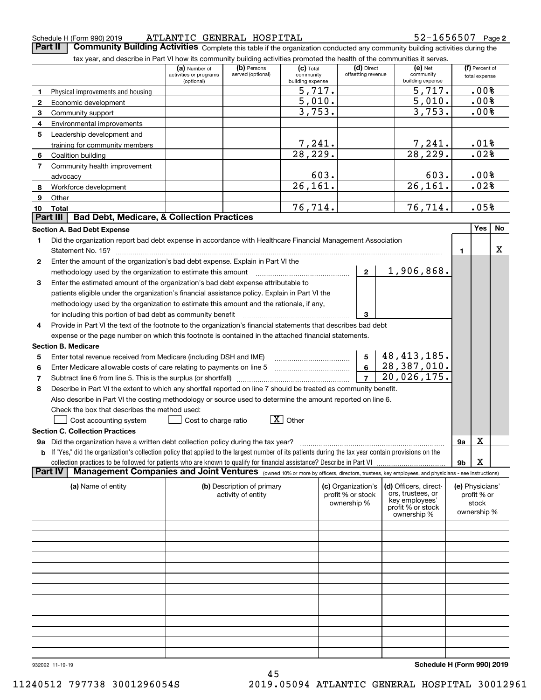## Schedule H (Form 990) 2019 ATLANTIC GENERAL HOSPITAL 52-1656507 Page

**Part II** | Community Building Activities Complete this table if the organization conducted any community building activities during the tax describe in Part VI how its community building activities promoted the health of the communities

|                | tax year, and describe in Part VI how its community building activities promoted the health of the communities it serves.                                        |                                                       |                                  |                                              |                    |                                  |                                            |    |                                 |    |  |  |  |
|----------------|------------------------------------------------------------------------------------------------------------------------------------------------------------------|-------------------------------------------------------|----------------------------------|----------------------------------------------|--------------------|----------------------------------|--------------------------------------------|----|---------------------------------|----|--|--|--|
|                |                                                                                                                                                                  | (a) Number of<br>activities or programs<br>(optional) | (b) Persons<br>served (optional) | $(c)$ Total<br>community<br>building expense |                    | (d) Direct<br>offsetting revenue | $(e)$ Net<br>community<br>building expense |    | (f) Percent of<br>total expense |    |  |  |  |
| 1              | Physical improvements and housing                                                                                                                                |                                                       |                                  | 5,717.                                       |                    |                                  | 5,717.                                     |    | .008                            |    |  |  |  |
| 2              | Economic development                                                                                                                                             |                                                       |                                  | 5,010.                                       |                    |                                  | 5,010.                                     |    | .00%                            |    |  |  |  |
| 3              | Community support                                                                                                                                                |                                                       |                                  | 3,753.                                       |                    |                                  | 3,753.                                     |    | .00%                            |    |  |  |  |
| 4              | Environmental improvements                                                                                                                                       |                                                       |                                  |                                              |                    |                                  |                                            |    |                                 |    |  |  |  |
| 5              | Leadership development and                                                                                                                                       |                                                       |                                  |                                              |                    |                                  |                                            |    |                                 |    |  |  |  |
|                | training for community members                                                                                                                                   |                                                       |                                  | 7,241.                                       |                    |                                  | 7,241.                                     |    | .01%                            |    |  |  |  |
| 6              | Coalition building                                                                                                                                               |                                                       |                                  | 28,229.                                      |                    |                                  | 28, 229.                                   |    | .02%                            |    |  |  |  |
| $\overline{7}$ | Community health improvement                                                                                                                                     |                                                       |                                  |                                              |                    |                                  |                                            |    |                                 |    |  |  |  |
|                | advocacy                                                                                                                                                         |                                                       |                                  | 603.                                         |                    |                                  | 603.                                       |    | .00%                            |    |  |  |  |
| 8              | Workforce development                                                                                                                                            |                                                       |                                  | $\overline{26,161}$ .                        |                    |                                  | $\overline{26,161}$ .                      |    | .02%                            |    |  |  |  |
| 9              | Other                                                                                                                                                            |                                                       |                                  |                                              |                    |                                  |                                            |    |                                 |    |  |  |  |
| 10             | Total                                                                                                                                                            |                                                       |                                  | 76,714.                                      |                    |                                  | 76, 714.                                   |    | .05%                            |    |  |  |  |
|                | <b>Bad Debt, Medicare, &amp; Collection Practices</b><br>Part III                                                                                                |                                                       |                                  |                                              |                    |                                  |                                            |    |                                 |    |  |  |  |
|                | <b>Section A. Bad Debt Expense</b>                                                                                                                               |                                                       |                                  |                                              |                    |                                  |                                            |    | Yes                             | No |  |  |  |
| 1              | Did the organization report bad debt expense in accordance with Healthcare Financial Management Association                                                      |                                                       |                                  |                                              |                    |                                  |                                            |    |                                 |    |  |  |  |
|                |                                                                                                                                                                  |                                                       |                                  |                                              |                    |                                  |                                            | 1. |                                 | х  |  |  |  |
| $\mathbf{2}$   | Enter the amount of the organization's bad debt expense. Explain in Part VI the                                                                                  |                                                       |                                  |                                              |                    |                                  |                                            |    |                                 |    |  |  |  |
|                | methodology used by the organization to estimate this amount match material contains an estimate of methodology                                                  |                                                       |                                  |                                              |                    | $2^{\circ}$                      | 1,906,868.                                 |    |                                 |    |  |  |  |
| 3              | Enter the estimated amount of the organization's bad debt expense attributable to                                                                                |                                                       |                                  |                                              |                    |                                  |                                            |    |                                 |    |  |  |  |
|                | patients eligible under the organization's financial assistance policy. Explain in Part VI the                                                                   |                                                       |                                  |                                              |                    |                                  |                                            |    |                                 |    |  |  |  |
|                | methodology used by the organization to estimate this amount and the rationale, if any,                                                                          |                                                       |                                  |                                              |                    |                                  |                                            |    |                                 |    |  |  |  |
|                | for including this portion of bad debt as community benefit                                                                                                      |                                                       |                                  |                                              |                    | З                                |                                            |    |                                 |    |  |  |  |
| 4              | Provide in Part VI the text of the footnote to the organization's financial statements that describes bad debt                                                   |                                                       |                                  |                                              |                    |                                  |                                            |    |                                 |    |  |  |  |
|                | expense or the page number on which this footnote is contained in the attached financial statements.                                                             |                                                       |                                  |                                              |                    |                                  |                                            |    |                                 |    |  |  |  |
|                | <b>Section B. Medicare</b>                                                                                                                                       |                                                       |                                  |                                              |                    |                                  |                                            |    |                                 |    |  |  |  |
| 5              | Enter total revenue received from Medicare (including DSH and IME)                                                                                               |                                                       |                                  |                                              |                    | 5                                | 48, 413, 185.                              |    |                                 |    |  |  |  |
| 6              | Enter Medicare allowable costs of care relating to payments on line 5 [11] [11] [11] Enter Medicare allowable costs of care relating to payments on line 5       |                                                       |                                  |                                              |                    | 6 <sup>1</sup>                   | 28,387,010.                                |    |                                 |    |  |  |  |
| 7              |                                                                                                                                                                  |                                                       |                                  |                                              |                    | $\overline{7}$                   | $\overline{20}$ , 026, 175.                |    |                                 |    |  |  |  |
| 8              | Describe in Part VI the extent to which any shortfall reported on line 7 should be treated as community benefit.                                                 |                                                       |                                  |                                              |                    |                                  |                                            |    |                                 |    |  |  |  |
|                | Also describe in Part VI the costing methodology or source used to determine the amount reported on line 6.                                                      |                                                       |                                  |                                              |                    |                                  |                                            |    |                                 |    |  |  |  |
|                | Check the box that describes the method used:                                                                                                                    |                                                       |                                  |                                              |                    |                                  |                                            |    |                                 |    |  |  |  |
|                | Cost accounting system                                                                                                                                           | Cost to charge ratio                                  |                                  | X Other                                      |                    |                                  |                                            |    |                                 |    |  |  |  |
|                | <b>Section C. Collection Practices</b>                                                                                                                           |                                                       |                                  |                                              |                    |                                  |                                            |    |                                 |    |  |  |  |
|                | 9a Did the organization have a written debt collection policy during the tax year?                                                                               |                                                       |                                  |                                              |                    |                                  |                                            | 9а | X                               |    |  |  |  |
|                | <b>b</b> If "Yes," did the organization's collection policy that applied to the largest number of its patients during the tax year contain provisions on the     |                                                       |                                  |                                              |                    |                                  |                                            |    |                                 |    |  |  |  |
|                |                                                                                                                                                                  |                                                       |                                  |                                              |                    |                                  |                                            | 9b | X                               |    |  |  |  |
|                | Management Companies and Joint Ventures (owned 10% or more by officers, directors, trustees, key employees, and physicians - see instructions)<br><b>Part IV</b> |                                                       |                                  |                                              |                    |                                  |                                            |    |                                 |    |  |  |  |
|                | (a) Name of entity                                                                                                                                               |                                                       | (b) Description of primary       |                                              | (c) Organization's |                                  | (d) Officers, direct-                      |    | (e) Physicians'                 |    |  |  |  |
|                |                                                                                                                                                                  |                                                       | activity of entity               |                                              | profit % or stock  |                                  | ors, trustees, or                          |    | profit % or                     |    |  |  |  |
|                |                                                                                                                                                                  |                                                       |                                  |                                              | ownership %        |                                  | key employees'<br>profit % or stock        |    | stock                           |    |  |  |  |
|                |                                                                                                                                                                  |                                                       |                                  |                                              |                    |                                  | ownership %                                |    | ownership %                     |    |  |  |  |
|                |                                                                                                                                                                  |                                                       |                                  |                                              |                    |                                  |                                            |    |                                 |    |  |  |  |
|                |                                                                                                                                                                  |                                                       |                                  |                                              |                    |                                  |                                            |    |                                 |    |  |  |  |
|                |                                                                                                                                                                  |                                                       |                                  |                                              |                    |                                  |                                            |    |                                 |    |  |  |  |
|                |                                                                                                                                                                  |                                                       |                                  |                                              |                    |                                  |                                            |    |                                 |    |  |  |  |
|                |                                                                                                                                                                  |                                                       |                                  |                                              |                    |                                  |                                            |    |                                 |    |  |  |  |
|                |                                                                                                                                                                  |                                                       |                                  |                                              |                    |                                  |                                            |    |                                 |    |  |  |  |
|                |                                                                                                                                                                  |                                                       |                                  |                                              |                    |                                  |                                            |    |                                 |    |  |  |  |
|                |                                                                                                                                                                  |                                                       |                                  |                                              |                    |                                  |                                            |    |                                 |    |  |  |  |
|                |                                                                                                                                                                  |                                                       |                                  |                                              |                    |                                  |                                            |    |                                 |    |  |  |  |
|                |                                                                                                                                                                  |                                                       |                                  |                                              |                    |                                  |                                            |    |                                 |    |  |  |  |
|                |                                                                                                                                                                  |                                                       |                                  |                                              |                    |                                  |                                            |    |                                 |    |  |  |  |
|                |                                                                                                                                                                  |                                                       |                                  |                                              |                    |                                  |                                            |    |                                 |    |  |  |  |
|                |                                                                                                                                                                  |                                                       |                                  |                                              |                    |                                  |                                            |    |                                 |    |  |  |  |

932092 11-19-19

**Schedule H (Form 990) 2019**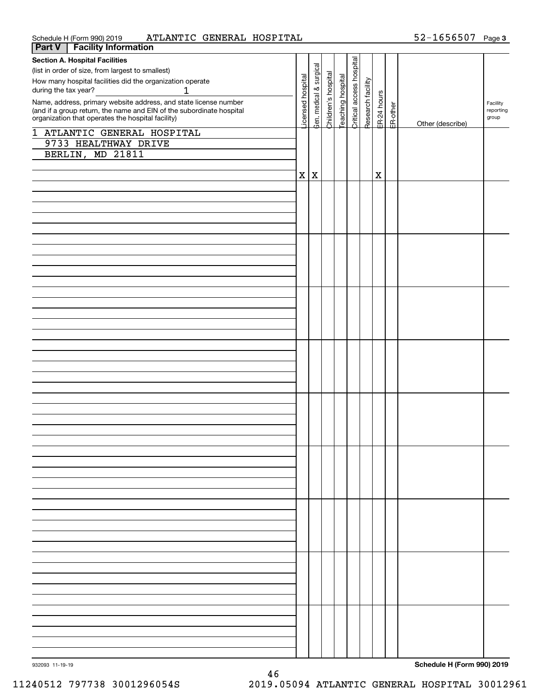| ATLANTIC GENERAL HOSPITAL<br>Schedule H (Form 990) 2019              |                  |                         |                     |                  |                          |                   |             |          | 52-1656507 Page 3 |           |
|----------------------------------------------------------------------|------------------|-------------------------|---------------------|------------------|--------------------------|-------------------|-------------|----------|-------------------|-----------|
| <b>Facility Information</b><br>Part V                                |                  |                         |                     |                  |                          |                   |             |          |                   |           |
| <b>Section A. Hospital Facilities</b>                                |                  |                         |                     |                  |                          |                   |             |          |                   |           |
| (list in order of size, from largest to smallest)                    |                  | Gen. medical & surgical |                     |                  | Critical access hospital |                   |             |          |                   |           |
| How many hospital facilities did the organization operate            |                  |                         |                     |                  |                          |                   |             |          |                   |           |
| during the tax year?<br>1                                            |                  |                         |                     |                  |                          |                   |             |          |                   |           |
| Name, address, primary website address, and state license number     | icensed hospital |                         | Children's hospital | eaching hospital |                          | Research facility | ER-24 hours |          |                   | Facility  |
| (and if a group return, the name and EIN of the subordinate hospital |                  |                         |                     |                  |                          |                   |             |          |                   | reporting |
| organization that operates the hospital facility)                    |                  |                         |                     |                  |                          |                   |             | ER-other | Other (describe)  | group     |
| 1 ATLANTIC GENERAL HOSPITAL                                          |                  |                         |                     |                  |                          |                   |             |          |                   |           |
| 9733 HEALTHWAY DRIVE                                                 |                  |                         |                     |                  |                          |                   |             |          |                   |           |
| BERLIN, MD 21811                                                     |                  |                         |                     |                  |                          |                   |             |          |                   |           |
|                                                                      |                  |                         |                     |                  |                          |                   |             |          |                   |           |
|                                                                      | $\mathbf{X}$     | $\, {\bf X}$            |                     |                  |                          |                   | $\mathbf X$ |          |                   |           |
|                                                                      |                  |                         |                     |                  |                          |                   |             |          |                   |           |
|                                                                      |                  |                         |                     |                  |                          |                   |             |          |                   |           |
|                                                                      |                  |                         |                     |                  |                          |                   |             |          |                   |           |
|                                                                      |                  |                         |                     |                  |                          |                   |             |          |                   |           |
|                                                                      |                  |                         |                     |                  |                          |                   |             |          |                   |           |
|                                                                      |                  |                         |                     |                  |                          |                   |             |          |                   |           |
|                                                                      |                  |                         |                     |                  |                          |                   |             |          |                   |           |
|                                                                      |                  |                         |                     |                  |                          |                   |             |          |                   |           |
|                                                                      |                  |                         |                     |                  |                          |                   |             |          |                   |           |
|                                                                      |                  |                         |                     |                  |                          |                   |             |          |                   |           |
|                                                                      |                  |                         |                     |                  |                          |                   |             |          |                   |           |
|                                                                      |                  |                         |                     |                  |                          |                   |             |          |                   |           |
|                                                                      |                  |                         |                     |                  |                          |                   |             |          |                   |           |
|                                                                      |                  |                         |                     |                  |                          |                   |             |          |                   |           |
|                                                                      |                  |                         |                     |                  |                          |                   |             |          |                   |           |
|                                                                      |                  |                         |                     |                  |                          |                   |             |          |                   |           |
|                                                                      |                  |                         |                     |                  |                          |                   |             |          |                   |           |
|                                                                      |                  |                         |                     |                  |                          |                   |             |          |                   |           |
|                                                                      |                  |                         |                     |                  |                          |                   |             |          |                   |           |
|                                                                      |                  |                         |                     |                  |                          |                   |             |          |                   |           |
|                                                                      |                  |                         |                     |                  |                          |                   |             |          |                   |           |
|                                                                      |                  |                         |                     |                  |                          |                   |             |          |                   |           |
|                                                                      |                  |                         |                     |                  |                          |                   |             |          |                   |           |
|                                                                      |                  |                         |                     |                  |                          |                   |             |          |                   |           |
|                                                                      |                  |                         |                     |                  |                          |                   |             |          |                   |           |
|                                                                      |                  |                         |                     |                  |                          |                   |             |          |                   |           |
|                                                                      |                  |                         |                     |                  |                          |                   |             |          |                   |           |
|                                                                      |                  |                         |                     |                  |                          |                   |             |          |                   |           |
|                                                                      |                  |                         |                     |                  |                          |                   |             |          |                   |           |
|                                                                      |                  |                         |                     |                  |                          |                   |             |          |                   |           |
|                                                                      |                  |                         |                     |                  |                          |                   |             |          |                   |           |
|                                                                      |                  |                         |                     |                  |                          |                   |             |          |                   |           |
|                                                                      |                  |                         |                     |                  |                          |                   |             |          |                   |           |
|                                                                      |                  |                         |                     |                  |                          |                   |             |          |                   |           |
|                                                                      |                  |                         |                     |                  |                          |                   |             |          |                   |           |
|                                                                      |                  |                         |                     |                  |                          |                   |             |          |                   |           |
|                                                                      |                  |                         |                     |                  |                          |                   |             |          |                   |           |
|                                                                      |                  |                         |                     |                  |                          |                   |             |          |                   |           |
|                                                                      |                  |                         |                     |                  |                          |                   |             |          |                   |           |
|                                                                      |                  |                         |                     |                  |                          |                   |             |          |                   |           |
|                                                                      |                  |                         |                     |                  |                          |                   |             |          |                   |           |
|                                                                      |                  |                         |                     |                  |                          |                   |             |          |                   |           |
|                                                                      |                  |                         |                     |                  |                          |                   |             |          |                   |           |
|                                                                      |                  |                         |                     |                  |                          |                   |             |          |                   |           |
|                                                                      |                  |                         |                     |                  |                          |                   |             |          |                   |           |
|                                                                      |                  |                         |                     |                  |                          |                   |             |          |                   |           |
|                                                                      |                  |                         |                     |                  |                          |                   |             |          |                   |           |
|                                                                      |                  |                         |                     |                  |                          |                   |             |          |                   |           |

46

**Schedule H (Form 990) 2019**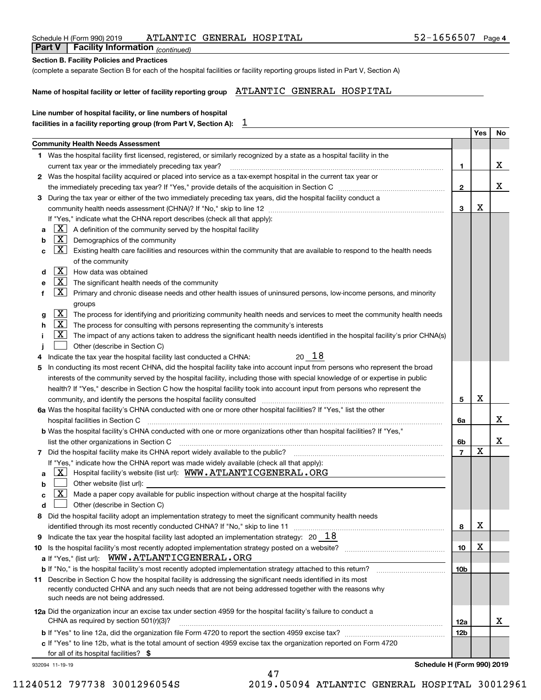| <b>Section B. Facility Policies and Practices</b>                                                                                                                                                                                    |                 |     |    |
|--------------------------------------------------------------------------------------------------------------------------------------------------------------------------------------------------------------------------------------|-----------------|-----|----|
| (complete a separate Section B for each of the hospital facilities or facility reporting groups listed in Part V, Section A)                                                                                                         |                 |     |    |
| Name of hospital facility or letter of facility reporting group ATLANTIC GENERAL HOSPITAL                                                                                                                                            |                 |     |    |
| Line number of hospital facility, or line numbers of hospital                                                                                                                                                                        |                 |     |    |
| ı<br>facilities in a facility reporting group (from Part V, Section A):                                                                                                                                                              |                 |     |    |
|                                                                                                                                                                                                                                      |                 | Yes | No |
| <b>Community Health Needs Assessment</b>                                                                                                                                                                                             |                 |     |    |
| 1 Was the hospital facility first licensed, registered, or similarly recognized by a state as a hospital facility in the                                                                                                             |                 |     |    |
| current tax year or the immediately preceding tax year?                                                                                                                                                                              | 1.              |     | x  |
| 2 Was the hospital facility acquired or placed into service as a tax-exempt hospital in the current tax year or                                                                                                                      |                 |     |    |
|                                                                                                                                                                                                                                      | $\mathbf{2}$    |     | X  |
| During the tax year or either of the two immediately preceding tax years, did the hospital facility conduct a<br>З                                                                                                                   |                 |     |    |
|                                                                                                                                                                                                                                      | 3               | x   |    |
| If "Yes," indicate what the CHNA report describes (check all that apply):                                                                                                                                                            |                 |     |    |
| $\boxed{\textbf{X}}$ A definition of the community served by the hospital facility<br>a                                                                                                                                              |                 |     |    |
| X <br>Demographics of the community<br>b                                                                                                                                                                                             |                 |     |    |
| $\lfloor x \rfloor$<br>Existing health care facilities and resources within the community that are available to respond to the health needs<br>c                                                                                     |                 |     |    |
| of the community                                                                                                                                                                                                                     |                 |     |    |
| $\vert X \vert$<br>How data was obtained<br>d                                                                                                                                                                                        |                 |     |    |
| $X$ The significant health needs of the community<br>е<br>$\lfloor x \rfloor$                                                                                                                                                        |                 |     |    |
| f<br>Primary and chronic disease needs and other health issues of uninsured persons, low-income persons, and minority                                                                                                                |                 |     |    |
| groups<br>$\boxed{\textbf{X}}$ The process for identifying and prioritizing community health needs and services to meet the community health needs                                                                                   |                 |     |    |
| g<br>$X$ The process for consulting with persons representing the community's interests<br>h                                                                                                                                         |                 |     |    |
| X <br>The impact of any actions taken to address the significant health needs identified in the hospital facility's prior CHNA(s)                                                                                                    |                 |     |    |
| Other (describe in Section C)                                                                                                                                                                                                        |                 |     |    |
| 20 18<br>Indicate the tax year the hospital facility last conducted a CHNA:<br>4                                                                                                                                                     |                 |     |    |
| In conducting its most recent CHNA, did the hospital facility take into account input from persons who represent the broad<br>5                                                                                                      |                 |     |    |
| interests of the community served by the hospital facility, including those with special knowledge of or expertise in public                                                                                                         |                 |     |    |
| health? If "Yes," describe in Section C how the hospital facility took into account input from persons who represent the                                                                                                             |                 |     |    |
| community, and identify the persons the hospital facility consulted manufactured community, and identify the persons the hospital facility consulted manufactured manufactured and the state of the state of the state of the        | 5               | х   |    |
| 6a Was the hospital facility's CHNA conducted with one or more other hospital facilities? If "Yes," list the other                                                                                                                   |                 |     |    |
| hospital facilities in Section C                                                                                                                                                                                                     | 6a              |     | X. |
| b Was the hospital facility's CHNA conducted with one or more organizations other than hospital facilities? If "Yes,"                                                                                                                |                 |     |    |
| list the other organizations in Section C [1, 2006] [1, 2006] [1, 2016] [1, 2016] [1, 2016] [1, 2016] [1, 2017                                                                                                                       | 6b              |     | Χ  |
| Did the hospital facility make its CHNA report widely available to the public?<br>7                                                                                                                                                  | 7               | Х   |    |
| If "Yes," indicate how the CHNA report was made widely available (check all that apply):                                                                                                                                             |                 |     |    |
| Hospital facility's website (list url): WWW.ATLANTICGENERAL.ORG<br>1 X I<br>a                                                                                                                                                        |                 |     |    |
| Other website (list url):<br>b                                                                                                                                                                                                       |                 |     |    |
| X  <br>Made a paper copy available for public inspection without charge at the hospital facility<br>с                                                                                                                                |                 |     |    |
| Other (describe in Section C)<br>d                                                                                                                                                                                                   |                 |     |    |
| Did the hospital facility adopt an implementation strategy to meet the significant community health needs<br>8                                                                                                                       |                 |     |    |
| identified through its most recently conducted CHNA? If "No," skip to line 11                                                                                                                                                        | 8               | x   |    |
| Indicate the tax year the hospital facility last adopted an implementation strategy: $20\quad 18$<br>9                                                                                                                               |                 |     |    |
| 10                                                                                                                                                                                                                                   | 10              | x   |    |
| a If "Yes," (list url): WWW.ATLANTICGENERAL.ORG                                                                                                                                                                                      |                 |     |    |
| <b>b</b> If "No," is the hospital facility's most recently adopted implementation strategy attached to this return?<br>11 Describe in Section C how the hospital facility is addressing the significant needs identified in its most | 10 <sub>b</sub> |     |    |
| recently conducted CHNA and any such needs that are not being addressed together with the reasons why                                                                                                                                |                 |     |    |
| such needs are not being addressed.                                                                                                                                                                                                  |                 |     |    |
| 12a Did the organization incur an excise tax under section 4959 for the hospital facility's failure to conduct a                                                                                                                     |                 |     |    |
| CHNA as required by section 501(r)(3)?                                                                                                                                                                                               | 12a             |     | х  |
|                                                                                                                                                                                                                                      | <b>12b</b>      |     |    |
| c If "Yes" to line 12b, what is the total amount of section 4959 excise tax the organization reported on Form 4720                                                                                                                   |                 |     |    |
|                                                                                                                                                                                                                                      |                 |     |    |

Schedule H (Form 990) 2019 ATLANTIC GENERAL HOSPITAL 52-1656507 Page

# 932094 11-19-19

**Schedule H (Form 990) 2019**

**4**

47 11240512 797738 3001296054S 2019.05094 ATLANTIC GENERAL HOSPITAL 30012961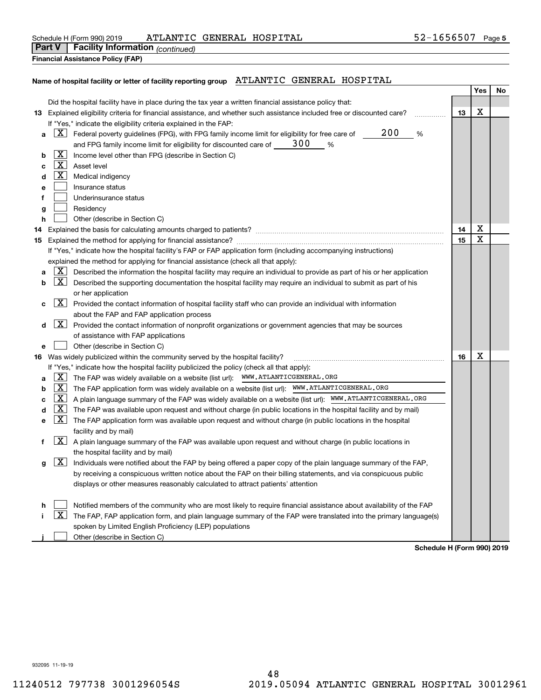| Schedule H (Form 990) 2019 |  | ATLANTIC GENERAL HOSPITAL | $52 - 1656507$ Page 5 |  |
|----------------------------|--|---------------------------|-----------------------|--|
|----------------------------|--|---------------------------|-----------------------|--|

|                                          | <b>Part V</b>   Facility Information (continued) |  |  |  |  |
|------------------------------------------|--------------------------------------------------|--|--|--|--|
| <b>Financial Assistance Policy (FAP)</b> |                                                  |  |  |  |  |

# **Name of hospital facility or letter of facility reporting group** ATLANTIC GENERAL HOSPITAL

|    |                            |                                                                                                                                |    | Yes | No |
|----|----------------------------|--------------------------------------------------------------------------------------------------------------------------------|----|-----|----|
|    |                            | Did the hospital facility have in place during the tax year a written financial assistance policy that:                        |    |     |    |
|    |                            | 13 Explained eligibility criteria for financial assistance, and whether such assistance included free or discounted care?      | 13 | Χ   |    |
|    |                            | If "Yes," indicate the eligibility criteria explained in the FAP:                                                              |    |     |    |
| a  |                            | 200<br>$X$ Federal poverty guidelines (FPG), with FPG family income limit for eligibility for free care of<br>%                |    |     |    |
|    |                            | and FPG family income limit for eligibility for discounted care of $\_\_$ 300<br>%                                             |    |     |    |
| b  | X                          | Income level other than FPG (describe in Section C)                                                                            |    |     |    |
| c  | $\lfloor x \rfloor$        | Asset level                                                                                                                    |    |     |    |
| d  | X                          | Medical indigency                                                                                                              |    |     |    |
| е  |                            | Insurance status                                                                                                               |    |     |    |
| f  |                            | Underinsurance status                                                                                                          |    |     |    |
| g  |                            | Residency                                                                                                                      |    |     |    |
| h  |                            | Other (describe in Section C)                                                                                                  |    |     |    |
| 14 |                            |                                                                                                                                | 14 | Χ   |    |
|    |                            |                                                                                                                                | 15 | Χ   |    |
|    |                            | If "Yes," indicate how the hospital facility's FAP or FAP application form (including accompanying instructions)               |    |     |    |
|    |                            | explained the method for applying for financial assistance (check all that apply):                                             |    |     |    |
| а  | ΧI                         | Described the information the hospital facility may require an individual to provide as part of his or her application         |    |     |    |
| b  | $X \mid$                   | Described the supporting documentation the hospital facility may require an individual to submit as part of his                |    |     |    |
|    |                            | or her application                                                                                                             |    |     |    |
| с  |                            | $\lfloor x \rfloor$ Provided the contact information of hospital facility staff who can provide an individual with information |    |     |    |
|    |                            | about the FAP and FAP application process                                                                                      |    |     |    |
| d  | $\mathbf{X}$               | Provided the contact information of nonprofit organizations or government agencies that may be sources                         |    |     |    |
|    |                            | of assistance with FAP applications                                                                                            |    |     |    |
| е  |                            | Other (describe in Section C)                                                                                                  |    |     |    |
|    |                            | 16 Was widely publicized within the community served by the hospital facility?                                                 | 16 | X   |    |
|    |                            | If "Yes," indicate how the hospital facility publicized the policy (check all that apply):                                     |    |     |    |
| a  | X                          | The FAP was widely available on a website (list url): WWW.ATLANTICGENERAL.ORG                                                  |    |     |    |
| b  | $\lfloor x \rfloor$        | The FAP application form was widely available on a website (list url): WWW.ATLANTICGENERAL.ORG                                 |    |     |    |
| c  | $\lfloor \text{X} \rfloor$ | A plain language summary of the FAP was widely available on a website (list url): WWW.ATLANTICGENERAL.ORG                      |    |     |    |
| d  | X                          | The FAP was available upon request and without charge (in public locations in the hospital facility and by mail)               |    |     |    |
| е  | $\lfloor x \rfloor$        | The FAP application form was available upon request and without charge (in public locations in the hospital                    |    |     |    |
|    |                            | facility and by mail)                                                                                                          |    |     |    |
| f  |                            | $\lfloor x \rfloor$ A plain language summary of the FAP was available upon request and without charge (in public locations in  |    |     |    |
|    |                            | the hospital facility and by mail)                                                                                             |    |     |    |
| g  | X                          | Individuals were notified about the FAP by being offered a paper copy of the plain language summary of the FAP,                |    |     |    |
|    |                            | by receiving a conspicuous written notice about the FAP on their billing statements, and via conspicuous public                |    |     |    |
|    |                            | displays or other measures reasonably calculated to attract patients' attention                                                |    |     |    |
|    |                            |                                                                                                                                |    |     |    |
| h  |                            | Notified members of the community who are most likely to require financial assistance about availability of the FAP            |    |     |    |
|    | X                          | The FAP, FAP application form, and plain language summary of the FAP were translated into the primary language(s)              |    |     |    |
|    |                            | spoken by Limited English Proficiency (LEP) populations                                                                        |    |     |    |
|    |                            | Other (describe in Section C)                                                                                                  |    |     |    |

**Schedule H (Form 990) 2019**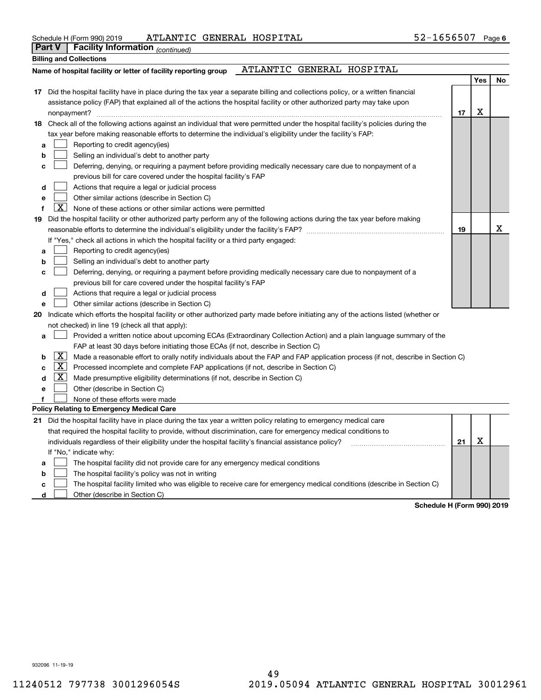| Schedule H (Form 990) 2019 |  |  |
|----------------------------|--|--|
|----------------------------|--|--|

Schedule H (Form 990) 2019 ATLANTIC GENERAL HOSPITAL 52-1656507 Page

|    | <b>Part V</b> | Facility Information (continued)                                                                                                    |    |             |    |
|----|---------------|-------------------------------------------------------------------------------------------------------------------------------------|----|-------------|----|
|    |               | <b>Billing and Collections</b>                                                                                                      |    |             |    |
|    |               | ATLANTIC<br>GENERAL HOSPITAL<br>Name of hospital facility or letter of facility reporting group                                     |    |             |    |
|    |               |                                                                                                                                     |    | Yes         | No |
|    |               | 17 Did the hospital facility have in place during the tax year a separate billing and collections policy, or a written financial    |    |             |    |
|    |               | assistance policy (FAP) that explained all of the actions the hospital facility or other authorized party may take upon             |    |             |    |
|    |               | nonpayment?                                                                                                                         | 17 | X           |    |
| 18 |               | Check all of the following actions against an individual that were permitted under the hospital facility's policies during the      |    |             |    |
|    |               | tax year before making reasonable efforts to determine the individual's eligibility under the facility's FAP:                       |    |             |    |
| а  |               | Reporting to credit agency(ies)                                                                                                     |    |             |    |
| b  |               | Selling an individual's debt to another party                                                                                       |    |             |    |
| c  |               | Deferring, denying, or requiring a payment before providing medically necessary care due to nonpayment of a                         |    |             |    |
|    |               | previous bill for care covered under the hospital facility's FAP                                                                    |    |             |    |
| d  |               | Actions that require a legal or judicial process                                                                                    |    |             |    |
| е  |               | Other similar actions (describe in Section C)                                                                                       |    |             |    |
| f  | X             | None of these actions or other similar actions were permitted                                                                       |    |             |    |
| 19 |               | Did the hospital facility or other authorized party perform any of the following actions during the tax year before making          |    |             |    |
|    |               |                                                                                                                                     | 19 |             | x  |
|    |               | If "Yes," check all actions in which the hospital facility or a third party engaged:                                                |    |             |    |
| a  |               | Reporting to credit agency(ies)                                                                                                     |    |             |    |
| b  |               | Selling an individual's debt to another party                                                                                       |    |             |    |
| c  |               | Deferring, denying, or requiring a payment before providing medically necessary care due to nonpayment of a                         |    |             |    |
|    |               | previous bill for care covered under the hospital facility's FAP                                                                    |    |             |    |
| d  |               | Actions that require a legal or judicial process                                                                                    |    |             |    |
| e  |               | Other similar actions (describe in Section C)                                                                                       |    |             |    |
| 20 |               | Indicate which efforts the hospital facility or other authorized party made before initiating any of the actions listed (whether or |    |             |    |
|    |               | not checked) in line 19 (check all that apply):                                                                                     |    |             |    |
| a  |               | Provided a written notice about upcoming ECAs (Extraordinary Collection Action) and a plain language summary of the                 |    |             |    |
|    |               | FAP at least 30 days before initiating those ECAs (if not, describe in Section C)                                                   |    |             |    |
| b  | X             | Made a reasonable effort to orally notify individuals about the FAP and FAP application process (if not, describe in Section C)     |    |             |    |
| c  | $\mathbf{X}$  | Processed incomplete and complete FAP applications (if not, describe in Section C)                                                  |    |             |    |
| d  | X             | Made presumptive eligibility determinations (if not, describe in Section C)                                                         |    |             |    |
| e  |               | Other (describe in Section C)                                                                                                       |    |             |    |
| f  |               | None of these efforts were made                                                                                                     |    |             |    |
|    |               | Policy Relating to Emergency Medical Care                                                                                           |    |             |    |
|    |               | 21 Did the hospital facility have in place during the tax year a written policy relating to emergency medical care                  |    |             |    |
|    |               | that required the hospital facility to provide, without discrimination, care for emergency medical conditions to                    |    |             |    |
|    |               | individuals regardless of their eligibility under the hospital facility's financial assistance policy?                              | 21 | $\mathbf X$ |    |
|    |               | If "No," indicate why:                                                                                                              |    |             |    |
| a  |               | The hospital facility did not provide care for any emergency medical conditions                                                     |    |             |    |
| b  |               | The hospital facility's policy was not in writing                                                                                   |    |             |    |
| c  |               | The hospital facility limited who was eligible to receive care for emergency medical conditions (describe in Section C)             |    |             |    |
| d  |               | Other (describe in Section C)                                                                                                       |    |             |    |

**d**  $\Box$  Other (describe in Section C)

**Schedule H (Form 990) 2019**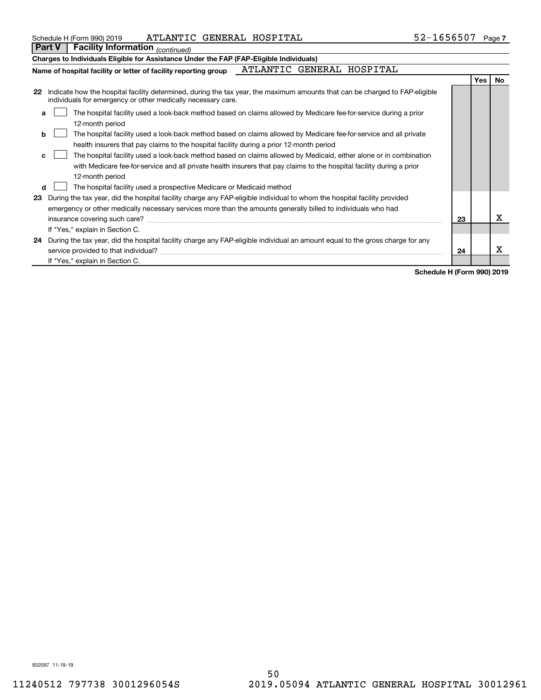| Schedule H (Form 990) 2019 | ATLANTIC GENERAL HOSPITAL | 52-1656507 | Page 7 |
|----------------------------|---------------------------|------------|--------|
|----------------------------|---------------------------|------------|--------|

**Part V Facility Information**

|    | <b>Part V</b>   <b>Facility Information</b> (continued)                                                                                                                                                                       |  |  |  |    |     |     |
|----|-------------------------------------------------------------------------------------------------------------------------------------------------------------------------------------------------------------------------------|--|--|--|----|-----|-----|
|    | Charges to Individuals Eligible for Assistance Under the FAP (FAP-Eligible Individuals)                                                                                                                                       |  |  |  |    |     |     |
|    | ATLANTIC GENERAL HOSPITAL<br>Name of hospital facility or letter of facility reporting group                                                                                                                                  |  |  |  |    |     |     |
|    |                                                                                                                                                                                                                               |  |  |  |    | Yes | No. |
| 22 | Indicate how the hospital facility determined, during the tax year, the maximum amounts that can be charged to FAP-eligible<br>individuals for emergency or other medically necessary care.                                   |  |  |  |    |     |     |
| a  | The hospital facility used a look-back method based on claims allowed by Medicare fee-for-service during a prior<br>12-month period                                                                                           |  |  |  |    |     |     |
| b  | The hospital facility used a look-back method based on claims allowed by Medicare fee-for-service and all private                                                                                                             |  |  |  |    |     |     |
|    | health insurers that pay claims to the hospital facility during a prior 12-month period                                                                                                                                       |  |  |  |    |     |     |
| c  | The hospital facility used a look-back method based on claims allowed by Medicaid, either alone or in combination                                                                                                             |  |  |  |    |     |     |
|    | with Medicare fee-for-service and all private health insurers that pay claims to the hospital facility during a prior                                                                                                         |  |  |  |    |     |     |
|    | 12-month period                                                                                                                                                                                                               |  |  |  |    |     |     |
| d  | The hospital facility used a prospective Medicare or Medicaid method                                                                                                                                                          |  |  |  |    |     |     |
| 23 | During the tax year, did the hospital facility charge any FAP-eligible individual to whom the hospital facility provided                                                                                                      |  |  |  |    |     |     |
|    | emergency or other medically necessary services more than the amounts generally billed to individuals who had                                                                                                                 |  |  |  |    |     |     |
|    | insurance covering such care? The contract of the contract of the contract of the contract of the contract of the contract of the contract of the contract of the contract of the contract of the contract of the contract of |  |  |  | 23 |     | х   |
|    | If "Yes," explain in Section C.                                                                                                                                                                                               |  |  |  |    |     |     |
|    | 24 During the tax year, did the hospital facility charge any FAP-eligible individual an amount equal to the gross charge for any                                                                                              |  |  |  |    |     |     |
|    | service provided to that individual?                                                                                                                                                                                          |  |  |  | 24 |     | х   |
|    | If "Yes," explain in Section C.                                                                                                                                                                                               |  |  |  |    |     |     |

**Schedule H (Form 990) 2019**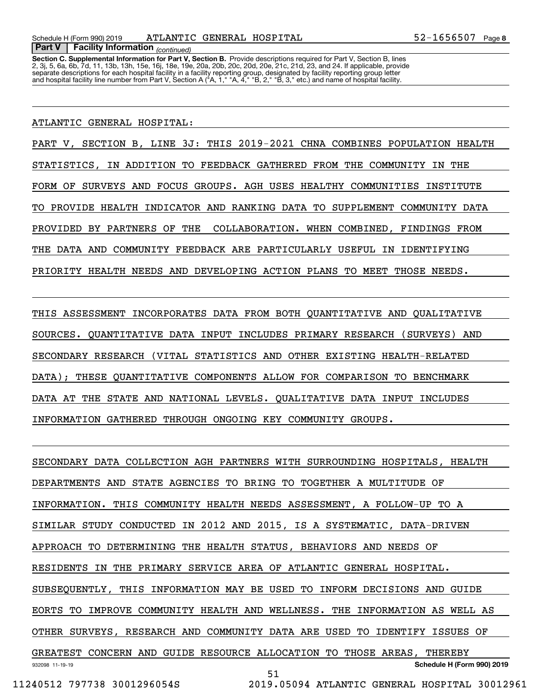**Section C. Supplemental Information for Part V, Section B.** Provide descriptions required for Part V, Section B, lines<br>2, 3j, 5, 6a, 6b, 7d, 11, 13b, 13h, 15e, 16j, 18e, 19e, 20a, 20b, 20c, 20d, 20e, 21c, 21d, 23, and 24. separate descriptions for each hospital facility in a facility reporting group, designated by facility reporting group letter<br>and hospital facility line number from Part V, Section A ("A, 1," "A, 4," "B, 2," "B, 3," etc.)

ATLANTIC GENERAL HOSPITAL:

 *(continued)* **Part V Facility Information**

PART V, SECTION B, LINE 3J: THIS 2019-2021 CHNA COMBINES POPULATION HEALTH STATISTICS, IN ADDITION TO FEEDBACK GATHERED FROM THE COMMUNITY IN THE FORM OF SURVEYS AND FOCUS GROUPS. AGH USES HEALTHY COMMUNITIES INSTITUTE TO PROVIDE HEALTH INDICATOR AND RANKING DATA TO SUPPLEMENT COMMUNITY DATA PROVIDED BY PARTNERS OF THE COLLABORATION. WHEN COMBINED, FINDINGS FROM THE DATA AND COMMUNITY FEEDBACK ARE PARTICULARLY USEFUL IN IDENTIFYING PRIORITY HEALTH NEEDS AND DEVELOPING ACTION PLANS TO MEET THOSE NEEDS.

THIS ASSESSMENT INCORPORATES DATA FROM BOTH QUANTITATIVE AND QUALITATIVE SOURCES. QUANTITATIVE DATA INPUT INCLUDES PRIMARY RESEARCH (SURVEYS) AND SECONDARY RESEARCH (VITAL STATISTICS AND OTHER EXISTING HEALTH-RELATED DATA); THESE QUANTITATIVE COMPONENTS ALLOW FOR COMPARISON TO BENCHMARK DATA AT THE STATE AND NATIONAL LEVELS. QUALITATIVE DATA INPUT INCLUDES INFORMATION GATHERED THROUGH ONGOING KEY COMMUNITY GROUPS.

932098 11-19-19 **Schedule H (Form 990) 2019** SECONDARY DATA COLLECTION AGH PARTNERS WITH SURROUNDING HOSPITALS, HEALTH DEPARTMENTS AND STATE AGENCIES TO BRING TO TOGETHER A MULTITUDE OF INFORMATION. THIS COMMUNITY HEALTH NEEDS ASSESSMENT, A FOLLOW-UP TO A SIMILAR STUDY CONDUCTED IN 2012 AND 2015, IS A SYSTEMATIC, DATA-DRIVEN APPROACH TO DETERMINING THE HEALTH STATUS, BEHAVIORS AND NEEDS OF RESIDENTS IN THE PRIMARY SERVICE AREA OF ATLANTIC GENERAL HOSPITAL. SUBSEQUENTLY, THIS INFORMATION MAY BE USED TO INFORM DECISIONS AND GUIDE EORTS TO IMPROVE COMMUNITY HEALTH AND WELLNESS. THE INFORMATION AS WELL AS OTHER SURVEYS, RESEARCH AND COMMUNITY DATA ARE USED TO IDENTIFY ISSUES OF GREATEST CONCERN AND GUIDE RESOURCE ALLOCATION TO THOSE AREAS, THEREBY 51 11240512 797738 3001296054S 2019.05094 ATLANTIC GENERAL HOSPITAL 30012961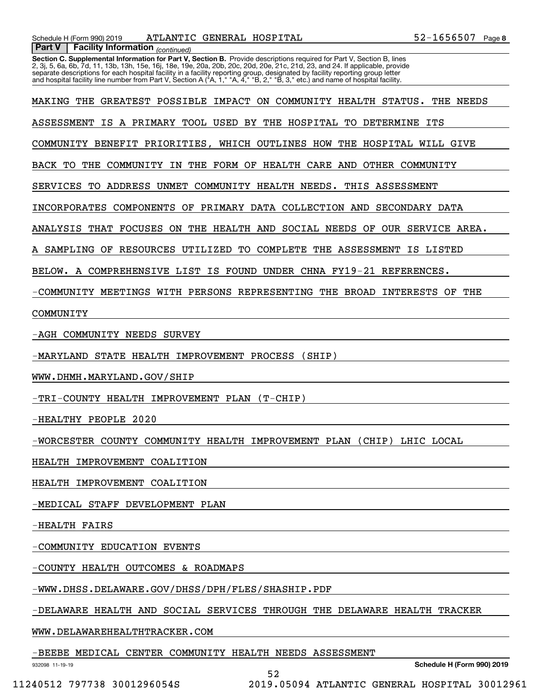*(continued)* **Part V Facility Information**

**Section C. Supplemental Information for Part V, Section B.** Provide descriptions required for Part V, Section B, lines<br>2, 3j, 5, 6a, 6b, 7d, 11, 13b, 13h, 15e, 16j, 18e, 19e, 20a, 20b, 20c, 20d, 20e, 21c, 21d, 23, and 24. separate descriptions for each hospital facility in a facility reporting group, designated by facility reporting group letter<br>and hospital facility line number from Part V, Section A ("A, 1," "A, 4," "B, 2," "B, 3," etc.)

MAKING THE GREATEST POSSIBLE IMPACT ON COMMUNITY HEALTH STATUS. THE NEEDS

ASSESSMENT IS A PRIMARY TOOL USED BY THE HOSPITAL TO DETERMINE ITS

COMMUNITY BENEFIT PRIORITIES, WHICH OUTLINES HOW THE HOSPITAL WILL GIVE

BACK TO THE COMMUNITY IN THE FORM OF HEALTH CARE AND OTHER COMMUNITY

SERVICES TO ADDRESS UNMET COMMUNITY HEALTH NEEDS. THIS ASSESSMENT

INCORPORATES COMPONENTS OF PRIMARY DATA COLLECTION AND SECONDARY DATA

ANALYSIS THAT FOCUSES ON THE HEALTH AND SOCIAL NEEDS OF OUR SERVICE AREA.

A SAMPLING OF RESOURCES UTILIZED TO COMPLETE THE ASSESSMENT IS LISTED

BELOW. A COMPREHENSIVE LIST IS FOUND UNDER CHNA FY19-21 REFERENCES.

-COMMUNITY MEETINGS WITH PERSONS REPRESENTING THE BROAD INTERESTS OF THE

COMMUNITY

-AGH COMMUNITY NEEDS SURVEY

-MARYLAND STATE HEALTH IMPROVEMENT PROCESS (SHIP)

WWW.DHMH.MARYLAND.GOV/SHIP

-TRI-COUNTY HEALTH IMPROVEMENT PLAN (T-CHIP)

-HEALTHY PEOPLE 2020

-WORCESTER COUNTY COMMUNITY HEALTH IMPROVEMENT PLAN (CHIP) LHIC LOCAL

HEALTH IMPROVEMENT COALITION

HEALTH IMPROVEMENT COALITION

-MEDICAL STAFF DEVELOPMENT PLAN

-HEALTH FAIRS

-COMMUNITY EDUCATION EVENTS

-COUNTY HEALTH OUTCOMES & ROADMAPS

-WWW.DHSS.DELAWARE.GOV/DHSS/DPH/FLES/SHASHIP.PDF

-DELAWARE HEALTH AND SOCIAL SERVICES THROUGH THE DELAWARE HEALTH TRACKER

WWW.DELAWAREHEALTHTRACKER.COM

-BEEBE MEDICAL CENTER COMMUNITY HEALTH NEEDS ASSESSMENT

**Schedule H (Form 990) 2019**

932098 11-19-19

52 11240512 797738 3001296054S 2019.05094 ATLANTIC GENERAL HOSPITAL 30012961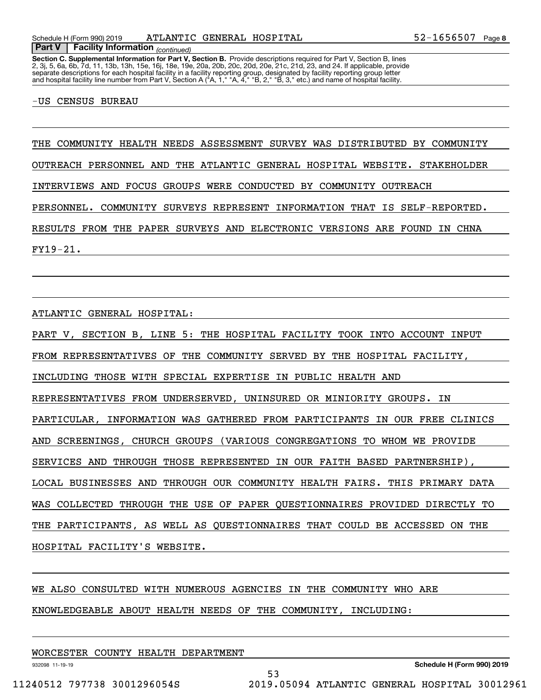**Section C. Supplemental Information for Part V, Section B.** Provide descriptions required for Part V, Section B, lines<br>2, 3j, 5, 6a, 6b, 7d, 11, 13b, 13h, 15e, 16j, 18e, 19e, 20a, 20b, 20c, 20d, 20e, 21c, 21d, 23, and 24. separate descriptions for each hospital facility in a facility reporting group, designated by facility reporting group letter<br>and hospital facility line number from Part V, Section A ("A, 1," "A, 4," "B, 2," "B, 3," etc.)

#### -US CENSUS BUREAU

 *(continued)* **Part V Facility Information**

THE COMMUNITY HEALTH NEEDS ASSESSMENT SURVEY WAS DISTRIBUTED BY COMMUNITY OUTREACH PERSONNEL AND THE ATLANTIC GENERAL HOSPITAL WEBSITE. STAKEHOLDER INTERVIEWS AND FOCUS GROUPS WERE CONDUCTED BY COMMUNITY OUTREACH PERSONNEL. COMMUNITY SURVEYS REPRESENT INFORMATION THAT IS SELF-REPORTED. RESULTS FROM THE PAPER SURVEYS AND ELECTRONIC VERSIONS ARE FOUND IN CHNA FY19-21.

ATLANTIC GENERAL HOSPITAL:

PART V, SECTION B, LINE 5: THE HOSPITAL FACILITY TOOK INTO ACCOUNT INPUT FROM REPRESENTATIVES OF THE COMMUNITY SERVED BY THE HOSPITAL FACILITY, INCLUDING THOSE WITH SPECIAL EXPERTISE IN PUBLIC HEALTH AND REPRESENTATIVES FROM UNDERSERVED, UNINSURED OR MINIORITY GROUPS. IN PARTICULAR, INFORMATION WAS GATHERED FROM PARTICIPANTS IN OUR FREE CLINICS AND SCREENINGS, CHURCH GROUPS (VARIOUS CONGREGATIONS TO WHOM WE PROVIDE SERVICES AND THROUGH THOSE REPRESENTED IN OUR FAITH BASED PARTNERSHIP), LOCAL BUSINESSES AND THROUGH OUR COMMUNITY HEALTH FAIRS. THIS PRIMARY DATA WAS COLLECTED THROUGH THE USE OF PAPER QUESTIONNAIRES PROVIDED DIRECTLY TO THE PARTICIPANTS, AS WELL AS QUESTIONNAIRES THAT COULD BE ACCESSED ON THE HOSPITAL FACILITY'S WEBSITE.

WE ALSO CONSULTED WITH NUMEROUS AGENCIES IN THE COMMUNITY WHO ARE KNOWLEDGEABLE ABOUT HEALTH NEEDS OF THE COMMUNITY, INCLUDING:

|  |  |  | WORCESTER COUNTY HEALTH DEPARTMENT |
|--|--|--|------------------------------------|
|--|--|--|------------------------------------|

932098 11-19-19

**Schedule H (Form 990) 2019**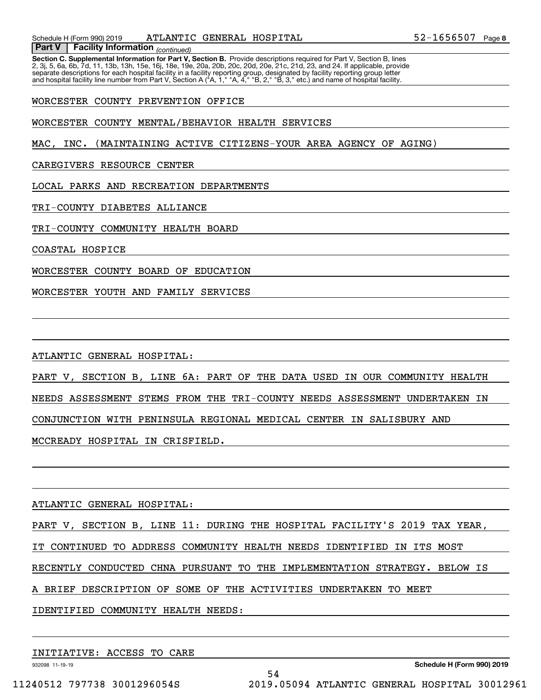**Section C. Supplemental Information for Part V, Section B.** Provide descriptions required for Part V, Section B, lines<br>2, 3j, 5, 6a, 6b, 7d, 11, 13b, 13h, 15e, 16j, 18e, 19e, 20a, 20b, 20c, 20d, 20e, 21c, 21d, 23, and 24.  *(continued)* **Part V Facility Information** separate descriptions for each hospital facility in a facility reporting group, designated by facility reporting group letter<br>and hospital facility line number from Part V, Section A ("A, 1," "A, 4," "B, 2," "B, 3," etc.)

WORCESTER COUNTY PREVENTION OFFICE

WORCESTER COUNTY MENTAL/BEHAVIOR HEALTH SERVICES

MAC, INC. (MAINTAINING ACTIVE CITIZENS-YOUR AREA AGENCY OF AGING)

CAREGIVERS RESOURCE CENTER

LOCAL PARKS AND RECREATION DEPARTMENTS

TRI-COUNTY DIABETES ALLIANCE

TRI-COUNTY COMMUNITY HEALTH BOARD

COASTAL HOSPICE

WORCESTER COUNTY BOARD OF EDUCATION

WORCESTER YOUTH AND FAMILY SERVICES

ATLANTIC GENERAL HOSPITAL:

PART V, SECTION B, LINE 6A: PART OF THE DATA USED IN OUR COMMUNITY HEALTH

NEEDS ASSESSMENT STEMS FROM THE TRI-COUNTY NEEDS ASSESSMENT UNDERTAKEN IN

CONJUNCTION WITH PENINSULA REGIONAL MEDICAL CENTER IN SALISBURY AND

MCCREADY HOSPITAL IN CRISFIELD.

ATLANTIC GENERAL HOSPITAL:

PART V, SECTION B, LINE 11: DURING THE HOSPITAL FACILITY'S 2019 TAX YEAR,

IT CONTINUED TO ADDRESS COMMUNITY HEALTH NEEDS IDENTIFIED IN ITS MOST

RECENTLY CONDUCTED CHNA PURSUANT TO THE IMPLEMENTATION STRATEGY. BELOW IS

BRIEF DESCRIPTION OF SOME OF THE ACTIVITIES UNDERTAKEN TO MEET

IDENTIFIED COMMUNITY HEALTH NEEDS:

INITIATIVE: ACCESS TO CARE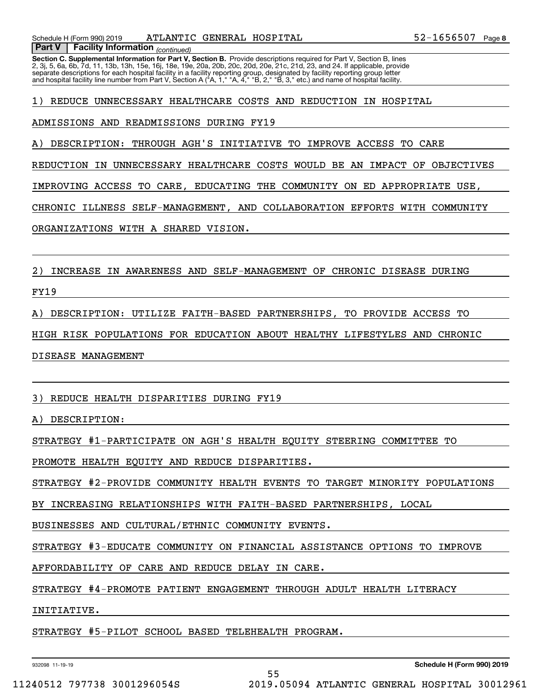*(continued)* **Part V Facility Information**

**Section C. Supplemental Information for Part V, Section B.** Provide descriptions required for Part V, Section B, lines<br>2, 3j, 5, 6a, 6b, 7d, 11, 13b, 13h, 15e, 16j, 18e, 19e, 20a, 20b, 20c, 20d, 20e, 21c, 21d, 23, and 24. separate descriptions for each hospital facility in a facility reporting group, designated by facility reporting group letter<br>and hospital facility line number from Part V, Section A ("A, 1," "A, 4," "B, 2," "B, 3," etc.)

1) REDUCE UNNECESSARY HEALTHCARE COSTS AND REDUCTION IN HOSPITAL

ADMISSIONS AND READMISSIONS DURING FY19

DESCRIPTION: THROUGH AGH'S INITIATIVE TO IMPROVE ACCESS TO CARE

REDUCTION IN UNNECESSARY HEALTHCARE COSTS WOULD BE AN IMPACT OF OBJECTIVES

IMPROVING ACCESS TO CARE, EDUCATING THE COMMUNITY ON ED APPROPRIATE USE,

CHRONIC ILLNESS SELF-MANAGEMENT, AND COLLABORATION EFFORTS WITH COMMUNITY

ORGANIZATIONS WITH A SHARED VISION.

2) INCREASE IN AWARENESS AND SELF-MANAGEMENT OF CHRONIC DISEASE DURING

FY19

A) DESCRIPTION: UTILIZE FAITH-BASED PARTNERSHIPS, TO PROVIDE ACCESS TO

HIGH RISK POPULATIONS FOR EDUCATION ABOUT HEALTHY LIFESTYLES AND CHRONIC

DISEASE MANAGEMENT

3) REDUCE HEALTH DISPARITIES DURING FY19

A) DESCRIPTION:

STRATEGY #1-PARTICIPATE ON AGH'S HEALTH EQUITY STEERING COMMITTEE TO

PROMOTE HEALTH EQUITY AND REDUCE DISPARITIES.

STRATEGY #2-PROVIDE COMMUNITY HEALTH EVENTS TO TARGET MINORITY POPULATIONS

BY INCREASING RELATIONSHIPS WITH FAITH-BASED PARTNERSHIPS, LOCAL

BUSINESSES AND CULTURAL/ETHNIC COMMUNITY EVENTS.

STRATEGY #3-EDUCATE COMMUNITY ON FINANCIAL ASSISTANCE OPTIONS TO IMPROVE

55

AFFORDABILITY OF CARE AND REDUCE DELAY IN CARE.

STRATEGY #4-PROMOTE PATIENT ENGAGEMENT THROUGH ADULT HEALTH LITERACY

INITIATIVE.

STRATEGY #5-PILOT SCHOOL BASED TELEHEALTH PROGRAM.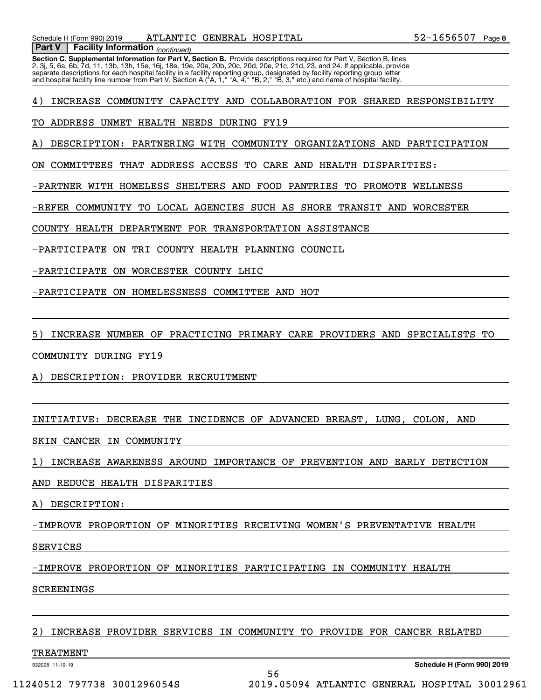Schedule H (Form 990) 2019 ATLANTIC GENERAL HOSPITAL 52-1656507 Page

 *(continued)* **Part V Facility Information**

**Section C. Supplemental Information for Part V, Section B.** Provide descriptions required for Part V, Section B, lines<br>2, 3j, 5, 6a, 6b, 7d, 11, 13b, 13h, 15e, 16j, 18e, 19e, 20a, 20b, 20c, 20d, 20e, 21c, 21d, 23, and 24. separate descriptions for each hospital facility in a facility reporting group, designated by facility reporting group letter<br>and hospital facility line number from Part V, Section A ("A, 1," "A, 4," "B, 2," "B, 3," etc.)

4) INCREASE COMMUNITY CAPACITY AND COLLABORATION FOR SHARED RESPONSIBILITY

TO ADDRESS UNMET HEALTH NEEDS DURING FY19

A) DESCRIPTION: PARTNERING WITH COMMUNITY ORGANIZATIONS AND PARTICIPATION

ON COMMITTEES THAT ADDRESS ACCESS TO CARE AND HEALTH DISPARITIES:

-PARTNER WITH HOMELESS SHELTERS AND FOOD PANTRIES TO PROMOTE WELLNESS

-REFER COMMUNITY TO LOCAL AGENCIES SUCH AS SHORE TRANSIT AND WORCESTER

COUNTY HEALTH DEPARTMENT FOR TRANSPORTATION ASSISTANCE

-PARTICIPATE ON TRI COUNTY HEALTH PLANNING COUNCIL

-PARTICIPATE ON WORCESTER COUNTY LHIC

-PARTICIPATE ON HOMELESSNESS COMMITTEE AND HOT

5) INCREASE NUMBER OF PRACTICING PRIMARY CARE PROVIDERS AND SPECIALISTS TO

COMMUNITY DURING FY19

DESCRIPTION: PROVIDER RECRUITMENT

INITIATIVE: DECREASE THE INCIDENCE OF ADVANCED BREAST, LUNG, COLON, AND

SKIN CANCER IN COMMUNITY

1) INCREASE AWARENESS AROUND IMPORTANCE OF PREVENTION AND EARLY DETECTION

AND REDUCE HEALTH DISPARITIES

A) DESCRIPTION:

-IMPROVE PROPORTION OF MINORITIES RECEIVING WOMEN'S PREVENTATIVE HEALTH

SERVICES

-IMPROVE PROPORTION OF MINORITIES PARTICIPATING IN COMMUNITY HEALTH

SCREENINGS

2) INCREASE PROVIDER SERVICES IN COMMUNITY TO PROVIDE FOR CANCER RELATED

TREATMENT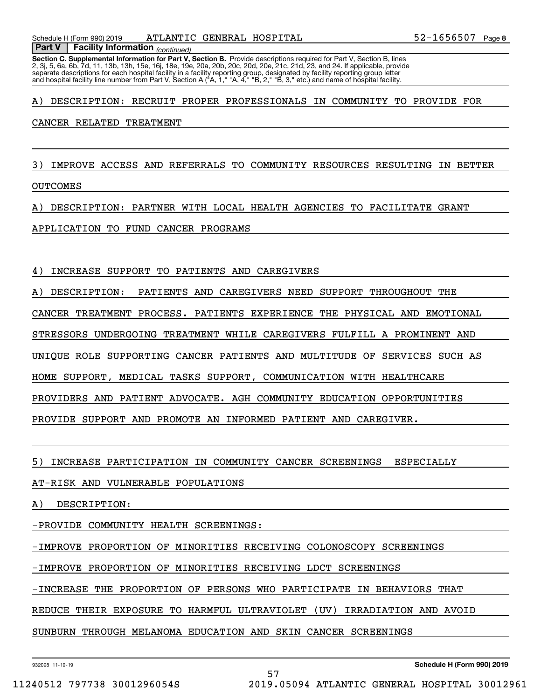**Section C. Supplemental Information for Part V, Section B.** Provide descriptions required for Part V, Section B, lines<br>2, 3j, 5, 6a, 6b, 7d, 11, 13b, 13h, 15e, 16j, 18e, 19e, 20a, 20b, 20c, 20d, 20e, 21c, 21d, 23, and 24.  *(continued)* **Part V Facility Information** separate descriptions for each hospital facility in a facility reporting group, designated by facility reporting group letter<br>and hospital facility line number from Part V, Section A ("A, 1," "A, 4," "B, 2," "B, 3," etc.)

# A) DESCRIPTION: RECRUIT PROPER PROFESSIONALS IN COMMUNITY TO PROVIDE FOR

# CANCER RELATED TREATMENT

3) IMPROVE ACCESS AND REFERRALS TO COMMUNITY RESOURCES RESULTING IN BETTER

#### OUTCOMES

A) DESCRIPTION: PARTNER WITH LOCAL HEALTH AGENCIES TO FACILITATE GRANT

APPLICATION TO FUND CANCER PROGRAMS

4) INCREASE SUPPORT TO PATIENTS AND CAREGIVERS

A) DESCRIPTION: PATIENTS AND CAREGIVERS NEED SUPPORT THROUGHOUT THE

CANCER TREATMENT PROCESS. PATIENTS EXPERIENCE THE PHYSICAL AND EMOTIONAL

STRESSORS UNDERGOING TREATMENT WHILE CAREGIVERS FULFILL A PROMINENT AND

UNIQUE ROLE SUPPORTING CANCER PATIENTS AND MULTITUDE OF SERVICES SUCH AS

HOME SUPPORT, MEDICAL TASKS SUPPORT, COMMUNICATION WITH HEALTHCARE

PROVIDERS AND PATIENT ADVOCATE. AGH COMMUNITY EDUCATION OPPORTUNITIES

PROVIDE SUPPORT AND PROMOTE AN INFORMED PATIENT AND CAREGIVER.

5) INCREASE PARTICIPATION IN COMMUNITY CANCER SCREENINGS ESPECIALLY

# AT-RISK AND VULNERABLE POPULATIONS

A) DESCRIPTION:

-PROVIDE COMMUNITY HEALTH SCREENINGS:

-IMPROVE PROPORTION OF MINORITIES RECEIVING COLONOSCOPY SCREENINGS

-IMPROVE PROPORTION OF MINORITIES RECEIVING LDCT SCREENINGS

-INCREASE THE PROPORTION OF PERSONS WHO PARTICIPATE IN BEHAVIORS THAT

REDUCE THEIR EXPOSURE TO HARMFUL ULTRAVIOLET (UV) IRRADIATION AND AVOID

57

SUNBURN THROUGH MELANOMA EDUCATION AND SKIN CANCER SCREENINGS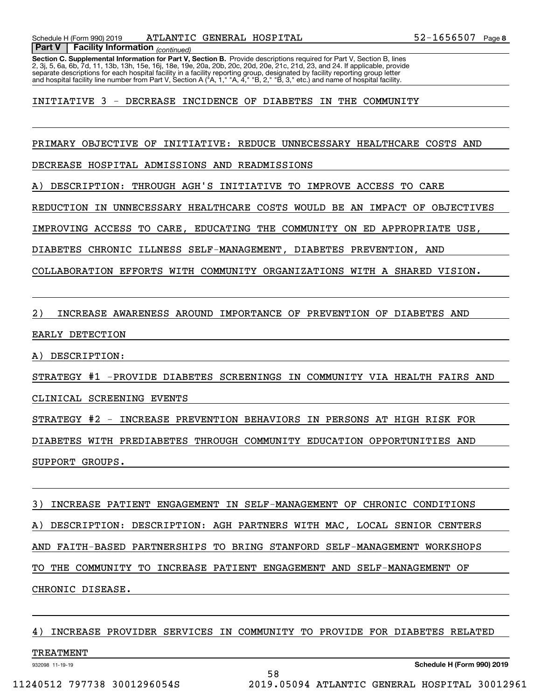**Section C. Supplemental Information for Part V, Section B.** Provide descriptions required for Part V, Section B, lines<br>2, 3j, 5, 6a, 6b, 7d, 11, 13b, 13h, 15e, 16j, 18e, 19e, 20a, 20b, 20c, 20d, 20e, 21c, 21d, 23, and 24.  *(continued)* **Part V Facility Information** separate descriptions for each hospital facility in a facility reporting group, designated by facility reporting group letter<br>and hospital facility line number from Part V, Section A ("A, 1," "A, 4," "B, 2," "B, 3," etc.)

# INITIATIVE 3 - DECREASE INCIDENCE OF DIABETES IN THE COMMUNITY

PRIMARY OBJECTIVE OF INITIATIVE: REDUCE UNNECESSARY HEALTHCARE COSTS AND

DECREASE HOSPITAL ADMISSIONS AND READMISSIONS

A) DESCRIPTION: THROUGH AGH'S INITIATIVE TO IMPROVE ACCESS TO CARE

REDUCTION IN UNNECESSARY HEALTHCARE COSTS WOULD BE AN IMPACT OF OBJECTIVES

IMPROVING ACCESS TO CARE, EDUCATING THE COMMUNITY ON ED APPROPRIATE USE,

DIABETES CHRONIC ILLNESS SELF-MANAGEMENT, DIABETES PREVENTION, AND

COLLABORATION EFFORTS WITH COMMUNITY ORGANIZATIONS WITH A SHARED VISION.

#### 2) INCREASE AWARENESS AROUND IMPORTANCE OF PREVENTION OF DIABETES AND

## EARLY DETECTION

A) DESCRIPTION:

STRATEGY #1 -PROVIDE DIABETES SCREENINGS IN COMMUNITY VIA HEALTH FAIRS AND

CLINICAL SCREENING EVENTS

STRATEGY #2 - INCREASE PREVENTION BEHAVIORS IN PERSONS AT HIGH RISK FOR

DIABETES WITH PREDIABETES THROUGH COMMUNITY EDUCATION OPPORTUNITIES AND SUPPORT GROUPS.

3) INCREASE PATIENT ENGAGEMENT IN SELF-MANAGEMENT OF CHRONIC CONDITIONS

A) DESCRIPTION: DESCRIPTION: AGH PARTNERS WITH MAC, LOCAL SENIOR CENTERS

AND FAITH-BASED PARTNERSHIPS TO BRING STANFORD SELF-MANAGEMENT WORKSHOPS

TO THE COMMUNITY TO INCREASE PATIENT ENGAGEMENT AND SELF-MANAGEMENT OF

CHRONIC DISEASE.

4) INCREASE PROVIDER SERVICES IN COMMUNITY TO PROVIDE FOR DIABETES RELATED

58

#### TREATMENT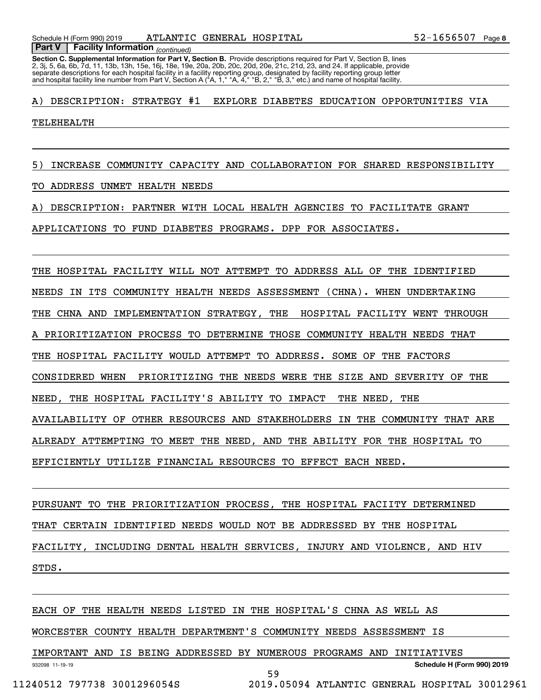*(continued)* **Part V Facility Information**

**Section C. Supplemental Information for Part V, Section B.** Provide descriptions required for Part V, Section B, lines<br>2, 3j, 5, 6a, 6b, 7d, 11, 13b, 13h, 15e, 16j, 18e, 19e, 20a, 20b, 20c, 20d, 20e, 21c, 21d, 23, and 24. separate descriptions for each hospital facility in a facility reporting group, designated by facility reporting group letter<br>and hospital facility line number from Part V, Section A ("A, 1," "A, 4," "B, 2," "B, 3," etc.)

A) DESCRIPTION: STRATEGY #1 EXPLORE DIABETES EDUCATION OPPORTUNITIES VIA

#### TELEHEALTH

5) INCREASE COMMUNITY CAPACITY AND COLLABORATION FOR SHARED RESPONSIBILITY

TO ADDRESS UNMET HEALTH NEEDS

A) DESCRIPTION: PARTNER WITH LOCAL HEALTH AGENCIES TO FACILITATE GRANT

APPLICATIONS TO FUND DIABETES PROGRAMS. DPP FOR ASSOCIATES.

THE HOSPITAL FACILITY WILL NOT ATTEMPT TO ADDRESS ALL OF THE IDENTIFIED NEEDS IN ITS COMMUNITY HEALTH NEEDS ASSESSMENT (CHNA). WHEN UNDERTAKING THE CHNA AND IMPLEMENTATION STRATEGY, THE HOSPITAL FACILITY WENT THROUGH PRIORITIZATION PROCESS TO DETERMINE THOSE COMMUNITY HEALTH NEEDS THAT THE HOSPITAL FACILITY WOULD ATTEMPT TO ADDRESS. SOME OF THE FACTORS CONSIDERED WHEN PRIORITIZING THE NEEDS WERE THE SIZE AND SEVERITY OF THE NEED, THE HOSPITAL FACILITY'S ABILITY TO IMPACT THE NEED, THE AVAILABILITY OF OTHER RESOURCES AND STAKEHOLDERS IN THE COMMUNITY THAT ARE ALREADY ATTEMPTING TO MEET THE NEED, AND THE ABILITY FOR THE HOSPITAL TO EFFICIENTLY UTILIZE FINANCIAL RESOURCES TO EFFECT EACH NEED.

PURSUANT TO THE PRIORITIZATION PROCESS, THE HOSPITAL FACIITY DETERMINED THAT CERTAIN IDENTIFIED NEEDS WOULD NOT BE ADDRESSED BY THE HOSPITAL FACILITY, INCLUDING DENTAL HEALTH SERVICES, INJURY AND VIOLENCE, AND HIV STDS.

932098 11-19-19 EACH OF THE HEALTH NEEDS LISTED IN THE HOSPITAL'S CHNA AS WELL AS WORCESTER COUNTY HEALTH DEPARTMENT'S COMMUNITY NEEDS ASSESSMENT IS IMPORTANT AND IS BEING ADDRESSED BY NUMEROUS PROGRAMS AND INITIATIVES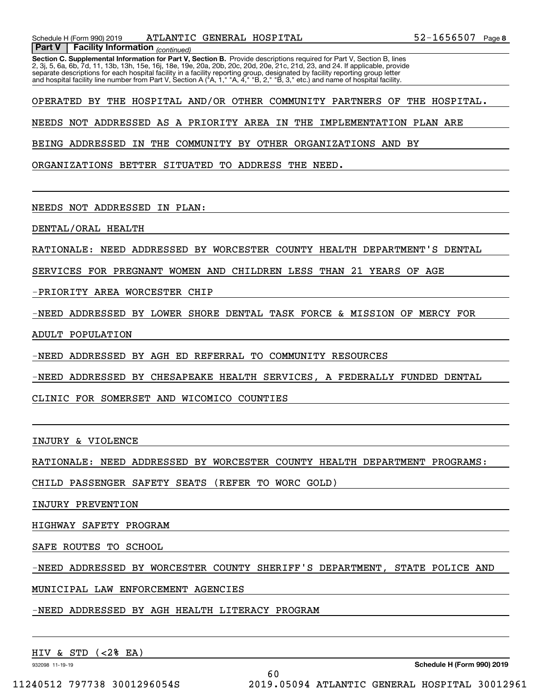**Section C. Supplemental Information for Part V, Section B.** Provide descriptions required for Part V, Section B, lines<br>2, 3j, 5, 6a, 6b, 7d, 11, 13b, 13h, 15e, 16j, 18e, 19e, 20a, 20b, 20c, 20d, 20e, 21c, 21d, 23, and 24.  *(continued)* **Part V Facility Information** separate descriptions for each hospital facility in a facility reporting group, designated by facility reporting group letter<br>and hospital facility line number from Part V, Section A ("A, 1," "A, 4," "B, 2," "B, 3," etc.)

OPERATED BY THE HOSPITAL AND/OR OTHER COMMUNITY PARTNERS OF THE HOSPITAL.

NEEDS NOT ADDRESSED AS A PRIORITY AREA IN THE IMPLEMENTATION PLAN ARE

BEING ADDRESSED IN THE COMMUNITY BY OTHER ORGANIZATIONS AND BY

ORGANIZATIONS BETTER SITUATED TO ADDRESS THE NEED.

NEEDS NOT ADDRESSED IN PLAN:

DENTAL/ORAL HEALTH

RATIONALE: NEED ADDRESSED BY WORCESTER COUNTY HEALTH DEPARTMENT'S DENTAL

SERVICES FOR PREGNANT WOMEN AND CHILDREN LESS THAN 21 YEARS OF AGE

-PRIORITY AREA WORCESTER CHIP

-NEED ADDRESSED BY LOWER SHORE DENTAL TASK FORCE & MISSION OF MERCY FOR

ADULT POPULATION

-NEED ADDRESSED BY AGH ED REFERRAL TO COMMUNITY RESOURCES

-NEED ADDRESSED BY CHESAPEAKE HEALTH SERVICES, A FEDERALLY FUNDED DENTAL

CLINIC FOR SOMERSET AND WICOMICO COUNTIES

INJURY & VIOLENCE

RATIONALE: NEED ADDRESSED BY WORCESTER COUNTY HEALTH DEPARTMENT PROGRAMS:

CHILD PASSENGER SAFETY SEATS (REFER TO WORC GOLD)

INJURY PREVENTION

HIGHWAY SAFETY PROGRAM

SAFE ROUTES TO SCHOOL

-NEED ADDRESSED BY WORCESTER COUNTY SHERIFF'S DEPARTMENT, STATE POLICE AND

MUNICIPAL LAW ENFORCEMENT AGENCIES

-NEED ADDRESSED BY AGH HEALTH LITERACY PROGRAM

HIV & STD  $(<2$  EA)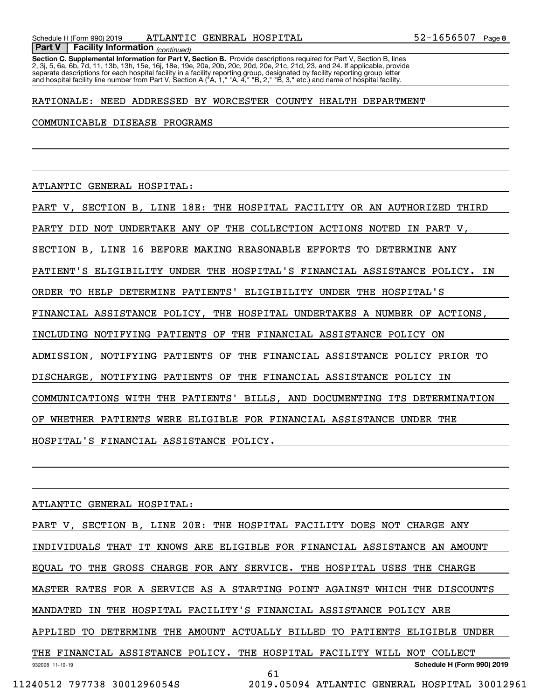# *(continued)* **Part V Facility Information**

**Section C. Supplemental Information for Part V, Section B.** Provide descriptions required for Part V, Section B, lines<br>2, 3j, 5, 6a, 6b, 7d, 11, 13b, 13h, 15e, 16j, 18e, 19e, 20a, 20b, 20c, 20d, 20e, 21c, 21d, 23, and 24. separate descriptions for each hospital facility in a facility reporting group, designated by facility reporting group letter<br>and hospital facility line number from Part V, Section A ("A, 1," "A, 4," "B, 2," "B, 3," etc.)

# RATIONALE: NEED ADDRESSED BY WORCESTER COUNTY HEALTH DEPARTMENT

#### COMMUNICABLE DISEASE PROGRAMS

#### ATLANTIC GENERAL HOSPITAL:

PART V, SECTION B, LINE 18E: THE HOSPITAL FACILITY OR AN AUTHORIZED THIRD PARTY DID NOT UNDERTAKE ANY OF THE COLLECTION ACTIONS NOTED IN PART V, SECTION B, LINE 16 BEFORE MAKING REASONABLE EFFORTS TO DETERMINE ANY PATIENT'S ELIGIBILITY UNDER THE HOSPITAL'S FINANCIAL ASSISTANCE POLICY. IN ORDER TO HELP DETERMINE PATIENTS' ELIGIBILITY UNDER THE HOSPITAL'S FINANCIAL ASSISTANCE POLICY, THE HOSPITAL UNDERTAKES A NUMBER OF ACTIONS, INCLUDING NOTIFYING PATIENTS OF THE FINANCIAL ASSISTANCE POLICY ON ADMISSION, NOTIFYING PATIENTS OF THE FINANCIAL ASSISTANCE POLICY PRIOR TO DISCHARGE, NOTIFYING PATIENTS OF THE FINANCIAL ASSISTANCE POLICY IN COMMUNICATIONS WITH THE PATIENTS' BILLS, AND DOCUMENTING ITS DETERMINATION OF WHETHER PATIENTS WERE ELIGIBLE FOR FINANCIAL ASSISTANCE UNDER THE HOSPITAL'S FINANCIAL ASSISTANCE POLICY.

ATLANTIC GENERAL HOSPITAL:

932098 11-19-19 **Schedule H (Form 990) 2019** PART V, SECTION B, LINE 20E: THE HOSPITAL FACILITY DOES NOT CHARGE ANY INDIVIDUALS THAT IT KNOWS ARE ELIGIBLE FOR FINANCIAL ASSISTANCE AN AMOUNT EQUAL TO THE GROSS CHARGE FOR ANY SERVICE. THE HOSPITAL USES THE CHARGE MASTER RATES FOR A SERVICE AS A STARTING POINT AGAINST WHICH THE DISCOUNTS MANDATED IN THE HOSPITAL FACILITY'S FINANCIAL ASSISTANCE POLICY ARE APPLIED TO DETERMINE THE AMOUNT ACTUALLY BILLED TO PATIENTS ELIGIBLE UNDER THE FINANCIAL ASSISTANCE POLICY. THE HOSPITAL FACILITY WILL NOT COLLECT 61 11240512 797738 3001296054S 2019.05094 ATLANTIC GENERAL HOSPITAL 30012961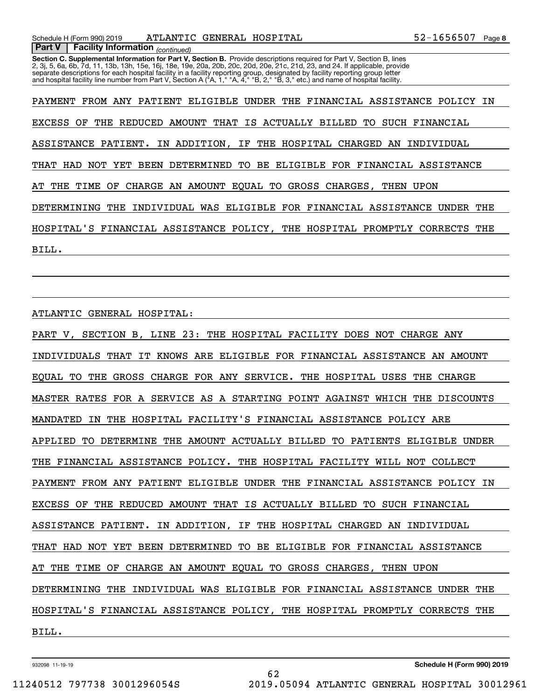**Section C. Supplemental Information for Part V, Section B.** Provide descriptions required for Part V, Section B, lines<br>2, 3j, 5, 6a, 6b, 7d, 11, 13b, 13h, 15e, 16j, 18e, 19e, 20a, 20b, 20c, 20d, 20e, 21c, 21d, 23, and 24. separate descriptions for each hospital facility in a facility reporting group, designated by facility reporting group letter<br>and hospital facility line number from Part V, Section A ("A, 1," "A, 4," "B, 2," "B, 3," etc.)

PAYMENT FROM ANY PATIENT ELIGIBLE UNDER THE FINANCIAL ASSISTANCE POLICY IN EXCESS OF THE REDUCED AMOUNT THAT IS ACTUALLY BILLED TO SUCH FINANCIAL ASSISTANCE PATIENT. IN ADDITION, IF THE HOSPITAL CHARGED AN INDIVIDUAL THAT HAD NOT YET BEEN DETERMINED TO BE ELIGIBLE FOR FINANCIAL ASSISTANCE AT THE TIME OF CHARGE AN AMOUNT EQUAL TO GROSS CHARGES, THEN UPON DETERMINING THE INDIVIDUAL WAS ELIGIBLE FOR FINANCIAL ASSISTANCE UNDER THE HOSPITAL'S FINANCIAL ASSISTANCE POLICY, THE HOSPITAL PROMPTLY CORRECTS THE BILL.

ATLANTIC GENERAL HOSPITAL:

 *(continued)* **Part V Facility Information**

PART V, SECTION B, LINE 23: THE HOSPITAL FACILITY DOES NOT CHARGE ANY INDIVIDUALS THAT IT KNOWS ARE ELIGIBLE FOR FINANCIAL ASSISTANCE AN AMOUNT EQUAL TO THE GROSS CHARGE FOR ANY SERVICE. THE HOSPITAL USES THE CHARGE MASTER RATES FOR A SERVICE AS A STARTING POINT AGAINST WHICH THE DISCOUNTS MANDATED IN THE HOSPITAL FACILITY'S FINANCIAL ASSISTANCE POLICY ARE APPLIED TO DETERMINE THE AMOUNT ACTUALLY BILLED TO PATIENTS ELIGIBLE UNDER THE FINANCIAL ASSISTANCE POLICY. THE HOSPITAL FACILITY WILL NOT COLLECT PAYMENT FROM ANY PATIENT ELIGIBLE UNDER THE FINANCIAL ASSISTANCE POLICY IN EXCESS OF THE REDUCED AMOUNT THAT IS ACTUALLY BILLED TO SUCH FINANCIAL ASSISTANCE PATIENT. IN ADDITION, IF THE HOSPITAL CHARGED AN INDIVIDUAL THAT HAD NOT YET BEEN DETERMINED TO BE ELIGIBLE FOR FINANCIAL ASSISTANCE AT THE TIME OF CHARGE AN AMOUNT EQUAL TO GROSS CHARGES, THEN UPON DETERMINING THE INDIVIDUAL WAS ELIGIBLE FOR FINANCIAL ASSISTANCE UNDER THE HOSPITAL'S FINANCIAL ASSISTANCE POLICY, THE HOSPITAL PROMPTLY CORRECTS THE BILL.

62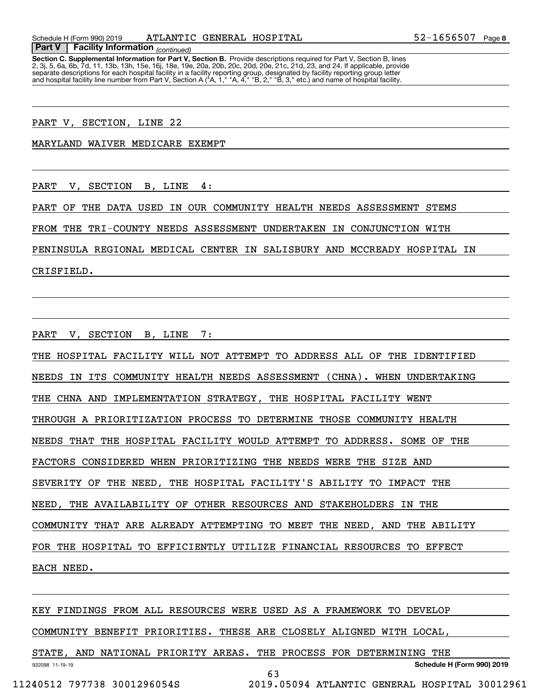**Section C. Supplemental Information for Part V, Section B.** Provide descriptions required for Part V, Section B, lines<br>2, 3j, 5, 6a, 6b, 7d, 11, 13b, 13h, 15e, 16j, 18e, 19e, 20a, 20b, 20c, 20d, 20e, 21c, 21d, 23, and 24.  *(continued)* **Part V Facility Information** separate descriptions for each hospital facility in a facility reporting group, designated by facility reporting group letter<br>and hospital facility line number from Part V, Section A ("A, 1," "A, 4," "B, 2," "B, 3," etc.)

PART V, SECTION, LINE 22

MARYLAND WAIVER MEDICARE EXEMPT

PART V, SECTION B, LINE 4:

PART OF THE DATA USED IN OUR COMMUNITY HEALTH NEEDS ASSESSMENT STEMS

FROM THE TRI-COUNTY NEEDS ASSESSMENT UNDERTAKEN IN CONJUNCTION WITH

PENINSULA REGIONAL MEDICAL CENTER IN SALISBURY AND MCCREADY HOSPITAL IN

CRISFIELD.

PART V, SECTION B, LINE 7:

THE HOSPITAL FACILITY WILL NOT ATTEMPT TO ADDRESS ALL OF THE IDENTIFIED

NEEDS IN ITS COMMUNITY HEALTH NEEDS ASSESSMENT (CHNA). WHEN UNDERTAKING

THE CHNA AND IMPLEMENTATION STRATEGY, THE HOSPITAL FACILITY WENT

THROUGH A PRIORITIZATION PROCESS TO DETERMINE THOSE COMMUNITY HEALTH

NEEDS THAT THE HOSPITAL FACILITY WOULD ATTEMPT TO ADDRESS. SOME OF THE

FACTORS CONSIDERED WHEN PRIORITIZING THE NEEDS WERE THE SIZE AND

SEVERITY OF THE NEED, THE HOSPITAL FACILITY'S ABILITY TO IMPACT THE

NEED, THE AVAILABILITY OF OTHER RESOURCES AND STAKEHOLDERS IN THE

COMMUNITY THAT ARE ALREADY ATTEMPTING TO MEET THE NEED, AND THE ABILITY

FOR THE HOSPITAL TO EFFICIENTLY UTILIZE FINANCIAL RESOURCES TO EFFECT

EACH NEED.

KEY FINDINGS FROM ALL RESOURCES WERE USED AS A FRAMEWORK TO DEVELOP

COMMUNITY BENEFIT PRIORITIES. THESE ARE CLOSELY ALIGNED WITH LOCAL,

932098 11-19-19 **Schedule H (Form 990) 2019** STATE, AND NATIONAL PRIORITY AREAS. THE PROCESS FOR DETERMINING THE 63

11240512 797738 3001296054S 2019.05094 ATLANTIC GENERAL HOSPITAL 30012961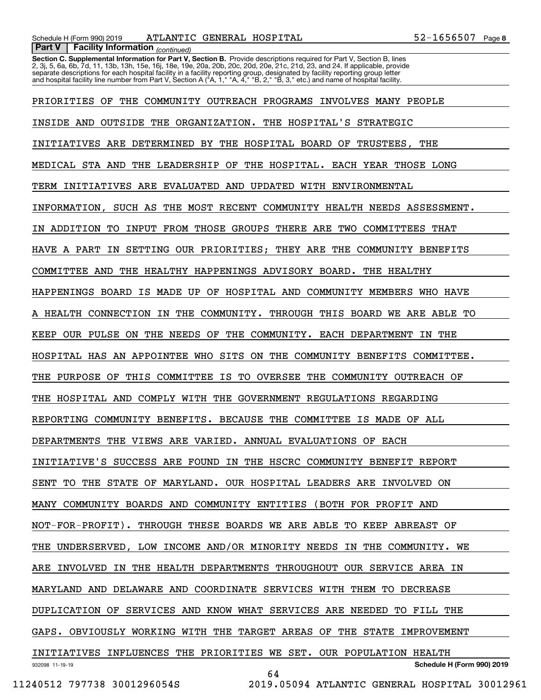**Section C. Supplemental Information for Part V, Section B.** Provide descriptions required for Part V, Section B, lines<br>2, 3j, 5, 6a, 6b, 7d, 11, 13b, 13h, 15e, 16j, 18e, 19e, 20a, 20b, 20c, 20d, 20e, 21c, 21d, 23, and 24.  *(continued)* **Part V Facility Information** separate descriptions for each hospital facility in a facility reporting group, designated by facility reporting group letter<br>and hospital facility line number from Part V, Section A ("A, 1," "A, 4," "B, 2," "B, 3," etc.)

932098 11-19-19 **Schedule H (Form 990) 2019** PRIORITIES OF THE COMMUNITY OUTREACH PROGRAMS INVOLVES MANY PEOPLE INSIDE AND OUTSIDE THE ORGANIZATION. THE HOSPITAL'S STRATEGIC INITIATIVES ARE DETERMINED BY THE HOSPITAL BOARD OF TRUSTEES, THE MEDICAL STA AND THE LEADERSHIP OF THE HOSPITAL. EACH YEAR THOSE LONG TERM INITIATIVES ARE EVALUATED AND UPDATED WITH ENVIRONMENTAL INFORMATION, SUCH AS THE MOST RECENT COMMUNITY HEALTH NEEDS ASSESSMENT. IN ADDITION TO INPUT FROM THOSE GROUPS THERE ARE TWO COMMITTEES THAT HAVE A PART IN SETTING OUR PRIORITIES; THEY ARE THE COMMUNITY BENEFITS COMMITTEE AND THE HEALTHY HAPPENINGS ADVISORY BOARD. THE HEALTHY HAPPENINGS BOARD IS MADE UP OF HOSPITAL AND COMMUNITY MEMBERS WHO HAVE A HEALTH CONNECTION IN THE COMMUNITY. THROUGH THIS BOARD WE ARE ABLE TO KEEP OUR PULSE ON THE NEEDS OF THE COMMUNITY. EACH DEPARTMENT IN THE HOSPITAL HAS AN APPOINTEE WHO SITS ON THE COMMUNITY BENEFITS COMMITTEE. THE PURPOSE OF THIS COMMITTEE IS TO OVERSEE THE COMMUNITY OUTREACH OF THE HOSPITAL AND COMPLY WITH THE GOVERNMENT REGULATIONS REGARDING REPORTING COMMUNITY BENEFITS. BECAUSE THE COMMITTEE IS MADE OF ALL DEPARTMENTS THE VIEWS ARE VARIED. ANNUAL EVALUATIONS OF EACH INITIATIVE'S SUCCESS ARE FOUND IN THE HSCRC COMMUNITY BENEFIT REPORT SENT TO THE STATE OF MARYLAND. OUR HOSPITAL LEADERS ARE INVOLVED ON MANY COMMUNITY BOARDS AND COMMUNITY ENTITIES (BOTH FOR PROFIT AND NOT-FOR-PROFIT). THROUGH THESE BOARDS WE ARE ABLE TO KEEP ABREAST OF THE UNDERSERVED, LOW INCOME AND/OR MINORITY NEEDS IN THE COMMUNITY. WE ARE INVOLVED IN THE HEALTH DEPARTMENTS THROUGHOUT OUR SERVICE AREA IN MARYLAND AND DELAWARE AND COORDINATE SERVICES WITH THEM TO DECREASE DUPLICATION OF SERVICES AND KNOW WHAT SERVICES ARE NEEDED TO FILL THE GAPS. OBVIOUSLY WORKING WITH THE TARGET AREAS OF THE STATE IMPROVEMENT INITIATIVES INFLUENCES THE PRIORITIES WE SET. OUR POPULATION HEALTH 64 11240512 797738 3001296054S 2019.05094 ATLANTIC GENERAL HOSPITAL 30012961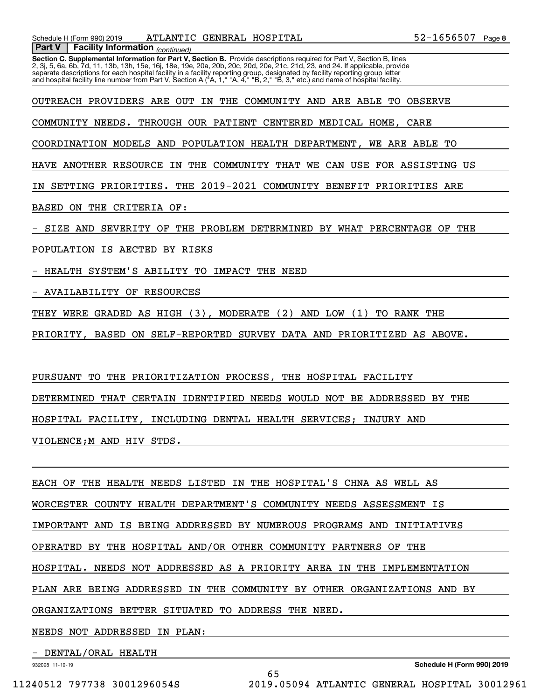| Schedule H (Form 990) 2019 | ATLANTIC GENERAL HOSPITAL | $52 - 1656507$ Page 8 |
|----------------------------|---------------------------|-----------------------|
|                            |                           |                       |

 *(continued)* **Part V Facility Information**

**Section C. Supplemental Information for Part V, Section B.** Provide descriptions required for Part V, Section B, lines 2, 3j, 5, 6a, 6b, 7d, 11, 13b, 13h, 15e, 16j, 18e, 19e, 20a, 20b, 20c, 20d, 20e, 21c, 21d, 23, and 24. If applicable, provide separate descriptions for each hospital facility in a facility reporting group, designated by facility reporting group letter<br>and hospital facility line number from Part V, Section A ("A, 1," "A, 4," "B, 2," "B, 3," etc.)

OUTREACH PROVIDERS ARE OUT IN THE COMMUNITY AND ARE ABLE TO OBSERVE

COMMUNITY NEEDS. THROUGH OUR PATIENT CENTERED MEDICAL HOME, CARE

COORDINATION MODELS AND POPULATION HEALTH DEPARTMENT, WE ARE ABLE TO

HAVE ANOTHER RESOURCE IN THE COMMUNITY THAT WE CAN USE FOR ASSISTING US

IN SETTING PRIORITIES. THE 2019-2021 COMMUNITY BENEFIT PRIORITIES ARE

BASED ON THE CRITERIA OF:

SIZE AND SEVERITY OF THE PROBLEM DETERMINED BY WHAT PERCENTAGE OF THE

POPULATION IS AECTED BY RISKS

- HEALTH SYSTEM'S ABILITY TO IMPACT THE NEED

- AVAILABILITY OF RESOURCES

THEY WERE GRADED AS HIGH (3), MODERATE (2) AND LOW (1) TO RANK THE

PRIORITY, BASED ON SELF-REPORTED SURVEY DATA AND PRIORITIZED AS ABOVE.

PURSUANT TO THE PRIORITIZATION PROCESS, THE HOSPITAL FACILITY

DETERMINED THAT CERTAIN IDENTIFIED NEEDS WOULD NOT BE ADDRESSED BY THE

HOSPITAL FACILITY, INCLUDING DENTAL HEALTH SERVICES; INJURY AND

VIOLENCE;M AND HIV STDS.

EACH OF THE HEALTH NEEDS LISTED IN THE HOSPITAL'S CHNA AS WELL AS

WORCESTER COUNTY HEALTH DEPARTMENT'S COMMUNITY NEEDS ASSESSMENT IS

IMPORTANT AND IS BEING ADDRESSED BY NUMEROUS PROGRAMS AND INITIATIVES

OPERATED BY THE HOSPITAL AND/OR OTHER COMMUNITY PARTNERS OF THE

HOSPITAL. NEEDS NOT ADDRESSED AS A PRIORITY AREA IN THE IMPLEMENTATION

PLAN ARE BEING ADDRESSED IN THE COMMUNITY BY OTHER ORGANIZATIONS AND BY

65

ORGANIZATIONS BETTER SITUATED TO ADDRESS THE NEED.

NEEDS NOT ADDRESSED IN PLAN:

- DENTAL/ORAL HEALTH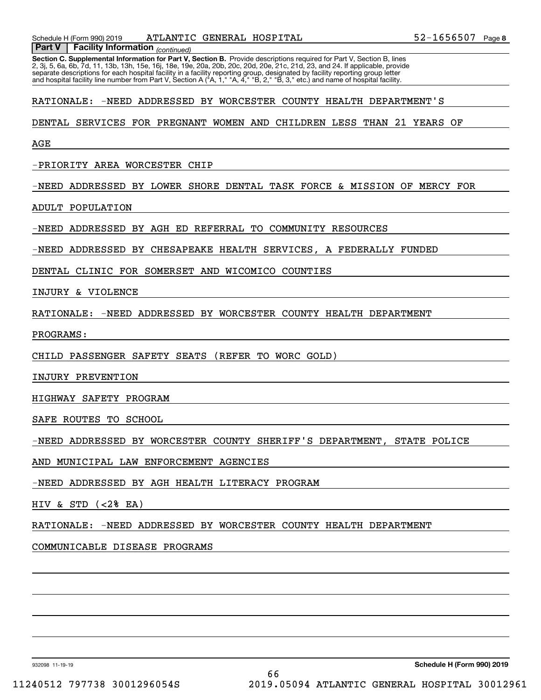Schedule H (Form 990) 2019 ATLANTIC GENERAL HOSPITAL 52-1656507 Page

**Section C. Supplemental Information for Part V, Section B.** Provide descriptions required for Part V, Section B, lines<br>2, 3j, 5, 6a, 6b, 7d, 11, 13b, 13h, 15e, 16j, 18e, 19e, 20a, 20b, 20c, 20d, 20e, 21c, 21d, 23, and 24.  *(continued)* **Part V Facility Information** separate descriptions for each hospital facility in a facility reporting group, designated by facility reporting group letter<br>and hospital facility line number from Part V, Section A ("A, 1," "A, 4," "B, 2," "B, 3," etc.)

RATIONALE: -NEED ADDRESSED BY WORCESTER COUNTY HEALTH DEPARTMENT'S

DENTAL SERVICES FOR PREGNANT WOMEN AND CHILDREN LESS THAN 21 YEARS OF

AGE

-PRIORITY AREA WORCESTER CHIP

-NEED ADDRESSED BY LOWER SHORE DENTAL TASK FORCE & MISSION OF MERCY FOR

ADULT POPULATION

-NEED ADDRESSED BY AGH ED REFERRAL TO COMMUNITY RESOURCES

-NEED ADDRESSED BY CHESAPEAKE HEALTH SERVICES, A FEDERALLY FUNDED

DENTAL CLINIC FOR SOMERSET AND WICOMICO COUNTIES

INJURY & VIOLENCE

RATIONALE: -NEED ADDRESSED BY WORCESTER COUNTY HEALTH DEPARTMENT

PROGRAMS:

CHILD PASSENGER SAFETY SEATS (REFER TO WORC GOLD)

INJURY PREVENTION

HIGHWAY SAFETY PROGRAM

SAFE ROUTES TO SCHOOL

-NEED ADDRESSED BY WORCESTER COUNTY SHERIFF'S DEPARTMENT, STATE POLICE

AND MUNICIPAL LAW ENFORCEMENT AGENCIES

-NEED ADDRESSED BY AGH HEALTH LITERACY PROGRAM

HIV & STD  $(<2$ <sup>8</sup> EA)

RATIONALE: -NEED ADDRESSED BY WORCESTER COUNTY HEALTH DEPARTMENT

COMMUNICABLE DISEASE PROGRAMS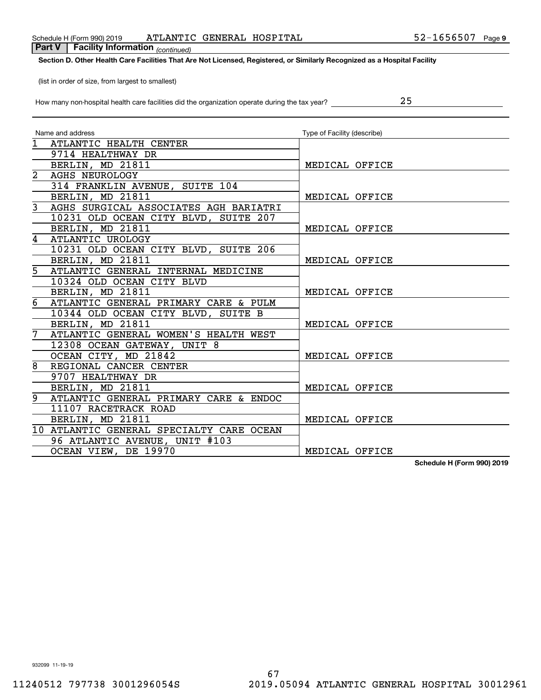# **Section D. Other Health Care Facilities That Are Not Licensed, Registered, or Similarly Recognized as a Hospital Facility**

(list in order of size, from largest to smallest)

 *(continued)* **Part V Facility Information**

|  |  |  | How many non-hospital health care facilities did the organization operate during the tax year? |  |
|--|--|--|------------------------------------------------------------------------------------------------|--|
|  |  |  |                                                                                                |  |
|  |  |  |                                                                                                |  |
|  |  |  |                                                                                                |  |

|                | Name and address                         | Type of Facility (describe) |
|----------------|------------------------------------------|-----------------------------|
| $\overline{1}$ | ATLANTIC HEALTH CENTER                   |                             |
|                | 9714 HEALTHWAY DR                        |                             |
|                | BERLIN, MD 21811                         | MEDICAL OFFICE              |
|                | 2 AGHS NEUROLOGY                         |                             |
|                | 314 FRANKLIN AVENUE, SUITE 104           |                             |
|                | BERLIN, MD 21811                         | MEDICAL OFFICE              |
|                | 3 AGHS SURGICAL ASSOCIATES AGH BARIATRI  |                             |
|                | 10231 OLD OCEAN CITY BLVD, SUITE 207     |                             |
|                | BERLIN, MD 21811                         | MEDICAL OFFICE              |
|                | 4 ATLANTIC UROLOGY                       |                             |
|                | 10231 OLD OCEAN CITY BLVD, SUITE 206     |                             |
|                | BERLIN, MD 21811                         | MEDICAL OFFICE              |
|                | 5 ATLANTIC GENERAL INTERNAL MEDICINE     |                             |
|                | 10324 OLD OCEAN CITY BLVD                |                             |
|                | BERLIN, MD 21811                         | MEDICAL OFFICE              |
|                | 6 ATLANTIC GENERAL PRIMARY CARE & PULM   |                             |
|                | 10344 OLD OCEAN CITY BLVD, SUITE B       |                             |
|                | BERLIN, MD 21811                         | MEDICAL OFFICE              |
|                | 7 ATLANTIC GENERAL WOMEN'S HEALTH WEST   |                             |
|                | 12308 OCEAN GATEWAY, UNIT 8              |                             |
|                | OCEAN CITY, MD 21842                     | MEDICAL OFFICE              |
|                | 8 REGIONAL CANCER CENTER                 |                             |
|                | 9707 HEALTHWAY DR                        |                             |
|                | BERLIN, MD 21811                         | MEDICAL OFFICE              |
|                | 9 ATLANTIC GENERAL PRIMARY CARE & ENDOC  |                             |
|                | 11107 RACETRACK ROAD                     |                             |
|                | BERLIN, MD 21811                         | MEDICAL OFFICE              |
|                | 10 ATLANTIC GENERAL SPECIALTY CARE OCEAN |                             |
|                | 96 ATLANTIC AVENUE, UNIT #103            |                             |
|                | OCEAN VIEW, DE 19970                     | MEDICAL OFFICE              |

**Schedule H (Form 990) 2019**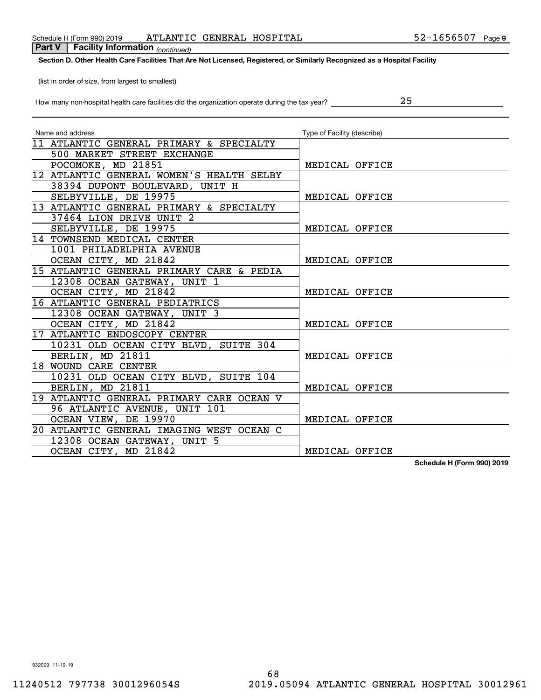# Schedule H (Form 990) 2019 ATLANTIC GENERAL HOSPITAL 52-1656507 Page

**Section D. Other Health Care Facilities That Are Not Licensed, Registered, or Similarly Recognized as a Hospital Facility**  *(continued)* **Part V Facility Information**

(list in order of size, from largest to smallest)

|  |  |  | How many non-hospital health care facilities did the organization operate during the tax year? |  |  |
|--|--|--|------------------------------------------------------------------------------------------------|--|--|
|  |  |  |                                                                                                |  |  |
|  |  |  |                                                                                                |  |  |

| Name and address                         | Type of Facility (describe) |
|------------------------------------------|-----------------------------|
| 11 ATLANTIC GENERAL PRIMARY & SPECIALTY  |                             |
| 500 MARKET STREET EXCHANGE               |                             |
| POCOMOKE, MD 21851                       | MEDICAL OFFICE              |
| 12 ATLANTIC GENERAL WOMEN'S HEALTH SELBY |                             |
| 38394 DUPONT BOULEVARD, UNIT H           |                             |
| SELBYVILLE, DE 19975                     | MEDICAL OFFICE              |
| 13 ATLANTIC GENERAL PRIMARY & SPECIALTY  |                             |
| 37464 LION DRIVE UNIT 2                  |                             |
| SELBYVILLE, DE 19975                     | MEDICAL OFFICE              |
| 14 TOWNSEND MEDICAL CENTER               |                             |
| 1001 PHILADELPHIA AVENUE                 |                             |
| OCEAN CITY, MD 21842                     | MEDICAL OFFICE              |
| 15 ATLANTIC GENERAL PRIMARY CARE & PEDIA |                             |
| 12308 OCEAN GATEWAY, UNIT 1              |                             |
| OCEAN CITY, MD 21842                     | MEDICAL OFFICE              |
| 16 ATLANTIC GENERAL PEDIATRICS           |                             |
| 12308 OCEAN GATEWAY, UNIT 3              |                             |
| OCEAN CITY, MD 21842                     | MEDICAL OFFICE              |
| 17 ATLANTIC ENDOSCOPY CENTER             |                             |
| 10231 OLD OCEAN CITY BLVD, SUITE 304     |                             |
| BERLIN, MD 21811                         | MEDICAL OFFICE              |
| 18 WOUND CARE CENTER                     |                             |
| 10231 OLD OCEAN CITY BLVD, SUITE 104     |                             |
| BERLIN, MD 21811                         | MEDICAL OFFICE              |
| 19 ATLANTIC GENERAL PRIMARY CARE OCEAN V |                             |
| 96 ATLANTIC AVENUE, UNIT 101             |                             |
| OCEAN VIEW, DE 19970                     | MEDICAL OFFICE              |
| 20 ATLANTIC GENERAL IMAGING WEST OCEAN C |                             |
| 12308 OCEAN GATEWAY, UNIT 5              |                             |
| OCEAN CITY, MD 21842                     | MEDICAL OFFICE              |

**Schedule H (Form 990) 2019**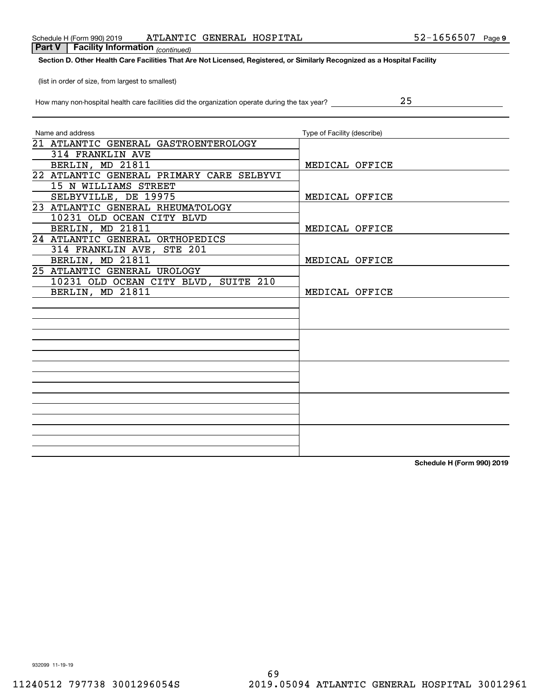**Section D. Other Health Care Facilities That Are Not Licensed, Registered, or Similarly Recognized as a Hospital Facility**

(list in order of size, from largest to smallest)

|  |  | How many non-hospital health care facilities did the organization operate during the tax year? |  |  |
|--|--|------------------------------------------------------------------------------------------------|--|--|
|  |  |                                                                                                |  |  |
|  |  |                                                                                                |  |  |

| Name and address                                                                 | Type of Facility (describe) |
|----------------------------------------------------------------------------------|-----------------------------|
| 21 ATLANTIC GENERAL GASTROENTEROLOGY<br>314 FRANKLIN AVE                         |                             |
| BERLIN, MD 21811<br>22 ATLANTIC GENERAL PRIMARY CARE SELBYVI                     | MEDICAL OFFICE              |
| 15 N WILLIAMS STREET<br>SELBYVILLE, DE 19975<br>23 ATLANTIC GENERAL RHEUMATOLOGY | MEDICAL OFFICE              |
| 10231 OLD OCEAN CITY BLVD<br>BERLIN, MD 21811                                    | MEDICAL OFFICE              |
| 24 ATLANTIC GENERAL ORTHOPEDICS<br>314 FRANKLIN AVE, STE 201<br>BERLIN, MD 21811 |                             |
| 25 ATLANTIC GENERAL UROLOGY<br>10231 OLD OCEAN CITY BLVD, SUITE 210              | MEDICAL OFFICE              |
| BERLIN, MD 21811                                                                 | MEDICAL OFFICE              |
|                                                                                  |                             |
|                                                                                  |                             |
|                                                                                  |                             |
|                                                                                  |                             |
|                                                                                  |                             |
|                                                                                  |                             |

**Schedule H (Form 990) 2019**

|        | Schedule H (Form 990) 2019              | ATLANTIC | GENERAL | HOSPITAL | 1656507-<br>っ ノー・ | Page 9 |
|--------|-----------------------------------------|----------|---------|----------|-------------------|--------|
| Part V | <b>Facility Information</b> (continued) |          |         |          |                   |        |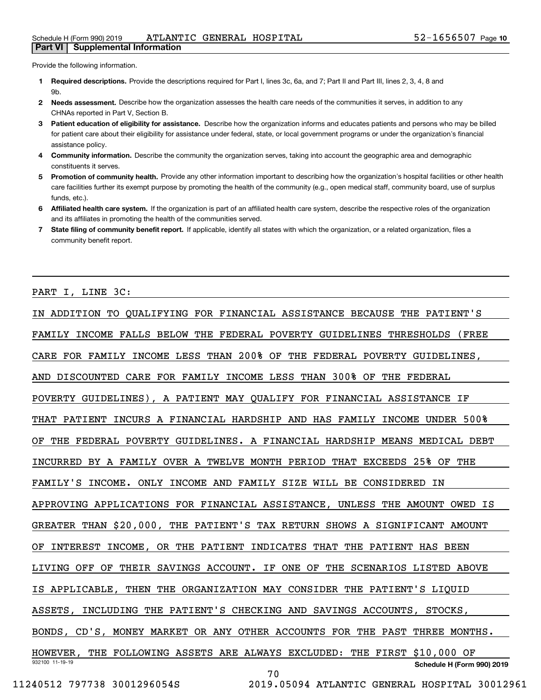Provide the following information.

- **1 Required descriptions.** Provide the descriptions required for Part I, lines 3c, 6a, and 7; Part II and Part III, lines 2, 3, 4, 8 and 9b.
- **2Needs assessment.** Describe how the organization assesses the health care needs of the communities it serves, in addition to any CHNAs reported in Part V, Section B.
- **3** Patient education of eligibility for assistance. Describe how the organization informs and educates patients and persons who may be billed for patient care about their eligibility for assistance under federal, state, or local government programs or under the organization's financial assistance policy.
- **4 Community information.** Describe the community the organization serves, taking into account the geographic area and demographic constituents it serves.
- 5 Promotion of community health. Provide any other information important to describing how the organization's hospital facilities or other health care facilities further its exempt purpose by promoting the health of the community (e.g., open medical staff, community board, use of surplus funds, etc.).
- **6Affiliated health care system.** If the organization is part of an affiliated health care system, describe the respective roles of the organization and its affiliates in promoting the health of the communities served.
- **7** State filing of community benefit report. If applicable, identify all states with which the organization, or a related organization, files a community benefit report.

PART I, LINE 3C:

| IN ADDITION TO QUALIFYING FOR FINANCIAL ASSISTANCE BECAUSE THE PATIENT'S   |
|----------------------------------------------------------------------------|
| FAMILY INCOME FALLS BELOW THE FEDERAL POVERTY GUIDELINES THRESHOLDS (FREE  |
| CARE FOR FAMILY INCOME LESS THAN 200% OF THE FEDERAL POVERTY GUIDELINES,   |
| AND DISCOUNTED CARE FOR FAMILY INCOME LESS THAN 300% OF THE FEDERAL        |
| POVERTY GUIDELINES), A PATIENT MAY QUALIFY FOR FINANCIAL ASSISTANCE IF     |
| THAT PATIENT INCURS A FINANCIAL HARDSHIP AND HAS FAMILY INCOME UNDER 500%  |
| OF THE FEDERAL POVERTY GUIDELINES. A FINANCIAL HARDSHIP MEANS MEDICAL DEBT |
| INCURRED BY A FAMILY OVER A TWELVE MONTH PERIOD THAT EXCEEDS 25% OF THE    |
| FAMILY'S INCOME. ONLY INCOME AND FAMILY SIZE WILL BE CONSIDERED IN         |
| APPROVING APPLICATIONS FOR FINANCIAL ASSISTANCE, UNLESS THE AMOUNT OWED IS |
| GREATER THAN \$20,000, THE PATIENT'S TAX RETURN SHOWS A SIGNIFICANT AMOUNT |
| INTEREST INCOME, OR THE PATIENT INDICATES THAT THE PATIENT HAS BEEN<br>OF. |
| LIVING OFF OF THEIR SAVINGS ACCOUNT. IF ONE OF THE SCENARIOS LISTED ABOVE  |
| IS APPLICABLE, THEN THE ORGANIZATION MAY CONSIDER THE PATIENT'S LIQUID     |
| ASSETS, INCLUDING THE PATIENT'S CHECKING AND SAVINGS ACCOUNTS, STOCKS,     |
| BONDS, CD'S, MONEY MARKET OR ANY OTHER ACCOUNTS FOR THE PAST THREE MONTHS. |
| HOWEVER, THE FOLLOWING ASSETS ARE ALWAYS EXCLUDED: THE FIRST \$10,000 OF   |
| 932100 11-19-19<br>Schedule H (Form 990) 2019<br>70                        |

11240512 797738 3001296054S 2019.05094 ATLANTIC GENERAL HOSPITAL 30012961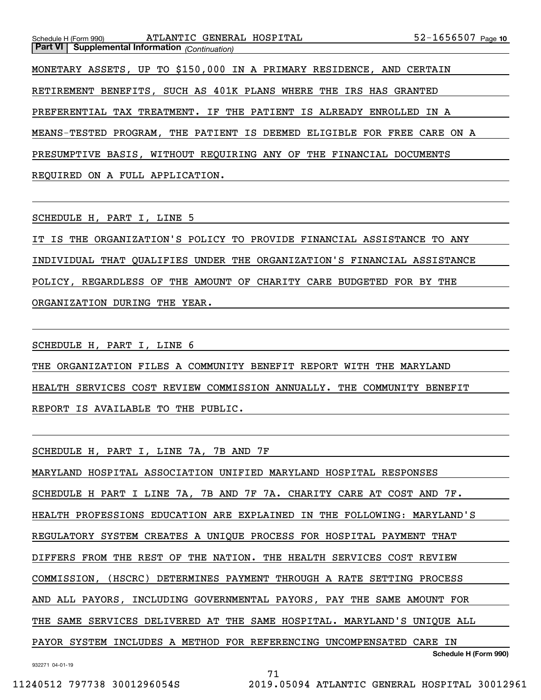52-1656507 Page 10 Schedule H (Form 990) Page ATLANTIC GENERAL HOSPITAL 52-1656507 **Part VI Supplemental Information** *(Continuation)* MONETARY ASSETS, UP TO \$150,000 IN A PRIMARY RESIDENCE, AND CERTAIN RETIREMENT BENEFITS, SUCH AS 401K PLANS WHERE THE IRS HAS GRANTED PREFERENTIAL TAX TREATMENT. IF THE PATIENT IS ALREADY ENROLLED IN A MEANS-TESTED PROGRAM, THE PATIENT IS DEEMED ELIGIBLE FOR FREE CARE ON A PRESUMPTIVE BASIS, WITHOUT REQUIRING ANY OF THE FINANCIAL DOCUMENTS REQUIRED ON A FULL APPLICATION.

SCHEDULE H, PART I, LINE 5

IT IS THE ORGANIZATION'S POLICY TO PROVIDE FINANCIAL ASSISTANCE TO ANY INDIVIDUAL THAT QUALIFIES UNDER THE ORGANIZATION'S FINANCIAL ASSISTANCE POLICY, REGARDLESS OF THE AMOUNT OF CHARITY CARE BUDGETED FOR BY THE ORGANIZATION DURING THE YEAR.

SCHEDULE H, PART I, LINE 6

THE ORGANIZATION FILES A COMMUNITY BENEFIT REPORT WITH THE MARYLAND HEALTH SERVICES COST REVIEW COMMISSION ANNUALLY. THE COMMUNITY BENEFIT REPORT IS AVAILABLE TO THE PUBLIC.

SCHEDULE H, PART I, LINE 7A, 7B AND 7F

MARYLAND HOSPITAL ASSOCIATION UNIFIED MARYLAND HOSPITAL RESPONSES

SCHEDULE H PART I LINE 7A, 7B AND 7F 7A. CHARITY CARE AT COST AND 7F.

HEALTH PROFESSIONS EDUCATION ARE EXPLAINED IN THE FOLLOWING: MARYLAND'S

REGULATORY SYSTEM CREATES A UNIQUE PROCESS FOR HOSPITAL PAYMENT THAT

DIFFERS FROM THE REST OF THE NATION. THE HEALTH SERVICES COST REVIEW

COMMISSION, (HSCRC) DETERMINES PAYMENT THROUGH A RATE SETTING PROCESS

AND ALL PAYORS, INCLUDING GOVERNMENTAL PAYORS, PAY THE SAME AMOUNT FOR

THE SAME SERVICES DELIVERED AT THE SAME HOSPITAL. MARYLAND'S UNIQUE ALL

PAYOR SYSTEM INCLUDES A METHOD FOR REFERENCING UNCOMPENSATED CARE IN

71

**Schedule H (Form 990)**

932271 04-01-19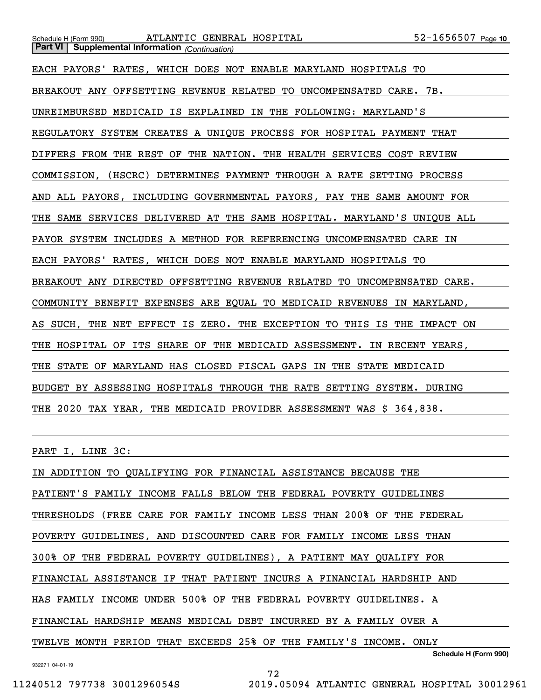| EACH PAYORS' RATES, WHICH DOES NOT ENABLE MARYLAND HOSPITALS TO         |
|-------------------------------------------------------------------------|
| BREAKOUT ANY OFFSETTING REVENUE RELATED TO UNCOMPENSATED CARE. 7B.      |
| UNREIMBURSED MEDICAID IS EXPLAINED IN THE FOLLOWING: MARYLAND'S         |
| REGULATORY SYSTEM CREATES A UNIQUE PROCESS FOR HOSPITAL PAYMENT THAT    |
| DIFFERS FROM THE REST OF THE NATION. THE HEALTH SERVICES COST REVIEW    |
| COMMISSION, (HSCRC) DETERMINES PAYMENT THROUGH A RATE SETTING PROCESS   |
| AND ALL PAYORS, INCLUDING GOVERNMENTAL PAYORS, PAY THE SAME AMOUNT FOR  |
| THE SAME SERVICES DELIVERED AT THE SAME HOSPITAL. MARYLAND'S UNIQUE ALL |
| PAYOR SYSTEM INCLUDES A METHOD FOR REFERENCING UNCOMPENSATED CARE IN    |
| EACH PAYORS' RATES, WHICH DOES NOT ENABLE MARYLAND HOSPITALS TO         |
| BREAKOUT ANY DIRECTED OFFSETTING REVENUE RELATED TO UNCOMPENSATED CARE. |
| COMMUNITY BENEFIT EXPENSES ARE EQUAL TO MEDICAID REVENUES IN MARYLAND,  |
| AS SUCH, THE NET EFFECT IS ZERO. THE EXCEPTION TO THIS IS THE IMPACT ON |
| THE HOSPITAL OF ITS SHARE OF THE MEDICAID ASSESSMENT. IN RECENT YEARS,  |
| THE STATE OF MARYLAND HAS CLOSED FISCAL GAPS IN THE STATE MEDICAID      |
| BUDGET BY ASSESSING HOSPITALS THROUGH THE RATE SETTING SYSTEM. DURING   |
| THE 2020 TAX YEAR, THE MEDICAID PROVIDER ASSESSMENT WAS \$ 364,838.     |
|                                                                         |

PART I, LINE 3C:

**Schedule H (Form 990)** IN ADDITION TO QUALIFYING FOR FINANCIAL ASSISTANCE BECAUSE THE PATIENT'S FAMILY INCOME FALLS BELOW THE FEDERAL POVERTY GUIDELINES THRESHOLDS (FREE CARE FOR FAMILY INCOME LESS THAN 200% OF THE FEDERAL POVERTY GUIDELINES, AND DISCOUNTED CARE FOR FAMILY INCOME LESS THAN 300% OF THE FEDERAL POVERTY GUIDELINES), A PATIENT MAY QUALIFY FOR FINANCIAL ASSISTANCE IF THAT PATIENT INCURS A FINANCIAL HARDSHIP AND HAS FAMILY INCOME UNDER 500% OF THE FEDERAL POVERTY GUIDELINES. A FINANCIAL HARDSHIP MEANS MEDICAL DEBT INCURRED BY A FAMILY OVER A TWELVE MONTH PERIOD THAT EXCEEDS 25% OF THE FAMILY'S INCOME. ONLY

932271 04-01-19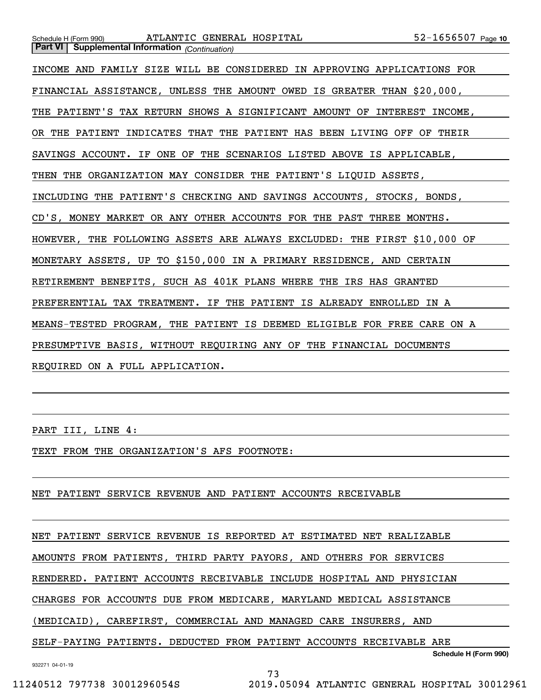**Part VI Supplemental Information** *(Continuation)* INCOME AND FAMILY SIZE WILL BE CONSIDERED IN APPROVING APPLICATIONS FOR FINANCIAL ASSISTANCE, UNLESS THE AMOUNT OWED IS GREATER THAN \$20,000, THE PATIENT'S TAX RETURN SHOWS A SIGNIFICANT AMOUNT OF INTEREST INCOME, OR THE PATIENT INDICATES THAT THE PATIENT HAS BEEN LIVING OFF OF THEIR SAVINGS ACCOUNT. IF ONE OF THE SCENARIOS LISTED ABOVE IS APPLICABLE, THEN THE ORGANIZATION MAY CONSIDER THE PATIENT'S LIQUID ASSETS, INCLUDING THE PATIENT'S CHECKING AND SAVINGS ACCOUNTS, STOCKS, BONDS, CD'S, MONEY MARKET OR ANY OTHER ACCOUNTS FOR THE PAST THREE MONTHS. HOWEVER, THE FOLLOWING ASSETS ARE ALWAYS EXCLUDED: THE FIRST \$10,000 OF MONETARY ASSETS, UP TO \$150,000 IN A PRIMARY RESIDENCE, AND CERTAIN RETIREMENT BENEFITS, SUCH AS 401K PLANS WHERE THE IRS HAS GRANTED PREFERENTIAL TAX TREATMENT. IF THE PATIENT IS ALREADY ENROLLED IN A MEANS-TESTED PROGRAM, THE PATIENT IS DEEMED ELIGIBLE FOR FREE CARE ON A PRESUMPTIVE BASIS, WITHOUT REQUIRING ANY OF THE FINANCIAL DOCUMENTS REQUIRED ON A FULL APPLICATION.

PART III, LINE 4:

TEXT FROM THE ORGANIZATION'S AFS FOOTNOTE:

NET PATIENT SERVICE REVENUE AND PATIENT ACCOUNTS RECEIVABLE

NET PATIENT SERVICE REVENUE IS REPORTED AT ESTIMATED NET REALIZABLE

AMOUNTS FROM PATIENTS, THIRD PARTY PAYORS, AND OTHERS FOR SERVICES

RENDERED. PATIENT ACCOUNTS RECEIVABLE INCLUDE HOSPITAL AND PHYSICIAN

CHARGES FOR ACCOUNTS DUE FROM MEDICARE, MARYLAND MEDICAL ASSISTANCE

(MEDICAID), CAREFIRST, COMMERCIAL AND MANAGED CARE INSURERS, AND

SELF-PAYING PATIENTS. DEDUCTED FROM PATIENT ACCOUNTS RECEIVABLE ARE

73

**Schedule H (Form 990)**

932271 04-01-19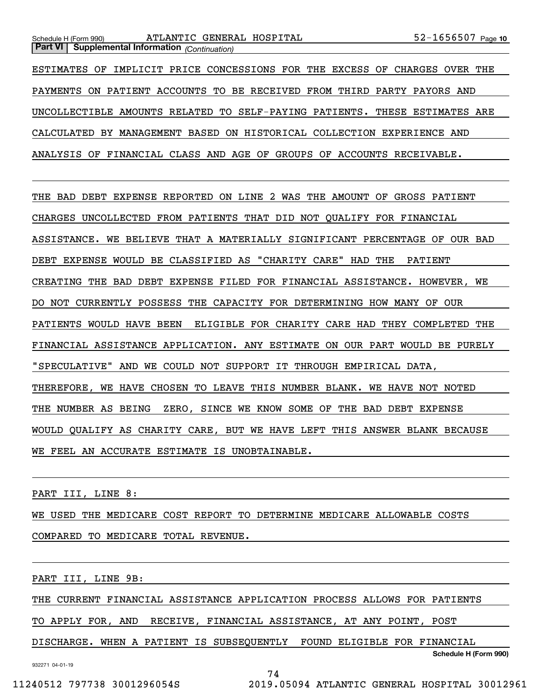ESTIMATES OF IMPLICIT PRICE CONCESSIONS FOR THE EXCESS OF CHARGES OVER THE PAYMENTS ON PATIENT ACCOUNTS TO BE RECEIVED FROM THIRD PARTY PAYORS AND UNCOLLECTIBLE AMOUNTS RELATED TO SELF-PAYING PATIENTS. THESE ESTIMATES ARE CALCULATED BY MANAGEMENT BASED ON HISTORICAL COLLECTION EXPERIENCE AND ANALYSIS OF FINANCIAL CLASS AND AGE OF GROUPS OF ACCOUNTS RECEIVABLE.

THE BAD DEBT EXPENSE REPORTED ON LINE 2 WAS THE AMOUNT OF GROSS PATIENT CHARGES UNCOLLECTED FROM PATIENTS THAT DID NOT QUALIFY FOR FINANCIAL ASSISTANCE. WE BELIEVE THAT A MATERIALLY SIGNIFICANT PERCENTAGE OF OUR BAD DEBT EXPENSE WOULD BE CLASSIFIED AS "CHARITY CARE" HAD THE PATIENT CREATING THE BAD DEBT EXPENSE FILED FOR FINANCIAL ASSISTANCE. HOWEVER, WE DO NOT CURRENTLY POSSESS THE CAPACITY FOR DETERMINING HOW MANY OF OUR PATIENTS WOULD HAVE BEEN ELIGIBLE FOR CHARITY CARE HAD THEY COMPLETED THE FINANCIAL ASSISTANCE APPLICATION. ANY ESTIMATE ON OUR PART WOULD BE PURELY "SPECULATIVE" AND WE COULD NOT SUPPORT IT THROUGH EMPIRICAL DATA, THEREFORE, WE HAVE CHOSEN TO LEAVE THIS NUMBER BLANK. WE HAVE NOT NOTED THE NUMBER AS BEING ZERO, SINCE WE KNOW SOME OF THE BAD DEBT EXPENSE WOULD QUALIFY AS CHARITY CARE, BUT WE HAVE LEFT THIS ANSWER BLANK BECAUSE WE FEEL AN ACCURATE ESTIMATE IS UNOBTAINABLE.

PART III, LINE 8:

WE USED THE MEDICARE COST REPORT TO DETERMINE MEDICARE ALLOWABLE COSTS COMPARED TO MEDICARE TOTAL REVENUE.

PART III, LINE 9B:

THE CURRENT FINANCIAL ASSISTANCE APPLICATION PROCESS ALLOWS FOR PATIENTS

TO APPLY FOR, AND RECEIVE, FINANCIAL ASSISTANCE, AT ANY POINT, POST

DISCHARGE. WHEN A PATIENT IS SUBSEQUENTLY FOUND ELIGIBLE FOR FINANCIAL

**Schedule H (Form 990)**

932271 04-01-19

74

11240512 797738 3001296054S 2019.05094 ATLANTIC GENERAL HOSPITAL 30012961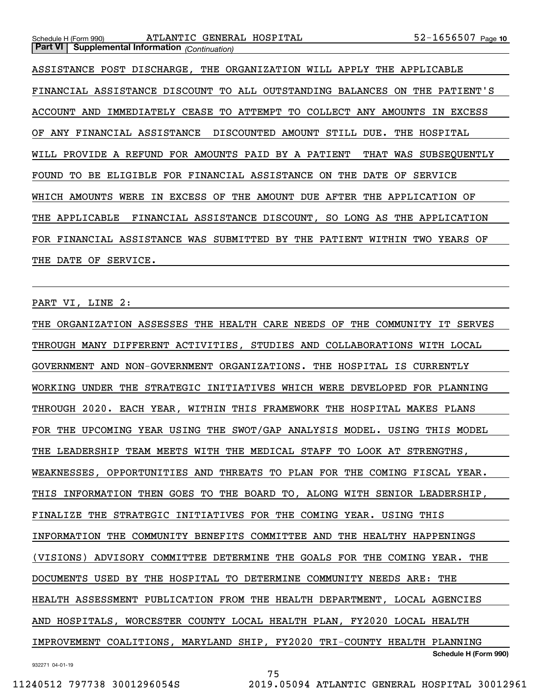Schedule H (Form 990) Page ATLANTIC GENERAL HOSPITAL 52-1656507 **Part VI Supplemental Information** *(Continuation)*

ASSISTANCE POST DISCHARGE, THE ORGANIZATION WILL APPLY THE APPLICABLE FINANCIAL ASSISTANCE DISCOUNT TO ALL OUTSTANDING BALANCES ON THE PATIENT'S ACCOUNT AND IMMEDIATELY CEASE TO ATTEMPT TO COLLECT ANY AMOUNTS IN EXCESS OF ANY FINANCIAL ASSISTANCE DISCOUNTED AMOUNT STILL DUE. THE HOSPITAL WILL PROVIDE A REFUND FOR AMOUNTS PAID BY A PATIENT THAT WAS SUBSEQUENTLY FOUND TO BE ELIGIBLE FOR FINANCIAL ASSISTANCE ON THE DATE OF SERVICE WHICH AMOUNTS WERE IN EXCESS OF THE AMOUNT DUE AFTER THE APPLICATION OF THE APPLICABLE FINANCIAL ASSISTANCE DISCOUNT, SO LONG AS THE APPLICATION FOR FINANCIAL ASSISTANCE WAS SUBMITTED BY THE PATIENT WITHIN TWO YEARS OF THE DATE OF SERVICE.

PART VI, LINE 2:

932271 04-01-19 **Schedule H (Form 990)** THE ORGANIZATION ASSESSES THE HEALTH CARE NEEDS OF THE COMMUNITY IT SERVES THROUGH MANY DIFFERENT ACTIVITIES, STUDIES AND COLLABORATIONS WITH LOCAL GOVERNMENT AND NON-GOVERNMENT ORGANIZATIONS. THE HOSPITAL IS CURRENTLY WORKING UNDER THE STRATEGIC INITIATIVES WHICH WERE DEVELOPED FOR PLANNING THROUGH 2020. EACH YEAR, WITHIN THIS FRAMEWORK THE HOSPITAL MAKES PLANS FOR THE UPCOMING YEAR USING THE SWOT/GAP ANALYSIS MODEL. USING THIS MODEL THE LEADERSHIP TEAM MEETS WITH THE MEDICAL STAFF TO LOOK AT STRENGTHS, WEAKNESSES, OPPORTUNITIES AND THREATS TO PLAN FOR THE COMING FISCAL YEAR. THIS INFORMATION THEN GOES TO THE BOARD TO, ALONG WITH SENIOR LEADERSHIP, FINALIZE THE STRATEGIC INITIATIVES FOR THE COMING YEAR. USING THIS INFORMATION THE COMMUNITY BENEFITS COMMITTEE AND THE HEALTHY HAPPENINGS (VISIONS) ADVISORY COMMITTEE DETERMINE THE GOALS FOR THE COMING YEAR. THE DOCUMENTS USED BY THE HOSPITAL TO DETERMINE COMMUNITY NEEDS ARE: THE HEALTH ASSESSMENT PUBLICATION FROM THE HEALTH DEPARTMENT, LOCAL AGENCIES AND HOSPITALS, WORCESTER COUNTY LOCAL HEALTH PLAN, FY2020 LOCAL HEALTH IMPROVEMENT COALITIONS, MARYLAND SHIP, FY2020 TRI-COUNTY HEALTH PLANNING

75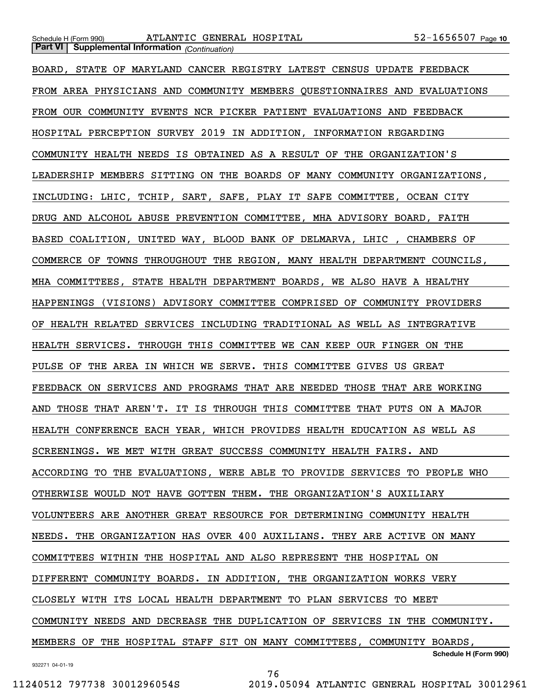**Schedule H (Form 990)** BOARD, STATE OF MARYLAND CANCER REGISTRY LATEST CENSUS UPDATE FEEDBACK FROM AREA PHYSICIANS AND COMMUNITY MEMBERS QUESTIONNAIRES AND EVALUATIONS FROM OUR COMMUNITY EVENTS NCR PICKER PATIENT EVALUATIONS AND FEEDBACK HOSPITAL PERCEPTION SURVEY 2019 IN ADDITION, INFORMATION REGARDING COMMUNITY HEALTH NEEDS IS OBTAINED AS A RESULT OF THE ORGANIZATION'S LEADERSHIP MEMBERS SITTING ON THE BOARDS OF MANY COMMUNITY ORGANIZATIONS, INCLUDING: LHIC, TCHIP, SART, SAFE, PLAY IT SAFE COMMITTEE, OCEAN CITY DRUG AND ALCOHOL ABUSE PREVENTION COMMITTEE, MHA ADVISORY BOARD, FAITH BASED COALITION, UNITED WAY, BLOOD BANK OF DELMARVA, LHIC , CHAMBERS OF COMMERCE OF TOWNS THROUGHOUT THE REGION, MANY HEALTH DEPARTMENT COUNCILS, MHA COMMITTEES, STATE HEALTH DEPARTMENT BOARDS, WE ALSO HAVE A HEALTHY HAPPENINGS (VISIONS) ADVISORY COMMITTEE COMPRISED OF COMMUNITY PROVIDERS OF HEALTH RELATED SERVICES INCLUDING TRADITIONAL AS WELL AS INTEGRATIVE HEALTH SERVICES. THROUGH THIS COMMITTEE WE CAN KEEP OUR FINGER ON THE PULSE OF THE AREA IN WHICH WE SERVE. THIS COMMITTEE GIVES US GREAT FEEDBACK ON SERVICES AND PROGRAMS THAT ARE NEEDED THOSE THAT ARE WORKING AND THOSE THAT AREN'T. IT IS THROUGH THIS COMMITTEE THAT PUTS ON A MAJOR HEALTH CONFERENCE EACH YEAR, WHICH PROVIDES HEALTH EDUCATION AS WELL AS SCREENINGS. WE MET WITH GREAT SUCCESS COMMUNITY HEALTH FAIRS. AND ACCORDING TO THE EVALUATIONS, WERE ABLE TO PROVIDE SERVICES TO PEOPLE WHO OTHERWISE WOULD NOT HAVE GOTTEN THEM. THE ORGANIZATION'S AUXILIARY VOLUNTEERS ARE ANOTHER GREAT RESOURCE FOR DETERMINING COMMUNITY HEALTH NEEDS. THE ORGANIZATION HAS OVER 400 AUXILIANS. THEY ARE ACTIVE ON MANY COMMITTEES WITHIN THE HOSPITAL AND ALSO REPRESENT THE HOSPITAL ON DIFFERENT COMMUNITY BOARDS. IN ADDITION, THE ORGANIZATION WORKS VERY CLOSELY WITH ITS LOCAL HEALTH DEPARTMENT TO PLAN SERVICES TO MEET COMMUNITY NEEDS AND DECREASE THE DUPLICATION OF SERVICES IN THE COMMUNITY. MEMBERS OF THE HOSPITAL STAFF SIT ON MANY COMMITTEES, COMMUNITY BOARDS,

932271 04-01-19

76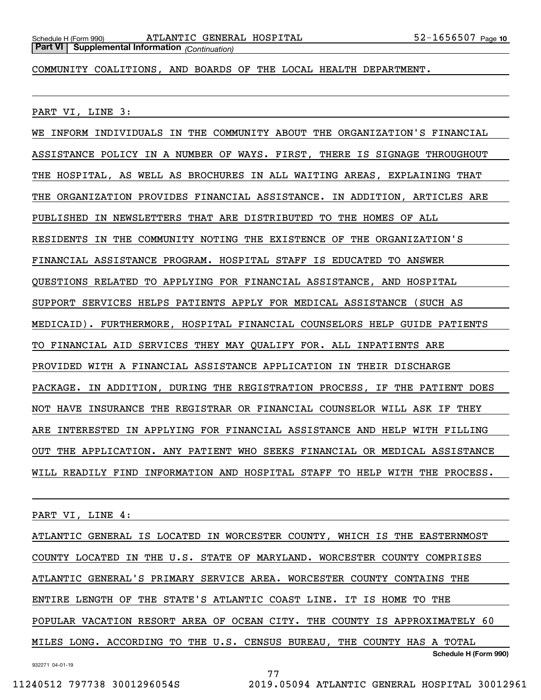COMMUNITY COALITIONS, AND BOARDS OF THE LOCAL HEALTH DEPARTMENT.

PART VI, LINE 3:

WE INFORM INDIVIDUALS IN THE COMMUNITY ABOUT THE ORGANIZATION'S FINANCIAL ASSISTANCE POLICY IN A NUMBER OF WAYS. FIRST, THERE IS SIGNAGE THROUGHOUT THE HOSPITAL, AS WELL AS BROCHURES IN ALL WAITING AREAS, EXPLAINING THAT THE ORGANIZATION PROVIDES FINANCIAL ASSISTANCE. IN ADDITION, ARTICLES ARE PUBLISHED IN NEWSLETTERS THAT ARE DISTRIBUTED TO THE HOMES OF ALL RESIDENTS IN THE COMMUNITY NOTING THE EXISTENCE OF THE ORGANIZATION'S FINANCIAL ASSISTANCE PROGRAM. HOSPITAL STAFF IS EDUCATED TO ANSWER QUESTIONS RELATED TO APPLYING FOR FINANCIAL ASSISTANCE, AND HOSPITAL SUPPORT SERVICES HELPS PATIENTS APPLY FOR MEDICAL ASSISTANCE (SUCH AS MEDICAID). FURTHERMORE, HOSPITAL FINANCIAL COUNSELORS HELP GUIDE PATIENTS TO FINANCIAL AID SERVICES THEY MAY QUALIFY FOR. ALL INPATIENTS ARE PROVIDED WITH A FINANCIAL ASSISTANCE APPLICATION IN THEIR DISCHARGE PACKAGE. IN ADDITION, DURING THE REGISTRATION PROCESS, IF THE PATIENT DOES NOT HAVE INSURANCE THE REGISTRAR OR FINANCIAL COUNSELOR WILL ASK IF THEY ARE INTERESTED IN APPLYING FOR FINANCIAL ASSISTANCE AND HELP WITH FILLING OUT THE APPLICATION. ANY PATIENT WHO SEEKS FINANCIAL OR MEDICAL ASSISTANCE WILL READILY FIND INFORMATION AND HOSPITAL STAFF TO HELP WITH THE PROCESS.

PART VI, LINE 4:

932271 04-01-19 **Schedule H (Form 990)** ATLANTIC GENERAL IS LOCATED IN WORCESTER COUNTY, WHICH IS THE EASTERNMOST COUNTY LOCATED IN THE U.S. STATE OF MARYLAND. WORCESTER COUNTY COMPRISES ATLANTIC GENERAL'S PRIMARY SERVICE AREA. WORCESTER COUNTY CONTAINS THE ENTIRE LENGTH OF THE STATE'S ATLANTIC COAST LINE. IT IS HOME TO THE POPULAR VACATION RESORT AREA OF OCEAN CITY. THE COUNTY IS APPROXIMATELY 60 MILES LONG. ACCORDING TO THE U.S. CENSUS BUREAU, THE COUNTY HAS A TOTAL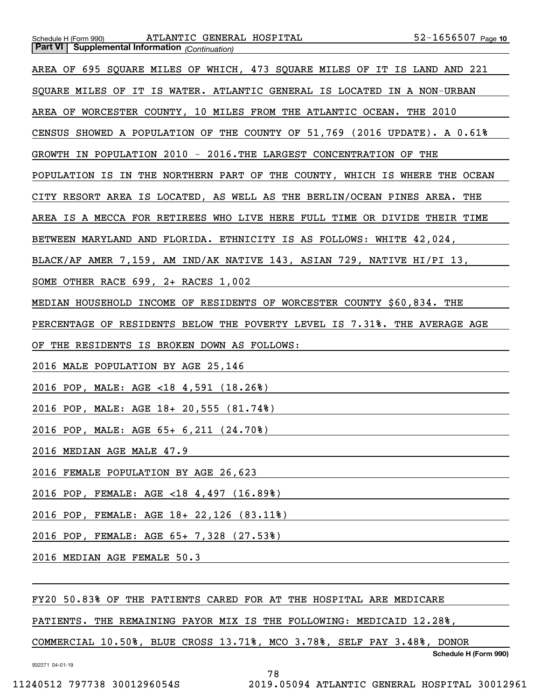| ATLANTIC GENERAL HOSPITAL 52-1656507 Page 10<br>Schedule H (Form 990)<br><b>Part VI</b> Supplemental Information (Continuation) |  |
|---------------------------------------------------------------------------------------------------------------------------------|--|
| AREA OF 695 SQUARE MILES OF WHICH, 473 SQUARE MILES OF IT IS LAND AND 221                                                       |  |
| SQUARE MILES OF IT IS WATER. ATLANTIC GENERAL IS LOCATED IN A NON-URBAN                                                         |  |
| AREA OF WORCESTER COUNTY, 10 MILES FROM THE ATLANTIC OCEAN. THE 2010                                                            |  |
| CENSUS SHOWED A POPULATION OF THE COUNTY OF 51,769 (2016 UPDATE). A 0.61%                                                       |  |
| GROWTH IN POPULATION 2010 - 2016. THE LARGEST CONCENTRATION OF THE                                                              |  |
| POPULATION IS IN THE NORTHERN PART OF THE COUNTY, WHICH IS WHERE THE OCEAN                                                      |  |
| CITY RESORT AREA IS LOCATED, AS WELL AS THE BERLIN/OCEAN PINES AREA. THE                                                        |  |
| AREA IS A MECCA FOR RETIREES WHO LIVE HERE FULL TIME OR DIVIDE THEIR TIME                                                       |  |
| BETWEEN MARYLAND AND FLORIDA. ETHNICITY IS AS FOLLOWS: WHITE 42,024,                                                            |  |
| BLACK/AF AMER 7,159, AM IND/AK NATIVE 143, ASIAN 729, NATIVE HI/PI 13,                                                          |  |
| SOME OTHER RACE 699, 2+ RACES 1,002                                                                                             |  |
| MEDIAN HOUSEHOLD INCOME OF RESIDENTS OF WORCESTER COUNTY \$60,834. THE                                                          |  |
| PERCENTAGE OF RESIDENTS BELOW THE POVERTY LEVEL IS 7.31%. THE AVERAGE AGE                                                       |  |
|                                                                                                                                 |  |
| 2016 MALE POPULATION BY AGE 25,146                                                                                              |  |
| 2016 POP, MALE: AGE <18 4,591 (18.26%)                                                                                          |  |
| 2016 POP, MALE: AGE 18+ 20,555 (81.74%)                                                                                         |  |
| 2016 POP, MALE: AGE 65+ 6,211 (24.70%)                                                                                          |  |
| 2016 MEDIAN AGE MALE 47.9                                                                                                       |  |
| 2016 FEMALE POPULATION BY AGE 26,623                                                                                            |  |
| 2016 POP, FEMALE: AGE <18 4,497 (16.89%)                                                                                        |  |
| 2016 POP, FEMALE: AGE 18+ 22,126 (83.11%)                                                                                       |  |
| 2016 POP, FEMALE: AGE 65+ 7,328 (27.53%)                                                                                        |  |
| 2016 MEDIAN AGE FEMALE 50.3                                                                                                     |  |
|                                                                                                                                 |  |
| FY20 50.83% OF THE PATIENTS CARED FOR AT THE HOSPITAL ARE MEDICARE                                                              |  |

PATIENTS. THE REMAINING PAYOR MIX IS THE FOLLOWING: MEDICAID 12.28%,

## COMMERCIAL 10.50%, BLUE CROSS 13.71%, MCO 3.78%, SELF PAY 3.48%, DONOR

**Schedule H (Form 990)**

932271 04-01-19

78

11240512 797738 3001296054S 2019.05094 ATLANTIC GENERAL HOSPITAL 30012961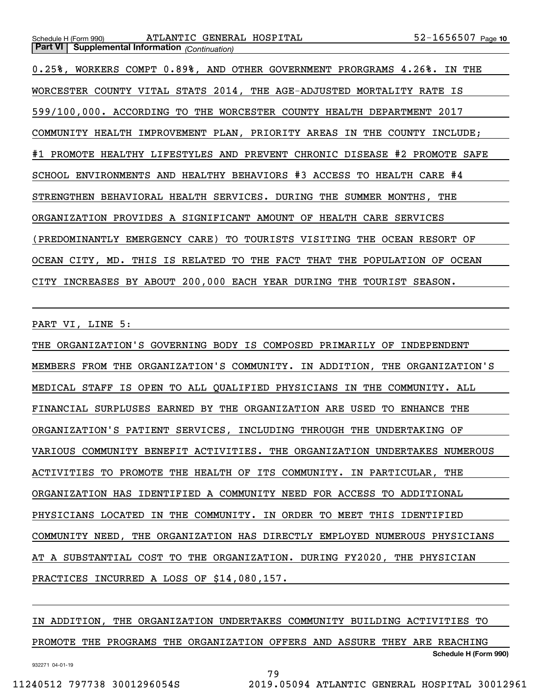**Part VI Supplemental Information** *(Continuation)* 0.25%, WORKERS COMPT 0.89%, AND OTHER GOVERNMENT PRORGRAMS 4.26%. IN THE WORCESTER COUNTY VITAL STATS 2014, THE AGE-ADJUSTED MORTALITY RATE IS 599/100,000. ACCORDING TO THE WORCESTER COUNTY HEALTH DEPARTMENT 2017 COMMUNITY HEALTH IMPROVEMENT PLAN, PRIORITY AREAS IN THE COUNTY INCLUDE; #1 PROMOTE HEALTHY LIFESTYLES AND PREVENT CHRONIC DISEASE #2 PROMOTE SAFE SCHOOL ENVIRONMENTS AND HEALTHY BEHAVIORS #3 ACCESS TO HEALTH CARE #4 STRENGTHEN BEHAVIORAL HEALTH SERVICES. DURING THE SUMMER MONTHS, THE ORGANIZATION PROVIDES A SIGNIFICANT AMOUNT OF HEALTH CARE SERVICES (PREDOMINANTLY EMERGENCY CARE) TO TOURISTS VISITING THE OCEAN RESORT OF OCEAN CITY, MD. THIS IS RELATED TO THE FACT THAT THE POPULATION OF OCEAN CITY INCREASES BY ABOUT 200,000 EACH YEAR DURING THE TOURIST SEASON.

PART VI, LINE 5:

THE ORGANIZATION'S GOVERNING BODY IS COMPOSED PRIMARILY OF INDEPENDENT MEMBERS FROM THE ORGANIZATION'S COMMUNITY. IN ADDITION, THE ORGANIZATION'S MEDICAL STAFF IS OPEN TO ALL QUALIFIED PHYSICIANS IN THE COMMUNITY. ALL FINANCIAL SURPLUSES EARNED BY THE ORGANIZATION ARE USED TO ENHANCE THE ORGANIZATION'S PATIENT SERVICES, INCLUDING THROUGH THE UNDERTAKING OF VARIOUS COMMUNITY BENEFIT ACTIVITIES. THE ORGANIZATION UNDERTAKES NUMEROUS ACTIVITIES TO PROMOTE THE HEALTH OF ITS COMMUNITY. IN PARTICULAR, THE ORGANIZATION HAS IDENTIFIED A COMMUNITY NEED FOR ACCESS TO ADDITIONAL PHYSICIANS LOCATED IN THE COMMUNITY. IN ORDER TO MEET THIS IDENTIFIED COMMUNITY NEED, THE ORGANIZATION HAS DIRECTLY EMPLOYED NUMEROUS PHYSICIANS AT A SUBSTANTIAL COST TO THE ORGANIZATION. DURING FY2020, THE PHYSICIAN PRACTICES INCURRED A LOSS OF \$14,080,157.

## **Schedule H (Form 990)** IN ADDITION, THE ORGANIZATION UNDERTAKES COMMUNITY BUILDING ACTIVITIES TO PROMOTE THE PROGRAMS THE ORGANIZATION OFFERS AND ASSURE THEY ARE REACHING

79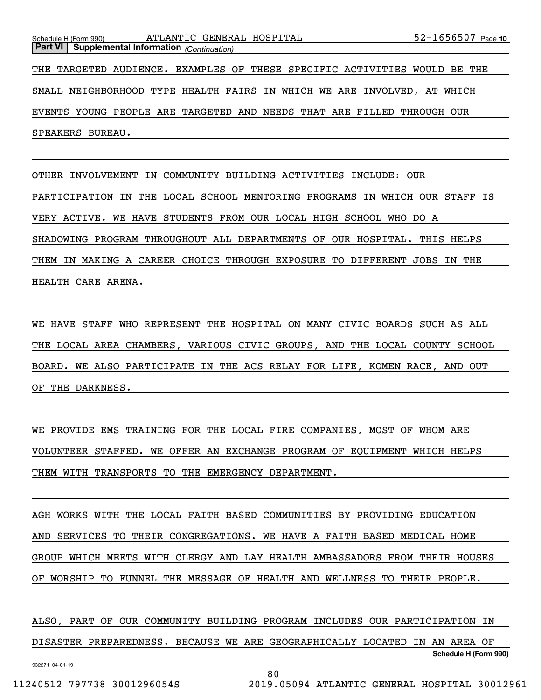52-1656507 Page 10 Schedule H (Form 990) Page ATLANTIC GENERAL HOSPITAL 52-1656507 **Part VI Supplemental Information** *(Continuation)* THE TARGETED AUDIENCE. EXAMPLES OF THESE SPECIFIC ACTIVITIES WOULD BE THE SMALL NEIGHBORHOOD-TYPE HEALTH FAIRS IN WHICH WE ARE INVOLVED, AT WHICH EVENTS YOUNG PEOPLE ARE TARGETED AND NEEDS THAT ARE FILLED THROUGH OUR SPEAKERS BUREAU.

OTHER INVOLVEMENT IN COMMUNITY BUILDING ACTIVITIES INCLUDE: OUR PARTICIPATION IN THE LOCAL SCHOOL MENTORING PROGRAMS IN WHICH OUR STAFF IS VERY ACTIVE. WE HAVE STUDENTS FROM OUR LOCAL HIGH SCHOOL WHO DO A SHADOWING PROGRAM THROUGHOUT ALL DEPARTMENTS OF OUR HOSPITAL. THIS HELPS THEM IN MAKING A CAREER CHOICE THROUGH EXPOSURE TO DIFFERENT JOBS IN THE HEALTH CARE ARENA.

WE HAVE STAFF WHO REPRESENT THE HOSPITAL ON MANY CIVIC BOARDS SUCH AS ALL THE LOCAL AREA CHAMBERS, VARIOUS CIVIC GROUPS, AND THE LOCAL COUNTY SCHOOL BOARD. WE ALSO PARTICIPATE IN THE ACS RELAY FOR LIFE, KOMEN RACE, AND OUT OF THE DARKNESS.

WE PROVIDE EMS TRAINING FOR THE LOCAL FIRE COMPANIES, MOST OF WHOM ARE VOLUNTEER STAFFED. WE OFFER AN EXCHANGE PROGRAM OF EQUIPMENT WHICH HELPS THEM WITH TRANSPORTS TO THE EMERGENCY DEPARTMENT.

AGH WORKS WITH THE LOCAL FAITH BASED COMMUNITIES BY PROVIDING EDUCATION AND SERVICES TO THEIR CONGREGATIONS. WE HAVE A FAITH BASED MEDICAL HOME GROUP WHICH MEETS WITH CLERGY AND LAY HEALTH AMBASSADORS FROM THEIR HOUSES OF WORSHIP TO FUNNEL THE MESSAGE OF HEALTH AND WELLNESS TO THEIR PEOPLE.

**Schedule H (Form 990)** ALSO, PART OF OUR COMMUNITY BUILDING PROGRAM INCLUDES OUR PARTICIPATION IN DISASTER PREPAREDNESS. BECAUSE WE ARE GEOGRAPHICALLY LOCATED IN AN AREA OF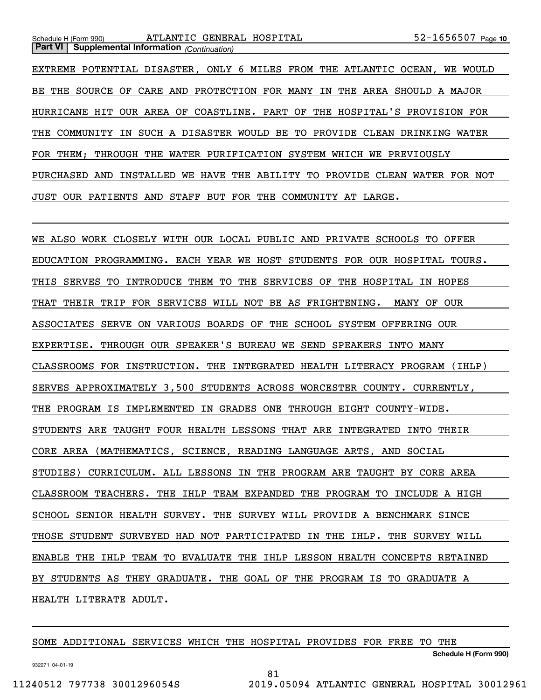EXTREME POTENTIAL DISASTER, ONLY 6 MILES FROM THE ATLANTIC OCEAN, WE WOULD BE THE SOURCE OF CARE AND PROTECTION FOR MANY IN THE AREA SHOULD A MAJOR HURRICANE HIT OUR AREA OF COASTLINE. PART OF THE HOSPITAL'S PROVISION FOR THE COMMUNITY IN SUCH A DISASTER WOULD BE TO PROVIDE CLEAN DRINKING WATER FOR THEM; THROUGH THE WATER PURIFICATION SYSTEM WHICH WE PREVIOUSLY PURCHASED AND INSTALLED WE HAVE THE ABILITY TO PROVIDE CLEAN WATER FOR NOT JUST OUR PATIENTS AND STAFF BUT FOR THE COMMUNITY AT LARGE.

WE ALSO WORK CLOSELY WITH OUR LOCAL PUBLIC AND PRIVATE SCHOOLS TO OFFER EDUCATION PROGRAMMING. EACH YEAR WE HOST STUDENTS FOR OUR HOSPITAL TOURS. THIS SERVES TO INTRODUCE THEM TO THE SERVICES OF THE HOSPITAL IN HOPES THAT THEIR TRIP FOR SERVICES WILL NOT BE AS FRIGHTENING. MANY OF OUR ASSOCIATES SERVE ON VARIOUS BOARDS OF THE SCHOOL SYSTEM OFFERING OUR EXPERTISE. THROUGH OUR SPEAKER'S BUREAU WE SEND SPEAKERS INTO MANY CLASSROOMS FOR INSTRUCTION. THE INTEGRATED HEALTH LITERACY PROGRAM (IHLP) SERVES APPROXIMATELY 3,500 STUDENTS ACROSS WORCESTER COUNTY. CURRENTLY, THE PROGRAM IS IMPLEMENTED IN GRADES ONE THROUGH EIGHT COUNTY-WIDE. STUDENTS ARE TAUGHT FOUR HEALTH LESSONS THAT ARE INTEGRATED INTO THEIR CORE AREA (MATHEMATICS, SCIENCE, READING LANGUAGE ARTS, AND SOCIAL STUDIES) CURRICULUM. ALL LESSONS IN THE PROGRAM ARE TAUGHT BY CORE AREA CLASSROOM TEACHERS. THE IHLP TEAM EXPANDED THE PROGRAM TO INCLUDE A HIGH SCHOOL SENIOR HEALTH SURVEY. THE SURVEY WILL PROVIDE A BENCHMARK SINCE THOSE STUDENT SURVEYED HAD NOT PARTICIPATED IN THE IHLP. THE SURVEY WILL ENABLE THE IHLP TEAM TO EVALUATE THE IHLP LESSON HEALTH CONCEPTS RETAINED BY STUDENTS AS THEY GRADUATE. THE GOAL OF THE PROGRAM IS TO GRADUATE A HEALTH LITERATE ADULT.

#### SOME ADDITIONAL SERVICES WHICH THE HOSPITAL PROVIDES FOR FREE TO THE

**Schedule H (Form 990)**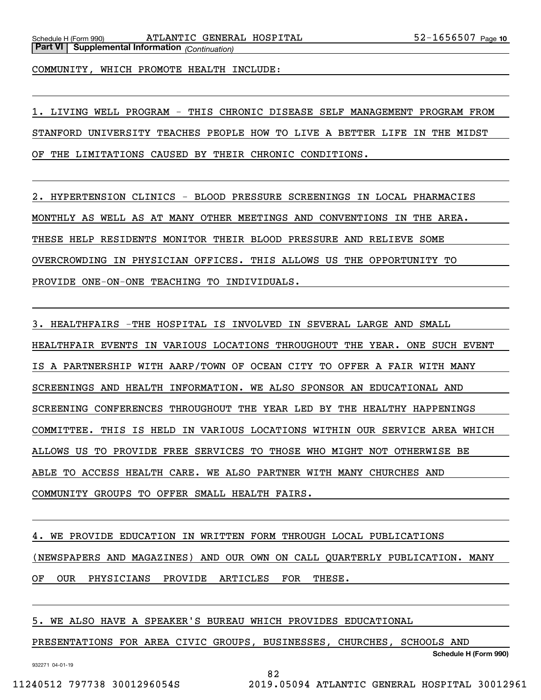COMMUNITY, WHICH PROMOTE HEALTH INCLUDE:

1. LIVING WELL PROGRAM - THIS CHRONIC DISEASE SELF MANAGEMENT PROGRAM FROM STANFORD UNIVERSITY TEACHES PEOPLE HOW TO LIVE A BETTER LIFE IN THE MIDST OF THE LIMITATIONS CAUSED BY THEIR CHRONIC CONDITIONS.

2. HYPERTENSION CLINICS - BLOOD PRESSURE SCREENINGS IN LOCAL PHARMACIES MONTHLY AS WELL AS AT MANY OTHER MEETINGS AND CONVENTIONS IN THE AREA. THESE HELP RESIDENTS MONITOR THEIR BLOOD PRESSURE AND RELIEVE SOME OVERCROWDING IN PHYSICIAN OFFICES. THIS ALLOWS US THE OPPORTUNITY TO PROVIDE ONE-ON-ONE TEACHING TO INDIVIDUALS.

3. HEALTHFAIRS -THE HOSPITAL IS INVOLVED IN SEVERAL LARGE AND SMALL HEALTHFAIR EVENTS IN VARIOUS LOCATIONS THROUGHOUT THE YEAR. ONE SUCH EVENT IS A PARTNERSHIP WITH AARP/TOWN OF OCEAN CITY TO OFFER A FAIR WITH MANY SCREENINGS AND HEALTH INFORMATION. WE ALSO SPONSOR AN EDUCATIONAL AND SCREENING CONFERENCES THROUGHOUT THE YEAR LED BY THE HEALTHY HAPPENINGS COMMITTEE. THIS IS HELD IN VARIOUS LOCATIONS WITHIN OUR SERVICE AREA WHICH ALLOWS US TO PROVIDE FREE SERVICES TO THOSE WHO MIGHT NOT OTHERWISE BE ABLE TO ACCESS HEALTH CARE. WE ALSO PARTNER WITH MANY CHURCHES AND COMMUNITY GROUPS TO OFFER SMALL HEALTH FAIRS.

4. WE PROVIDE EDUCATION IN WRITTEN FORM THROUGH LOCAL PUBLICATIONS (NEWSPAPERS AND MAGAZINES) AND OUR OWN ON CALL QUARTERLY PUBLICATION. MANY OF OUR PHYSICIANS PROVIDE ARTICLES FOR THESE.

5. WE ALSO HAVE A SPEAKER'S BUREAU WHICH PROVIDES EDUCATIONAL

PRESENTATIONS FOR AREA CIVIC GROUPS, BUSINESSES, CHURCHES, SCHOOLS AND

82

**Schedule H (Form 990)**

932271 04-01-19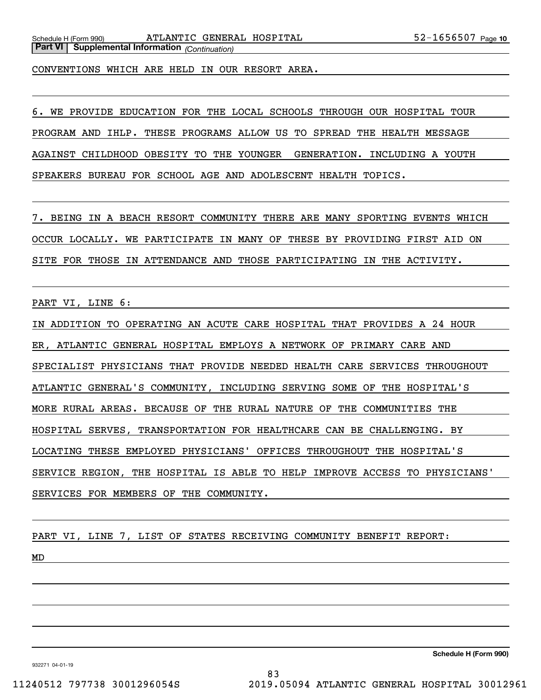CONVENTIONS WHICH ARE HELD IN OUR RESORT AREA.

6. WE PROVIDE EDUCATION FOR THE LOCAL SCHOOLS THROUGH OUR HOSPITAL TOUR PROGRAM AND IHLP. THESE PROGRAMS ALLOW US TO SPREAD THE HEALTH MESSAGE AGAINST CHILDHOOD OBESITY TO THE YOUNGER GENERATION. INCLUDING A YOUTH SPEAKERS BUREAU FOR SCHOOL AGE AND ADOLESCENT HEALTH TOPICS.

7. BEING IN A BEACH RESORT COMMUNITY THERE ARE MANY SPORTING EVENTS WHICH OCCUR LOCALLY. WE PARTICIPATE IN MANY OF THESE BY PROVIDING FIRST AID ON SITE FOR THOSE IN ATTENDANCE AND THOSE PARTICIPATING IN THE ACTIVITY.

PART VI, LINE 6:

IN ADDITION TO OPERATING AN ACUTE CARE HOSPITAL THAT PROVIDES A 24 HOUR ER, ATLANTIC GENERAL HOSPITAL EMPLOYS A NETWORK OF PRIMARY CARE AND SPECIALIST PHYSICIANS THAT PROVIDE NEEDED HEALTH CARE SERVICES THROUGHOUT ATLANTIC GENERAL'S COMMUNITY, INCLUDING SERVING SOME OF THE HOSPITAL'S MORE RURAL AREAS. BECAUSE OF THE RURAL NATURE OF THE COMMUNITIES THE HOSPITAL SERVES, TRANSPORTATION FOR HEALTHCARE CAN BE CHALLENGING. BY LOCATING THESE EMPLOYED PHYSICIANS' OFFICES THROUGHOUT THE HOSPITAL'S SERVICE REGION, THE HOSPITAL IS ABLE TO HELP IMPROVE ACCESS TO PHYSICIANS' SERVICES FOR MEMBERS OF THE COMMUNITY.

PART VI, LINE 7, LIST OF STATES RECEIVING COMMUNITY BENEFIT REPORT:

MD

**Schedule H (Form 990)**

932271 04-01-19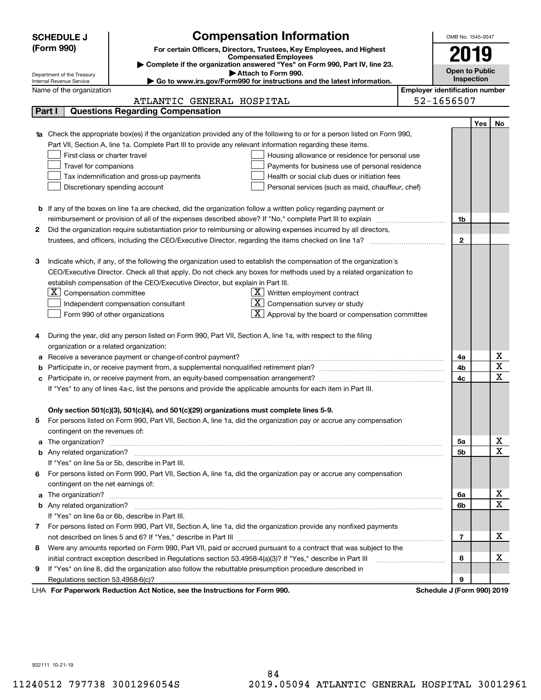|        | <b>SCHEDULE J</b>                                      |                                                                                | <b>Compensation Information</b>                                                                                                                                                                                       |                                       | OMB No. 1545-0047          |     |                                     |
|--------|--------------------------------------------------------|--------------------------------------------------------------------------------|-----------------------------------------------------------------------------------------------------------------------------------------------------------------------------------------------------------------------|---------------------------------------|----------------------------|-----|-------------------------------------|
|        | (Form 990)                                             |                                                                                | For certain Officers, Directors, Trustees, Key Employees, and Highest                                                                                                                                                 |                                       |                            |     |                                     |
|        |                                                        |                                                                                | <b>Compensated Employees</b>                                                                                                                                                                                          |                                       |                            |     |                                     |
|        |                                                        |                                                                                | Complete if the organization answered "Yes" on Form 990, Part IV, line 23.                                                                                                                                            |                                       | <b>Open to Public</b>      |     |                                     |
|        | Department of the Treasury<br>Internal Revenue Service |                                                                                | Attach to Form 990.<br>Go to www.irs.gov/Form990 for instructions and the latest information.                                                                                                                         |                                       | Inspection                 |     |                                     |
|        | Name of the organization                               |                                                                                |                                                                                                                                                                                                                       | <b>Employer identification number</b> |                            |     |                                     |
|        |                                                        | ATLANTIC GENERAL HOSPITAL                                                      |                                                                                                                                                                                                                       |                                       | 52-1656507                 |     |                                     |
| Part I |                                                        | <b>Questions Regarding Compensation</b>                                        |                                                                                                                                                                                                                       |                                       |                            |     |                                     |
|        |                                                        |                                                                                |                                                                                                                                                                                                                       |                                       |                            | Yes | No                                  |
|        |                                                        |                                                                                | 1a Check the appropriate box(es) if the organization provided any of the following to or for a person listed on Form 990,                                                                                             |                                       |                            |     |                                     |
|        |                                                        |                                                                                | Part VII, Section A, line 1a. Complete Part III to provide any relevant information regarding these items.                                                                                                            |                                       |                            |     |                                     |
|        | First-class or charter travel                          |                                                                                | Housing allowance or residence for personal use                                                                                                                                                                       |                                       |                            |     |                                     |
|        | Travel for companions                                  |                                                                                | Payments for business use of personal residence                                                                                                                                                                       |                                       |                            |     |                                     |
|        |                                                        | Tax indemnification and gross-up payments                                      | Health or social club dues or initiation fees                                                                                                                                                                         |                                       |                            |     |                                     |
|        | Discretionary spending account                         |                                                                                | Personal services (such as maid, chauffeur, chef)                                                                                                                                                                     |                                       |                            |     |                                     |
|        |                                                        |                                                                                |                                                                                                                                                                                                                       |                                       |                            |     |                                     |
|        |                                                        |                                                                                | <b>b</b> If any of the boxes on line 1a are checked, did the organization follow a written policy regarding payment or                                                                                                |                                       |                            |     |                                     |
|        |                                                        |                                                                                | reimbursement or provision of all of the expenses described above? If "No," complete Part III to explain                                                                                                              |                                       | 1b                         |     |                                     |
| 2      |                                                        |                                                                                | Did the organization require substantiation prior to reimbursing or allowing expenses incurred by all directors,                                                                                                      |                                       |                            |     |                                     |
|        |                                                        |                                                                                |                                                                                                                                                                                                                       |                                       | $\mathbf{2}$               |     |                                     |
|        |                                                        |                                                                                |                                                                                                                                                                                                                       |                                       |                            |     |                                     |
| з      |                                                        |                                                                                | Indicate which, if any, of the following the organization used to establish the compensation of the organization's                                                                                                    |                                       |                            |     |                                     |
|        |                                                        |                                                                                | CEO/Executive Director. Check all that apply. Do not check any boxes for methods used by a related organization to                                                                                                    |                                       |                            |     |                                     |
|        |                                                        | establish compensation of the CEO/Executive Director, but explain in Part III. |                                                                                                                                                                                                                       |                                       |                            |     |                                     |
|        | ΧI<br>Compensation committee                           |                                                                                | $X$ Written employment contract                                                                                                                                                                                       |                                       |                            |     |                                     |
|        |                                                        | Independent compensation consultant                                            | Compensation survey or study<br>X                                                                                                                                                                                     |                                       |                            |     |                                     |
|        | Form 990 of other organizations                        |                                                                                | Approval by the board or compensation committee                                                                                                                                                                       |                                       |                            |     |                                     |
|        |                                                        |                                                                                |                                                                                                                                                                                                                       |                                       |                            |     |                                     |
|        |                                                        |                                                                                | During the year, did any person listed on Form 990, Part VII, Section A, line 1a, with respect to the filing                                                                                                          |                                       |                            |     |                                     |
|        | organization or a related organization:                |                                                                                |                                                                                                                                                                                                                       |                                       |                            |     |                                     |
|        |                                                        | Receive a severance payment or change-of-control payment?                      |                                                                                                                                                                                                                       |                                       | 4a                         |     | $\underline{x}$                     |
|        |                                                        |                                                                                |                                                                                                                                                                                                                       |                                       | 4b                         |     | $\overline{\mathtt{x}}$             |
|        |                                                        |                                                                                |                                                                                                                                                                                                                       |                                       | 4c                         |     | $\overline{\text{x}}$               |
|        |                                                        |                                                                                | If "Yes" to any of lines 4a-c, list the persons and provide the applicable amounts for each item in Part III.                                                                                                         |                                       |                            |     |                                     |
|        |                                                        |                                                                                |                                                                                                                                                                                                                       |                                       |                            |     |                                     |
|        |                                                        |                                                                                | Only section 501(c)(3), 501(c)(4), and 501(c)(29) organizations must complete lines 5-9.                                                                                                                              |                                       |                            |     |                                     |
| 5.     |                                                        |                                                                                | For persons listed on Form 990, Part VII, Section A, line 1a, did the organization pay or accrue any compensation                                                                                                     |                                       |                            |     |                                     |
|        | contingent on the revenues of:                         |                                                                                |                                                                                                                                                                                                                       |                                       |                            |     |                                     |
|        |                                                        |                                                                                |                                                                                                                                                                                                                       |                                       | 5a                         |     | $\frac{\text{X}}{\text{X}}$         |
|        |                                                        |                                                                                |                                                                                                                                                                                                                       |                                       | 5b                         |     |                                     |
|        | If "Yes" on line 5a or 5b, describe in Part III.       |                                                                                |                                                                                                                                                                                                                       |                                       |                            |     |                                     |
| 6.     |                                                        |                                                                                | For persons listed on Form 990, Part VII, Section A, line 1a, did the organization pay or accrue any compensation                                                                                                     |                                       |                            |     |                                     |
|        | contingent on the net earnings of:                     |                                                                                |                                                                                                                                                                                                                       |                                       |                            |     |                                     |
|        |                                                        |                                                                                |                                                                                                                                                                                                                       |                                       | 6a                         |     | <u>x</u><br>$\overline{\mathtt{x}}$ |
|        |                                                        |                                                                                |                                                                                                                                                                                                                       |                                       | 6b                         |     |                                     |
|        | If "Yes" on line 6a or 6b, describe in Part III.       |                                                                                |                                                                                                                                                                                                                       |                                       |                            |     |                                     |
|        |                                                        |                                                                                | 7 For persons listed on Form 990, Part VII, Section A, line 1a, did the organization provide any nonfixed payments                                                                                                    |                                       |                            |     | x                                   |
|        |                                                        |                                                                                | Were any amounts reported on Form 990, Part VII, paid or accrued pursuant to a contract that was subject to the                                                                                                       |                                       | 7                          |     |                                     |
| 8      |                                                        |                                                                                |                                                                                                                                                                                                                       |                                       | 8                          |     | x                                   |
| 9      |                                                        |                                                                                | initial contract exception described in Regulations section 53.4958-4(a)(3)? If "Yes," describe in Part III<br>If "Yes" on line 8, did the organization also follow the rebuttable presumption procedure described in |                                       |                            |     |                                     |
|        | Regulations section 53.4958-6(c)?                      |                                                                                |                                                                                                                                                                                                                       |                                       | 9                          |     |                                     |
|        |                                                        | LHA For Paperwork Reduction Act Notice, see the Instructions for Form 990.     |                                                                                                                                                                                                                       |                                       | Schedule J (Form 990) 2019 |     |                                     |

932111 10-21-19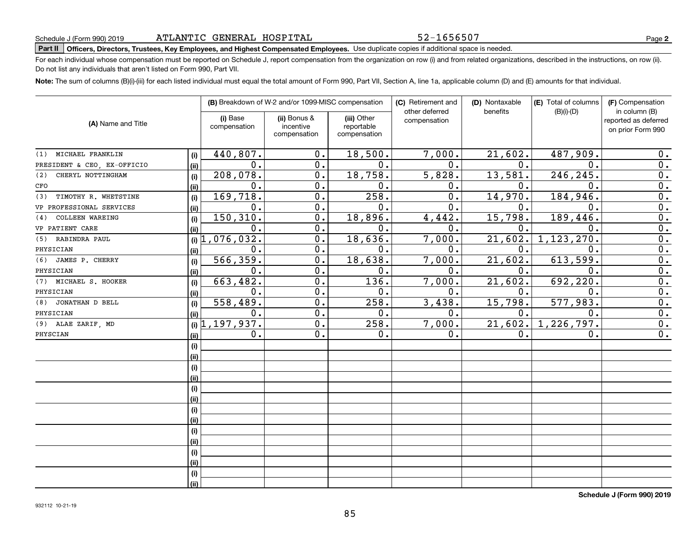52-1656507

# **Part II Officers, Directors, Trustees, Key Employees, and Highest Compensated Employees.**  Schedule J (Form 990) 2019 Page Use duplicate copies if additional space is needed.

For each individual whose compensation must be reported on Schedule J, report compensation from the organization on row (i) and from related organizations, described in the instructions, on row (ii). Do not list any individuals that aren't listed on Form 990, Part VII.

**Note:**  The sum of columns (B)(i)-(iii) for each listed individual must equal the total amount of Form 990, Part VII, Section A, line 1a, applicable column (D) and (E) amounts for that individual.

|                             |               |                          | (B) Breakdown of W-2 and/or 1099-MISC compensation |                                           | (C) Retirement and<br>other deferred | (D) Nontaxable<br>benefits | (E) Total of columns<br>$(B)(i)-(D)$ | (F) Compensation<br>in column (B)         |
|-----------------------------|---------------|--------------------------|----------------------------------------------------|-------------------------------------------|--------------------------------------|----------------------------|--------------------------------------|-------------------------------------------|
| (A) Name and Title          |               | (i) Base<br>compensation | (ii) Bonus &<br>incentive<br>compensation          | (iii) Other<br>reportable<br>compensation | compensation                         |                            |                                      | reported as deferred<br>on prior Form 990 |
| MICHAEL FRANKLIN<br>(1)     | (i)           | 440,807.                 | 0.                                                 | 18,500.                                   | 7,000.                               | 21,602.                    | 487,909.                             | $0$ .                                     |
| PRESIDENT & CEO, EX-OFFICIO | (ii)          | $\mathbf{0}$ .           | 0.                                                 | $\overline{0}$ .                          | $\overline{0}$ .                     | 0.                         | $\Omega$                             | $\overline{0}$ .                          |
| CHERYL NOTTINGHAM<br>(2)    | (i)           | 208,078.                 | 0.                                                 | 18,758.                                   | 5,828.                               | 13,581.                    | 246, 245.                            | 0.                                        |
| CFO                         | (ii)          | 0.                       | 0.                                                 | 0.                                        | 0.                                   | 0.                         | $\mathbf 0$                          | $\overline{0}$ .                          |
| TIMOTHY R. WHETSTINE<br>(3) | (i)           | 169,718.                 | 0.                                                 | 258.                                      | 0.                                   | 14,970.                    | 184,946                              | $\overline{0}$ .                          |
| VP PROFESSIONAL SERVICES    | (ii)          | 0.                       | 0.                                                 | 0.                                        | 0.                                   | $\mathbf 0$ .              | $\mathbf 0$ .                        | $\overline{0}$ .                          |
| (4) COLLEEN WAREING         | (i)           | 150, 310.                | $\overline{0}$ .                                   | 18,896.                                   | 4,442.                               | 15,798.                    | 189,446                              | $\overline{\mathbf{0}}$ .                 |
| VP PATIENT CARE             | (ii)          | 0.                       | $\overline{0}$ .                                   | $\overline{0}$ .                          | 0.                                   | $\mathbf 0$ .              | $\mathbf 0$                          | $\overline{\mathbf{0}}$ .                 |
| (5) RABINDRA PAUL           |               | (i) $1,076,032$ .        | 0.                                                 | 18,636.                                   | 7,000.                               | 21,602.                    | 1,123,270                            | $\overline{0}$ .                          |
| PHYSICIAN                   | (ii)          | 0.                       | 0.                                                 | 0.                                        | 0.                                   | 0.                         | $\mathbf 0$ .                        | $\overline{0}$ .                          |
| (6) JAMES P. CHERRY         | (i)           | 566,359.                 | 0.                                                 | 18,638.                                   | 7,000.                               | 21,602.                    | 613,599.                             | $\overline{0}$ .                          |
| PHYSICIAN                   | (ii)          | 0.                       | $\overline{0}$ .                                   | $\overline{0}$ .                          | 0.                                   | 0.                         | $\mathbf 0$ .                        | $\overline{0}$ .                          |
| (7) MICHAEL S. HOOKER       | (i)           | 663,482.                 | $\mathbf 0$ .                                      | 136.                                      | 7,000.                               | 21,602.                    | 692,220                              | $\overline{0}$ .                          |
| PHYSICIAN                   | (ii)          | 0.                       | $\mathbf 0$ .                                      | 0.                                        | 0.                                   | 0.                         | $\mathbf 0$ .                        | $\mathbf 0$ .                             |
| (8) JONATHAN D BELL         | (i)           | 558,489.                 | $\mathbf 0$ .                                      | 258.                                      | 3,438.                               | 15,798.                    | 577,983.                             | $\mathbf 0$ .                             |
| PHYSICIAN                   | (ii)          | $0$ .                    | $\mathbf 0$ .                                      | 0.                                        | 0.                                   | 0.                         | 0.                                   | $\mathbf 0$ .                             |
| (9) ALAE ZARIF, MD          | (i) $\vert$ 1 | , 197, 937.              | $\overline{0}$ .                                   | 258.                                      | 7,000.                               | 21,602.                    | 1, 226, 797.                         | $\overline{0}$ .                          |
| PHYSCIAN                    | (ii)          | $0$ .                    | $\overline{0}$ .                                   | 0.                                        | 0.                                   | 0.                         | 0.                                   | $\overline{0}$ .                          |
|                             | (i)           |                          |                                                    |                                           |                                      |                            |                                      |                                           |
|                             | (ii)          |                          |                                                    |                                           |                                      |                            |                                      |                                           |
|                             | (i)           |                          |                                                    |                                           |                                      |                            |                                      |                                           |
|                             | (ii)          |                          |                                                    |                                           |                                      |                            |                                      |                                           |
|                             | (i)           |                          |                                                    |                                           |                                      |                            |                                      |                                           |
|                             | (i)           |                          |                                                    |                                           |                                      |                            |                                      |                                           |
|                             | (i)           |                          |                                                    |                                           |                                      |                            |                                      |                                           |
|                             | (ii)          |                          |                                                    |                                           |                                      |                            |                                      |                                           |
|                             | (i)           |                          |                                                    |                                           |                                      |                            |                                      |                                           |
|                             | (ii)          |                          |                                                    |                                           |                                      |                            |                                      |                                           |
|                             | (i)           |                          |                                                    |                                           |                                      |                            |                                      |                                           |
|                             | (ii)          |                          |                                                    |                                           |                                      |                            |                                      |                                           |
|                             | (i)           |                          |                                                    |                                           |                                      |                            |                                      |                                           |
|                             | (ii)          |                          |                                                    |                                           |                                      |                            |                                      |                                           |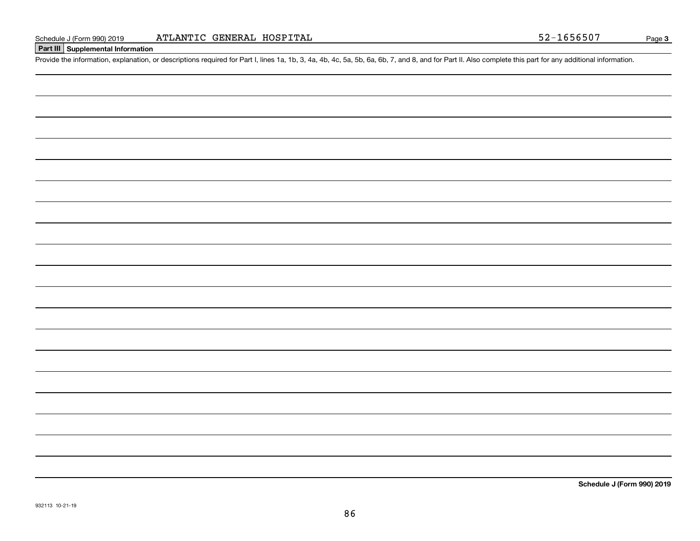### **Part III Supplemental Information**

Schedule J (Form 990) 2019 ATLANTIC GENERAL HOSPITAL 52-1656507<br>Part III Supplemental Information<br>Provide the information, explanation, or descriptions required for Part I, lines 1a, 1b, 3, 4a, 4b, 4c, 5a, 5b, 6a, 6b, 7, a

**Schedule J (Form 990) 2019**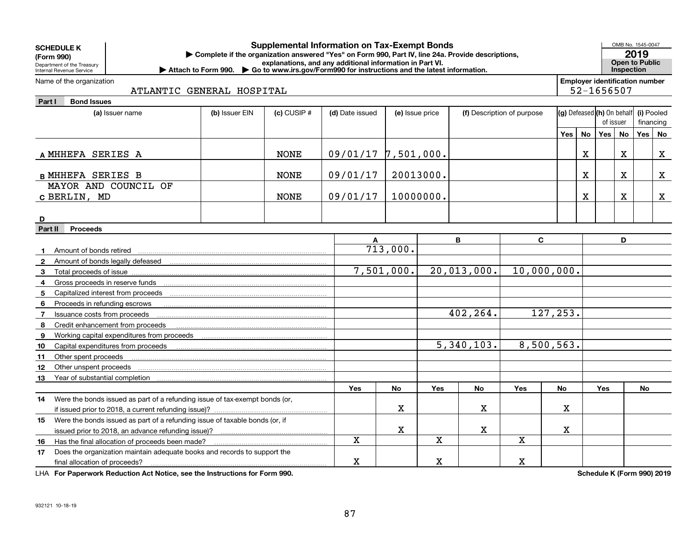|              | <b>Supplemental Information on Tax-Exempt Bonds</b><br><b>SCHEDULE K</b><br>Complete if the organization answered "Yes" on Form 990, Part IV, line 24a. Provide descriptions,<br>(Form 990)<br>explanations, and any additional information in Part VI.<br>Department of the Treasury<br>▶ Attach to Form 990. ▶ Go to www.irs.gov/Form990 for instructions and the latest information.<br>Inspection<br><b>Internal Revenue Service</b> |                |                 |                       |             |                 |             |                            |            |           |                                       |    |            | OMB No. 1545-0047<br><b>Open to Public</b> |
|--------------|------------------------------------------------------------------------------------------------------------------------------------------------------------------------------------------------------------------------------------------------------------------------------------------------------------------------------------------------------------------------------------------------------------------------------------------|----------------|-----------------|-----------------------|-------------|-----------------|-------------|----------------------------|------------|-----------|---------------------------------------|----|------------|--------------------------------------------|
|              | Name of the organization                                                                                                                                                                                                                                                                                                                                                                                                                 |                |                 |                       |             |                 |             |                            |            |           | <b>Employer identification number</b> |    |            |                                            |
|              | ATLANTIC GENERAL HOSPITAL                                                                                                                                                                                                                                                                                                                                                                                                                |                |                 |                       |             |                 |             |                            |            |           | 52-1656507                            |    |            |                                            |
| Part I       | <b>Bond Issues</b>                                                                                                                                                                                                                                                                                                                                                                                                                       |                |                 |                       |             |                 |             |                            |            |           |                                       |    |            |                                            |
|              | (a) Issuer name                                                                                                                                                                                                                                                                                                                                                                                                                          | (b) Issuer EIN | $(c)$ CUSIP $#$ | (d) Date issued       |             | (e) Issue price |             | (f) Description of purpose |            |           | (g) Defeased (h) On behalf            |    | (i) Pooled |                                            |
|              |                                                                                                                                                                                                                                                                                                                                                                                                                                          |                |                 |                       |             |                 |             |                            |            |           | of issuer                             |    | financing  |                                            |
|              |                                                                                                                                                                                                                                                                                                                                                                                                                                          |                |                 |                       |             |                 |             |                            | Yes        | <b>No</b> | Yes                                   | No | Yes   No   |                                            |
|              | A MHHEFA SERIES A                                                                                                                                                                                                                                                                                                                                                                                                                        |                | <b>NONE</b>     | $09/01/17$ 7,501,000. |             |                 |             |                            |            | Х         |                                       | х  |            | X                                          |
|              |                                                                                                                                                                                                                                                                                                                                                                                                                                          |                |                 |                       |             |                 |             |                            |            |           |                                       |    |            |                                            |
|              | <b>B MHHEFA SERIES B</b>                                                                                                                                                                                                                                                                                                                                                                                                                 |                | <b>NONE</b>     | 09/01/17              |             | 20013000.       |             |                            |            | X         |                                       | X  |            | X                                          |
|              | MAYOR AND COUNCIL OF                                                                                                                                                                                                                                                                                                                                                                                                                     |                |                 |                       |             |                 |             |                            |            |           |                                       |    |            |                                            |
|              | C BERLIN, MD                                                                                                                                                                                                                                                                                                                                                                                                                             |                | <b>NONE</b>     | 09/01/17              |             | 10000000.       |             |                            |            | X         |                                       | X  |            | X                                          |
|              |                                                                                                                                                                                                                                                                                                                                                                                                                                          |                |                 |                       |             |                 |             |                            |            |           |                                       |    |            |                                            |
| D            |                                                                                                                                                                                                                                                                                                                                                                                                                                          |                |                 |                       |             |                 |             |                            |            |           |                                       |    |            |                                            |
| Part II      | <b>Proceeds</b>                                                                                                                                                                                                                                                                                                                                                                                                                          |                |                 |                       |             |                 |             |                            |            |           |                                       |    |            |                                            |
|              |                                                                                                                                                                                                                                                                                                                                                                                                                                          |                |                 | A                     |             |                 | B           | $\mathbf{C}$               |            |           |                                       | D  |            |                                            |
| $\mathbf 1$  | Amount of bonds retired                                                                                                                                                                                                                                                                                                                                                                                                                  |                |                 |                       | 713,000.    |                 |             |                            |            |           |                                       |    |            |                                            |
| $\mathbf{2}$ | Amount of bonds legally defeased                                                                                                                                                                                                                                                                                                                                                                                                         |                |                 |                       |             |                 |             |                            |            |           |                                       |    |            |                                            |
| 3            | Total proceeds of issue                                                                                                                                                                                                                                                                                                                                                                                                                  |                |                 |                       | 7,501,000.  |                 | 20,013,000. | 10,000,000.                |            |           |                                       |    |            |                                            |
| 4            |                                                                                                                                                                                                                                                                                                                                                                                                                                          |                |                 |                       |             |                 |             |                            |            |           |                                       |    |            |                                            |
| 5            | Capitalized interest from proceeds                                                                                                                                                                                                                                                                                                                                                                                                       |                |                 |                       |             |                 |             |                            |            |           |                                       |    |            |                                            |
| 6            | Proceeds in refunding escrows                                                                                                                                                                                                                                                                                                                                                                                                            |                |                 |                       |             |                 |             |                            |            |           |                                       |    |            |                                            |
| $\mathbf{7}$ | Issuance costs from proceeds                                                                                                                                                                                                                                                                                                                                                                                                             |                |                 |                       |             | 402,264.        |             |                            | 127,253.   |           |                                       |    |            |                                            |
| 8            | Credit enhancement from proceeds                                                                                                                                                                                                                                                                                                                                                                                                         |                |                 |                       |             |                 |             |                            |            |           |                                       |    |            |                                            |
| 9            | Working capital expenditures from proceeds                                                                                                                                                                                                                                                                                                                                                                                               |                |                 |                       |             |                 |             |                            |            |           |                                       |    |            |                                            |
| 10           | Capital expenditures from proceeds                                                                                                                                                                                                                                                                                                                                                                                                       |                |                 |                       |             |                 | 5,340,103.  |                            | 8,500,563. |           |                                       |    |            |                                            |
| 11           | Other spent proceeds                                                                                                                                                                                                                                                                                                                                                                                                                     |                |                 |                       |             |                 |             |                            |            |           |                                       |    |            |                                            |
| 12           | Other unspent proceeds                                                                                                                                                                                                                                                                                                                                                                                                                   |                |                 |                       |             |                 |             |                            |            |           |                                       |    |            |                                            |
| 13           | Year of substantial completion                                                                                                                                                                                                                                                                                                                                                                                                           |                |                 |                       |             |                 |             |                            |            |           |                                       |    |            |                                            |
|              |                                                                                                                                                                                                                                                                                                                                                                                                                                          |                |                 | <b>Yes</b>            | <b>No</b>   | <b>Yes</b>      | <b>No</b>   | <b>Yes</b>                 | <b>No</b>  |           | <b>Yes</b>                            |    | No         |                                            |
| 14           | Were the bonds issued as part of a refunding issue of tax-exempt bonds (or,                                                                                                                                                                                                                                                                                                                                                              |                |                 |                       | x           |                 | x           |                            | х          |           |                                       |    |            |                                            |
|              |                                                                                                                                                                                                                                                                                                                                                                                                                                          |                |                 |                       |             |                 |             |                            |            |           |                                       |    |            |                                            |
| 15           | Were the bonds issued as part of a refunding issue of taxable bonds (or, if                                                                                                                                                                                                                                                                                                                                                              |                | x               |                       | $\mathbf X$ |                 | $\mathbf X$ |                            |            |           |                                       |    |            |                                            |
| 16           | Has the final allocation of proceeds been made?                                                                                                                                                                                                                                                                                                                                                                                          | X              |                 | x                     |             | X               |             |                            |            |           |                                       |    |            |                                            |
| 17           | Does the organization maintain adequate books and records to support the                                                                                                                                                                                                                                                                                                                                                                 |                |                 |                       |             |                 |             |                            |            |           |                                       |    |            |                                            |
|              | final allocation of proceeds?                                                                                                                                                                                                                                                                                                                                                                                                            |                |                 | $\mathbf X$           |             | $\mathbf X$     |             | $\mathbf X$                |            |           |                                       |    |            |                                            |

**For Paperwork Reduction Act Notice, see the Instructions for Form 990. Schedule K (Form 990) 2019** LHA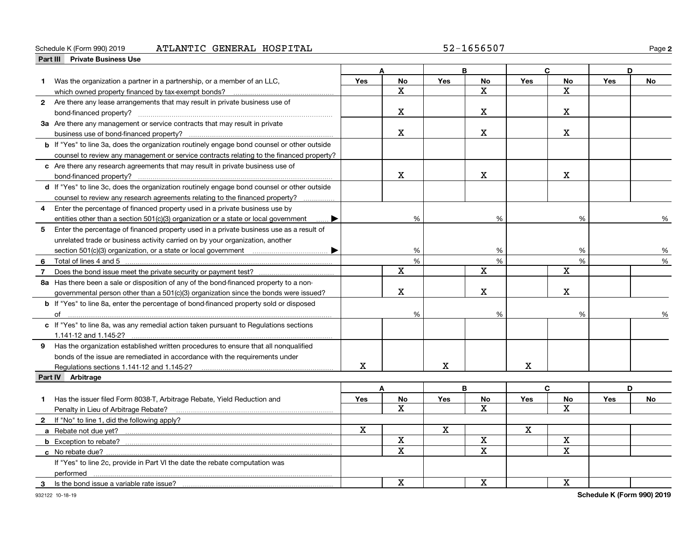#### Schedule K (Form 990) 2019 Page ATLANTIC GENERAL HOSPITAL 52-1656507

**2**

|                | Part III Private Business Use                                                                      |     |             |             |              |            |             |     |    |
|----------------|----------------------------------------------------------------------------------------------------|-----|-------------|-------------|--------------|------------|-------------|-----|----|
|                |                                                                                                    |     |             |             | B            |            | C           |     | D  |
| 1.             | Was the organization a partner in a partnership, or a member of an LLC,                            | Yes | <b>No</b>   | Yes         | No           | <b>Yes</b> | No          | Yes | No |
|                |                                                                                                    |     | X           |             | X            |            | X           |     |    |
|                | 2 Are there any lease arrangements that may result in private business use of                      |     |             |             |              |            |             |     |    |
|                |                                                                                                    |     | $\mathbf X$ |             | x            |            | $\mathbf X$ |     |    |
|                | 3a Are there any management or service contracts that may result in private                        |     |             |             |              |            |             |     |    |
|                |                                                                                                    |     | x           |             | x            |            | х           |     |    |
|                | <b>b</b> If "Yes" to line 3a, does the organization routinely engage bond counsel or other outside |     |             |             |              |            |             |     |    |
|                | counsel to review any management or service contracts relating to the financed property?           |     |             |             |              |            |             |     |    |
|                | c Are there any research agreements that may result in private business use of                     |     |             |             |              |            |             |     |    |
|                |                                                                                                    |     | $\mathbf X$ |             | $\mathbf X$  |            | $\mathbf X$ |     |    |
|                | d If "Yes" to line 3c, does the organization routinely engage bond counsel or other outside        |     |             |             |              |            |             |     |    |
|                | counsel to review any research agreements relating to the financed property?                       |     |             |             |              |            |             |     |    |
| 4              | Enter the percentage of financed property used in a private business use by                        |     |             |             |              |            |             |     |    |
|                | entities other than a section 501(c)(3) organization or a state or local government $\ldots$       |     | %           |             | %            |            | %           |     | %  |
| 5              | Enter the percentage of financed property used in a private business use as a result of            |     |             |             |              |            |             |     |    |
|                | unrelated trade or business activity carried on by your organization, another                      |     |             |             |              |            |             |     |    |
|                |                                                                                                    |     | %           |             | %            |            | %           |     | %  |
| 6              |                                                                                                    |     | %           |             | %            |            | %           |     | %  |
| $\overline{7}$ |                                                                                                    |     | $\mathbf X$ |             | $\mathbf X$  |            | $\mathbf X$ |     |    |
|                | 8a Has there been a sale or disposition of any of the bond-financed property to a non-             |     |             |             |              |            |             |     |    |
|                | governmental person other than a 501(c)(3) organization since the bonds were issued?               |     | $\mathbf x$ |             | $\mathbf x$  |            | $\mathbf X$ |     |    |
|                | <b>b</b> If "Yes" to line 8a, enter the percentage of bond-financed property sold or disposed      |     |             |             |              |            |             |     |    |
|                |                                                                                                    |     | %           |             | %            |            | %           |     |    |
|                | c If "Yes" to line 8a, was any remedial action taken pursuant to Regulations sections              |     |             |             |              |            |             |     |    |
|                | 1.141-12 and 1.145-2?                                                                              |     |             |             |              |            |             |     |    |
|                | 9 Has the organization established written procedures to ensure that all nonqualified              |     |             |             |              |            |             |     |    |
|                | bonds of the issue are remediated in accordance with the requirements under                        |     |             |             |              |            |             |     |    |
|                | Regulations sections 1.141-12 and 1.145-2?                                                         | X   |             | $\mathbf X$ |              | x          |             |     |    |
|                | Part IV Arbitrage                                                                                  |     |             |             |              |            |             |     |    |
|                |                                                                                                    |     | A           |             | B            |            | C.          |     | D  |
| 1              | Has the issuer filed Form 8038-T, Arbitrage Rebate, Yield Reduction and                            | Yes | No          | <b>Yes</b>  | No           | <b>Yes</b> | No          | Yes | No |
|                | Penalty in Lieu of Arbitrage Rebate?                                                               |     | X           |             | $\mathbf{x}$ |            | X           |     |    |
|                | 2 If "No" to line 1, did the following apply?                                                      |     |             |             |              |            |             |     |    |
|                |                                                                                                    | X   |             | $\mathbf x$ |              | X          |             |     |    |
|                |                                                                                                    |     | $\mathbf X$ |             | $\mathbf X$  |            | X           |     |    |
|                | c No rebate due?                                                                                   |     | X           |             | X            |            | $\mathbf X$ |     |    |
|                | If "Yes" to line 2c, provide in Part VI the date the rebate computation was                        |     |             |             |              |            |             |     |    |
|                | performed                                                                                          |     |             |             |              |            |             |     |    |
|                | Is the bond issue a variable rate issue?                                                           |     | x           |             | X            |            | X           |     |    |
|                |                                                                                                    |     |             |             |              |            |             |     |    |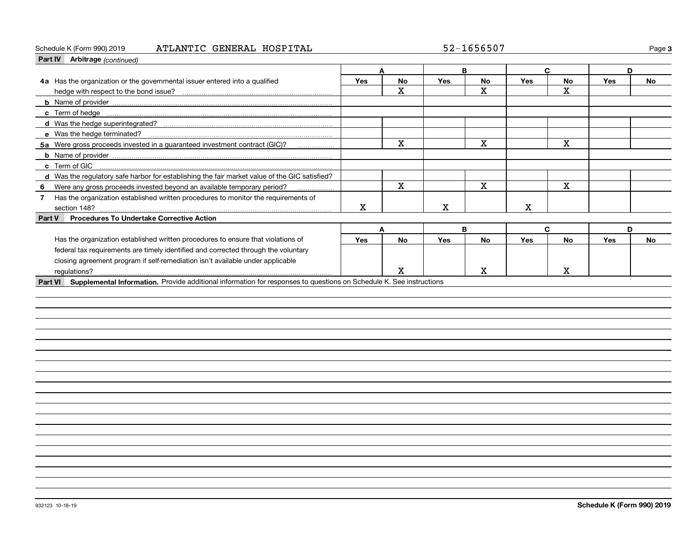#### Schedule K (Form 990) 2019 Page ATLANTIC GENERAL HOSPITAL 52-1656507

| Part IV Arbitrage (continued)                                                                                               |                |                         |            |                         |             |                         |     |    |
|-----------------------------------------------------------------------------------------------------------------------------|----------------|-------------------------|------------|-------------------------|-------------|-------------------------|-----|----|
|                                                                                                                             | A<br>Yes<br>No |                         |            | B                       | C           |                         | D   |    |
| 4a Has the organization or the governmental issuer entered into a qualified                                                 |                |                         | <b>Yes</b> | No                      | Yes         | <b>No</b>               | Yes | No |
|                                                                                                                             |                | X.                      |            | $\overline{\mathbf{x}}$ |             | $\overline{\mathbf{x}}$ |     |    |
|                                                                                                                             |                |                         |            |                         |             |                         |     |    |
|                                                                                                                             |                |                         |            |                         |             |                         |     |    |
|                                                                                                                             |                |                         |            |                         |             |                         |     |    |
| e Was the hedge terminated?                                                                                                 |                |                         |            |                         |             |                         |     |    |
| 5a Were gross proceeds invested in a guaranteed investment contract (GIC)?                                                  |                | $\overline{\mathbf{x}}$ |            | $\mathbf x$             |             | $\mathbf X$             |     |    |
|                                                                                                                             |                |                         |            |                         |             |                         |     |    |
| c Term of GIC                                                                                                               |                |                         |            |                         |             |                         |     |    |
| d Was the regulatory safe harbor for establishing the fair market value of the GIC satisfied?                               |                |                         |            |                         |             |                         |     |    |
| 6 Were any gross proceeds invested beyond an available temporary period?                                                    |                | $\mathbf X$             |            | $\mathbf X$             |             | X                       |     |    |
| Has the organization established written procedures to monitor the requirements of<br>$\overline{7}$                        |                |                         |            |                         |             |                         |     |    |
|                                                                                                                             | X              |                         | X          |                         | $\mathbf X$ |                         |     |    |
| Procedures To Undertake Corrective Action<br>Part V                                                                         |                |                         |            |                         |             |                         |     |    |
|                                                                                                                             | A              |                         |            | B                       |             | C                       | D   |    |
| Has the organization established written procedures to ensure that violations of                                            | Yes            | <b>No</b>               | Yes        | <b>No</b>               | <b>Yes</b>  | <b>No</b>               | Yes | No |
| federal tax requirements are timely identified and corrected through the voluntary                                          |                |                         |            |                         |             |                         |     |    |
| closing agreement program if self-remediation isn't available under applicable                                              |                |                         |            |                         |             |                         |     |    |
| regulations?                                                                                                                |                | x                       |            | x                       |             | х                       |     |    |
| Part VI Supplemental Information. Provide additional information for responses to questions on Schedule K. See instructions |                |                         |            |                         |             |                         |     |    |
|                                                                                                                             |                |                         |            |                         |             |                         |     |    |
|                                                                                                                             |                |                         |            |                         |             |                         |     |    |
|                                                                                                                             |                |                         |            |                         |             |                         |     |    |
|                                                                                                                             |                |                         |            |                         |             |                         |     |    |
|                                                                                                                             |                |                         |            |                         |             |                         |     |    |
|                                                                                                                             |                |                         |            |                         |             |                         |     |    |
|                                                                                                                             |                |                         |            |                         |             |                         |     |    |
|                                                                                                                             |                |                         |            |                         |             |                         |     |    |
|                                                                                                                             |                |                         |            |                         |             |                         |     |    |
|                                                                                                                             |                |                         |            |                         |             |                         |     |    |
|                                                                                                                             |                |                         |            |                         |             |                         |     |    |
|                                                                                                                             |                |                         |            |                         |             |                         |     |    |
|                                                                                                                             |                |                         |            |                         |             |                         |     |    |
|                                                                                                                             |                |                         |            |                         |             |                         |     |    |
|                                                                                                                             |                |                         |            |                         |             |                         |     |    |
|                                                                                                                             |                |                         |            |                         |             |                         |     |    |
|                                                                                                                             |                |                         |            |                         |             |                         |     |    |
|                                                                                                                             |                |                         |            |                         |             |                         |     |    |
|                                                                                                                             |                |                         |            |                         |             |                         |     |    |
|                                                                                                                             |                |                         |            |                         |             |                         |     |    |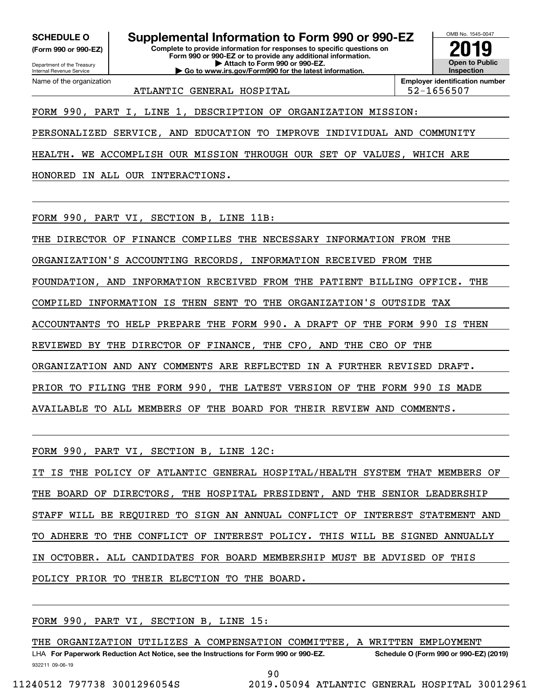**(Form 990 or 990-EZ)**

Department of the Treasury Internal Revenue Service Name of the organization

**Complete to provide information for responses to specific questions on SCHEDULE O Supplemental Information to Form 990 or 990-EZ**

**Form 990 or 990-EZ or to provide any additional information. | Attach to Form 990 or 990-EZ. | Go to www.irs.gov/Form990 for the latest information.**



ATLANTIC GENERAL HOSPITAL  $\vert$  52-1656507

FORM 990, PART I, LINE 1, DESCRIPTION OF ORGANIZATION MISSION:

PERSONALIZED SERVICE, AND EDUCATION TO IMPROVE INDIVIDUAL AND COMMUNITY

HEALTH. WE ACCOMPLISH OUR MISSION THROUGH OUR SET OF VALUES, WHICH ARE

HONORED IN ALL OUR INTERACTIONS.

FORM 990, PART VI, SECTION B, LINE 11B:

THE DIRECTOR OF FINANCE COMPILES THE NECESSARY INFORMATION FROM THE

ORGANIZATION'S ACCOUNTING RECORDS, INFORMATION RECEIVED FROM THE

FOUNDATION, AND INFORMATION RECEIVED FROM THE PATIENT BILLING OFFICE. THE

COMPILED INFORMATION IS THEN SENT TO THE ORGANIZATION'S OUTSIDE TAX

ACCOUNTANTS TO HELP PREPARE THE FORM 990. A DRAFT OF THE FORM 990 IS THEN

REVIEWED BY THE DIRECTOR OF FINANCE, THE CFO, AND THE CEO OF THE

ORGANIZATION AND ANY COMMENTS ARE REFLECTED IN A FURTHER REVISED DRAFT.

PRIOR TO FILING THE FORM 990, THE LATEST VERSION OF THE FORM 990 IS MADE

AVAILABLE TO ALL MEMBERS OF THE BOARD FOR THEIR REVIEW AND COMMENTS.

FORM 990, PART VI, SECTION B, LINE 12C:

IT IS THE POLICY OF ATLANTIC GENERAL HOSPITAL/HEALTH SYSTEM THAT MEMBERS OF THE BOARD OF DIRECTORS, THE HOSPITAL PRESIDENT, AND THE SENIOR LEADERSHIP STAFF WILL BE REQUIRED TO SIGN AN ANNUAL CONFLICT OF INTEREST STATEMENT AND TO ADHERE TO THE CONFLICT OF INTEREST POLICY. THIS WILL BE SIGNED ANNUALLY IN OCTOBER. ALL CANDIDATES FOR BOARD MEMBERSHIP MUST BE ADVISED OF THIS POLICY PRIOR TO THEIR ELECTION TO THE BOARD.

FORM 990, PART VI, SECTION B, LINE 15:

932211 09-06-19 LHA For Paperwork Reduction Act Notice, see the Instructions for Form 990 or 990-EZ. Schedule O (Form 990 or 990-EZ) (2019) THE ORGANIZATION UTILIZES A COMPENSATION COMMITTEE, A WRITTEN EMPLOYMENT

90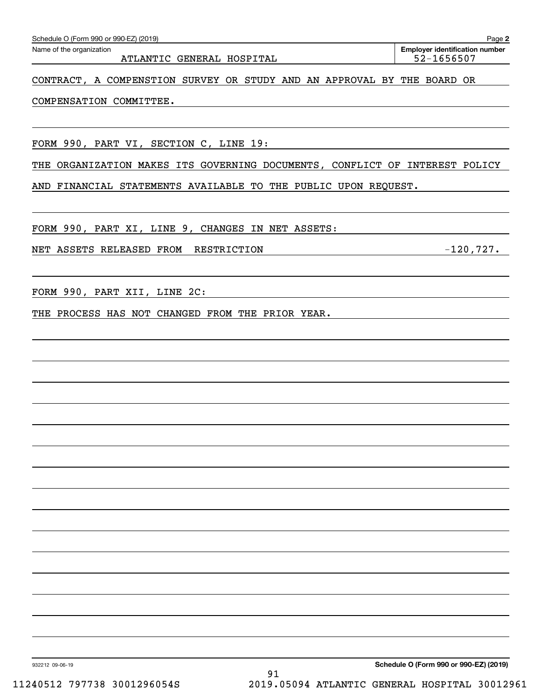| FORM 990, PART XI, LINE 9, CHANGES IN NET ASSETS: |                                                                                                                      |                                        |
|---------------------------------------------------|----------------------------------------------------------------------------------------------------------------------|----------------------------------------|
| NET ASSETS RELEASED FROM RESTRICTION              |                                                                                                                      | $-120,727.$                            |
| FORM 990, PART XII, LINE 2C:                      | <u> Andreas Andreas Andreas Andreas Andreas Andreas Andreas Andreas Andreas Andreas Andreas Andreas Andreas Andr</u> |                                        |
| THE PROCESS HAS NOT CHANGED FROM THE PRIOR YEAR.  |                                                                                                                      |                                        |
|                                                   |                                                                                                                      |                                        |
|                                                   |                                                                                                                      |                                        |
|                                                   |                                                                                                                      |                                        |
|                                                   |                                                                                                                      |                                        |
|                                                   |                                                                                                                      |                                        |
|                                                   |                                                                                                                      |                                        |
|                                                   |                                                                                                                      |                                        |
|                                                   |                                                                                                                      |                                        |
|                                                   |                                                                                                                      |                                        |
| 932212 09-06-19                                   | 91                                                                                                                   | Schedule O (Form 990 or 990-EZ) (2019) |

FORM 990, PART VI, SECTION C, LINE 19:

CONTRACT, A COMPENSTION SURVEY OR STUDY AND AN APPROVAL BY THE BOARD OR

COMPENSATION COMMITTEE.

Echedule O (Form 990 or 990-EZ) (2019)<br>Name of the organization **number** Name of the organization **page Name of the organization number** ATLANTIC GENERAL HOSPITAL **1988** 1988 1989 1988

**2**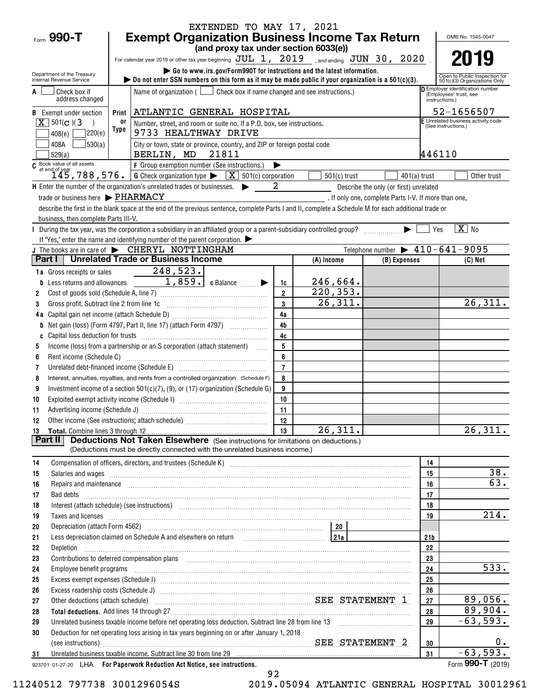|                                                        |       | EXTENDED TO MAY 17, 2021                                                                                                                                                                                                       |                |                |                                                      |                 |                                                               |  |  |
|--------------------------------------------------------|-------|--------------------------------------------------------------------------------------------------------------------------------------------------------------------------------------------------------------------------------|----------------|----------------|------------------------------------------------------|-----------------|---------------------------------------------------------------|--|--|
| Form 990-T                                             |       | <b>Exempt Organization Business Income Tax Return</b>                                                                                                                                                                          |                |                |                                                      |                 | OMB No. 1545-0047                                             |  |  |
|                                                        |       | (and proxy tax under section 6033(e))                                                                                                                                                                                          |                |                |                                                      |                 |                                                               |  |  |
|                                                        |       | For calendar year 2019 or other tax year beginning $JUL$ 1, $2019$ , and ending $JUN$ 30, $2020$ .                                                                                                                             |                |                |                                                      |                 | 2019                                                          |  |  |
| Department of the Treasury<br>Internal Revenue Service |       | Go to www.irs.gov/Form990T for instructions and the latest information.<br>bo not enter SSN numbers on this form as it may be made public if your organization is a $501(c)(3)$ .                                              |                |                |                                                      |                 | Open to Public Inspection for<br>501(c)(3) Organizations Only |  |  |
| Check box if                                           |       | Name of organization ( $\Box$ Check box if name changed and see instructions.)                                                                                                                                                 |                |                |                                                      |                 | D Employer identification number                              |  |  |
| address changed                                        |       |                                                                                                                                                                                                                                |                |                |                                                      |                 | (Employees' trust, see<br>instructions.)                      |  |  |
| <b>B</b> Exempt under section                          | Print | ATLANTIC GENERAL HOSPITAL                                                                                                                                                                                                      |                |                |                                                      | 52-1656507      |                                                               |  |  |
| $\boxed{\mathbf{X}}$ 501(c)(3                          | 0r    | Number, street, and room or suite no. If a P.O. box, see instructions.                                                                                                                                                         |                |                |                                                      |                 | E Unrelated business activity code<br>(See instructions.)     |  |  |
| ]220(e)<br>408(e)                                      | Type  | 9733 HEALTHWAY DRIVE                                                                                                                                                                                                           |                |                |                                                      |                 |                                                               |  |  |
| 30(a)<br>408A<br>529(a)                                |       | City or town, state or province, country, and ZIP or foreign postal code<br>BERLIN, MD 21811                                                                                                                                   |                |                |                                                      | 446110          |                                                               |  |  |
|                                                        |       | C Book value of all assets<br>$2\frac{145}{45}$ , 788, 576. G Check organization type $\sqrt{\frac{X}{2}}$ 501(c) corporation                                                                                                  |                |                |                                                      |                 |                                                               |  |  |
|                                                        |       |                                                                                                                                                                                                                                |                | $501(c)$ trust | $401(a)$ trust                                       |                 | Other trust                                                   |  |  |
|                                                        |       | H Enter the number of the organization's unrelated trades or businesses.                                                                                                                                                       | -2             |                | Describe the only (or first) unrelated               |                 |                                                               |  |  |
| trade or business here > PHARMACY                      |       |                                                                                                                                                                                                                                |                |                | . If only one, complete Parts I-V. If more than one, |                 |                                                               |  |  |
|                                                        |       | describe the first in the blank space at the end of the previous sentence, complete Parts I and II, complete a Schedule M for each additional trade or                                                                         |                |                |                                                      |                 |                                                               |  |  |
| business, then complete Parts III-V.                   |       | During the tax year, was the corporation a subsidiary in an affiliated group or a parent-subsidiary controlled group?                                                                                                          |                |                |                                                      | Yes             | $\boxed{\text{X}}$ No                                         |  |  |
|                                                        |       | If "Yes," enter the name and identifying number of the parent corporation.                                                                                                                                                     |                |                |                                                      |                 |                                                               |  |  |
|                                                        |       | J The books are in care of $\blacktriangleright$ CHERYL NOTTINGHAM                                                                                                                                                             |                |                | Telephone number $\triangleright$ 410-641-9095       |                 |                                                               |  |  |
| Part I                                                 |       | Unrelated Trade or Business Income                                                                                                                                                                                             |                | (A) Income     | (B) Expenses                                         |                 | $(C)$ Net                                                     |  |  |
| 1a Gross receipts or sales                             |       | 248,523.                                                                                                                                                                                                                       |                |                |                                                      |                 |                                                               |  |  |
| <b>b</b> Less returns and allowances                   |       | $\begin{array}{ c c c c c }\n\hline\n1,859. & \text{c Balance} & \text{c} & \text{d} \end{array}$                                                                                                                              | 1c             | 246,664.       |                                                      |                 |                                                               |  |  |
| 2                                                      |       |                                                                                                                                                                                                                                | $\overline{2}$ | 220, 353.      |                                                      |                 |                                                               |  |  |
| Gross profit. Subtract line 2 from line 1c<br>3        |       |                                                                                                                                                                                                                                | 3              | 26,311.        |                                                      |                 | 26,311.                                                       |  |  |
|                                                        |       |                                                                                                                                                                                                                                | 4a             |                |                                                      |                 |                                                               |  |  |
| b                                                      |       | Net gain (loss) (Form 4797, Part II, line 17) (attach Form 4797)                                                                                                                                                               | 4 <sub>b</sub> |                |                                                      |                 |                                                               |  |  |
| C                                                      |       |                                                                                                                                                                                                                                | 4c             |                |                                                      |                 |                                                               |  |  |
| 5                                                      |       | Income (loss) from a partnership or an S corporation (attach statement)                                                                                                                                                        | 5<br>6         |                |                                                      |                 |                                                               |  |  |
| Rent income (Schedule C)<br>6<br>7                     |       | Unrelated debt-financed income (Schedule E) [11] [2010] [2010] [2010] [2010] [2010] [2010] [2010] [2010] [2010                                                                                                                 | $\overline{7}$ |                |                                                      |                 |                                                               |  |  |
| 8                                                      |       | Interest, annuities, royalties, and rents from a controlled organization (Schedule F)                                                                                                                                          | 8              |                |                                                      |                 |                                                               |  |  |
| 9                                                      |       | Investment income of a section 501(c)(7), (9), or (17) organization (Schedule G)                                                                                                                                               | 9              |                |                                                      |                 |                                                               |  |  |
| 10                                                     |       |                                                                                                                                                                                                                                | 10             |                |                                                      |                 |                                                               |  |  |
| 11                                                     |       |                                                                                                                                                                                                                                | 11             |                |                                                      |                 |                                                               |  |  |
|                                                        |       |                                                                                                                                                                                                                                | - 12           |                |                                                      |                 |                                                               |  |  |
|                                                        |       |                                                                                                                                                                                                                                | $ 13\rangle$   | 26,311.        |                                                      |                 | 26,311.                                                       |  |  |
| Part II                                                |       | <b>Deductions Not Taken Elsewhere</b> (See instructions for limitations on deductions.)                                                                                                                                        |                |                |                                                      |                 |                                                               |  |  |
|                                                        |       | (Deductions must be directly connected with the unrelated business income.)                                                                                                                                                    |                |                |                                                      |                 |                                                               |  |  |
| 14                                                     |       | Compensation of officers, directors, and trustees (Schedule K) [11] [2000] [2000] [2000] [2000] [2000] [2000] [3000] [3000] [3000] [3000] [3000] [3000] [3000] [3000] [3000] [3000] [3000] [3000] [3000] [3000] [3000] [3000]  |                |                |                                                      | 14              |                                                               |  |  |
| 15                                                     |       | Salaries and wages information continuous contracts and wages in the salaries and wages incommutation of the salarities and wages in the salarities of the salarities and wages in the salarities of the salarities of the sal |                |                |                                                      | 15<br>16        | 38.<br>$\overline{6}3.$                                       |  |  |
| 16<br>17                                               |       | Repairs and maintenance <i>[1] [1] [1] [1] [1] [1] [1] [1] [1]</i> [1] <b>[1] [1] [1] [1] [1] [1] [1] [1] [1] [1] [1] [1] [1] [1] [1] [1] [1] [1] [1] [1] [1] [1] [1] [1] [1] [1]</b>                                          |                |                |                                                      | 17              |                                                               |  |  |
| 18                                                     |       | Interest (attach schedule) (see instructions) www.communicalisations.communicalisations.communicalisations.com                                                                                                                 |                |                |                                                      | 18              |                                                               |  |  |
| 19                                                     |       | Taxes and licenses <b>contractive and contract and contract and contract and contract and licenses</b>                                                                                                                         |                |                |                                                      | 19              | 214.                                                          |  |  |
| 20                                                     |       | Depreciation (attach Form 4562) 20 20                                                                                                                                                                                          |                |                |                                                      |                 |                                                               |  |  |
| 21                                                     |       | Less depreciation claimed on Schedule A and elsewhere on return [1] [11] [1214 ]                                                                                                                                               |                |                |                                                      | 21 <sub>b</sub> |                                                               |  |  |
| 22<br>Depletion                                        |       |                                                                                                                                                                                                                                |                |                |                                                      | 22              |                                                               |  |  |
| 23                                                     |       |                                                                                                                                                                                                                                |                |                |                                                      | 23              |                                                               |  |  |
| 24                                                     |       | Employee benefit programs in the continuum contract of the contract of the contract of the contract of the contract of the contract of the contract of the contract of the contract of the contract of the contract of the con |                |                |                                                      | 24              | 533.                                                          |  |  |
| 25                                                     |       | Excess exempt expenses (Schedule I) www.andromanacommunications.com/                                                                                                                                                           |                |                |                                                      | 25              |                                                               |  |  |
| 26                                                     |       |                                                                                                                                                                                                                                |                |                |                                                      | 26              |                                                               |  |  |
| 27                                                     |       | Other deductions (attach schedule) material material material material state STATEMENT 1                                                                                                                                       |                |                |                                                      | 27              | 89,056.<br>89,904.                                            |  |  |
| 28<br>29                                               |       |                                                                                                                                                                                                                                |                |                |                                                      | 28<br>29        | $-63,593.$                                                    |  |  |
| 30                                                     |       | Deduction for net operating loss arising in tax years beginning on or after January 1, 2018                                                                                                                                    |                |                |                                                      |                 |                                                               |  |  |
|                                                        |       |                                                                                                                                                                                                                                |                |                |                                                      | 30              | $0$ .                                                         |  |  |
| 31                                                     |       |                                                                                                                                                                                                                                |                |                |                                                      | 31              | $-63,593.$                                                    |  |  |
|                                                        |       | 923701 01-27-20 LHA For Paperwork Reduction Act Notice, see instructions.                                                                                                                                                      |                |                |                                                      |                 | Form 990-T (2019)                                             |  |  |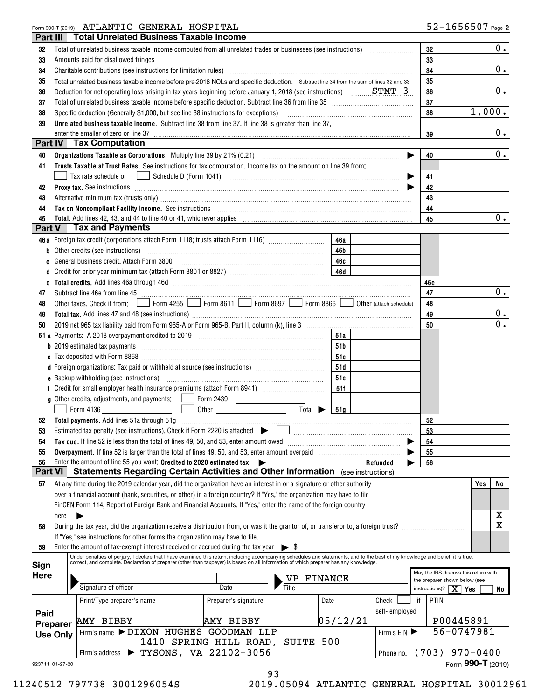## Form 990-T (2019) Page ATLANTIC GENERAL HOSPITAL

| Part III        |      | <b>Total Unrelated Business Taxable Income</b>                                                                                                                                                                                                                                                                            |                                                                                              |                |                                                                                                                                                                                                                                                                                                                                                                                                                                                           |                |                                      |
|-----------------|------|---------------------------------------------------------------------------------------------------------------------------------------------------------------------------------------------------------------------------------------------------------------------------------------------------------------------------|----------------------------------------------------------------------------------------------|----------------|-----------------------------------------------------------------------------------------------------------------------------------------------------------------------------------------------------------------------------------------------------------------------------------------------------------------------------------------------------------------------------------------------------------------------------------------------------------|----------------|--------------------------------------|
| 32              |      |                                                                                                                                                                                                                                                                                                                           |                                                                                              |                |                                                                                                                                                                                                                                                                                                                                                                                                                                                           | 32             | $0$ .                                |
| 33              |      | Amounts paid for disallowed fringes                                                                                                                                                                                                                                                                                       |                                                                                              |                |                                                                                                                                                                                                                                                                                                                                                                                                                                                           | 33             |                                      |
| 34              |      |                                                                                                                                                                                                                                                                                                                           |                                                                                              |                |                                                                                                                                                                                                                                                                                                                                                                                                                                                           | 34             | $0$ .                                |
| 35              |      | Total unrelated business taxable income before pre-2018 NOLs and specific deduction. Subtract line 34 from the sum of lines 32 and 33                                                                                                                                                                                     |                                                                                              |                |                                                                                                                                                                                                                                                                                                                                                                                                                                                           | 35             |                                      |
| 36              |      | Deduction for net operating loss arising in tax years beginning before January 1, 2018 (see instructions) STMT 3.                                                                                                                                                                                                         |                                                                                              |                |                                                                                                                                                                                                                                                                                                                                                                                                                                                           | 36             | 0.                                   |
| 37              |      |                                                                                                                                                                                                                                                                                                                           |                                                                                              |                |                                                                                                                                                                                                                                                                                                                                                                                                                                                           | 37             |                                      |
| 38              |      | Specific deduction (Generally \$1,000, but see line 38 instructions for exceptions)                                                                                                                                                                                                                                       |                                                                                              |                |                                                                                                                                                                                                                                                                                                                                                                                                                                                           | 38             | 1,000.                               |
| 39              |      | Unrelated business taxable income. Subtract line 38 from line 37. If line 38 is greater than line 37,                                                                                                                                                                                                                     |                                                                                              |                |                                                                                                                                                                                                                                                                                                                                                                                                                                                           |                |                                      |
|                 |      | enter the smaller of zero or line 37                                                                                                                                                                                                                                                                                      |                                                                                              |                |                                                                                                                                                                                                                                                                                                                                                                                                                                                           | 39             | 0.                                   |
| Part IV         |      | <b>Tax Computation</b>                                                                                                                                                                                                                                                                                                    |                                                                                              |                |                                                                                                                                                                                                                                                                                                                                                                                                                                                           |                |                                      |
| 40              |      |                                                                                                                                                                                                                                                                                                                           |                                                                                              |                | ▶                                                                                                                                                                                                                                                                                                                                                                                                                                                         | 40             | 0.                                   |
| 41              |      | Trusts Taxable at Trust Rates. See instructions for tax computation. Income tax on the amount on line 39 from:                                                                                                                                                                                                            |                                                                                              |                |                                                                                                                                                                                                                                                                                                                                                                                                                                                           |                |                                      |
|                 |      |                                                                                                                                                                                                                                                                                                                           |                                                                                              |                |                                                                                                                                                                                                                                                                                                                                                                                                                                                           |                |                                      |
|                 |      | Tax rate schedule or <u>Internal Schedule D</u> (Form 1041) <b>Constantine Constantine Constantine Constantine Constantine Constantine Constantine Constantine Constantine Constantine Constantine Constantine Constantine Constantin</b>                                                                                 |                                                                                              |                | ▶                                                                                                                                                                                                                                                                                                                                                                                                                                                         | 41             |                                      |
| 42              |      |                                                                                                                                                                                                                                                                                                                           |                                                                                              |                |                                                                                                                                                                                                                                                                                                                                                                                                                                                           | 42             |                                      |
| 43              |      | Alternative minimum tax (trusts only) manufactured and an according term of the state of the state of the state of the state of the state of the state of the state of the state of the state of the state of the state of the                                                                                            |                                                                                              |                |                                                                                                                                                                                                                                                                                                                                                                                                                                                           | 43             |                                      |
| 44              |      | Tax on Noncompliant Facility Income. See instructions [11] All and the material contract the contract of the contract of the contract of the contract of the contract of the contract of the contract of the contract of the c                                                                                            |                                                                                              |                |                                                                                                                                                                                                                                                                                                                                                                                                                                                           | 44             | $0$ .                                |
| 45<br>Part V    |      | Total. Add lines 42, 43, and 44 to line 40 or 41, whichever applies<br><b>Tax and Payments</b>                                                                                                                                                                                                                            |                                                                                              |                |                                                                                                                                                                                                                                                                                                                                                                                                                                                           | 45             |                                      |
|                 |      |                                                                                                                                                                                                                                                                                                                           |                                                                                              |                |                                                                                                                                                                                                                                                                                                                                                                                                                                                           |                |                                      |
|                 |      | 46a Foreign tax credit (corporations attach Form 1118; trusts attach Form 1116)                                                                                                                                                                                                                                           |                                                                                              | 46a            |                                                                                                                                                                                                                                                                                                                                                                                                                                                           |                |                                      |
| b               |      | Other credits (see instructions)                                                                                                                                                                                                                                                                                          |                                                                                              | 46b            |                                                                                                                                                                                                                                                                                                                                                                                                                                                           |                |                                      |
| c               |      |                                                                                                                                                                                                                                                                                                                           |                                                                                              | 46с            |                                                                                                                                                                                                                                                                                                                                                                                                                                                           |                |                                      |
| đ               |      |                                                                                                                                                                                                                                                                                                                           |                                                                                              |                |                                                                                                                                                                                                                                                                                                                                                                                                                                                           |                |                                      |
| е               |      |                                                                                                                                                                                                                                                                                                                           |                                                                                              |                |                                                                                                                                                                                                                                                                                                                                                                                                                                                           | 46e            |                                      |
| 47              |      | Subtract line 46e from line 45                                                                                                                                                                                                                                                                                            |                                                                                              |                |                                                                                                                                                                                                                                                                                                                                                                                                                                                           | 47             | 0.                                   |
| 48              |      | Other taxes. Check if from: Form 4255 Form 8611 Form 8697 Form 8866 of Other (attach schedule)                                                                                                                                                                                                                            |                                                                                              |                |                                                                                                                                                                                                                                                                                                                                                                                                                                                           | 48             |                                      |
| 49              |      |                                                                                                                                                                                                                                                                                                                           |                                                                                              |                |                                                                                                                                                                                                                                                                                                                                                                                                                                                           | 49             | 0.                                   |
| 50              |      |                                                                                                                                                                                                                                                                                                                           |                                                                                              |                |                                                                                                                                                                                                                                                                                                                                                                                                                                                           | 50             | 0.                                   |
|                 |      |                                                                                                                                                                                                                                                                                                                           |                                                                                              | 51a            |                                                                                                                                                                                                                                                                                                                                                                                                                                                           |                |                                      |
|                 |      |                                                                                                                                                                                                                                                                                                                           |                                                                                              | 51b            |                                                                                                                                                                                                                                                                                                                                                                                                                                                           |                |                                      |
|                 |      |                                                                                                                                                                                                                                                                                                                           |                                                                                              | 51c            |                                                                                                                                                                                                                                                                                                                                                                                                                                                           |                |                                      |
|                 |      | d Foreign organizations: Tax paid or withheld at source (see instructions) [                                                                                                                                                                                                                                              |                                                                                              | 51d            |                                                                                                                                                                                                                                                                                                                                                                                                                                                           |                |                                      |
|                 |      |                                                                                                                                                                                                                                                                                                                           |                                                                                              | 51e            |                                                                                                                                                                                                                                                                                                                                                                                                                                                           |                |                                      |
|                 |      |                                                                                                                                                                                                                                                                                                                           |                                                                                              | 51f            |                                                                                                                                                                                                                                                                                                                                                                                                                                                           |                |                                      |
|                 |      | g Other credits, adjustments, and payments:   Form 2439                                                                                                                                                                                                                                                                   | <b>Contract Contract</b>                                                                     |                |                                                                                                                                                                                                                                                                                                                                                                                                                                                           |                |                                      |
|                 |      | Form 4136                                                                                                                                                                                                                                                                                                                 | Total $\blacktriangleright$<br>$\boxed{\phantom{a}}$ Other $\phantom{a}$ Other $\phantom{a}$ | 51g            |                                                                                                                                                                                                                                                                                                                                                                                                                                                           |                |                                      |
| 52              |      |                                                                                                                                                                                                                                                                                                                           |                                                                                              |                |                                                                                                                                                                                                                                                                                                                                                                                                                                                           | 52             |                                      |
| 53              |      | Estimated tax penalty (see instructions). Check if Form 2220 is attached $\begin{array}{ccc} \bullet & \bullet & \bullet \end{array}$                                                                                                                                                                                     |                                                                                              |                |                                                                                                                                                                                                                                                                                                                                                                                                                                                           | 53             |                                      |
| 54              |      | Tax due. If line 52 is less than the total of lines 49, 50, and 53, enter amount owed                                                                                                                                                                                                                                     |                                                                                              |                | $\mathcal{L} = \{ \mathcal{L}^{\mathcal{L}}_{\mathcal{L}} \mathcal{L}^{\mathcal{L}}_{\mathcal{L}} \mathcal{L}^{\mathcal{L}}_{\mathcal{L}} \mathcal{L}^{\mathcal{L}}_{\mathcal{L}} \mathcal{L}^{\mathcal{L}}_{\mathcal{L}} \mathcal{L}^{\mathcal{L}}_{\mathcal{L}} \mathcal{L}^{\mathcal{L}}_{\mathcal{L}} \mathcal{L}^{\mathcal{L}}_{\mathcal{L}} \mathcal{L}^{\mathcal{L}}_{\mathcal{L}} \mathcal{L}^{\mathcal{L}}_{\mathcal{L}} \mathcal{L}^{\mathcal{$ | 54             |                                      |
| 55              |      |                                                                                                                                                                                                                                                                                                                           |                                                                                              |                |                                                                                                                                                                                                                                                                                                                                                                                                                                                           | 55             |                                      |
| 56              |      | Enter the amount of line 55 you want: Credited to 2020 estimated tax                                                                                                                                                                                                                                                      |                                                                                              |                | Refunded                                                                                                                                                                                                                                                                                                                                                                                                                                                  | 56             |                                      |
| <b>Part VI</b>  |      | <b>Statements Regarding Certain Activities and Other Information</b> (see instructions)                                                                                                                                                                                                                                   |                                                                                              |                |                                                                                                                                                                                                                                                                                                                                                                                                                                                           |                |                                      |
| 57              |      | At any time during the 2019 calendar year, did the organization have an interest in or a signature or other authority                                                                                                                                                                                                     |                                                                                              |                |                                                                                                                                                                                                                                                                                                                                                                                                                                                           |                | No<br>Yes                            |
|                 |      | over a financial account (bank, securities, or other) in a foreign country? If "Yes," the organization may have to file                                                                                                                                                                                                   |                                                                                              |                |                                                                                                                                                                                                                                                                                                                                                                                                                                                           |                |                                      |
|                 |      | FinCEN Form 114, Report of Foreign Bank and Financial Accounts. If "Yes," enter the name of the foreign country                                                                                                                                                                                                           |                                                                                              |                |                                                                                                                                                                                                                                                                                                                                                                                                                                                           |                |                                      |
|                 | here |                                                                                                                                                                                                                                                                                                                           |                                                                                              |                |                                                                                                                                                                                                                                                                                                                                                                                                                                                           |                | х                                    |
| 58              |      | During the tax year, did the organization receive a distribution from, or was it the grantor of, or transferor to, a foreign trust?                                                                                                                                                                                       |                                                                                              |                |                                                                                                                                                                                                                                                                                                                                                                                                                                                           |                | X                                    |
|                 |      | If "Yes," see instructions for other forms the organization may have to file.                                                                                                                                                                                                                                             |                                                                                              |                |                                                                                                                                                                                                                                                                                                                                                                                                                                                           |                |                                      |
| 59              |      | Enter the amount of tax-exempt interest received or accrued during the tax year $\triangleright$ \$                                                                                                                                                                                                                       |                                                                                              |                |                                                                                                                                                                                                                                                                                                                                                                                                                                                           |                |                                      |
|                 |      | Under penalties of perjury, I declare that I have examined this return, including accompanying schedules and statements, and to the best of my knowledge and belief, it is true,<br>correct, and complete. Declaration of preparer (other than taxpayer) is based on all information of which preparer has any knowledge. |                                                                                              |                |                                                                                                                                                                                                                                                                                                                                                                                                                                                           |                |                                      |
| Sign            |      |                                                                                                                                                                                                                                                                                                                           |                                                                                              |                |                                                                                                                                                                                                                                                                                                                                                                                                                                                           |                | May the IRS discuss this return with |
| <b>Here</b>     |      |                                                                                                                                                                                                                                                                                                                           |                                                                                              | <b>FINANCE</b> |                                                                                                                                                                                                                                                                                                                                                                                                                                                           |                | the preparer shown below (see        |
|                 |      | Signature of officer                                                                                                                                                                                                                                                                                                      | <b>Date</b>                                                                                  |                |                                                                                                                                                                                                                                                                                                                                                                                                                                                           | instructions)? | ΧI<br>Yes<br>No                      |
|                 |      | Print/Type preparer's name                                                                                                                                                                                                                                                                                                | Preparer's signature                                                                         | Date           | Check                                                                                                                                                                                                                                                                                                                                                                                                                                                     | PTIN<br>if     |                                      |
| Paid            |      |                                                                                                                                                                                                                                                                                                                           |                                                                                              |                | self-employed                                                                                                                                                                                                                                                                                                                                                                                                                                             |                |                                      |
| Preparer        |      | AMY BIBBY                                                                                                                                                                                                                                                                                                                 | AMY BIBBY                                                                                    | 05/12/21       |                                                                                                                                                                                                                                                                                                                                                                                                                                                           |                | P00445891                            |
| <b>Use Only</b> |      | Firm's name > DIXON HUGHES GOODMAN LLP                                                                                                                                                                                                                                                                                    |                                                                                              |                | Firm's EIN                                                                                                                                                                                                                                                                                                                                                                                                                                                |                | $56 - 0747981$                       |
|                 |      |                                                                                                                                                                                                                                                                                                                           | 1410 SPRING HILL ROAD, SUITE 500                                                             |                |                                                                                                                                                                                                                                                                                                                                                                                                                                                           |                |                                      |
|                 |      | $\triangleright$ TYSONS, VA 22102-3056<br>Firm's address                                                                                                                                                                                                                                                                  |                                                                                              |                | Phone no.                                                                                                                                                                                                                                                                                                                                                                                                                                                 |                | $(703)$ 970-0400                     |
| 923711 01-27-20 |      |                                                                                                                                                                                                                                                                                                                           |                                                                                              |                |                                                                                                                                                                                                                                                                                                                                                                                                                                                           |                | Form 990-T (2019)                    |
|                 |      |                                                                                                                                                                                                                                                                                                                           | 93                                                                                           |                |                                                                                                                                                                                                                                                                                                                                                                                                                                                           |                |                                      |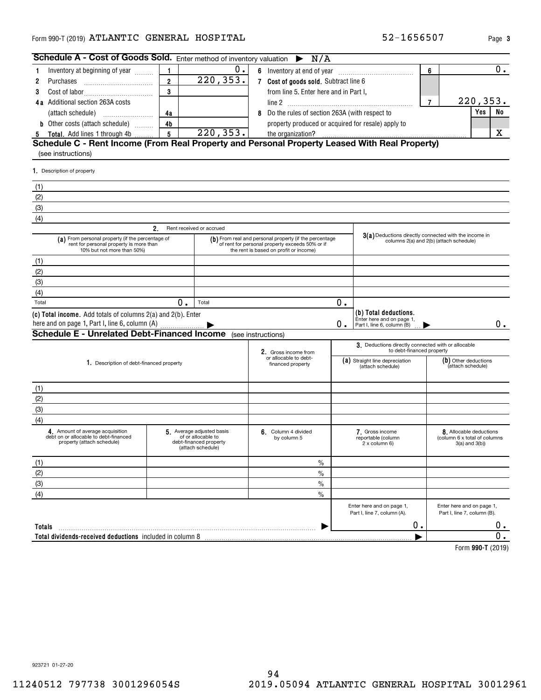#### <code>Form</code> 990-T (2019) <code>ATLANTIC GENERAL HOSPITAL</code>  $52-1656507$  <code>Page</code>

| Form 990-T (2019) ATLANTIC GENERAL HOSPITAL                                                                                      |                 |                                                                                               |                                                                                                                                                     |       | 52-1656507                                                                       |                |                                                                                    | Page 3 |
|----------------------------------------------------------------------------------------------------------------------------------|-----------------|-----------------------------------------------------------------------------------------------|-----------------------------------------------------------------------------------------------------------------------------------------------------|-------|----------------------------------------------------------------------------------|----------------|------------------------------------------------------------------------------------|--------|
| Schedule A - Cost of Goods Sold. Enter method of inventory valuation $\triangleright N/A$                                        |                 |                                                                                               |                                                                                                                                                     |       |                                                                                  |                |                                                                                    |        |
| Inventory at beginning of year<br>1                                                                                              | 1               | 0.                                                                                            |                                                                                                                                                     |       |                                                                                  | 6              |                                                                                    | $0$ .  |
| Purchases<br>2                                                                                                                   | $\overline{2}$  | 220, 353.                                                                                     | 7 Cost of goods sold. Subtract line 6                                                                                                               |       |                                                                                  |                |                                                                                    |        |
| 3                                                                                                                                | 3               |                                                                                               | from line 5. Enter here and in Part I,                                                                                                              |       |                                                                                  |                |                                                                                    |        |
| 4a Additional section 263A costs                                                                                                 |                 |                                                                                               |                                                                                                                                                     |       |                                                                                  | $\overline{7}$ | 220, 353.                                                                          |        |
|                                                                                                                                  | 4a              |                                                                                               | 8 Do the rules of section 263A (with respect to                                                                                                     |       |                                                                                  |                | Yes                                                                                | No     |
| <b>b</b> Other costs (attach schedule)                                                                                           | 4 <sub>b</sub>  |                                                                                               | property produced or acquired for resale) apply to                                                                                                  |       |                                                                                  |                |                                                                                    |        |
| 5 Total. Add lines 1 through 4b<br>Schedule C - Rent Income (From Real Property and Personal Property Leased With Real Property) | $5\overline{)}$ | 220, 353.                                                                                     | the organization?                                                                                                                                   |       |                                                                                  |                |                                                                                    | X      |
| (see instructions)                                                                                                               |                 |                                                                                               |                                                                                                                                                     |       |                                                                                  |                |                                                                                    |        |
| 1. Description of property                                                                                                       |                 |                                                                                               |                                                                                                                                                     |       |                                                                                  |                |                                                                                    |        |
| (1)                                                                                                                              |                 |                                                                                               |                                                                                                                                                     |       |                                                                                  |                |                                                                                    |        |
| (2)                                                                                                                              |                 |                                                                                               |                                                                                                                                                     |       |                                                                                  |                |                                                                                    |        |
| (3)                                                                                                                              |                 |                                                                                               |                                                                                                                                                     |       |                                                                                  |                |                                                                                    |        |
| (4)                                                                                                                              |                 |                                                                                               |                                                                                                                                                     |       |                                                                                  |                |                                                                                    |        |
|                                                                                                                                  | 2.              | Rent received or accrued                                                                      |                                                                                                                                                     |       | 3(a) Deductions directly connected with the income in                            |                |                                                                                    |        |
| (a) From personal property (if the percentage of<br>rent for personal property is more than<br>10% but not more than 50%)        |                 |                                                                                               | (b) From real and personal property (if the percentage<br>of rent for personal property exceeds 50% or if<br>the rent is based on profit or income) |       | columns 2(a) and 2(b) (attach schedule)                                          |                |                                                                                    |        |
| (1)                                                                                                                              |                 |                                                                                               |                                                                                                                                                     |       |                                                                                  |                |                                                                                    |        |
| (2)                                                                                                                              |                 |                                                                                               |                                                                                                                                                     |       |                                                                                  |                |                                                                                    |        |
| (3)                                                                                                                              |                 |                                                                                               |                                                                                                                                                     |       |                                                                                  |                |                                                                                    |        |
| (4)                                                                                                                              |                 |                                                                                               |                                                                                                                                                     |       |                                                                                  |                |                                                                                    |        |
| Total                                                                                                                            | $\mathbf 0$ .   | Total                                                                                         |                                                                                                                                                     | $0$ . |                                                                                  |                |                                                                                    |        |
| (c) Total income. Add totals of columns 2(a) and 2(b). Enter<br>here and on page 1, Part I, line 6, column (A)                   |                 |                                                                                               |                                                                                                                                                     | 0.    | (b) Total deductions.<br>Enter here and on page 1,<br>Part I, line 6, column (B) |                |                                                                                    | 0.     |
| <b>Schedule E - Unrelated Debt-Financed Income</b>                                                                               |                 |                                                                                               | (see instructions)                                                                                                                                  |       |                                                                                  |                |                                                                                    |        |
|                                                                                                                                  |                 |                                                                                               | 2. Gross income from                                                                                                                                |       | 3. Deductions directly connected with or allocable<br>to debt-financed property  |                |                                                                                    |        |
| 1. Description of debt-financed property                                                                                         |                 |                                                                                               | or allocable to debt-<br>financed property                                                                                                          |       | (a) Straight line depreciation<br>(attach schedule)                              |                | (b) Other deductions<br>(attach schedule)                                          |        |
| (1)                                                                                                                              |                 |                                                                                               |                                                                                                                                                     |       |                                                                                  |                |                                                                                    |        |
| (2)                                                                                                                              |                 |                                                                                               |                                                                                                                                                     |       |                                                                                  |                |                                                                                    |        |
| (3)                                                                                                                              |                 |                                                                                               |                                                                                                                                                     |       |                                                                                  |                |                                                                                    |        |
| (4)                                                                                                                              |                 |                                                                                               |                                                                                                                                                     |       |                                                                                  |                |                                                                                    |        |
| 4. Amount of average acquisition<br>debt on or allocable to debt-financed<br>property (attach schedule)                          |                 | 5 Average adjusted basis<br>of or allocable to<br>debt-financed property<br>(attach schedule) | 6 Column 4 divided<br>by column 5                                                                                                                   |       | 7. Gross income<br>reportable (column<br>2 x column 6)                           |                | <b>8</b> Allocable deductions<br>(column 6 x total of columns<br>$3(a)$ and $3(b)$ |        |
| (1)                                                                                                                              |                 |                                                                                               | $\%$                                                                                                                                                |       |                                                                                  |                |                                                                                    |        |
| (2)                                                                                                                              |                 |                                                                                               | $\%$                                                                                                                                                |       |                                                                                  |                |                                                                                    |        |
| (3)                                                                                                                              |                 |                                                                                               | $\%$                                                                                                                                                |       |                                                                                  |                |                                                                                    |        |
| (4)                                                                                                                              |                 |                                                                                               | $\%$                                                                                                                                                |       |                                                                                  |                |                                                                                    |        |
|                                                                                                                                  |                 |                                                                                               |                                                                                                                                                     |       | Enter here and on page 1,<br>Part I, line 7, column (A).                         |                | Enter here and on page 1,<br>Part I, line 7, column (B).                           |        |
| Totals                                                                                                                           |                 |                                                                                               |                                                                                                                                                     |       | 0.                                                                               |                |                                                                                    | 0.     |
| Total dividends-received deductions included in column 8                                                                         |                 |                                                                                               |                                                                                                                                                     |       |                                                                                  |                |                                                                                    | $0$ .  |
|                                                                                                                                  |                 |                                                                                               |                                                                                                                                                     |       |                                                                                  |                |                                                                                    |        |

**990-T**  Form (2019)

923721 01-27-20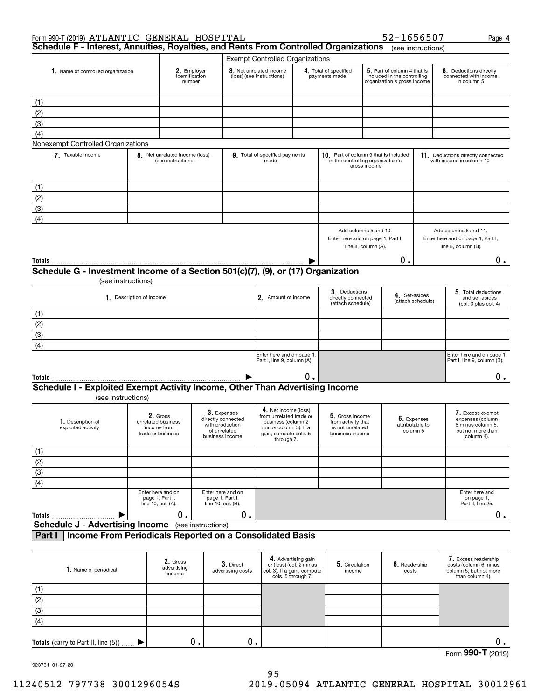| Form 990-T (2019) ATLANTIC GENERAL HOSPITAL                                          |                          |                                                                    |                                         |                                                                                         |                                                                                                                                       |                                                                      |                                                                                   |              | 52-1656507                                                                                |                    | Page 4                                                                                       |  |
|--------------------------------------------------------------------------------------|--------------------------|--------------------------------------------------------------------|-----------------------------------------|-----------------------------------------------------------------------------------------|---------------------------------------------------------------------------------------------------------------------------------------|----------------------------------------------------------------------|-----------------------------------------------------------------------------------|--------------|-------------------------------------------------------------------------------------------|--------------------|----------------------------------------------------------------------------------------------|--|
| Schedule F - Interest, Annuities, Royalties, and Rents From Controlled Organizations |                          |                                                                    |                                         |                                                                                         |                                                                                                                                       |                                                                      |                                                                                   |              |                                                                                           | (see instructions) |                                                                                              |  |
|                                                                                      |                          |                                                                    |                                         |                                                                                         | <b>Exempt Controlled Organizations</b>                                                                                                |                                                                      |                                                                                   |              |                                                                                           |                    |                                                                                              |  |
| 1. Name of controlled organization                                                   |                          |                                                                    | 2. Employer<br>identification<br>number |                                                                                         | 3. Net unrelated income<br>(loss) (see instructions)                                                                                  |                                                                      | 4. Total of specified<br>payments made                                            |              | 5. Part of column 4 that is<br>included in the controlling<br>organization's gross income |                    | 6. Deductions directly<br>connected with income<br>in column 5                               |  |
|                                                                                      |                          |                                                                    |                                         |                                                                                         |                                                                                                                                       |                                                                      |                                                                                   |              |                                                                                           |                    |                                                                                              |  |
| (1)                                                                                  |                          |                                                                    |                                         |                                                                                         |                                                                                                                                       |                                                                      |                                                                                   |              |                                                                                           |                    |                                                                                              |  |
| (2)                                                                                  |                          |                                                                    |                                         |                                                                                         |                                                                                                                                       |                                                                      |                                                                                   |              |                                                                                           |                    |                                                                                              |  |
| (3)                                                                                  |                          |                                                                    |                                         |                                                                                         |                                                                                                                                       |                                                                      |                                                                                   |              |                                                                                           |                    |                                                                                              |  |
| (4)                                                                                  |                          |                                                                    |                                         |                                                                                         |                                                                                                                                       |                                                                      |                                                                                   |              |                                                                                           |                    |                                                                                              |  |
| Nonexempt Controlled Organizations                                                   |                          |                                                                    |                                         |                                                                                         |                                                                                                                                       |                                                                      |                                                                                   |              |                                                                                           |                    |                                                                                              |  |
| 7. Taxable Income                                                                    |                          | 8. Net unrelated income (loss)<br>(see instructions)               |                                         |                                                                                         | 9. Total of specified payments<br>made                                                                                                |                                                                      | 10. Part of column 9 that is included<br>in the controlling organization's        | gross income |                                                                                           |                    | 11. Deductions directly connected<br>with income in column 10                                |  |
| (1)                                                                                  |                          |                                                                    |                                         |                                                                                         |                                                                                                                                       |                                                                      |                                                                                   |              |                                                                                           |                    |                                                                                              |  |
| (2)                                                                                  |                          |                                                                    |                                         |                                                                                         |                                                                                                                                       |                                                                      |                                                                                   |              |                                                                                           |                    |                                                                                              |  |
|                                                                                      |                          |                                                                    |                                         |                                                                                         |                                                                                                                                       |                                                                      |                                                                                   |              |                                                                                           |                    |                                                                                              |  |
| (3)                                                                                  |                          |                                                                    |                                         |                                                                                         |                                                                                                                                       |                                                                      |                                                                                   |              |                                                                                           |                    |                                                                                              |  |
| (4)                                                                                  |                          |                                                                    |                                         |                                                                                         |                                                                                                                                       |                                                                      |                                                                                   |              |                                                                                           |                    |                                                                                              |  |
|                                                                                      |                          |                                                                    |                                         |                                                                                         |                                                                                                                                       |                                                                      | Add columns 5 and 10.<br>Enter here and on page 1, Part I,<br>line 8, column (A). |              |                                                                                           |                    | Add columns 6 and 11.<br>Enter here and on page 1, Part I,<br>line 8, column (B).            |  |
| Totals                                                                               |                          |                                                                    |                                         |                                                                                         |                                                                                                                                       |                                                                      |                                                                                   |              | 0.                                                                                        |                    | 0.                                                                                           |  |
| Schedule G - Investment Income of a Section 501(c)(7), (9), or (17) Organization     |                          |                                                                    |                                         |                                                                                         |                                                                                                                                       |                                                                      |                                                                                   |              |                                                                                           |                    |                                                                                              |  |
|                                                                                      | (see instructions)       |                                                                    |                                         |                                                                                         |                                                                                                                                       |                                                                      |                                                                                   |              |                                                                                           |                    |                                                                                              |  |
|                                                                                      | 1. Description of income |                                                                    |                                         |                                                                                         | 2. Amount of income                                                                                                                   |                                                                      | 3. Deductions<br>directly connected<br>(attach schedule)                          |              | 4. Set-asides                                                                             | (attach schedule)  | 5. Total deductions<br>and set-asides<br>(col. 3 plus col. 4)                                |  |
| (1)                                                                                  |                          |                                                                    |                                         |                                                                                         |                                                                                                                                       |                                                                      |                                                                                   |              |                                                                                           |                    |                                                                                              |  |
| (2)                                                                                  |                          |                                                                    |                                         |                                                                                         |                                                                                                                                       |                                                                      |                                                                                   |              |                                                                                           |                    |                                                                                              |  |
| (3)                                                                                  |                          |                                                                    |                                         |                                                                                         |                                                                                                                                       |                                                                      |                                                                                   |              |                                                                                           |                    |                                                                                              |  |
| (4)                                                                                  |                          |                                                                    |                                         |                                                                                         |                                                                                                                                       |                                                                      |                                                                                   |              |                                                                                           |                    |                                                                                              |  |
|                                                                                      |                          |                                                                    |                                         |                                                                                         | Enter here and on page 1,<br>Part I, line 9, column (A).                                                                              |                                                                      |                                                                                   |              |                                                                                           |                    | Enter here and on page 1,<br>Part I, line 9, column (B).                                     |  |
| Totals                                                                               |                          |                                                                    |                                         |                                                                                         |                                                                                                                                       | 0.                                                                   |                                                                                   |              |                                                                                           |                    | 0.                                                                                           |  |
| Schedule I - Exploited Exempt Activity Income, Other Than Advertising Income         |                          |                                                                    |                                         |                                                                                         |                                                                                                                                       |                                                                      |                                                                                   |              |                                                                                           |                    |                                                                                              |  |
|                                                                                      | (see instructions)       |                                                                    |                                         |                                                                                         |                                                                                                                                       |                                                                      |                                                                                   |              |                                                                                           |                    |                                                                                              |  |
| 1. Description of<br>exploited activity                                              |                          | 2. Gross<br>unrelated business<br>income from<br>trade or business |                                         | 3. Expenses<br>directly connected<br>with production<br>of unrelated<br>business income | 4. Net income (loss)<br>from unrelated trade or<br>business (column 2<br>minus column 3). If a<br>gain, compute cols. 5<br>through 7. |                                                                      | 5. Gross income<br>from activity that<br>is not unrelated<br>business income      |              | attributable to<br>column 5                                                               | 6. Expenses        | 7. Excess exempt<br>expenses (column<br>6 minus column 5,<br>but not more than<br>column 4). |  |
| (1)                                                                                  |                          |                                                                    |                                         |                                                                                         |                                                                                                                                       |                                                                      |                                                                                   |              |                                                                                           |                    |                                                                                              |  |
| (2)                                                                                  |                          |                                                                    |                                         |                                                                                         |                                                                                                                                       |                                                                      |                                                                                   |              |                                                                                           |                    |                                                                                              |  |
| (3)                                                                                  |                          |                                                                    |                                         |                                                                                         |                                                                                                                                       |                                                                      |                                                                                   |              |                                                                                           |                    |                                                                                              |  |
| (4)                                                                                  |                          |                                                                    |                                         |                                                                                         |                                                                                                                                       |                                                                      |                                                                                   |              |                                                                                           |                    |                                                                                              |  |
|                                                                                      |                          | Enter here and on<br>page 1, Part I,<br>line 10, col. (A).         |                                         | Enter here and on<br>page 1, Part I,<br>line 10, col. (B).                              |                                                                                                                                       |                                                                      |                                                                                   |              |                                                                                           |                    | Enter here and<br>on page 1,<br>Part II, line 25.                                            |  |
| <b>Totals</b>                                                                        | ▶                        | 0.                                                                 |                                         | 0.                                                                                      |                                                                                                                                       |                                                                      |                                                                                   |              |                                                                                           |                    | 0.                                                                                           |  |
| <b>Schedule J - Advertising Income</b>                                               |                          |                                                                    | (see instructions)                      |                                                                                         |                                                                                                                                       |                                                                      |                                                                                   |              |                                                                                           |                    |                                                                                              |  |
| Income From Periodicals Reported on a Consolidated Basis<br>Part I                   |                          |                                                                    |                                         |                                                                                         |                                                                                                                                       |                                                                      |                                                                                   |              |                                                                                           |                    |                                                                                              |  |
| 1. Name of periodical                                                                |                          | 2. Gross<br>advertising<br>income                                  |                                         | 3. Direct<br>advertising costs                                                          | col. 3). If a gain, compute                                                                                                           | 4. Advertising gain<br>or (loss) (col. 2 minus<br>cols. 5 through 7. | 5. Circulation<br>income                                                          |              | 6. Readership<br>costs                                                                    |                    | 7. Excess readership<br>costs (column 6 minus<br>column 5, but not more<br>than column 4).   |  |
| (1)                                                                                  |                          |                                                                    |                                         |                                                                                         |                                                                                                                                       |                                                                      |                                                                                   |              |                                                                                           |                    |                                                                                              |  |
| (2)                                                                                  |                          |                                                                    |                                         |                                                                                         |                                                                                                                                       |                                                                      |                                                                                   |              |                                                                                           |                    |                                                                                              |  |
| (3)                                                                                  |                          |                                                                    |                                         |                                                                                         |                                                                                                                                       |                                                                      |                                                                                   |              |                                                                                           |                    |                                                                                              |  |
|                                                                                      |                          |                                                                    |                                         |                                                                                         |                                                                                                                                       |                                                                      |                                                                                   |              |                                                                                           |                    |                                                                                              |  |
| (4)                                                                                  |                          |                                                                    |                                         |                                                                                         |                                                                                                                                       |                                                                      |                                                                                   |              |                                                                                           |                    |                                                                                              |  |

Form (2019) **990-T**

923731 01-27-20

0. 0. 0.

 $\blacktriangleright$ 

**Totals** (carry to Part II, line (5))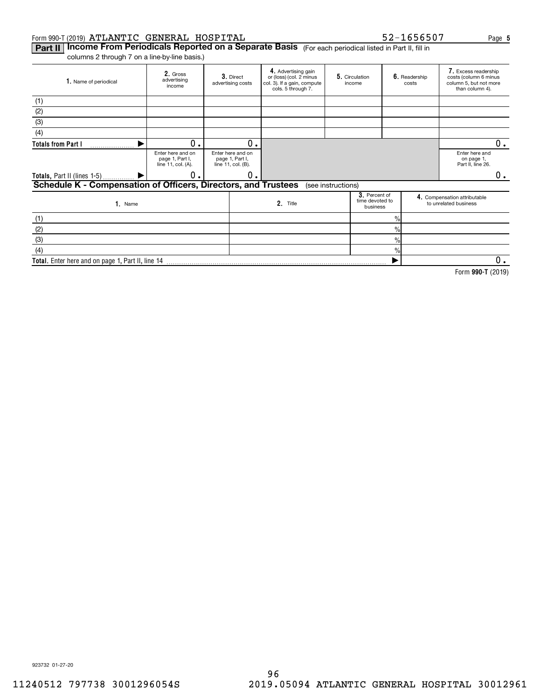#### Form 990-T (2019)  ${\bf ATLANTIC}$   ${\bf GENERAL}$   ${\bf HOSPITAL}$   ${\bf S2-1656507}$  Page

**Part II | Income From Periodicals Reported on a Separate Basis** (For each periodical listed in Part II, fill in columns 2 through 7 on a line-by-line basis.)

**2.** Gross<br>advertising income **3.** Direct advertising costs **4.** Advertising gain<br>or (loss) (col. 2 minus col. 3). If a gain, compute cols. 5 through 7. **5.** Circulation | **6.** income Readership costs Excess readership **7.**  costs (column 6 minus column 5, but not more than column 4). **1.** Name of periodical Enter here and on page 1, Part I, line 11, col. (A). Enter here and on page 1, Part I, line 11, col. (B). Enter here and on page 1, Part II, line 26. **3**. Percent of<br>time devoted to<br>business e and the compensation attributable<br>
2. Title to unrelated business<br>
to unrelated business<br>
to unrelated business Name**1. 2. Totals from Part I Totals,** Part II (lines 1-5) **Schedule K - Compensation of Officers, Directors, and Trustees 3. 4.**  $\frac{1}{2}$ (1) (2) (3) (4) (see instructions) (1)  $\blacktriangleright$  $\blacktriangleright$  $0.$  0 0. 0. 0.

**Total.**  Enter here and on page 1, Part II, line 14  $\frac{1}{2}$ % $\frac{1}{2}$ (2) (3)(4)  $\blacktriangleright$  $\overline{0}$ .

**990-T**  Form (2019)

923732 01-27-20

 $0_{.}$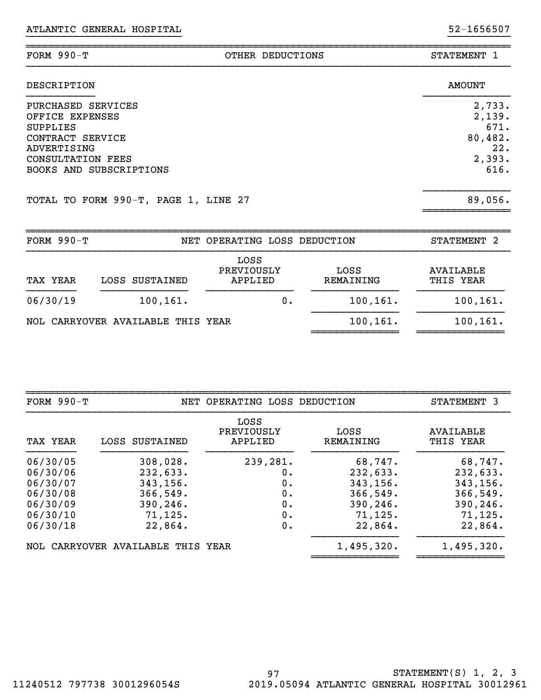| FORM $990-T$                                                                                                                                | OTHER DEDUCTIONS | STATEMENT 1                                                  |
|---------------------------------------------------------------------------------------------------------------------------------------------|------------------|--------------------------------------------------------------|
| DESCRIPTION                                                                                                                                 |                  | <b>AMOUNT</b>                                                |
| PURCHASED SERVICES<br>OFFICE EXPENSES<br><b>SUPPLIES</b><br>CONTRACT SERVICE<br>ADVERTISING<br>CONSULTATION FEES<br>BOOKS AND SUBSCRIPTIONS |                  | 2,733.<br>2,139.<br>671.<br>80,482.<br>22.<br>2,393.<br>616. |
| TOTAL TO FORM 990-T, PAGE 1, LINE 27                                                                                                        |                  | 89,056.                                                      |

}}}}}}}}}}}}}}}}}}}}}}}}} }}}}}}}}}}

| FORM $990-T$ |                                   | NET OPERATING LOSS DEDUCTION  |                          | STATEMENT <sub>2</sub>        |
|--------------|-----------------------------------|-------------------------------|--------------------------|-------------------------------|
| TAX YEAR     | LOSS SUSTAINED                    | LOSS<br>PREVIOUSLY<br>APPLIED | LOSS<br><b>REMAINING</b> | <b>AVAILABLE</b><br>THIS YEAR |
| 06/30/19     | 100, 161.                         |                               | 100, 161.<br>О.          | 100, 161.                     |
|              | NOL CARRYOVER AVAILABLE THIS YEAR |                               | 100,161.                 | 100, 161.                     |

~~~~~~~~~~~~~~

| FORM $990-T$ |                                   | NET OPERATING LOSS DEDUCTION  |                   | STATEMENT 3            |
|--------------|-----------------------------------|-------------------------------|-------------------|------------------------|
| TAX YEAR     | LOSS SUSTAINED                    | LOSS<br>PREVIOUSLY<br>APPLIED | LOSS<br>REMAINING | AVAILABLE<br>THIS YEAR |
| 06/30/05     | 308,028.                          | 239,281.                      | 68,747.           | 68,747.                |
| 06/30/06     | 232,633.                          | 0.                            | 232,633.          | 232,633.               |
| 06/30/07     | 343, 156.                         | 0.                            | 343,156.          | 343, 156.              |
| 06/30/08     | 366,549.                          | 0.                            | 366,549.          | 366,549.               |
| 06/30/09     | 390,246.                          | 0.                            | 390,246.          | 390,246.               |
| 06/30/10     | 71, 125.                          | 0.                            | 71, 125.          | 71, 125.               |
| 06/30/18     | 22,864.                           | 0.                            | 22,864.           | 22,864.                |
|              | NOL CARRYOVER AVAILABLE THIS YEAR |                               | 1,495,320.        | 1,495,320.             |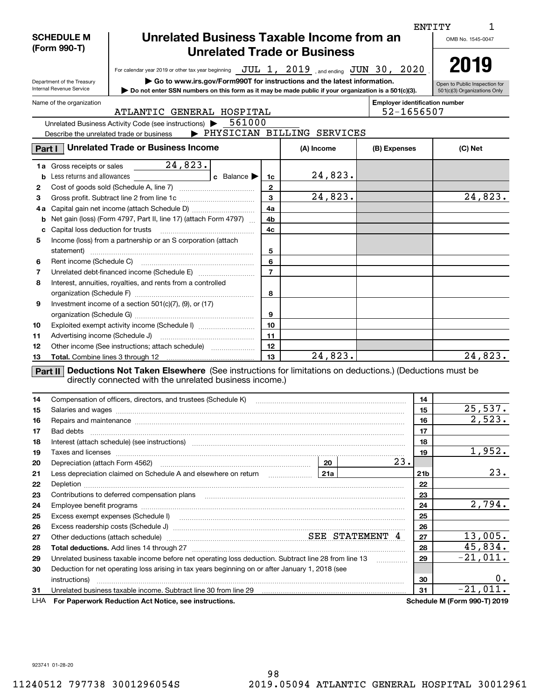|        |                            |                                                                                                                                                                                                                                      |                |            |  |                                                                                                                | <b>ENTITY</b>   | 1                                   |
|--------|----------------------------|--------------------------------------------------------------------------------------------------------------------------------------------------------------------------------------------------------------------------------------|----------------|------------|--|----------------------------------------------------------------------------------------------------------------|-----------------|-------------------------------------|
|        | <b>SCHEDULE M</b>          | Unrelated Business Taxable Income from an                                                                                                                                                                                            |                |            |  |                                                                                                                |                 | OMB No. 1545-0047                   |
|        | (Form 990-T)               |                                                                                                                                                                                                                                      |                |            |  |                                                                                                                |                 |                                     |
|        |                            | <b>Unrelated Trade or Business</b>                                                                                                                                                                                                   |                |            |  |                                                                                                                |                 | 2019                                |
|        |                            | For calendar year 2019 or other tax year beginning JUL 1, 2019, and ending JUN 30, 2020                                                                                                                                              |                |            |  |                                                                                                                |                 |                                     |
|        | Department of the Treasury | Go to www.irs.gov/Form990T for instructions and the latest information.                                                                                                                                                              |                |            |  |                                                                                                                |                 | Open to Public Inspection for       |
|        | Internal Revenue Service   | Do not enter SSN numbers on this form as it may be made public if your organization is a 501(c)(3).                                                                                                                                  |                |            |  |                                                                                                                |                 | 501(c)(3) Organizations Only        |
|        | Name of the organization   |                                                                                                                                                                                                                                      |                |            |  | <b>Employer identification number</b>                                                                          |                 |                                     |
|        |                            | ATLANTIC GENERAL HOSPITAL                                                                                                                                                                                                            |                |            |  | 52-1656507                                                                                                     |                 |                                     |
|        |                            | 561000<br>Unrelated Business Activity Code (see instructions)                                                                                                                                                                        |                |            |  |                                                                                                                |                 |                                     |
|        |                            | > PHYSICIAN BILLING SERVICES<br>Describe the unrelated trade or business                                                                                                                                                             |                |            |  |                                                                                                                |                 |                                     |
| Part I |                            | <b>Unrelated Trade or Business Income</b>                                                                                                                                                                                            |                | (A) Income |  | (B) Expenses                                                                                                   |                 | (C) Net                             |
|        |                            |                                                                                                                                                                                                                                      |                |            |  |                                                                                                                |                 |                                     |
|        | 1a Gross receipts or sales | 24,823.                                                                                                                                                                                                                              |                |            |  |                                                                                                                |                 |                                     |
|        |                            | <b>b</b> Less returns and allowances<br><b>c</b> Balance $\blacktriangleright$                                                                                                                                                       | 1c             | 24,823.    |  |                                                                                                                |                 |                                     |
| 2      |                            |                                                                                                                                                                                                                                      | $\mathbf{2}$   |            |  |                                                                                                                |                 |                                     |
| З      |                            |                                                                                                                                                                                                                                      | $\mathbf{3}$   | 24,823.    |  |                                                                                                                |                 | 24,823.                             |
| 4а     |                            |                                                                                                                                                                                                                                      | 4a             |            |  |                                                                                                                |                 |                                     |
| b      |                            | Net gain (loss) (Form 4797, Part II, line 17) (attach Form 4797)                                                                                                                                                                     | 4b             |            |  |                                                                                                                |                 |                                     |
|        |                            |                                                                                                                                                                                                                                      | 4c             |            |  |                                                                                                                |                 |                                     |
| 5      |                            | Income (loss) from a partnership or an S corporation (attach                                                                                                                                                                         |                |            |  |                                                                                                                |                 |                                     |
|        | statement)                 |                                                                                                                                                                                                                                      | 5              |            |  |                                                                                                                |                 |                                     |
| 6      |                            |                                                                                                                                                                                                                                      | 6              |            |  |                                                                                                                |                 |                                     |
| 7      |                            |                                                                                                                                                                                                                                      | $\overline{7}$ |            |  |                                                                                                                |                 |                                     |
| 8      |                            | Interest, annuities, royalties, and rents from a controlled                                                                                                                                                                          |                |            |  |                                                                                                                |                 |                                     |
|        |                            |                                                                                                                                                                                                                                      | 8              |            |  |                                                                                                                |                 |                                     |
| 9      |                            | Investment income of a section $501(c)(7)$ , (9), or (17)                                                                                                                                                                            |                |            |  |                                                                                                                |                 |                                     |
|        |                            |                                                                                                                                                                                                                                      | 9              |            |  |                                                                                                                |                 |                                     |
| 10     |                            | Exploited exempt activity income (Schedule I)                                                                                                                                                                                        | 10             |            |  |                                                                                                                |                 |                                     |
| 11     |                            |                                                                                                                                                                                                                                      | 11             |            |  |                                                                                                                |                 |                                     |
| 12     |                            | Other income (See instructions; attach schedule)                                                                                                                                                                                     | 12             |            |  |                                                                                                                |                 |                                     |
| 13     |                            |                                                                                                                                                                                                                                      | 13             | 24,823.    |  |                                                                                                                |                 | 24,823.                             |
|        |                            | <b>Part II</b> Deductions Not Taken Elsewhere (See instructions for limitations on deductions.) (Deductions must be                                                                                                                  |                |            |  |                                                                                                                |                 |                                     |
|        |                            | directly connected with the unrelated business income.)                                                                                                                                                                              |                |            |  |                                                                                                                |                 |                                     |
|        |                            |                                                                                                                                                                                                                                      |                |            |  |                                                                                                                |                 |                                     |
| 14     |                            | Compensation of officers, directors, and trustees (Schedule K)                                                                                                                                                                       |                |            |  |                                                                                                                | 14              | 25,537.                             |
| 15     |                            |                                                                                                                                                                                                                                      |                |            |  |                                                                                                                | 15              | 2,523.                              |
| 16     |                            | Repairs and maintenance measurements are all the contract of the contract of the contract of the contract of the contract of the contract of the contract of the contract of the contract of the contract of the contract of t       |                |            |  |                                                                                                                | 16              |                                     |
| 17     | Bad debts                  |                                                                                                                                                                                                                                      |                |            |  |                                                                                                                | 17              |                                     |
| 18     |                            | Interest (attach schedule) (see instructions) material content at the content of the content of the content of                                                                                                                       |                |            |  |                                                                                                                | 18              | 1,952.                              |
| 19     |                            |                                                                                                                                                                                                                                      |                |            |  |                                                                                                                | 19              |                                     |
| 20     |                            |                                                                                                                                                                                                                                      |                |            |  | 23.                                                                                                            |                 | 23.                                 |
| 21     |                            | Less depreciation claimed on Schedule A and elsewhere on return <i>manumumum</i> 21a                                                                                                                                                 |                |            |  |                                                                                                                | 21 <sub>b</sub> |                                     |
| 22     |                            |                                                                                                                                                                                                                                      |                |            |  |                                                                                                                | 22              |                                     |
| 23     |                            |                                                                                                                                                                                                                                      |                |            |  |                                                                                                                | 23              |                                     |
| 24     |                            |                                                                                                                                                                                                                                      |                |            |  |                                                                                                                | 24              | 2,794.                              |
| 25     |                            | Excess exempt expenses (Schedule I) <b>manual contract and contract and contract and contract and contract and contract and contract and contract and contract and contract and contract and contract and contract and contract </b> |                |            |  |                                                                                                                | 25              |                                     |
| 26     |                            |                                                                                                                                                                                                                                      |                |            |  |                                                                                                                | 26              | 13,005.                             |
| 27     |                            | Other deductions (attach schedule) measurement and SEE STATEMENT 4                                                                                                                                                                   |                |            |  |                                                                                                                | 27              |                                     |
| 28     |                            |                                                                                                                                                                                                                                      |                |            |  |                                                                                                                | 28              | 45,834.<br>$-21,011.$               |
| 29     |                            | Unrelated business taxable income before net operating loss deduction. Subtract line 28 from line 13                                                                                                                                 |                |            |  | an an an Dùbhaidh an Aonaichte an Aonaichte an Aonaichte an Aonaichte an Aonaichte an Aonaichte an Aonaichte a | 29              |                                     |
| 30     |                            | Deduction for net operating loss arising in tax years beginning on or after January 1, 2018 (see                                                                                                                                     |                |            |  |                                                                                                                |                 |                                     |
|        | instructions)              |                                                                                                                                                                                                                                      |                |            |  |                                                                                                                | 30              | 0.<br>$-21,011.$                    |
| 31     |                            | Unrelated business taxable income. Subtract line 30 from line 29                                                                                                                                                                     |                |            |  |                                                                                                                | 31              |                                     |
| LHA    |                            | For Paperwork Reduction Act Notice, see instructions.                                                                                                                                                                                |                |            |  |                                                                                                                |                 | <b>Schedule M (Form 990-T) 2019</b> |

923741 01-28-20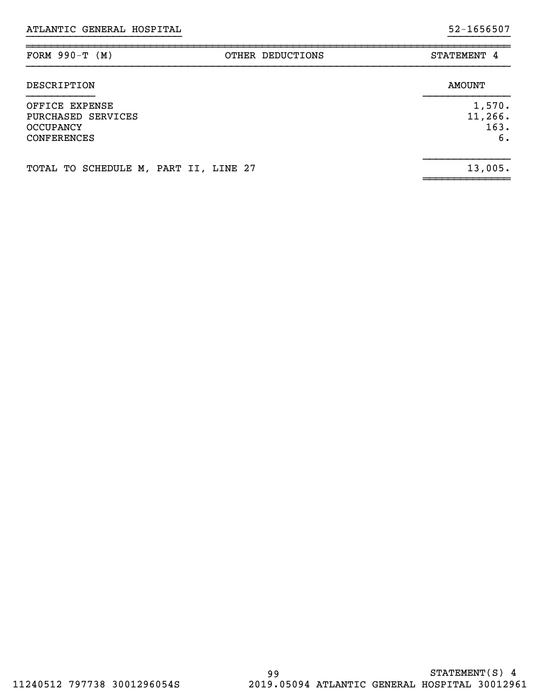| FORM $990-T (M)$                                                               | OTHER DEDUCTIONS | STATEMENT 4                     |
|--------------------------------------------------------------------------------|------------------|---------------------------------|
| DESCRIPTION                                                                    |                  | AMOUNT                          |
| OFFICE EXPENSE<br>PURCHASED SERVICES<br><b>OCCUPANCY</b><br><b>CONFERENCES</b> |                  | 1,570.<br>11,266.<br>163.<br>б. |
| TOTAL TO SCHEDULE M, PART II, LINE 27                                          |                  | 13,005.                         |

}}}}}}}}}}}}}}}}}}}}}}}}} }}}}}}}}}}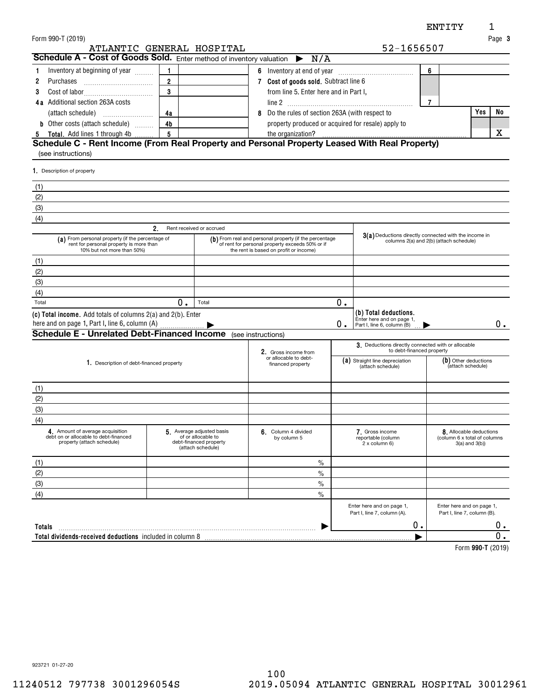|                                                                                                                                  |                |                                                                                               |   |                                                                                                                                                     |    |                                                                                 | ENTITY                                                   |                     | 1      |
|----------------------------------------------------------------------------------------------------------------------------------|----------------|-----------------------------------------------------------------------------------------------|---|-----------------------------------------------------------------------------------------------------------------------------------------------------|----|---------------------------------------------------------------------------------|----------------------------------------------------------|---------------------|--------|
| Form 990-T (2019)                                                                                                                |                |                                                                                               |   |                                                                                                                                                     |    |                                                                                 |                                                          |                     | Page 3 |
| ATLANTIC GENERAL HOSPITAL                                                                                                        |                |                                                                                               |   |                                                                                                                                                     |    | 52-1656507                                                                      |                                                          |                     |        |
| Schedule A - Cost of Goods Sold. Enter method of inventory valuation $\triangleright N/A$                                        |                |                                                                                               |   |                                                                                                                                                     |    |                                                                                 |                                                          |                     |        |
| Inventory at beginning of year<br>1.                                                                                             | $\mathbf{1}$   |                                                                                               |   |                                                                                                                                                     |    |                                                                                 | 6                                                        |                     |        |
| 2<br>Purchases                                                                                                                   | $\overline{2}$ |                                                                                               |   | 7 Cost of goods sold. Subtract line 6                                                                                                               |    |                                                                                 |                                                          |                     |        |
| 3                                                                                                                                | 3              |                                                                                               |   | from line 5. Enter here and in Part I,                                                                                                              |    |                                                                                 |                                                          |                     |        |
| <b>4a</b> Additional section 263A costs                                                                                          |                |                                                                                               |   |                                                                                                                                                     |    |                                                                                 | $\overline{7}$                                           |                     |        |
|                                                                                                                                  | 4a             |                                                                                               | 8 | Do the rules of section 263A (with respect to                                                                                                       |    |                                                                                 |                                                          | Yes                 | No     |
| <b>b</b> Other costs (attach schedule)                                                                                           | 4 <sub>b</sub> |                                                                                               |   | property produced or acquired for resale) apply to                                                                                                  |    |                                                                                 |                                                          |                     |        |
| 5 Total. Add lines 1 through 4b<br>Schedule C - Rent Income (From Real Property and Personal Property Leased With Real Property) | 5              |                                                                                               |   | the organization?                                                                                                                                   |    |                                                                                 |                                                          |                     | x      |
| (see instructions)                                                                                                               |                |                                                                                               |   |                                                                                                                                                     |    |                                                                                 |                                                          |                     |        |
|                                                                                                                                  |                |                                                                                               |   |                                                                                                                                                     |    |                                                                                 |                                                          |                     |        |
| 1. Description of property                                                                                                       |                |                                                                                               |   |                                                                                                                                                     |    |                                                                                 |                                                          |                     |        |
| (1)                                                                                                                              |                |                                                                                               |   |                                                                                                                                                     |    |                                                                                 |                                                          |                     |        |
| (2)                                                                                                                              |                |                                                                                               |   |                                                                                                                                                     |    |                                                                                 |                                                          |                     |        |
| (3)                                                                                                                              |                |                                                                                               |   |                                                                                                                                                     |    |                                                                                 |                                                          |                     |        |
| (4)                                                                                                                              |                |                                                                                               |   |                                                                                                                                                     |    |                                                                                 |                                                          |                     |        |
|                                                                                                                                  | 2.             | Rent received or accrued                                                                      |   |                                                                                                                                                     |    |                                                                                 |                                                          |                     |        |
| (a) From personal property (if the percentage of<br>rent for personal property is more than<br>10% but not more than 50%)        |                |                                                                                               |   | (b) From real and personal property (if the percentage<br>of rent for personal property exceeds 50% or if<br>the rent is based on profit or income) |    | 3(a) Deductions directly connected with the income in                           | columns 2(a) and 2(b) (attach schedule)                  |                     |        |
| (1)                                                                                                                              |                |                                                                                               |   |                                                                                                                                                     |    |                                                                                 |                                                          |                     |        |
| (2)                                                                                                                              |                |                                                                                               |   |                                                                                                                                                     |    |                                                                                 |                                                          |                     |        |
| (3)                                                                                                                              |                |                                                                                               |   |                                                                                                                                                     |    |                                                                                 |                                                          |                     |        |
| (4)                                                                                                                              |                |                                                                                               |   |                                                                                                                                                     |    |                                                                                 |                                                          |                     |        |
| Total                                                                                                                            | 0.             | Total                                                                                         |   |                                                                                                                                                     | 0. |                                                                                 |                                                          |                     |        |
| (c) Total income. Add totals of columns 2(a) and 2(b). Enter                                                                     |                |                                                                                               |   |                                                                                                                                                     |    | (b) Total deductions.                                                           |                                                          |                     |        |
| here and on page 1, Part I, line 6, column (A)                                                                                   |                |                                                                                               |   |                                                                                                                                                     | 0. | Enter here and on page 1,<br>Part I, line 6, column (B)                         |                                                          |                     | 0.     |
| <b>Schedule E - Unrelated Debt-Financed Income</b> (see instructions)                                                            |                |                                                                                               |   |                                                                                                                                                     |    |                                                                                 |                                                          |                     |        |
|                                                                                                                                  |                |                                                                                               |   |                                                                                                                                                     |    | 3. Deductions directly connected with or allocable<br>to debt-financed property |                                                          |                     |        |
|                                                                                                                                  |                |                                                                                               |   | 2. Gross income from<br>or allocable to debt-                                                                                                       |    | (a) Straight line depreciation                                                  | (b) Other deductions                                     |                     |        |
| 1. Description of debt-financed property                                                                                         |                |                                                                                               |   | financed property                                                                                                                                   |    | (attach schedule)                                                               | (attach schedule)                                        |                     |        |
|                                                                                                                                  |                |                                                                                               |   |                                                                                                                                                     |    |                                                                                 |                                                          |                     |        |
| (1)                                                                                                                              |                |                                                                                               |   |                                                                                                                                                     |    |                                                                                 |                                                          |                     |        |
| (2)                                                                                                                              |                |                                                                                               |   |                                                                                                                                                     |    |                                                                                 |                                                          |                     |        |
| (3)                                                                                                                              |                |                                                                                               |   |                                                                                                                                                     |    |                                                                                 |                                                          |                     |        |
| (4)                                                                                                                              |                |                                                                                               |   |                                                                                                                                                     |    |                                                                                 |                                                          |                     |        |
| 4. Amount of average acquisition<br>debt on or allocable to debt-financed<br>property (attach schedule)                          |                | 5 Average adjusted basis<br>of or allocable to<br>debt-financed property<br>(attach schedule) |   | 6 Column 4 divided<br>by column 5                                                                                                                   |    | 7. Gross income<br>reportable (column<br>2 x column 6)                          | 8. Allocable deductions<br>(column 6 x total of columns  | $3(a)$ and $3(b)$ ) |        |
| (1)                                                                                                                              |                |                                                                                               |   | $\%$                                                                                                                                                |    |                                                                                 |                                                          |                     |        |
| (2)                                                                                                                              |                |                                                                                               |   | $\frac{0}{0}$                                                                                                                                       |    |                                                                                 |                                                          |                     |        |
| (3)                                                                                                                              |                |                                                                                               |   | $\frac{0}{0}$                                                                                                                                       |    |                                                                                 |                                                          |                     |        |
| (4)                                                                                                                              |                |                                                                                               |   | $\frac{0}{0}$                                                                                                                                       |    |                                                                                 |                                                          |                     |        |
|                                                                                                                                  |                |                                                                                               |   |                                                                                                                                                     |    | Enter here and on page 1,<br>Part I, line 7, column (A).                        | Enter here and on page 1,<br>Part I, line 7, column (B). |                     |        |
| Totals                                                                                                                           |                |                                                                                               |   |                                                                                                                                                     |    | 0.                                                                              |                                                          |                     | 0.     |
| Total dividends-received deductions included in column 8                                                                         |                |                                                                                               |   |                                                                                                                                                     |    |                                                                                 |                                                          |                     | 0.     |
|                                                                                                                                  |                |                                                                                               |   |                                                                                                                                                     |    |                                                                                 |                                                          | Form 990-T (2019)   |        |

923721 01-27-20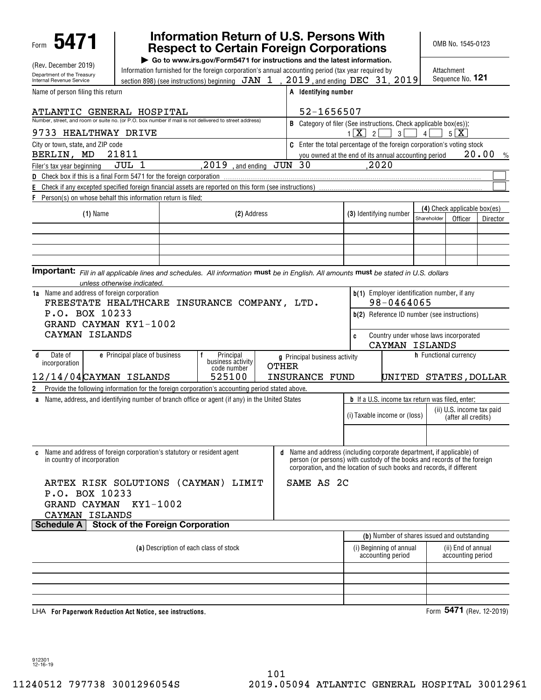| 5471<br>Form                                                                                                                          |                                                                                                                                                                                                                                                                      |  | Information Return of U.S. Persons With<br><b>Respect to Certain Foreign Corporations</b> |  |                                                                                                                                                                                                                               |                                                        |                                              |             | OMB No. 1545-0123                                |                          |
|---------------------------------------------------------------------------------------------------------------------------------------|----------------------------------------------------------------------------------------------------------------------------------------------------------------------------------------------------------------------------------------------------------------------|--|-------------------------------------------------------------------------------------------|--|-------------------------------------------------------------------------------------------------------------------------------------------------------------------------------------------------------------------------------|--------------------------------------------------------|----------------------------------------------|-------------|--------------------------------------------------|--------------------------|
| (Rev. December 2019)<br>Department of the Treasury<br><b>Internal Revenue Service</b>                                                 | Go to www.irs.gov/Form5471 for instructions and the latest information.<br>Information furnished for the foreign corporation's annual accounting period (tax year required by<br>section 898) (see instructions) beginning $JAN$ 1, $2019$ , and ending DEC 31, 2019 |  |                                                                                           |  |                                                                                                                                                                                                                               | Attachment<br>Sequence No. 121                         |                                              |             |                                                  |                          |
| Name of person filing this return                                                                                                     |                                                                                                                                                                                                                                                                      |  |                                                                                           |  | A Identifying number                                                                                                                                                                                                          |                                                        |                                              |             |                                                  |                          |
| ATLANTIC GENERAL HOSPITAL                                                                                                             |                                                                                                                                                                                                                                                                      |  |                                                                                           |  | 52-1656507                                                                                                                                                                                                                    |                                                        |                                              |             |                                                  |                          |
| Number, street, and room or suite no. (or P.O. box number if mail is not delivered to street address)                                 |                                                                                                                                                                                                                                                                      |  |                                                                                           |  | <b>B</b> Category of filer (See instructions. Check applicable box(es)):                                                                                                                                                      |                                                        |                                              |             |                                                  |                          |
| 9733 HEALTHWAY DRIVE                                                                                                                  |                                                                                                                                                                                                                                                                      |  |                                                                                           |  |                                                                                                                                                                                                                               | $1 \mathbf{X} $<br>$\vert$ 2                           | 3                                            | 4           | $5 \mid X$                                       |                          |
| City or town, state, and ZIP code<br>BERLIN, MD                                                                                       | 21811                                                                                                                                                                                                                                                                |  |                                                                                           |  | <b>C</b> Enter the total percentage of the foreign corporation's voting stock                                                                                                                                                 | you owned at the end of its annual accounting period   |                                              |             |                                                  | 20.00<br>$\frac{0}{0}$   |
| Filer's tax year beginning                                                                                                            | JUL <sub>1</sub>                                                                                                                                                                                                                                                     |  | 2019<br>, and ending                                                                      |  | <b>JUN</b><br>30                                                                                                                                                                                                              | 2020                                                   |                                              |             |                                                  |                          |
| Check box if this is a final Form 5471 for the foreign corporation<br>D                                                               |                                                                                                                                                                                                                                                                      |  |                                                                                           |  |                                                                                                                                                                                                                               |                                                        |                                              |             |                                                  |                          |
| Check if any excepted specified foreign financial assets are reported on this form (see instructions)<br>Е                            |                                                                                                                                                                                                                                                                      |  |                                                                                           |  |                                                                                                                                                                                                                               |                                                        |                                              |             |                                                  |                          |
| F<br>Person(s) on whose behalf this information return is filed:                                                                      |                                                                                                                                                                                                                                                                      |  |                                                                                           |  |                                                                                                                                                                                                                               |                                                        |                                              |             |                                                  |                          |
| $(1)$ Name                                                                                                                            |                                                                                                                                                                                                                                                                      |  | (2) Address                                                                               |  |                                                                                                                                                                                                                               | (3) Identifying number                                 |                                              | Shareholder | (4) Check applicable box(es)<br>Officer          | Director                 |
|                                                                                                                                       |                                                                                                                                                                                                                                                                      |  |                                                                                           |  |                                                                                                                                                                                                                               |                                                        |                                              |             |                                                  |                          |
|                                                                                                                                       |                                                                                                                                                                                                                                                                      |  |                                                                                           |  |                                                                                                                                                                                                                               |                                                        |                                              |             |                                                  |                          |
|                                                                                                                                       |                                                                                                                                                                                                                                                                      |  |                                                                                           |  |                                                                                                                                                                                                                               |                                                        |                                              |             |                                                  |                          |
|                                                                                                                                       |                                                                                                                                                                                                                                                                      |  |                                                                                           |  |                                                                                                                                                                                                                               |                                                        |                                              |             |                                                  |                          |
| Important: Fill in all applicable lines and schedules. All information must be in English. All amounts must be stated in U.S. dollars |                                                                                                                                                                                                                                                                      |  |                                                                                           |  |                                                                                                                                                                                                                               |                                                        |                                              |             |                                                  |                          |
|                                                                                                                                       | unless otherwise indicated.                                                                                                                                                                                                                                          |  |                                                                                           |  |                                                                                                                                                                                                                               |                                                        |                                              |             |                                                  |                          |
| 1a Name and address of foreign corporation                                                                                            |                                                                                                                                                                                                                                                                      |  |                                                                                           |  |                                                                                                                                                                                                                               |                                                        | 98-0464065                                   |             | b(1) Employer identification number, if any      |                          |
| FREESTATE HEALTHCARE INSURANCE COMPANY, LTD.<br>P.O. BOX 10233                                                                        |                                                                                                                                                                                                                                                                      |  |                                                                                           |  |                                                                                                                                                                                                                               |                                                        |                                              |             |                                                  |                          |
| GRAND CAYMAN KY1-1002                                                                                                                 |                                                                                                                                                                                                                                                                      |  |                                                                                           |  |                                                                                                                                                                                                                               |                                                        |                                              |             | b(2) Reference ID number (see instructions)      |                          |
| CAYMAN ISLANDS                                                                                                                        |                                                                                                                                                                                                                                                                      |  |                                                                                           |  |                                                                                                                                                                                                                               | c                                                      |                                              |             | Country under whose laws incorporated            |                          |
|                                                                                                                                       |                                                                                                                                                                                                                                                                      |  |                                                                                           |  |                                                                                                                                                                                                                               |                                                        | CAYMAN ISLANDS                               |             |                                                  |                          |
| Date of<br>d<br>incorporation                                                                                                         | e Principal place of business                                                                                                                                                                                                                                        |  | Principal<br>business activity<br>code number                                             |  | g Principal business activity<br><b>OTHER</b>                                                                                                                                                                                 |                                                        |                                              |             | h Functional currency                            |                          |
| 12/14/04 CAYMAN ISLANDS                                                                                                               |                                                                                                                                                                                                                                                                      |  | 525100                                                                                    |  | INSURANCE FUND                                                                                                                                                                                                                |                                                        |                                              |             |                                                  | UNITED STATES, DOLLAR    |
| Provide the following information for the foreign corporation's accounting period stated above.                                       |                                                                                                                                                                                                                                                                      |  |                                                                                           |  |                                                                                                                                                                                                                               |                                                        |                                              |             |                                                  |                          |
| a Name, address, and identifying number of branch office or agent (if any) in the United States                                       |                                                                                                                                                                                                                                                                      |  |                                                                                           |  |                                                                                                                                                                                                                               | <b>b</b> If a U.S. income tax return was filed, enter: |                                              |             |                                                  |                          |
|                                                                                                                                       |                                                                                                                                                                                                                                                                      |  |                                                                                           |  |                                                                                                                                                                                                                               | (i) Taxable income or (loss)                           |                                              |             | (ii) U.S. income tax paid<br>(after all credits) |                          |
|                                                                                                                                       |                                                                                                                                                                                                                                                                      |  |                                                                                           |  |                                                                                                                                                                                                                               |                                                        |                                              |             |                                                  |                          |
| <b>c</b> Name and address of foreign corporation's statutory or resident agent<br>in country of incorporation                         |                                                                                                                                                                                                                                                                      |  |                                                                                           |  | d<br>Name and address (including corporate department, if applicable) of<br>person (or persons) with custody of the books and records of the foreign<br>corporation, and the location of such books and records, if different |                                                        |                                              |             |                                                  |                          |
| ARTEX RISK SOLUTIONS (CAYMAN) LIMIT                                                                                                   |                                                                                                                                                                                                                                                                      |  |                                                                                           |  | SAME AS 2C                                                                                                                                                                                                                    |                                                        |                                              |             |                                                  |                          |
| P.O. BOX 10233                                                                                                                        |                                                                                                                                                                                                                                                                      |  |                                                                                           |  |                                                                                                                                                                                                                               |                                                        |                                              |             |                                                  |                          |
| <b>GRAND CAYMAN</b>                                                                                                                   | KY1-1002                                                                                                                                                                                                                                                             |  |                                                                                           |  |                                                                                                                                                                                                                               |                                                        |                                              |             |                                                  |                          |
| CAYMAN ISLANDS                                                                                                                        |                                                                                                                                                                                                                                                                      |  |                                                                                           |  |                                                                                                                                                                                                                               |                                                        |                                              |             |                                                  |                          |
| <b>Schedule A</b>                                                                                                                     | <b>Stock of the Foreign Corporation</b>                                                                                                                                                                                                                              |  |                                                                                           |  |                                                                                                                                                                                                                               |                                                        |                                              |             |                                                  |                          |
|                                                                                                                                       |                                                                                                                                                                                                                                                                      |  |                                                                                           |  |                                                                                                                                                                                                                               |                                                        |                                              |             | (b) Number of shares issued and outstanding      |                          |
|                                                                                                                                       |                                                                                                                                                                                                                                                                      |  | (a) Description of each class of stock                                                    |  |                                                                                                                                                                                                                               |                                                        | (i) Beginning of annual<br>accounting period |             | (ii) End of annual<br>accounting period          |                          |
|                                                                                                                                       |                                                                                                                                                                                                                                                                      |  |                                                                                           |  |                                                                                                                                                                                                                               |                                                        |                                              |             |                                                  |                          |
|                                                                                                                                       |                                                                                                                                                                                                                                                                      |  |                                                                                           |  |                                                                                                                                                                                                                               |                                                        |                                              |             |                                                  |                          |
|                                                                                                                                       |                                                                                                                                                                                                                                                                      |  |                                                                                           |  |                                                                                                                                                                                                                               |                                                        |                                              |             |                                                  |                          |
| LHA For Paperwork Reduction Act Notice, see instructions.                                                                             |                                                                                                                                                                                                                                                                      |  |                                                                                           |  |                                                                                                                                                                                                                               |                                                        |                                              |             |                                                  | Form 5471 (Rev. 12-2019) |

912301 12-16-19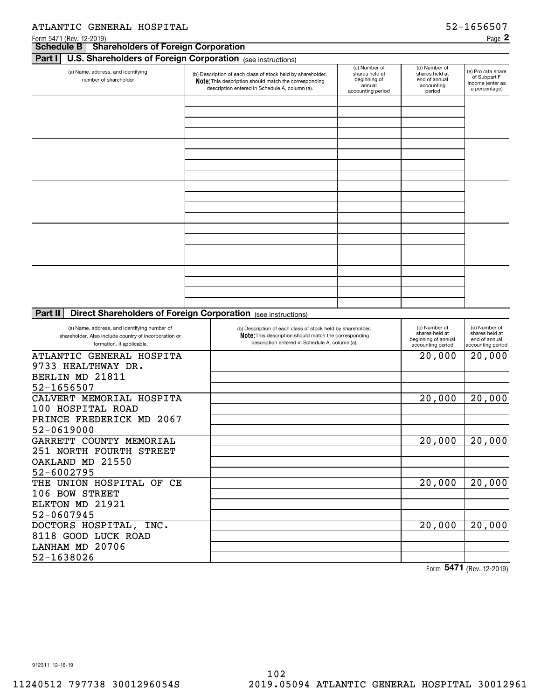#### **Schedule B Shareholders of Foreign Corporation**

**Part I | U.S. Shareholders of Foreign Corporation** (see instructions)

|                                                                                                                                    | $1000$ mondonono                                                                                                                                                       |                                                                                |                                                                             |                                                                         |
|------------------------------------------------------------------------------------------------------------------------------------|------------------------------------------------------------------------------------------------------------------------------------------------------------------------|--------------------------------------------------------------------------------|-----------------------------------------------------------------------------|-------------------------------------------------------------------------|
| (a) Name, address, and identifying<br>number of shareholder                                                                        | (b) Description of each class of stock held by shareholder.<br>Note: This description should match the corresponding<br>description entered in Schedule A, column (a). | (c) Number of<br>shares held at<br>beginning of<br>annual<br>accounting period | (d) Number of<br>shares held at<br>end of annual<br>accounting<br>period    | (e) Pro rata share<br>of Subpart F<br>income (enter as<br>a percentage) |
|                                                                                                                                    |                                                                                                                                                                        |                                                                                |                                                                             |                                                                         |
|                                                                                                                                    |                                                                                                                                                                        |                                                                                |                                                                             |                                                                         |
|                                                                                                                                    |                                                                                                                                                                        |                                                                                |                                                                             |                                                                         |
|                                                                                                                                    |                                                                                                                                                                        |                                                                                |                                                                             |                                                                         |
|                                                                                                                                    |                                                                                                                                                                        |                                                                                |                                                                             |                                                                         |
|                                                                                                                                    |                                                                                                                                                                        |                                                                                |                                                                             |                                                                         |
|                                                                                                                                    |                                                                                                                                                                        |                                                                                |                                                                             |                                                                         |
|                                                                                                                                    |                                                                                                                                                                        |                                                                                |                                                                             |                                                                         |
|                                                                                                                                    |                                                                                                                                                                        |                                                                                |                                                                             |                                                                         |
|                                                                                                                                    |                                                                                                                                                                        |                                                                                |                                                                             |                                                                         |
|                                                                                                                                    |                                                                                                                                                                        |                                                                                |                                                                             |                                                                         |
|                                                                                                                                    |                                                                                                                                                                        |                                                                                |                                                                             |                                                                         |
|                                                                                                                                    |                                                                                                                                                                        |                                                                                |                                                                             |                                                                         |
|                                                                                                                                    |                                                                                                                                                                        |                                                                                |                                                                             |                                                                         |
|                                                                                                                                    |                                                                                                                                                                        |                                                                                |                                                                             |                                                                         |
|                                                                                                                                    |                                                                                                                                                                        |                                                                                |                                                                             |                                                                         |
|                                                                                                                                    |                                                                                                                                                                        |                                                                                |                                                                             |                                                                         |
|                                                                                                                                    |                                                                                                                                                                        |                                                                                |                                                                             |                                                                         |
|                                                                                                                                    |                                                                                                                                                                        |                                                                                |                                                                             |                                                                         |
|                                                                                                                                    |                                                                                                                                                                        |                                                                                |                                                                             |                                                                         |
| <b>Direct Shareholders of Foreign Corporation</b> (see instructions)<br>Part II                                                    |                                                                                                                                                                        |                                                                                |                                                                             |                                                                         |
| (a) Name, address, and identifying number of<br>shareholder. Also include country of incorporation or<br>formation, if applicable. | (b) Description of each class of stock held by shareholder.<br>Note: This description should match the corresponding<br>description entered in Schedule A, column (a). |                                                                                | (c) Number of<br>shares held at<br>beginning of annual<br>accounting period | (d) Number of<br>shares held at<br>end of annual<br>laccounting neriod  |

| (d) Natile, address, and identifying number of<br>shareholder. Also include country of incorporation or<br>formation, if applicable. | (b) Description of each class of stock held by shareholder.<br>Note: This description should match the corresponding<br>description entered in Schedule A, column (a). | (C) INDITING OF<br>shares held at<br>beginning of annual<br>accounting period | (a) Marriber or<br>shares held at<br>end of annual<br>accounting period |
|--------------------------------------------------------------------------------------------------------------------------------------|------------------------------------------------------------------------------------------------------------------------------------------------------------------------|-------------------------------------------------------------------------------|-------------------------------------------------------------------------|
| ATLANTIC GENERAL HOSPITA                                                                                                             |                                                                                                                                                                        | 20,000                                                                        | 20,000                                                                  |
| 9733 HEALTHWAY DR.                                                                                                                   |                                                                                                                                                                        |                                                                               |                                                                         |
| BERLIN MD 21811                                                                                                                      |                                                                                                                                                                        |                                                                               |                                                                         |
| 52-1656507                                                                                                                           |                                                                                                                                                                        |                                                                               |                                                                         |
| CALVERT MEMORIAL HOSPITA                                                                                                             |                                                                                                                                                                        | 20,000                                                                        | 20,000                                                                  |
| 100 HOSPITAL ROAD                                                                                                                    |                                                                                                                                                                        |                                                                               |                                                                         |
| PRINCE FREDERICK MD 2067                                                                                                             |                                                                                                                                                                        |                                                                               |                                                                         |
| 52-0619000                                                                                                                           |                                                                                                                                                                        |                                                                               |                                                                         |
| GARRETT COUNTY MEMORIAL                                                                                                              |                                                                                                                                                                        | 20,000                                                                        | 20,000                                                                  |
| 251 NORTH FOURTH STREET                                                                                                              |                                                                                                                                                                        |                                                                               |                                                                         |
| OAKLAND MD 21550                                                                                                                     |                                                                                                                                                                        |                                                                               |                                                                         |
| 52-6002795                                                                                                                           |                                                                                                                                                                        |                                                                               |                                                                         |
| THE UNION HOSPITAL<br>OF CE                                                                                                          |                                                                                                                                                                        | 20,000                                                                        | 20,000                                                                  |
| 106 BOW STREET                                                                                                                       |                                                                                                                                                                        |                                                                               |                                                                         |
| ELKTON MD 21921                                                                                                                      |                                                                                                                                                                        |                                                                               |                                                                         |
| 52-0607945                                                                                                                           |                                                                                                                                                                        |                                                                               |                                                                         |
| DOCTORS HOSPITAL, INC.                                                                                                               |                                                                                                                                                                        | 20,000                                                                        | 20,000                                                                  |
| 8118 GOOD LUCK ROAD                                                                                                                  |                                                                                                                                                                        |                                                                               |                                                                         |
| LANHAM MD 20706                                                                                                                      |                                                                                                                                                                        |                                                                               |                                                                         |
| 52-1638026                                                                                                                           |                                                                                                                                                                        |                                                                               |                                                                         |

Form (Rev. 12-2019) **5471**

912311 12-16-19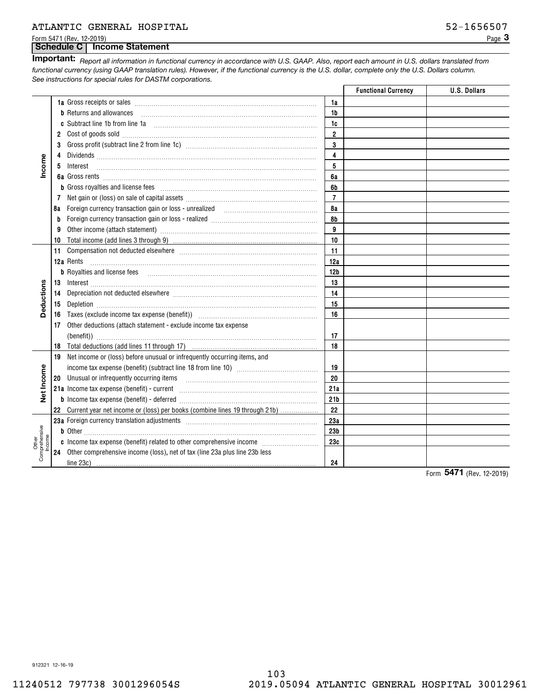Form 5471 (Rev. 12-2019)

### **Schedule C Income Statement**

*Report all information in functional currency in accordance with U.S. GAAP. Also, report each amount in U.S. dollars translated from* **Important:** *functional currency (using GAAP translation rules). However, if the functional currency is the U.S. dollar, complete only the U.S. Dollars column. See instructions for special rules for DASTM corporations.*

| 1a<br><b>b</b> Returns and allowances<br>1b<br>c Subtract line 1b from line 1a<br>1c<br>$\overline{2}$<br>3<br>3<br>4<br>Income<br>5<br>5 Interest<br>6a<br>6b<br>$\overline{7}$<br>8a<br>8b<br>9<br>10<br>10<br>11<br>12a Rents<br>12a<br><b>b</b> Royalties and license fees<br>12b<br>Deductions<br>13<br>14<br>15<br>16<br>Other deductions (attach statement - exclude income tax expense<br>17<br>17<br>18<br>18 Total deductions (add lines 11 through 17) [11] [12] [12] [13] Total deductions (add lines 11 through 17)<br>19 Net income or (loss) before unusual or infrequently occurring items, and<br>Net Income<br>19<br>20<br>20 Unusual or infrequently occurring items<br>21a |  |  | <b>Functional Currency</b> | <b>U.S. Dollars</b> |
|------------------------------------------------------------------------------------------------------------------------------------------------------------------------------------------------------------------------------------------------------------------------------------------------------------------------------------------------------------------------------------------------------------------------------------------------------------------------------------------------------------------------------------------------------------------------------------------------------------------------------------------------------------------------------------------------|--|--|----------------------------|---------------------|
|                                                                                                                                                                                                                                                                                                                                                                                                                                                                                                                                                                                                                                                                                                |  |  |                            |                     |
|                                                                                                                                                                                                                                                                                                                                                                                                                                                                                                                                                                                                                                                                                                |  |  |                            |                     |
|                                                                                                                                                                                                                                                                                                                                                                                                                                                                                                                                                                                                                                                                                                |  |  |                            |                     |
|                                                                                                                                                                                                                                                                                                                                                                                                                                                                                                                                                                                                                                                                                                |  |  |                            |                     |
|                                                                                                                                                                                                                                                                                                                                                                                                                                                                                                                                                                                                                                                                                                |  |  |                            |                     |
|                                                                                                                                                                                                                                                                                                                                                                                                                                                                                                                                                                                                                                                                                                |  |  |                            |                     |
|                                                                                                                                                                                                                                                                                                                                                                                                                                                                                                                                                                                                                                                                                                |  |  |                            |                     |
|                                                                                                                                                                                                                                                                                                                                                                                                                                                                                                                                                                                                                                                                                                |  |  |                            |                     |
|                                                                                                                                                                                                                                                                                                                                                                                                                                                                                                                                                                                                                                                                                                |  |  |                            |                     |
|                                                                                                                                                                                                                                                                                                                                                                                                                                                                                                                                                                                                                                                                                                |  |  |                            |                     |
|                                                                                                                                                                                                                                                                                                                                                                                                                                                                                                                                                                                                                                                                                                |  |  |                            |                     |
|                                                                                                                                                                                                                                                                                                                                                                                                                                                                                                                                                                                                                                                                                                |  |  |                            |                     |
|                                                                                                                                                                                                                                                                                                                                                                                                                                                                                                                                                                                                                                                                                                |  |  |                            |                     |
|                                                                                                                                                                                                                                                                                                                                                                                                                                                                                                                                                                                                                                                                                                |  |  |                            |                     |
|                                                                                                                                                                                                                                                                                                                                                                                                                                                                                                                                                                                                                                                                                                |  |  |                            |                     |
|                                                                                                                                                                                                                                                                                                                                                                                                                                                                                                                                                                                                                                                                                                |  |  |                            |                     |
|                                                                                                                                                                                                                                                                                                                                                                                                                                                                                                                                                                                                                                                                                                |  |  |                            |                     |
|                                                                                                                                                                                                                                                                                                                                                                                                                                                                                                                                                                                                                                                                                                |  |  |                            |                     |
|                                                                                                                                                                                                                                                                                                                                                                                                                                                                                                                                                                                                                                                                                                |  |  |                            |                     |
|                                                                                                                                                                                                                                                                                                                                                                                                                                                                                                                                                                                                                                                                                                |  |  |                            |                     |
|                                                                                                                                                                                                                                                                                                                                                                                                                                                                                                                                                                                                                                                                                                |  |  |                            |                     |
|                                                                                                                                                                                                                                                                                                                                                                                                                                                                                                                                                                                                                                                                                                |  |  |                            |                     |
|                                                                                                                                                                                                                                                                                                                                                                                                                                                                                                                                                                                                                                                                                                |  |  |                            |                     |
|                                                                                                                                                                                                                                                                                                                                                                                                                                                                                                                                                                                                                                                                                                |  |  |                            |                     |
|                                                                                                                                                                                                                                                                                                                                                                                                                                                                                                                                                                                                                                                                                                |  |  |                            |                     |
|                                                                                                                                                                                                                                                                                                                                                                                                                                                                                                                                                                                                                                                                                                |  |  |                            |                     |
|                                                                                                                                                                                                                                                                                                                                                                                                                                                                                                                                                                                                                                                                                                |  |  |                            |                     |
|                                                                                                                                                                                                                                                                                                                                                                                                                                                                                                                                                                                                                                                                                                |  |  |                            |                     |
| 21 <sub>b</sub>                                                                                                                                                                                                                                                                                                                                                                                                                                                                                                                                                                                                                                                                                |  |  |                            |                     |
| 22<br>22 Current year net income or (loss) per books (combine lines 19 through 21b)                                                                                                                                                                                                                                                                                                                                                                                                                                                                                                                                                                                                            |  |  |                            |                     |
| 23a                                                                                                                                                                                                                                                                                                                                                                                                                                                                                                                                                                                                                                                                                            |  |  |                            |                     |
| Other<br>Comprehensive<br>Income<br>23 <sub>b</sub>                                                                                                                                                                                                                                                                                                                                                                                                                                                                                                                                                                                                                                            |  |  |                            |                     |
| 23c                                                                                                                                                                                                                                                                                                                                                                                                                                                                                                                                                                                                                                                                                            |  |  |                            |                     |
| Other comprehensive income (loss), net of tax (line 23a plus line 23b less<br>24                                                                                                                                                                                                                                                                                                                                                                                                                                                                                                                                                                                                               |  |  |                            |                     |
| line 23c)<br>24<br>E A74                                                                                                                                                                                                                                                                                                                                                                                                                                                                                                                                                                                                                                                                       |  |  |                            |                     |

Form (Rev. 12-2019) **5471**

912321 12-16-19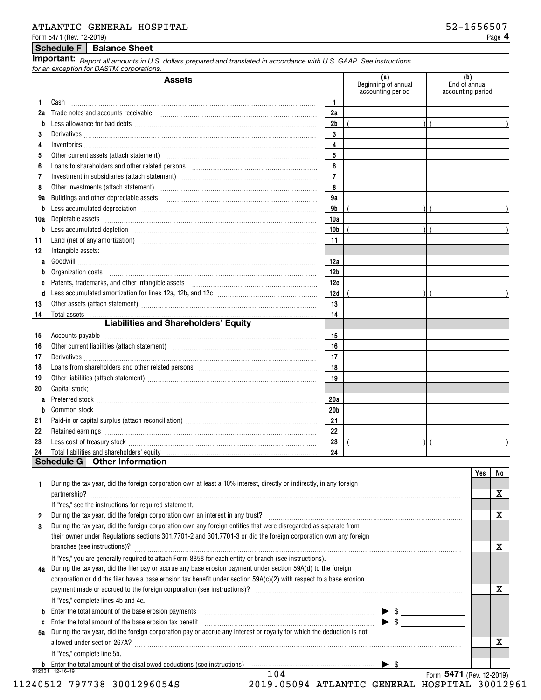**1**

|    | <b>nportant:</b> Report all amounts in U.S. dollars prepared and translated in accordance with U.S. GAAP. See instructions<br>r an exception for DASTM corporations. |    |                                                |                                           |
|----|----------------------------------------------------------------------------------------------------------------------------------------------------------------------|----|------------------------------------------------|-------------------------------------------|
|    | Assets                                                                                                                                                               |    | (a<br>Beginning of annual<br>accounting period | (b)<br>End of annual<br>accounting period |
|    | Cash                                                                                                                                                                 |    |                                                |                                           |
|    | 2a Trade notes and accounts receivable                                                                                                                               | 2a |                                                |                                           |
|    |                                                                                                                                                                      | 2b |                                                |                                           |
| 3. |                                                                                                                                                                      | 3  |                                                |                                           |
|    | 4 Inventories                                                                                                                                                        |    |                                                |                                           |
| 5  |                                                                                                                                                                      | 5  |                                                |                                           |
|    | 6 Loans to shareholders and other related persons with an array consumed to an array constraint and starting o                                                       | 6  |                                                |                                           |
|    |                                                                                                                                                                      |    |                                                |                                           |
| 8  | Other investments (attach statement)                                                                                                                                 | 8  |                                                |                                           |
|    | 9a Buildings and other depreciable assets                                                                                                                            | 9a |                                                |                                           |
|    | <b>b</b> Less accumulated depreciation                                                                                                                               | 9b |                                                |                                           |

|    |                                                                                                                | 9 <sub>b</sub>  |  |
|----|----------------------------------------------------------------------------------------------------------------|-----------------|--|
|    |                                                                                                                | 10a             |  |
|    |                                                                                                                | 10b             |  |
| 11 | Land (net of any amortization) manufactured and contact the control of any amortization                        | 11              |  |
| 12 | Intangible assets:                                                                                             |                 |  |
|    |                                                                                                                | 12a             |  |
|    | <b>b</b> Organization costs                                                                                    | 12 <sub>b</sub> |  |
| C  |                                                                                                                | 12c             |  |
| d  |                                                                                                                | 12d             |  |
| 13 |                                                                                                                | 13              |  |
| 14 | Total assets                                                                                                   | 14              |  |
|    | Liabilities and Shareholders' Equity                                                                           |                 |  |
|    |                                                                                                                |                 |  |
| 15 | Accounts payable information and accounts and accounts and accounts and accounts and accounts and accounts and | 15              |  |
| 16 |                                                                                                                | 16              |  |
| 17 |                                                                                                                | 17              |  |
| 18 |                                                                                                                | 18              |  |
| 19 |                                                                                                                | 19              |  |
| 20 | Capital stock:                                                                                                 |                 |  |
|    |                                                                                                                | 20a             |  |
| b  |                                                                                                                | 20 <sub>b</sub> |  |
| 21 |                                                                                                                | 21              |  |
| 22 |                                                                                                                | 22              |  |
| 23 |                                                                                                                | 23              |  |

## **Schedule G Other Information**

|                |                                                                                                                                                      |              | Yes            | N0 |
|----------------|------------------------------------------------------------------------------------------------------------------------------------------------------|--------------|----------------|----|
|                | During the tax year, did the foreign corporation own at least a 10% interest, directly or indirectly, in any foreign                                 |              |                |    |
|                | partnership?                                                                                                                                         |              |                | x  |
|                | If "Yes," see the instructions for required statement.                                                                                               |              |                |    |
| $\overline{2}$ | During the tax year, did the foreign corporation own an interest in any trust?                                                                       |              |                | х  |
| 3              | During the tax year, did the foreign corporation own any foreign entities that were disregarded as separate from                                     |              |                |    |
|                | their owner under Regulations sections 301.7701-2 and 301.7701-3 or did the foreign corporation own any foreign                                      |              |                |    |
|                | branches (see instructions)?                                                                                                                         |              |                | x  |
|                | If "Yes," you are generally required to attach Form 8858 for each entity or branch (see instructions).                                               |              |                |    |
| 4а             | During the tax year, did the filer pay or accrue any base erosion payment under section 59A(d) to the foreign                                        |              |                |    |
|                | corporation or did the filer have a base erosion tax benefit under section 59A(c)(2) with respect to a base erosion                                  |              |                |    |
|                | payment made or accrued to the foreign corporation (see instructions)?                                                                               |              |                | x  |
|                | If "Yes," complete lines 4b and 4c.                                                                                                                  |              |                |    |
| b              | Enter the total amount of the base erosion payments                                                                                                  |              |                |    |
| c              | Enter the total amount of the base erosion tax benefit                                                                                               |              |                |    |
| 5а             | During the tax year, did the foreign corporation pay or accrue any interest or royalty for which the deduction is not                                |              |                |    |
|                | allowed under section 267A?                                                                                                                          |              |                | x  |
|                |                                                                                                                                                      |              |                |    |
|                | If "Yes," complete line 5b.                                                                                                                          |              |                |    |
|                | Enter the total amount of the disallowed deductions (see instructions) manufactured the total amount of the disallowed deductions (see instructions) |              |                |    |
|                | 104                                                                                                                                                  | 5471<br>Form | (Rev. 12-2019) |    |

11240512 797738 3001296054S 2019.05094 ATLANTIC GENERAL HOSPITAL 30012961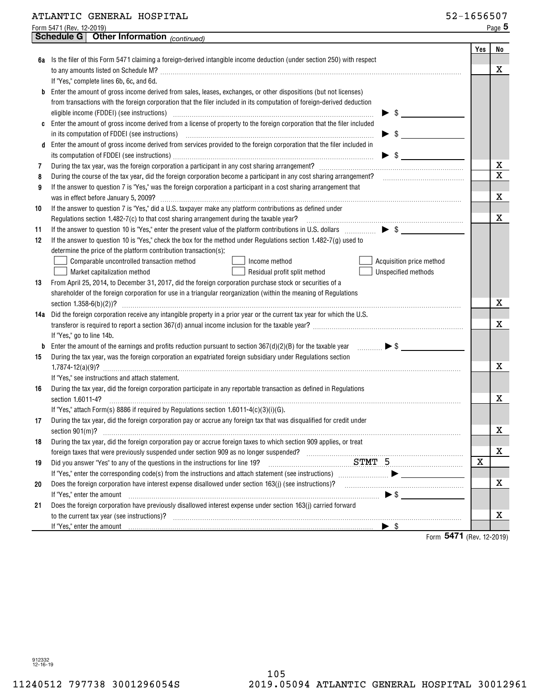## ATLANTIC GENERAL HOSPITAL 52-1656507

|    | <b>Schedule G</b>   Other Information <sub>(continued)</sub>                                                                                                                                                                                               |             |                  |  |  |  |
|----|------------------------------------------------------------------------------------------------------------------------------------------------------------------------------------------------------------------------------------------------------------|-------------|------------------|--|--|--|
|    |                                                                                                                                                                                                                                                            | Yes         | No               |  |  |  |
|    | 6a Is the filer of this Form 5471 claiming a foreign-derived intangible income deduction (under section 250) with respect                                                                                                                                  |             |                  |  |  |  |
|    |                                                                                                                                                                                                                                                            |             | х                |  |  |  |
|    | If "Yes," complete lines 6b, 6c, and 6d.                                                                                                                                                                                                                   |             |                  |  |  |  |
| b  | Enter the amount of gross income derived from sales, leases, exchanges, or other dispositions (but not licenses)                                                                                                                                           |             |                  |  |  |  |
|    | from transactions with the foreign corporation that the filer included in its computation of foreign-derived deduction                                                                                                                                     |             |                  |  |  |  |
|    | S                                                                                                                                                                                                                                                          |             |                  |  |  |  |
| C  | Enter the amount of gross income derived from a license of property to the foreign corporation that the filer included                                                                                                                                     |             |                  |  |  |  |
|    | in its computation of FDDEI (see instructions) manufactured contains and contained a set of the computation of                                                                                                                                             |             |                  |  |  |  |
| d  | Enter the amount of gross income derived from services provided to the foreign corporation that the filer included in                                                                                                                                      |             |                  |  |  |  |
|    |                                                                                                                                                                                                                                                            |             |                  |  |  |  |
| 7  |                                                                                                                                                                                                                                                            |             | Х<br>$\mathbf x$ |  |  |  |
| 8  | During the course of the tax year, did the foreign corporation become a participant in any cost sharing arrangement?                                                                                                                                       |             |                  |  |  |  |
| 9  | If the answer to question 7 is "Yes," was the foreign corporation a participant in a cost sharing arrangement that                                                                                                                                         |             |                  |  |  |  |
|    |                                                                                                                                                                                                                                                            |             | X                |  |  |  |
| 10 | If the answer to question 7 is "Yes," did a U.S. taxpayer make any platform contributions as defined under                                                                                                                                                 |             |                  |  |  |  |
|    | Regulations section 1.482-7(c) to that cost sharing arrangement during the taxable year?                                                                                                                                                                   |             | X                |  |  |  |
| 11 |                                                                                                                                                                                                                                                            |             |                  |  |  |  |
| 12 | If the answer to question 10 is "Yes," check the box for the method under Regulations section 1.482-7(g) used to                                                                                                                                           |             |                  |  |  |  |
|    | determine the price of the platform contribution transaction(s);                                                                                                                                                                                           |             |                  |  |  |  |
|    | Comparable uncontrolled transaction method<br>Acquisition price method<br>Income method                                                                                                                                                                    |             |                  |  |  |  |
|    | Residual profit split method<br><b>Unspecified methods</b><br>Market capitalization method                                                                                                                                                                 |             |                  |  |  |  |
| 13 | From April 25, 2014, to December 31, 2017, did the foreign corporation purchase stock or securities of a                                                                                                                                                   |             |                  |  |  |  |
|    | shareholder of the foreign corporation for use in a triangular reorganization (within the meaning of Regulations                                                                                                                                           |             | х                |  |  |  |
|    | section 1.358-6(b)(2))?                                                                                                                                                                                                                                    |             |                  |  |  |  |
|    | 14a Did the foreign corporation receive any intangible property in a prior year or the current tax year for which the U.S.                                                                                                                                 |             | х                |  |  |  |
|    | If "Yes," go to line 14b.                                                                                                                                                                                                                                  |             |                  |  |  |  |
| b  | Enter the amount of the earnings and profits reduction pursuant to section $367(d)(2)(B)$ for the taxable year<br>$\ldots \ldots \rightarrow$ \$                                                                                                           |             |                  |  |  |  |
| 15 | During the tax year, was the foreign corporation an expatriated foreign subsidiary under Regulations section                                                                                                                                               |             |                  |  |  |  |
|    |                                                                                                                                                                                                                                                            |             | x                |  |  |  |
|    | If "Yes," see instructions and attach statement.                                                                                                                                                                                                           |             |                  |  |  |  |
| 16 | During the tax year, did the foreign corporation participate in any reportable transaction as defined in Regulations                                                                                                                                       |             |                  |  |  |  |
|    | section 1.6011-4?                                                                                                                                                                                                                                          |             | х                |  |  |  |
|    | If "Yes," attach Form(s) 8886 if required by Regulations section 1.6011-4(c)(3)(i)(G).                                                                                                                                                                     |             |                  |  |  |  |
| 17 | During the tax year, did the foreign corporation pay or accrue any foreign tax that was disqualified for credit under                                                                                                                                      |             |                  |  |  |  |
|    | section 901(m)?                                                                                                                                                                                                                                            |             | X                |  |  |  |
| 18 | During the tax year, did the foreign corporation pay or accrue foreign taxes to which section 909 applies, or treat                                                                                                                                        |             |                  |  |  |  |
|    |                                                                                                                                                                                                                                                            |             | X                |  |  |  |
| 19 |                                                                                                                                                                                                                                                            | $\mathbf X$ |                  |  |  |  |
|    |                                                                                                                                                                                                                                                            |             |                  |  |  |  |
| 20 | Does the foreign corporation have interest expense disallowed under section 163(j) (see instructions)?                                                                                                                                                     |             | X                |  |  |  |
|    | If "Yes," enter the amount                                                                                                                                                                                                                                 |             |                  |  |  |  |
| 21 | Does the foreign corporation have previously disallowed interest expense under section 163(j) carried forward                                                                                                                                              |             |                  |  |  |  |
|    |                                                                                                                                                                                                                                                            |             | х                |  |  |  |
|    | If "Yes," enter the amount information contains and the set of the amount of the set of the set of the set of the set of the set of the set of the set of the set of the set of the set of the set of the set of the set of th<br>$\blacktriangleright$ \$ |             |                  |  |  |  |
|    | Form 5471 (Rev. 12-2019)                                                                                                                                                                                                                                   |             |                  |  |  |  |

912332 12-16-19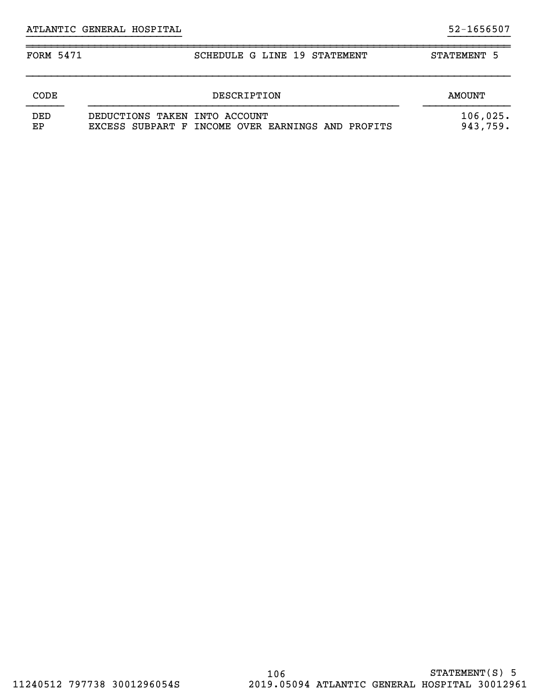| FORM 5471 | SCHEDULE G LINE 19 STATEMENT                                                       | STATEMENT 5          |
|-----------|------------------------------------------------------------------------------------|----------------------|
| CODE      | DESCRIPTION                                                                        | AMOUNT               |
| DED<br>EP | DEDUCTIONS TAKEN INTO ACCOUNT<br>EXCESS SUBPART F INCOME OVER EARNINGS AND PROFITS | 106,025.<br>943,759. |

}}}}}}}}}}}}}}}}}}}}}}}}} }}}}}}}}}}

~~~~~~~~~~~~~~~~~~~~~~~~~~~~~~~~~~~~~~~~~~~~~~~~~~~~~~~~~~~~~~~~~~~~~~~~~~~~~~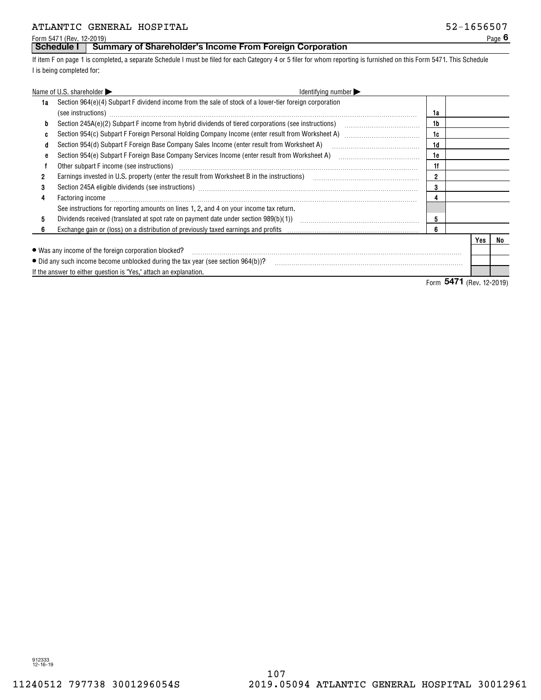Form 5471 (Rev. 12-2019) Page

#### **Schedule I Summary of Shareholder's Income From Foreign Corporation**

If item F on page 1 is completed, a separate Schedule I must be filed for each Category 4 or 5 filer for whom reporting is furnished on this Form 5471. This Schedule I is being completed for:

|                                                                                          | Name of U.S. shareholder<br>Identifying number $\blacktriangleright$                                                                                                            |    |  |     |    |  |
|------------------------------------------------------------------------------------------|---------------------------------------------------------------------------------------------------------------------------------------------------------------------------------|----|--|-----|----|--|
| 1a                                                                                       | Section $964(e)(4)$ Subpart F dividend income from the sale of stock of a lower-tier foreign corporation                                                                        |    |  |     |    |  |
|                                                                                          | (see instructions)                                                                                                                                                              | 1a |  |     |    |  |
| b                                                                                        | Section 245A(e)(2) Subpart F income from hybrid dividends of tiered corporations (see instructions)                                                                             | 1b |  |     |    |  |
|                                                                                          | Section 954(c) Subpart F Foreign Personal Holding Company Income (enter result from Worksheet A)                                                                                | 1c |  |     |    |  |
| a                                                                                        | Section 954(d) Subpart F Foreign Base Company Sales Income (enter result from Worksheet A)                                                                                      | 1d |  |     |    |  |
| е                                                                                        | Section 954(e) Subpart F Foreign Base Company Services Income (enter result from Worksheet A)                                                                                   | 1e |  |     |    |  |
|                                                                                          | Other subpart F income (see instructions)                                                                                                                                       | 1f |  |     |    |  |
| 2                                                                                        | Earnings invested in U.S. property (enter the result from Worksheet B in the instructions)                                                                                      | 2  |  |     |    |  |
| 3                                                                                        |                                                                                                                                                                                 | 3  |  |     |    |  |
| 4                                                                                        | 4                                                                                                                                                                               |    |  |     |    |  |
|                                                                                          | See instructions for reporting amounts on lines 1, 2, and 4 on your income tax return.                                                                                          |    |  |     |    |  |
| 5                                                                                        | Dividends received (translated at spot rate on payment date under section $989(b)(1)$ )                                                                                         | 5  |  |     |    |  |
|                                                                                          | Exchange gain or (loss) on a distribution of previously taxed earnings and profits [11] [12] Exchange gain or (loss) on a distribution of previously taxed earnings and profits | 6  |  |     |    |  |
|                                                                                          |                                                                                                                                                                                 |    |  | Yes | No |  |
| • Was any income of the foreign corporation blocked?                                     |                                                                                                                                                                                 |    |  |     |    |  |
| $\bullet$ Did any such income become unblocked during the tax year (see section 964(b))? |                                                                                                                                                                                 |    |  |     |    |  |
| If the answer to either question is "Yes," attach an explanation.                        |                                                                                                                                                                                 |    |  |     |    |  |

Form (Rev. 12-2019) **5471**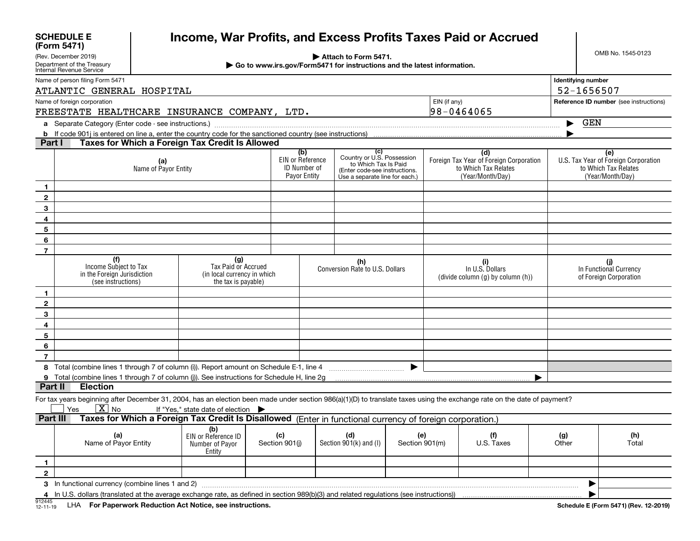| <b>SCHEDULE E</b>                                                                                                     |                                                                            | Income, War Profits, and Excess Profits Taxes Paid or Accrued                                                                                                                                                |                                                                |                                                                                                                       |                                        |  |                                                                                     |                                                                                  |                                                         |  |
|-----------------------------------------------------------------------------------------------------------------------|----------------------------------------------------------------------------|--------------------------------------------------------------------------------------------------------------------------------------------------------------------------------------------------------------|----------------------------------------------------------------|-----------------------------------------------------------------------------------------------------------------------|----------------------------------------|--|-------------------------------------------------------------------------------------|----------------------------------------------------------------------------------|---------------------------------------------------------|--|
| (Form 5471)<br>(Rev. December 2019)                                                                                   |                                                                            |                                                                                                                                                                                                              | Attach to Form 5471.                                           |                                                                                                                       |                                        |  |                                                                                     |                                                                                  | OMB No. 1545-0123                                       |  |
| Department of the Treasury<br>Internal Revenue Service                                                                |                                                                            |                                                                                                                                                                                                              |                                                                | ► Go to www.irs.gov/Form5471 for instructions and the latest information.                                             |                                        |  |                                                                                     |                                                                                  |                                                         |  |
|                                                                                                                       | <b>Identifying number</b><br>Name of person filing Form 5471               |                                                                                                                                                                                                              |                                                                |                                                                                                                       |                                        |  |                                                                                     |                                                                                  |                                                         |  |
| 52-1656507<br>ATLANTIC GENERAL HOSPITAL                                                                               |                                                                            |                                                                                                                                                                                                              |                                                                |                                                                                                                       |                                        |  |                                                                                     |                                                                                  |                                                         |  |
| EIN (if any)<br>Name of foreign corporation                                                                           |                                                                            |                                                                                                                                                                                                              |                                                                |                                                                                                                       | Reference ID number (see instructions) |  |                                                                                     |                                                                                  |                                                         |  |
| $98 - 0464065$<br>FREESTATE HEALTHCARE INSURANCE COMPANY, LTD.                                                        |                                                                            |                                                                                                                                                                                                              |                                                                |                                                                                                                       |                                        |  |                                                                                     |                                                                                  |                                                         |  |
|                                                                                                                       | a Separate Category (Enter code - see instructions.)                       |                                                                                                                                                                                                              |                                                                |                                                                                                                       |                                        |  |                                                                                     |                                                                                  | <b>GEN</b>                                              |  |
| <b>Part I</b>                                                                                                         |                                                                            | <b>b</b> If code 901j is entered on line a, enter the country code for the sanctioned country (see instructions)<br>Taxes for Which a Foreign Tax Credit Is Allowed                                          |                                                                |                                                                                                                       |                                        |  |                                                                                     |                                                                                  |                                                         |  |
|                                                                                                                       |                                                                            |                                                                                                                                                                                                              | (b)                                                            | (c)                                                                                                                   |                                        |  | (d)                                                                                 |                                                                                  | (e)                                                     |  |
|                                                                                                                       | (a)<br>Name of Payor Entity                                                |                                                                                                                                                                                                              | <b>EIN or Reference</b><br><b>ID Number of</b><br>Payor Entity | Country or U.S. Possession<br>to Which Tax Is Paid<br>(Enter code-see instructions.<br>Use a separate line for each.) |                                        |  | Foreign Tax Year of Foreign Corporation<br>to Which Tax Relates<br>(Year/Month/Day) | U.S. Tax Year of Foreign Corporation<br>to Which Tax Relates<br>(Year/Month/Day) |                                                         |  |
| $\mathbf{1}$                                                                                                          |                                                                            |                                                                                                                                                                                                              |                                                                |                                                                                                                       |                                        |  |                                                                                     |                                                                                  |                                                         |  |
| $\overline{2}$                                                                                                        |                                                                            |                                                                                                                                                                                                              |                                                                |                                                                                                                       |                                        |  |                                                                                     |                                                                                  |                                                         |  |
| 3                                                                                                                     |                                                                            |                                                                                                                                                                                                              |                                                                |                                                                                                                       |                                        |  |                                                                                     |                                                                                  |                                                         |  |
| 4                                                                                                                     |                                                                            |                                                                                                                                                                                                              |                                                                |                                                                                                                       |                                        |  |                                                                                     |                                                                                  |                                                         |  |
| $\overline{\mathbf{5}}$                                                                                               |                                                                            |                                                                                                                                                                                                              |                                                                |                                                                                                                       |                                        |  |                                                                                     |                                                                                  |                                                         |  |
| 6                                                                                                                     |                                                                            |                                                                                                                                                                                                              |                                                                |                                                                                                                       |                                        |  |                                                                                     |                                                                                  |                                                         |  |
| $\overline{7}$                                                                                                        | (f)                                                                        | (g)                                                                                                                                                                                                          |                                                                |                                                                                                                       |                                        |  |                                                                                     |                                                                                  |                                                         |  |
|                                                                                                                       | Income Subject to Tax<br>in the Foreign Jurisdiction<br>(see instructions) | Tax Paid or Accrued<br>(in local currency in which<br>the tax is payable)                                                                                                                                    |                                                                | (h)<br>Conversion Rate to U.S. Dollars                                                                                |                                        |  | (i)<br>In U.S. Dollars<br>(divide column (g) by column (h))                         |                                                                                  | (j)<br>In Functional Currency<br>of Foreign Corporation |  |
| $\mathbf{1}$                                                                                                          |                                                                            |                                                                                                                                                                                                              |                                                                |                                                                                                                       |                                        |  |                                                                                     |                                                                                  |                                                         |  |
| $\overline{2}$                                                                                                        |                                                                            |                                                                                                                                                                                                              |                                                                |                                                                                                                       |                                        |  |                                                                                     |                                                                                  |                                                         |  |
| 3                                                                                                                     |                                                                            |                                                                                                                                                                                                              |                                                                |                                                                                                                       |                                        |  |                                                                                     |                                                                                  |                                                         |  |
| 4                                                                                                                     |                                                                            |                                                                                                                                                                                                              |                                                                |                                                                                                                       |                                        |  |                                                                                     |                                                                                  |                                                         |  |
| 5                                                                                                                     |                                                                            |                                                                                                                                                                                                              |                                                                |                                                                                                                       |                                        |  |                                                                                     |                                                                                  |                                                         |  |
| 6<br>$\overline{7}$                                                                                                   |                                                                            |                                                                                                                                                                                                              |                                                                |                                                                                                                       |                                        |  |                                                                                     |                                                                                  |                                                         |  |
|                                                                                                                       |                                                                            | 8 Total (combine lines 1 through 7 of column (i)). Report amount on Schedule E-1, line 4                                                                                                                     |                                                                |                                                                                                                       |                                        |  |                                                                                     |                                                                                  |                                                         |  |
|                                                                                                                       |                                                                            | 9 Total (combine lines 1 through 7 of column (j)). See instructions for Schedule H, line 2g                                                                                                                  |                                                                |                                                                                                                       |                                        |  |                                                                                     |                                                                                  |                                                         |  |
| <b>Part II</b><br><b>Election</b>                                                                                     |                                                                            |                                                                                                                                                                                                              |                                                                |                                                                                                                       |                                        |  |                                                                                     |                                                                                  |                                                         |  |
| Yes                                                                                                                   | $X_{\text{No}}$                                                            | For tax years beginning after December 31, 2004, has an election been made under section 986(a)(1)(D) to translate taxes using the exchange rate on the date of payment?<br>If "Yes," state date of election |                                                                |                                                                                                                       |                                        |  |                                                                                     |                                                                                  |                                                         |  |
| Taxes for Which a Foreign Tax Credit Is Disallowed (Enter in functional currency of foreign corporation.)<br>Part III |                                                                            |                                                                                                                                                                                                              |                                                                |                                                                                                                       |                                        |  |                                                                                     |                                                                                  |                                                         |  |
|                                                                                                                       | (a)<br>Name of Payor Entity                                                | (b)<br>EIN or Reference ID<br>Number of Payor<br>Entity                                                                                                                                                      | (c)<br>Section 901(j)                                          | (d)<br>Section $901(k)$ and (I)                                                                                       | (e)<br>Section 901(m)                  |  | (f)<br>U.S. Taxes                                                                   | (g)<br>Other                                                                     | (h)<br>Total                                            |  |
| $\blacksquare$                                                                                                        |                                                                            |                                                                                                                                                                                                              |                                                                |                                                                                                                       |                                        |  |                                                                                     |                                                                                  |                                                         |  |
| $\mathbf{2}$                                                                                                          |                                                                            |                                                                                                                                                                                                              |                                                                |                                                                                                                       |                                        |  |                                                                                     |                                                                                  |                                                         |  |
|                                                                                                                       | 3 In functional currency (combine lines 1 and 2)                           |                                                                                                                                                                                                              |                                                                |                                                                                                                       |                                        |  |                                                                                     |                                                                                  | ▶                                                       |  |
| 912445                                                                                                                |                                                                            | 4 In U.S. dollars (translated at the average exchange rate, as defined in section 989(b)(3) and related regulations (see instructions))                                                                      |                                                                |                                                                                                                       |                                        |  |                                                                                     |                                                                                  |                                                         |  |

<sup>912445</sup> LHA F<mark>or Paperwork Reduction Act Notice, see instructions.</mark>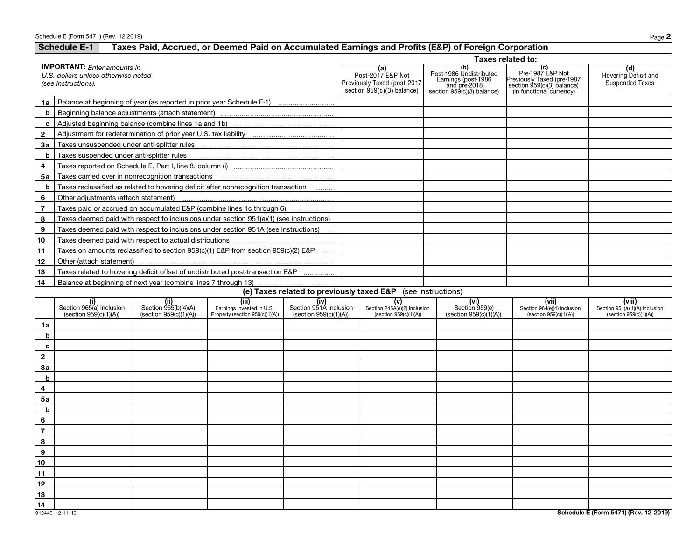|              | Schedule E (Form 5471) (Rev. 12-2019)                                                            |                                                                                                      |                                                                                         |                                                                                                     |                                                                                                                 | Page 2                                         |
|--------------|--------------------------------------------------------------------------------------------------|------------------------------------------------------------------------------------------------------|-----------------------------------------------------------------------------------------|-----------------------------------------------------------------------------------------------------|-----------------------------------------------------------------------------------------------------------------|------------------------------------------------|
|              | <b>Schedule E-1</b>                                                                              | Taxes Paid, Accrued, or Deemed Paid on Accumulated Earnings and Profits (E&P) of Foreign Corporation |                                                                                         |                                                                                                     |                                                                                                                 |                                                |
|              |                                                                                                  |                                                                                                      |                                                                                         |                                                                                                     | Taxes related to:                                                                                               |                                                |
|              | <b>IMPORTANT:</b> Enter amounts in<br>U.S. dollars unless otherwise noted<br>(see instructions). |                                                                                                      | $(a)$<br>Post-2017 E&P Not<br>Previously Taxed (post-2017<br>section 959(c)(3) balance) | (b)<br>Post-1986 Undistributed<br>Earnings (post-1986<br>and pre-2018<br>section 959(c)(3) balance) | (c)<br>Pre-1987 E&P Not<br>Previously Taxed (pre-1987<br>section 959(c)(3) balance)<br>(in functional currency) | (d)<br>Hovering Deficit and<br>Suspended Taxes |
| 1a           |                                                                                                  | Balance at beginning of year (as reported in prior year Schedule E-1)                                |                                                                                         |                                                                                                     |                                                                                                                 |                                                |
| b            |                                                                                                  |                                                                                                      |                                                                                         |                                                                                                     |                                                                                                                 |                                                |
| c            |                                                                                                  |                                                                                                      |                                                                                         |                                                                                                     |                                                                                                                 |                                                |
| $\mathbf{2}$ |                                                                                                  |                                                                                                      |                                                                                         |                                                                                                     |                                                                                                                 |                                                |
| За           |                                                                                                  | Taxes unsuspended under anti-splitter rules                                                          |                                                                                         |                                                                                                     |                                                                                                                 |                                                |
| b            |                                                                                                  | Taxes suspended under anti-splitter rules                                                            |                                                                                         |                                                                                                     |                                                                                                                 |                                                |
| 4            |                                                                                                  |                                                                                                      |                                                                                         |                                                                                                     |                                                                                                                 |                                                |
| 5а           |                                                                                                  | Taxes carried over in nonrecognition transactions                                                    |                                                                                         |                                                                                                     |                                                                                                                 |                                                |
| b            |                                                                                                  | Taxes reclassified as related to hovering deficit after nonrecognition transaction                   |                                                                                         |                                                                                                     |                                                                                                                 |                                                |
| 6            |                                                                                                  | Other adjustments (attach statement)                                                                 |                                                                                         |                                                                                                     |                                                                                                                 |                                                |
|              |                                                                                                  | Taxes paid or accrued on accumulated E&P (combine lines 1c through 6)                                |                                                                                         |                                                                                                     |                                                                                                                 |                                                |
| 8            |                                                                                                  | Taxes deemed paid with respect to inclusions under section 951(a)(1) (see instructions)              |                                                                                         |                                                                                                     |                                                                                                                 |                                                |
| 9            |                                                                                                  | Taxes deemed paid with respect to inclusions under section 951A (see instructions)                   |                                                                                         |                                                                                                     |                                                                                                                 |                                                |
| 10           |                                                                                                  |                                                                                                      |                                                                                         |                                                                                                     |                                                                                                                 |                                                |
| 11           |                                                                                                  | Taxes on amounts reclassified to section 959(c)(1) E&P from section 959(c)(2) E&P                    |                                                                                         |                                                                                                     |                                                                                                                 |                                                |
| 12           |                                                                                                  |                                                                                                      |                                                                                         |                                                                                                     |                                                                                                                 |                                                |
| 13           |                                                                                                  | Taxes related to hovering deficit offset of undistributed post-transaction E&P                       |                                                                                         |                                                                                                     |                                                                                                                 |                                                |
| 14           |                                                                                                  |                                                                                                      |                                                                                         |                                                                                                     |                                                                                                                 |                                                |

#### **(e) Taxes related to previously taxed E&P** (see instructions)

|                |                                                                                                               |                                                        | $\cdot$ $\cdot$                                                       | . .<br>-                                                 |                                                               |                                                  |                                                                |                                                                    |
|----------------|---------------------------------------------------------------------------------------------------------------|--------------------------------------------------------|-----------------------------------------------------------------------|----------------------------------------------------------|---------------------------------------------------------------|--------------------------------------------------|----------------------------------------------------------------|--------------------------------------------------------------------|
|                | $\begin{array}{c} \textbf{(i)}\\ \text{Section 965(a) Inclusion}\\ \text{(section 959(c)(1)(A))} \end{array}$ | (ii)<br>Section 965(b)(4)(A)<br>(section 959(c)(1)(A)) | (iii)<br>Earnings Invested in U.S.<br>Property (section 959(c)(1)(A)) | (iv)<br>Section 951A Inclusion<br>(section 959(c)(1)(A)) | (v)<br>Section 245A(e)(2) Inclusion<br>(section 959(c)(1)(A)) | (vi)<br>Section 959(e)<br>(section 959(c)(1)(A)) | (vii)<br>Section 964(e)(4) Inclusion<br>(section 959(c)(1)(A)) | (viii)<br>Section 951(a)(1)(A) Inclusion<br>(section 959(c)(1)(A)) |
| 1a             |                                                                                                               |                                                        |                                                                       |                                                          |                                                               |                                                  |                                                                |                                                                    |
| b              |                                                                                                               |                                                        |                                                                       |                                                          |                                                               |                                                  |                                                                |                                                                    |
| $\mathbf{c}$   |                                                                                                               |                                                        |                                                                       |                                                          |                                                               |                                                  |                                                                |                                                                    |
| $\overline{2}$ |                                                                                                               |                                                        |                                                                       |                                                          |                                                               |                                                  |                                                                |                                                                    |
| 3a             |                                                                                                               |                                                        |                                                                       |                                                          |                                                               |                                                  |                                                                |                                                                    |
| b              |                                                                                                               |                                                        |                                                                       |                                                          |                                                               |                                                  |                                                                |                                                                    |
| $\frac{4}{ }$  |                                                                                                               |                                                        |                                                                       |                                                          |                                                               |                                                  |                                                                |                                                                    |
| 5a             |                                                                                                               |                                                        |                                                                       |                                                          |                                                               |                                                  |                                                                |                                                                    |
| b              |                                                                                                               |                                                        |                                                                       |                                                          |                                                               |                                                  |                                                                |                                                                    |
| 6              |                                                                                                               |                                                        |                                                                       |                                                          |                                                               |                                                  |                                                                |                                                                    |
| $\overline{z}$ |                                                                                                               |                                                        |                                                                       |                                                          |                                                               |                                                  |                                                                |                                                                    |
| $\overline{8}$ |                                                                                                               |                                                        |                                                                       |                                                          |                                                               |                                                  |                                                                |                                                                    |
| $\overline{9}$ |                                                                                                               |                                                        |                                                                       |                                                          |                                                               |                                                  |                                                                |                                                                    |
| 10             |                                                                                                               |                                                        |                                                                       |                                                          |                                                               |                                                  |                                                                |                                                                    |
| 11             |                                                                                                               |                                                        |                                                                       |                                                          |                                                               |                                                  |                                                                |                                                                    |
| 12             |                                                                                                               |                                                        |                                                                       |                                                          |                                                               |                                                  |                                                                |                                                                    |
| 13             |                                                                                                               |                                                        |                                                                       |                                                          |                                                               |                                                  |                                                                |                                                                    |
| 14             |                                                                                                               |                                                        |                                                                       |                                                          |                                                               |                                                  |                                                                |                                                                    |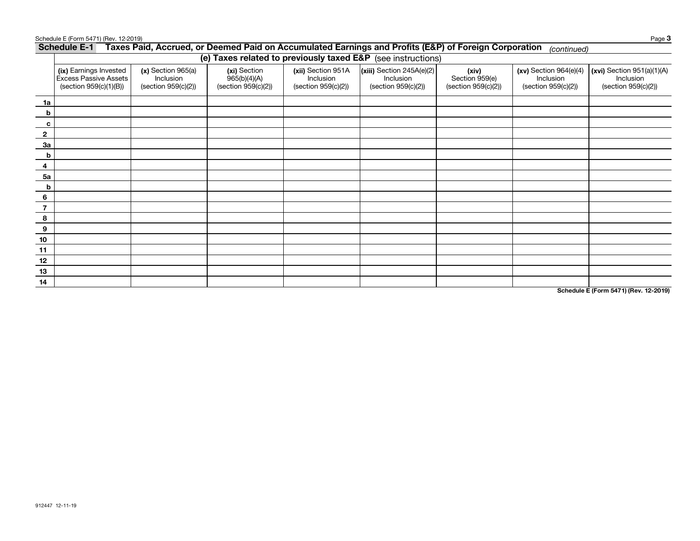| Schedule E (Form 5471) (Rev. 12-2019) | Page <b>3</b> |
|---------------------------------------|---------------|
|---------------------------------------|---------------|

|                | <b>Schedule E-1</b><br>Taxes Paid, Accrued, or Deemed Paid on Accumulated Earnings and Profits (E&P) of Foreign Corporation<br>(continued) |                                                          |                                                     |                                                        |                                                                 |                                                |                                                                 |                                                                  |  |  |  |  |  |
|----------------|--------------------------------------------------------------------------------------------------------------------------------------------|----------------------------------------------------------|-----------------------------------------------------|--------------------------------------------------------|-----------------------------------------------------------------|------------------------------------------------|-----------------------------------------------------------------|------------------------------------------------------------------|--|--|--|--|--|
|                |                                                                                                                                            |                                                          |                                                     |                                                        | (e) Taxes related to previously taxed E&P (see instructions)    |                                                |                                                                 |                                                                  |  |  |  |  |  |
|                | (ix) Earnings Invested<br><b>Excess Passive Assets</b><br>(section 959(c)(1)(B))                                                           | $(x)$ Section 965(a)<br>Inclusion<br>(section 959(c)(2)) | (xi) Section<br>965(b)(4)(A)<br>(section 959(c)(2)) | (xii) Section 951A<br>Inclusion<br>(section 959(c)(2)) | $(xiii)$ Section 245A(e)(2)<br>Inclusion<br>(section 959(c)(2)) | (xiv)<br>Section 959(e)<br>(section 959(c)(2)) | $(xv)$ Section 964 $(e)(4)$<br>Inclusion<br>(section 959(c)(2)) | $(xvi)$ Section 951(a)(1)(A)<br>Inclusion<br>(section 959(c)(2)) |  |  |  |  |  |
| 1a             |                                                                                                                                            |                                                          |                                                     |                                                        |                                                                 |                                                |                                                                 |                                                                  |  |  |  |  |  |
| b              |                                                                                                                                            |                                                          |                                                     |                                                        |                                                                 |                                                |                                                                 |                                                                  |  |  |  |  |  |
| c              |                                                                                                                                            |                                                          |                                                     |                                                        |                                                                 |                                                |                                                                 |                                                                  |  |  |  |  |  |
| $\frac{2}{ }$  |                                                                                                                                            |                                                          |                                                     |                                                        |                                                                 |                                                |                                                                 |                                                                  |  |  |  |  |  |
| 3a             |                                                                                                                                            |                                                          |                                                     |                                                        |                                                                 |                                                |                                                                 |                                                                  |  |  |  |  |  |
| b              |                                                                                                                                            |                                                          |                                                     |                                                        |                                                                 |                                                |                                                                 |                                                                  |  |  |  |  |  |
| 4              |                                                                                                                                            |                                                          |                                                     |                                                        |                                                                 |                                                |                                                                 |                                                                  |  |  |  |  |  |
| 5a             |                                                                                                                                            |                                                          |                                                     |                                                        |                                                                 |                                                |                                                                 |                                                                  |  |  |  |  |  |
| b              |                                                                                                                                            |                                                          |                                                     |                                                        |                                                                 |                                                |                                                                 |                                                                  |  |  |  |  |  |
| 6              |                                                                                                                                            |                                                          |                                                     |                                                        |                                                                 |                                                |                                                                 |                                                                  |  |  |  |  |  |
| $\overline{7}$ |                                                                                                                                            |                                                          |                                                     |                                                        |                                                                 |                                                |                                                                 |                                                                  |  |  |  |  |  |
| 8              |                                                                                                                                            |                                                          |                                                     |                                                        |                                                                 |                                                |                                                                 |                                                                  |  |  |  |  |  |
| 9              |                                                                                                                                            |                                                          |                                                     |                                                        |                                                                 |                                                |                                                                 |                                                                  |  |  |  |  |  |
| 10             |                                                                                                                                            |                                                          |                                                     |                                                        |                                                                 |                                                |                                                                 |                                                                  |  |  |  |  |  |
| 11             |                                                                                                                                            |                                                          |                                                     |                                                        |                                                                 |                                                |                                                                 |                                                                  |  |  |  |  |  |
| 12             |                                                                                                                                            |                                                          |                                                     |                                                        |                                                                 |                                                |                                                                 |                                                                  |  |  |  |  |  |
| 13             |                                                                                                                                            |                                                          |                                                     |                                                        |                                                                 |                                                |                                                                 |                                                                  |  |  |  |  |  |
| 14             |                                                                                                                                            |                                                          |                                                     |                                                        |                                                                 |                                                |                                                                 |                                                                  |  |  |  |  |  |

**Schedule E (Form 5471) (Rev. 12-2019)**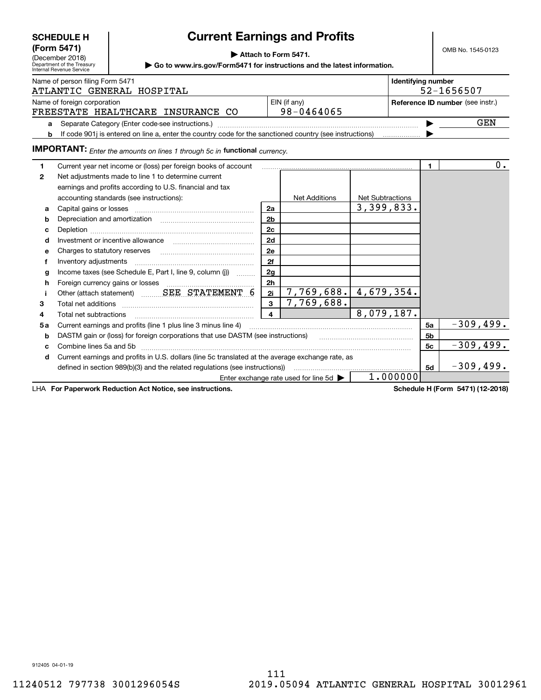| <b>SCHEDULE H</b> |  |
|-------------------|--|
| (Form 5471)       |  |

(December 2018)

# **Current Earnings and Profits**

OMB No. 1545-0123

# **| Attach to Form 5471.**

**| Go to www.irs.gov/Form5471 for instructions and the latest information.**

|                   | Department of the Treasury<br>Internal Revenue Service                          | $\triangleright$ Go to www.irs.gov/Form5471 for instructions and the latest information.          |                |                                                            |                         |                    |                                  |              |  |  |
|-------------------|---------------------------------------------------------------------------------|---------------------------------------------------------------------------------------------------|----------------|------------------------------------------------------------|-------------------------|--------------------|----------------------------------|--------------|--|--|
|                   | Name of person filing Form 5471                                                 | ATLANTIC GENERAL HOSPITAL                                                                         |                |                                                            |                         | Identifying number |                                  | 52-1656507   |  |  |
|                   | Name of foreign corporation                                                     | FREESTATE HEALTHCARE INSURANCE CO                                                                 |                | EIN (if any)<br>98-0464065                                 |                         |                    | Reference ID number (see instr.) |              |  |  |
| $\mathbf{a}$<br>b |                                                                                 |                                                                                                   |                |                                                            |                         |                    |                                  | GEN          |  |  |
|                   |                                                                                 | <b>IMPORTANT:</b> Enter the amounts on lines 1 through 5c in functional currency.                 |                |                                                            |                         |                    |                                  |              |  |  |
| 1                 |                                                                                 | Current year net income or (loss) per foreign books of account                                    |                |                                                            |                         |                    | $\blacksquare$                   | $0$ .        |  |  |
| $\mathbf{2}$      |                                                                                 | Net adjustments made to line 1 to determine current                                               |                |                                                            |                         |                    |                                  |              |  |  |
|                   |                                                                                 | earnings and profits according to U.S. financial and tax                                          |                |                                                            |                         |                    |                                  |              |  |  |
|                   |                                                                                 | accounting standards (see instructions):                                                          |                | <b>Net Additions</b>                                       | <b>Net Subtractions</b> |                    |                                  |              |  |  |
| a                 |                                                                                 |                                                                                                   | 2a             |                                                            | 3,399,833.              |                    |                                  |              |  |  |
| b                 |                                                                                 |                                                                                                   | 2 <sub>b</sub> |                                                            |                         |                    |                                  |              |  |  |
| c                 |                                                                                 |                                                                                                   | 2c             |                                                            |                         |                    |                                  |              |  |  |
| d                 |                                                                                 |                                                                                                   | 2d             |                                                            |                         |                    |                                  |              |  |  |
| е                 |                                                                                 |                                                                                                   | 2e             |                                                            |                         |                    |                                  |              |  |  |
| f                 | Inventory adjustments                                                           |                                                                                                   | 2f             |                                                            |                         |                    |                                  |              |  |  |
| g                 |                                                                                 | Income taxes (see Schedule E, Part I, line 9, column (j))                                         | 2 <sub>q</sub> |                                                            |                         |                    |                                  |              |  |  |
| h                 |                                                                                 |                                                                                                   | 2 <sub>h</sub> |                                                            |                         |                    |                                  |              |  |  |
|                   |                                                                                 | Other (attach statement)  SEE STATEMENT 6                                                         | 2i             | 7,769,688.   4,679,354.                                    |                         |                    |                                  |              |  |  |
| 3                 |                                                                                 |                                                                                                   | $\mathbf{3}$   | 7,769,688.                                                 |                         |                    |                                  |              |  |  |
| 4                 | Total net subtractions                                                          |                                                                                                   | $\overline{4}$ |                                                            | 8,079,187.              |                    |                                  |              |  |  |
| 5a                |                                                                                 |                                                                                                   |                |                                                            |                         |                    | 5a                               | $-309, 499.$ |  |  |
| b                 | DASTM gain or (loss) for foreign corporations that use DASTM (see instructions) |                                                                                                   | 5 <sub>b</sub> |                                                            |                         |                    |                                  |              |  |  |
| C                 | Combine lines 5a and 5b                                                         |                                                                                                   | 5c             | $-309, 499.$                                               |                         |                    |                                  |              |  |  |
| d                 |                                                                                 | Current earnings and profits in U.S. dollars (line 5c translated at the average exchange rate, as |                |                                                            |                         |                    |                                  |              |  |  |
|                   |                                                                                 | defined in section 989(b)(3) and the related regulations (see instructions))                      |                |                                                            |                         |                    | 5d                               | $-309, 499.$ |  |  |
|                   |                                                                                 |                                                                                                   |                | Enter exchange rate used for line 5d $\blacktriangleright$ |                         | 1.000000           |                                  |              |  |  |

**For Paperwork Reduction Act Notice, see instructions. Schedule H (Form 5471) (12-2018)** LHA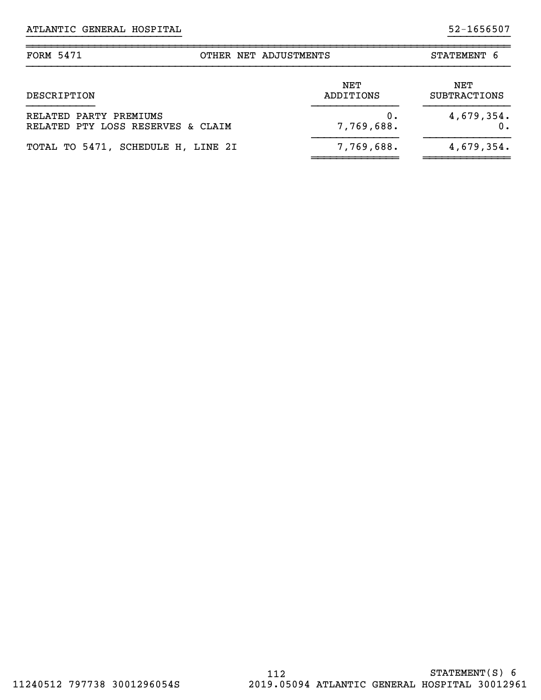| <b>FORM 5471</b>                                            | OTHER NET ADJUSTMENTS | STATEMENT 6                |
|-------------------------------------------------------------|-----------------------|----------------------------|
| DESCRIPTION                                                 | NET<br>ADDITIONS      | NET<br><b>SUBTRACTIONS</b> |
| RELATED PARTY PREMIUMS<br>RELATED PTY LOSS RESERVES & CLAIM | ο.<br>7,769,688.      | 4,679,354.                 |
| TOTAL TO 5471, SCHEDULE H, LINE 2I                          | 7,769,688.            | 4,679,354.                 |

~~~~~~~~~~~~~~ ~~~~~~~~~~~~~~

}}}}}}}}}}}}}}}}}}}}}}}}} }}}}}}}}}}

~~~~~~~~~~~~~~~~~~~~~~~~~~~~~~~~~~~~~~~~~~~~~~~~~~~~~~~~~~~~~~~~~~~~~~~~~~~~~~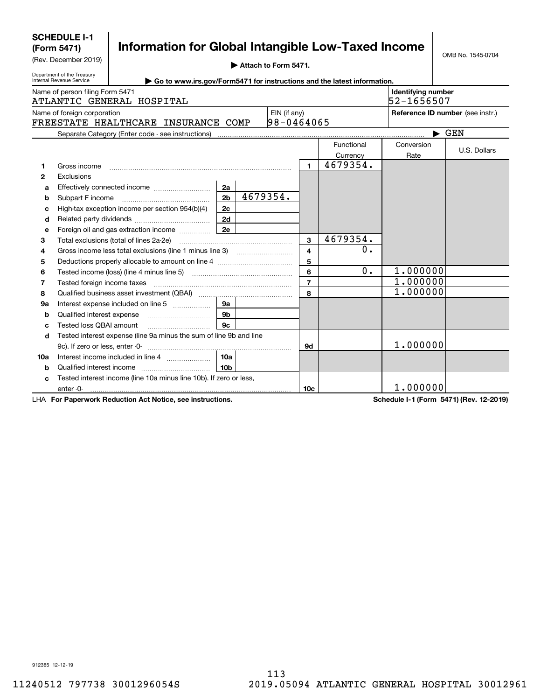|              | (Form 5471)                                            | <b>Information for Global Intangible Low-Taxed Income</b>                                                             |                 |                      |                |                 |            |                                  |                                  |
|--------------|--------------------------------------------------------|-----------------------------------------------------------------------------------------------------------------------|-----------------|----------------------|----------------|-----------------|------------|----------------------------------|----------------------------------|
|              | (Rev. December 2019)                                   |                                                                                                                       |                 | Attach to Form 5471. |                |                 |            |                                  | OMB No. 1545-0704                |
|              | Department of the Treasury<br>Internal Revenue Service |                                                                                                                       |                 |                      |                |                 |            |                                  |                                  |
|              |                                                        | Go to www.irs.gov/Form5471 for instructions and the latest information.                                               |                 |                      |                |                 |            |                                  |                                  |
|              | Name of person filing Form 5471                        | ATLANTIC GENERAL HOSPITAL                                                                                             |                 |                      |                |                 |            | Identifying number<br>52-1656507 |                                  |
|              | Name of foreign corporation                            |                                                                                                                       |                 |                      | EIN (if any)   |                 |            |                                  | Reference ID number (see instr.) |
|              |                                                        | FREESTATE HEALTHCARE INSURANCE COMP                                                                                   |                 |                      | $98 - 0464065$ |                 |            |                                  |                                  |
|              |                                                        | Separate Category (Enter code - see instructions) manufactured content content content content content content        |                 |                      |                |                 |            |                                  | $\blacktriangleright$ GEN        |
|              |                                                        |                                                                                                                       |                 |                      |                |                 | Functional | Conversion                       |                                  |
|              |                                                        |                                                                                                                       |                 |                      |                |                 | Currency   | Rate                             | U.S. Dollars                     |
| 1            | Gross income                                           |                                                                                                                       |                 |                      |                | $\mathbf{1}$    | 4679354.   |                                  |                                  |
| $\mathbf{2}$ | Exclusions                                             |                                                                                                                       |                 |                      |                |                 |            |                                  |                                  |
| a            |                                                        |                                                                                                                       | 2a              |                      |                |                 |            |                                  |                                  |
| b            |                                                        |                                                                                                                       | 2 <sub>b</sub>  | 4679354.             |                |                 |            |                                  |                                  |
| C            |                                                        | High-tax exception income per section 954(b)(4)                                                                       | 2c              |                      |                |                 |            |                                  |                                  |
| d            |                                                        |                                                                                                                       | 2d              |                      |                |                 |            |                                  |                                  |
| e            |                                                        |                                                                                                                       |                 |                      |                |                 |            |                                  |                                  |
| з            |                                                        |                                                                                                                       |                 |                      |                | $\mathbf{3}$    | 4679354.   |                                  |                                  |
| 4            |                                                        |                                                                                                                       |                 |                      |                | $\overline{4}$  | О.         |                                  |                                  |
| 5            |                                                        | Deductions properly allocable to amount on line 4 manuscriptions of Deductions properly allocable to amount on line 4 |                 |                      |                | 5               |            |                                  |                                  |
| 6            |                                                        |                                                                                                                       |                 |                      |                | 6               | 0.         | 1.000000                         |                                  |
| 7            |                                                        | Tested foreign income taxes [111] matter contracts and the taxes and the matter contracts and the Testa and Te        |                 |                      |                | $\overline{7}$  |            | 1.000000                         |                                  |
| 8            |                                                        |                                                                                                                       |                 |                      |                | 8               |            | 1.000000                         |                                  |
| 9а           |                                                        |                                                                                                                       | 9a              |                      |                |                 |            |                                  |                                  |
| b            |                                                        |                                                                                                                       | 9b              |                      |                |                 |            |                                  |                                  |
| C            | Tested loss QBAI amount                                |                                                                                                                       | 9c              |                      |                |                 |            |                                  |                                  |
| d            |                                                        | Tested interest expense (line 9a minus the sum of line 9b and line                                                    |                 |                      |                |                 |            | 1.000000                         |                                  |
|              |                                                        |                                                                                                                       |                 |                      |                | 9d              |            |                                  |                                  |
| 10a<br>b     |                                                        |                                                                                                                       | 10 <sub>b</sub> |                      |                |                 |            |                                  |                                  |
| c            |                                                        | Tested interest income (line 10a minus line 10b). If zero or less,                                                    |                 |                      |                |                 |            |                                  |                                  |
|              |                                                        |                                                                                                                       |                 |                      |                | 10 <sub>c</sub> |            | 1.000000                         |                                  |
|              |                                                        |                                                                                                                       |                 |                      |                |                 |            |                                  |                                  |

LHA For Paperwork Reduction Act Notice, see instructions. Schedule I-1 (Form 5471) (Rev. 12-2019)

**SCHEDULE I-1**

 $\mathbf{I}$ 

912385 12-12-19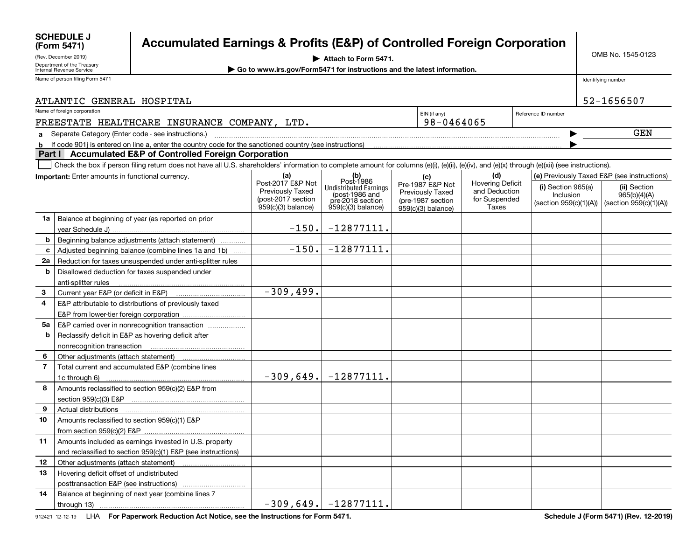|                                                                                                                                          | <b>SCHEDULE J</b><br><b>Accumulated Earnings &amp; Profits (E&amp;P) of Controlled Foreign Corporation</b><br>(Form 5471) |                                                                                                                                                                                                 |                                               |                                    |  |                                       |                                          |  |                        |  |                                             |  |  |
|------------------------------------------------------------------------------------------------------------------------------------------|---------------------------------------------------------------------------------------------------------------------------|-------------------------------------------------------------------------------------------------------------------------------------------------------------------------------------------------|-----------------------------------------------|------------------------------------|--|---------------------------------------|------------------------------------------|--|------------------------|--|---------------------------------------------|--|--|
|                                                                                                                                          | (Rev. December 2019)                                                                                                      |                                                                                                                                                                                                 |                                               | Attach to Form 5471.               |  |                                       |                                          |  |                        |  | OMB No. 1545-0123                           |  |  |
|                                                                                                                                          | Department of the Treasury                                                                                                |                                                                                                                                                                                                 |                                               |                                    |  |                                       |                                          |  |                        |  |                                             |  |  |
| ► Go to www.irs.gov/Form5471 for instructions and the latest information.<br>Internal Revenue Service<br>Name of person filing Form 5471 |                                                                                                                           |                                                                                                                                                                                                 |                                               |                                    |  |                                       |                                          |  |                        |  |                                             |  |  |
| Identifying number                                                                                                                       |                                                                                                                           |                                                                                                                                                                                                 |                                               |                                    |  |                                       |                                          |  |                        |  |                                             |  |  |
| 52-1656507<br>ATLANTIC GENERAL HOSPITAL                                                                                                  |                                                                                                                           |                                                                                                                                                                                                 |                                               |                                    |  |                                       |                                          |  |                        |  |                                             |  |  |
| Name of foreign corporation<br>EIN (if any)<br>Reference ID number                                                                       |                                                                                                                           |                                                                                                                                                                                                 |                                               |                                    |  |                                       |                                          |  |                        |  |                                             |  |  |
|                                                                                                                                          |                                                                                                                           | FREESTATE HEALTHCARE INSURANCE COMPANY, LTD.                                                                                                                                                    |                                               |                                    |  | 98-0464065                            |                                          |  |                        |  |                                             |  |  |
|                                                                                                                                          |                                                                                                                           |                                                                                                                                                                                                 |                                               |                                    |  |                                       |                                          |  |                        |  | GEN                                         |  |  |
| If code 901j is entered on line a, enter the country code for the sanctioned country (see instructions)<br>b                             |                                                                                                                           |                                                                                                                                                                                                 |                                               |                                    |  |                                       |                                          |  |                        |  |                                             |  |  |
|                                                                                                                                          |                                                                                                                           | Part I Accumulated E&P of Controlled Foreign Corporation                                                                                                                                        |                                               |                                    |  |                                       |                                          |  |                        |  |                                             |  |  |
|                                                                                                                                          |                                                                                                                           | Check the box if person filing return does not have all U.S. shareholders' information to complete amount for columns (e)(i), (e)(ii), (e)(iv), and (e)(x) through (e)(xii) (see instructions). |                                               |                                    |  |                                       |                                          |  |                        |  |                                             |  |  |
|                                                                                                                                          | Important: Enter amounts in functional currency.                                                                          |                                                                                                                                                                                                 | (a)                                           | $(b)$<br>Post-1986                 |  | (c)                                   | (d)                                      |  |                        |  | (e) Previously Taxed E&P (see instructions) |  |  |
|                                                                                                                                          |                                                                                                                           |                                                                                                                                                                                                 | Post-2017 E&P Not                             | <b>Undistributed Earnings</b>      |  | Pre-1987 E&P Not                      | <b>Hovering Deficit</b><br>and Deduction |  | $(i)$ Section 965(a)   |  | (ii) Section                                |  |  |
|                                                                                                                                          |                                                                                                                           |                                                                                                                                                                                                 | <b>Previously Taxed</b><br>(post-2017 section | (post-1986 and<br>pre-2018 section |  | Previously Taxed<br>(pre-1987 section | for Suspended                            |  | Inclusion              |  | 965(b)(4)(A)                                |  |  |
|                                                                                                                                          |                                                                                                                           |                                                                                                                                                                                                 | 959(c)(3) balance)                            | $959(c)(3)$ balance)               |  | 959(c)(3) balance)                    | Taxes                                    |  | (section 959(c)(1)(A)) |  | (section 959(c)(1)(A))                      |  |  |
| 1a                                                                                                                                       |                                                                                                                           | Balance at beginning of year (as reported on prior                                                                                                                                              |                                               |                                    |  |                                       |                                          |  |                        |  |                                             |  |  |
|                                                                                                                                          |                                                                                                                           |                                                                                                                                                                                                 | $-150.$                                       | $-12877111.$                       |  |                                       |                                          |  |                        |  |                                             |  |  |
| b                                                                                                                                        |                                                                                                                           | Beginning balance adjustments (attach statement)                                                                                                                                                |                                               |                                    |  |                                       |                                          |  |                        |  |                                             |  |  |
| c                                                                                                                                        |                                                                                                                           | Adjusted beginning balance (combine lines 1a and 1b)                                                                                                                                            | $-150.$                                       | $-12877111.$                       |  |                                       |                                          |  |                        |  |                                             |  |  |
| 2a                                                                                                                                       |                                                                                                                           | Reduction for taxes unsuspended under anti-splitter rules                                                                                                                                       |                                               |                                    |  |                                       |                                          |  |                        |  |                                             |  |  |
| b                                                                                                                                        |                                                                                                                           | Disallowed deduction for taxes suspended under                                                                                                                                                  |                                               |                                    |  |                                       |                                          |  |                        |  |                                             |  |  |
|                                                                                                                                          | anti-splitter rules                                                                                                       |                                                                                                                                                                                                 |                                               |                                    |  |                                       |                                          |  |                        |  |                                             |  |  |
| 3                                                                                                                                        |                                                                                                                           |                                                                                                                                                                                                 | $-309, 499.$                                  |                                    |  |                                       |                                          |  |                        |  |                                             |  |  |
| 4                                                                                                                                        |                                                                                                                           | E&P attributable to distributions of previously taxed                                                                                                                                           |                                               |                                    |  |                                       |                                          |  |                        |  |                                             |  |  |
|                                                                                                                                          | E&P from lower-tier foreign corporation                                                                                   |                                                                                                                                                                                                 |                                               |                                    |  |                                       |                                          |  |                        |  |                                             |  |  |
| 5a                                                                                                                                       |                                                                                                                           | E&P carried over in nonrecognition transaction                                                                                                                                                  |                                               |                                    |  |                                       |                                          |  |                        |  |                                             |  |  |
| b                                                                                                                                        |                                                                                                                           | Reclassify deficit in E&P as hovering deficit after                                                                                                                                             |                                               |                                    |  |                                       |                                          |  |                        |  |                                             |  |  |
|                                                                                                                                          | nonrecognition transaction                                                                                                |                                                                                                                                                                                                 |                                               |                                    |  |                                       |                                          |  |                        |  |                                             |  |  |
| 6                                                                                                                                        | Other adjustments (attach statement)                                                                                      |                                                                                                                                                                                                 |                                               |                                    |  |                                       |                                          |  |                        |  |                                             |  |  |
| $\overline{7}$                                                                                                                           |                                                                                                                           | Total current and accumulated E&P (combine lines                                                                                                                                                |                                               | $-12877111.$                       |  |                                       |                                          |  |                        |  |                                             |  |  |
|                                                                                                                                          | 1c through 6)                                                                                                             |                                                                                                                                                                                                 | $-309,649.$                                   |                                    |  |                                       |                                          |  |                        |  |                                             |  |  |
| 8                                                                                                                                        |                                                                                                                           | Amounts reclassified to section 959(c)(2) E&P from                                                                                                                                              |                                               |                                    |  |                                       |                                          |  |                        |  |                                             |  |  |
| 9                                                                                                                                        |                                                                                                                           |                                                                                                                                                                                                 |                                               |                                    |  |                                       |                                          |  |                        |  |                                             |  |  |
| 10                                                                                                                                       | Actual distributions<br>Amounts reclassified to section 959(c)(1) E&P                                                     |                                                                                                                                                                                                 |                                               |                                    |  |                                       |                                          |  |                        |  |                                             |  |  |
|                                                                                                                                          | from section 959(c)(2) E&P                                                                                                |                                                                                                                                                                                                 |                                               |                                    |  |                                       |                                          |  |                        |  |                                             |  |  |
| 11                                                                                                                                       |                                                                                                                           | Amounts included as earnings invested in U.S. property                                                                                                                                          |                                               |                                    |  |                                       |                                          |  |                        |  |                                             |  |  |
|                                                                                                                                          |                                                                                                                           | and reclassified to section 959(c)(1) E&P (see instructions)                                                                                                                                    |                                               |                                    |  |                                       |                                          |  |                        |  |                                             |  |  |
| 12                                                                                                                                       | Other adjustments (attach statement)                                                                                      |                                                                                                                                                                                                 |                                               |                                    |  |                                       |                                          |  |                        |  |                                             |  |  |
| 13                                                                                                                                       | Hovering deficit offset of undistributed                                                                                  |                                                                                                                                                                                                 |                                               |                                    |  |                                       |                                          |  |                        |  |                                             |  |  |
|                                                                                                                                          | posttransaction E&P (see instructions)                                                                                    |                                                                                                                                                                                                 |                                               |                                    |  |                                       |                                          |  |                        |  |                                             |  |  |
| 14                                                                                                                                       |                                                                                                                           | Balance at beginning of next year (combine lines 7                                                                                                                                              |                                               |                                    |  |                                       |                                          |  |                        |  |                                             |  |  |
|                                                                                                                                          |                                                                                                                           |                                                                                                                                                                                                 | $-309,649.$                                   | $-12877111.$                       |  |                                       |                                          |  |                        |  |                                             |  |  |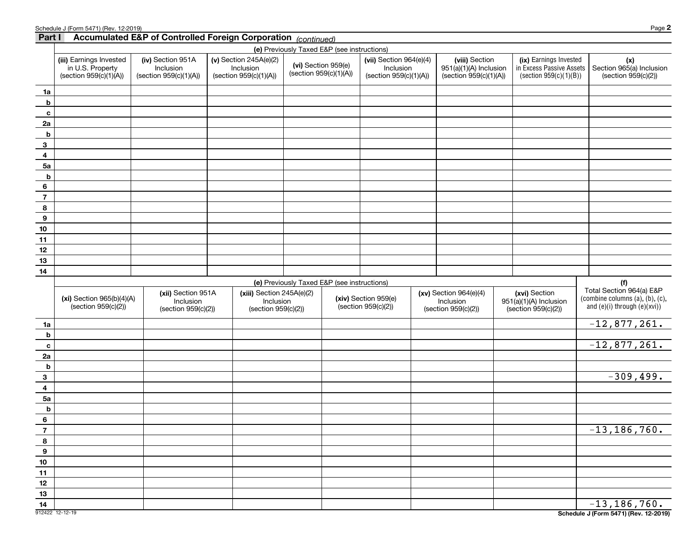| oonouuo v<br>Part I     | Accumulated E&P of Controlled Foreign Corporation (continued)                                                |                                                          |  |                                                                                                                |                                             |                                             |                                                                  |  |                                                                    |  |                                                                              |  |                                                                                                       |
|-------------------------|--------------------------------------------------------------------------------------------------------------|----------------------------------------------------------|--|----------------------------------------------------------------------------------------------------------------|---------------------------------------------|---------------------------------------------|------------------------------------------------------------------|--|--------------------------------------------------------------------|--|------------------------------------------------------------------------------|--|-------------------------------------------------------------------------------------------------------|
|                         |                                                                                                              |                                                          |  |                                                                                                                | (e) Previously Taxed E&P (see instructions) |                                             |                                                                  |  |                                                                    |  |                                                                              |  |                                                                                                       |
|                         | (iii) Earnings Invested<br>in U.S. Property<br>(section 959(c)(1)(A))                                        | (iv) Section 951A<br>Inclusion<br>(section 959(c)(1)(A)) |  | $(v)$ Section 245A(e)(2)<br>Inclusion<br>(section 959(c)(1)(A))                                                | (section 959(c)(1)(A))                      | (vi) Section 959(e)                         | (vii) Section $964(e)(4)$<br>Inclusion<br>(section 959(c)(1)(A)) |  | (viii) Section<br>951(a)(1)(A) Inclusion<br>(section 959(c)(1)(A)) |  | (ix) Earnings Invested<br>in Excess Passive Assets<br>(section 959(c)(1)(B)) |  | (x)<br>Section 965(a) Inclusion<br>(section 959(c)(2))                                                |
| 1a                      |                                                                                                              |                                                          |  |                                                                                                                |                                             |                                             |                                                                  |  |                                                                    |  |                                                                              |  |                                                                                                       |
| b                       |                                                                                                              |                                                          |  |                                                                                                                |                                             |                                             |                                                                  |  |                                                                    |  |                                                                              |  |                                                                                                       |
| $\mathbf{c}$            |                                                                                                              |                                                          |  |                                                                                                                |                                             |                                             |                                                                  |  |                                                                    |  |                                                                              |  |                                                                                                       |
| 2a                      |                                                                                                              |                                                          |  |                                                                                                                |                                             |                                             |                                                                  |  |                                                                    |  |                                                                              |  |                                                                                                       |
| b                       |                                                                                                              |                                                          |  |                                                                                                                |                                             |                                             |                                                                  |  |                                                                    |  |                                                                              |  |                                                                                                       |
| $\mathbf{3}$            |                                                                                                              |                                                          |  |                                                                                                                |                                             |                                             |                                                                  |  |                                                                    |  |                                                                              |  |                                                                                                       |
| $\overline{4}$          |                                                                                                              |                                                          |  |                                                                                                                |                                             |                                             |                                                                  |  |                                                                    |  |                                                                              |  |                                                                                                       |
| 5a                      |                                                                                                              |                                                          |  |                                                                                                                |                                             |                                             |                                                                  |  |                                                                    |  |                                                                              |  |                                                                                                       |
| b                       |                                                                                                              |                                                          |  |                                                                                                                |                                             |                                             |                                                                  |  |                                                                    |  |                                                                              |  |                                                                                                       |
| $\bf 6$                 |                                                                                                              |                                                          |  |                                                                                                                |                                             |                                             |                                                                  |  |                                                                    |  |                                                                              |  |                                                                                                       |
| $\overline{7}$          |                                                                                                              |                                                          |  |                                                                                                                |                                             |                                             |                                                                  |  |                                                                    |  |                                                                              |  |                                                                                                       |
| $\bf{8}$                |                                                                                                              |                                                          |  |                                                                                                                |                                             |                                             |                                                                  |  |                                                                    |  |                                                                              |  |                                                                                                       |
| $\boldsymbol{9}$        |                                                                                                              |                                                          |  |                                                                                                                |                                             |                                             |                                                                  |  |                                                                    |  |                                                                              |  |                                                                                                       |
| $10\,$                  |                                                                                                              |                                                          |  |                                                                                                                |                                             |                                             |                                                                  |  |                                                                    |  |                                                                              |  |                                                                                                       |
| 11                      |                                                                                                              |                                                          |  |                                                                                                                |                                             |                                             |                                                                  |  |                                                                    |  |                                                                              |  |                                                                                                       |
| 12                      |                                                                                                              |                                                          |  |                                                                                                                |                                             |                                             |                                                                  |  |                                                                    |  |                                                                              |  |                                                                                                       |
| $13\,$                  |                                                                                                              |                                                          |  |                                                                                                                |                                             |                                             |                                                                  |  |                                                                    |  |                                                                              |  |                                                                                                       |
| 14                      |                                                                                                              |                                                          |  |                                                                                                                |                                             |                                             |                                                                  |  |                                                                    |  |                                                                              |  |                                                                                                       |
|                         | (xii) Section 951A<br>$(xi)$ Section 965(b)(4)(A)<br>Inclusion<br>(section 959(c)(2))<br>(section 959(c)(2)) |                                                          |  | (e) Previously Taxed E&P (see instructions)<br>$(xiii)$ Section 245A(e)(2)<br>Inclusion<br>(section 959(c)(2)) |                                             | (xiv) Section 959(e)<br>(section 959(c)(2)) |                                                                  |  | $(xv)$ Section 964 $(e)(4)$<br>Inclusion<br>(section 959(c)(2))    |  | (xvi) Section<br>$951(a)(1)(A)$ Inclusion<br>(section 959(c)(2))             |  | (f)<br>Total Section 964(a) E&P<br>(combine columns (a), (b), (c),<br>and $(e)(i)$ through $(e)(xvi)$ |
| 1a                      |                                                                                                              |                                                          |  |                                                                                                                |                                             |                                             |                                                                  |  |                                                                    |  |                                                                              |  | $-12,877,261.$                                                                                        |
| b                       |                                                                                                              |                                                          |  |                                                                                                                |                                             |                                             |                                                                  |  |                                                                    |  |                                                                              |  |                                                                                                       |
| $\mathbf c$             |                                                                                                              |                                                          |  |                                                                                                                |                                             |                                             |                                                                  |  |                                                                    |  |                                                                              |  | $-12,877,261.$                                                                                        |
| 2a                      |                                                                                                              |                                                          |  |                                                                                                                |                                             |                                             |                                                                  |  |                                                                    |  |                                                                              |  |                                                                                                       |
| b                       |                                                                                                              |                                                          |  |                                                                                                                |                                             |                                             |                                                                  |  |                                                                    |  |                                                                              |  |                                                                                                       |
| $\mathbf{3}$            |                                                                                                              |                                                          |  |                                                                                                                |                                             |                                             |                                                                  |  |                                                                    |  |                                                                              |  | $-309, 499.$                                                                                          |
| $\overline{\mathbf{4}}$ |                                                                                                              |                                                          |  |                                                                                                                |                                             |                                             |                                                                  |  |                                                                    |  |                                                                              |  |                                                                                                       |
| 5a                      |                                                                                                              |                                                          |  |                                                                                                                |                                             |                                             |                                                                  |  |                                                                    |  |                                                                              |  |                                                                                                       |
| b                       |                                                                                                              |                                                          |  |                                                                                                                |                                             |                                             |                                                                  |  |                                                                    |  |                                                                              |  |                                                                                                       |
| 6                       |                                                                                                              |                                                          |  |                                                                                                                |                                             |                                             |                                                                  |  |                                                                    |  |                                                                              |  |                                                                                                       |
| $\frac{7}{2}$           |                                                                                                              |                                                          |  |                                                                                                                |                                             |                                             |                                                                  |  |                                                                    |  |                                                                              |  | <u>-13,186,760.</u>                                                                                   |
| $\overline{\mathbf{8}}$ |                                                                                                              |                                                          |  |                                                                                                                |                                             |                                             |                                                                  |  |                                                                    |  |                                                                              |  |                                                                                                       |
| $\frac{9}{2}$           |                                                                                                              |                                                          |  |                                                                                                                |                                             |                                             |                                                                  |  |                                                                    |  |                                                                              |  |                                                                                                       |
| 10<br>11                |                                                                                                              |                                                          |  |                                                                                                                |                                             |                                             |                                                                  |  |                                                                    |  |                                                                              |  |                                                                                                       |
| 12                      |                                                                                                              |                                                          |  |                                                                                                                |                                             |                                             |                                                                  |  |                                                                    |  |                                                                              |  |                                                                                                       |
| $13$                    |                                                                                                              |                                                          |  |                                                                                                                |                                             |                                             |                                                                  |  |                                                                    |  |                                                                              |  |                                                                                                       |
| 14                      |                                                                                                              |                                                          |  |                                                                                                                |                                             |                                             |                                                                  |  |                                                                    |  |                                                                              |  | $-13, 186, 760.$                                                                                      |

912422 12-12-19 **Schedule J (Form 5471) (Rev. 12-2019)**

Schedule J (Form 5471) (Rev. 12-2019) Page **2**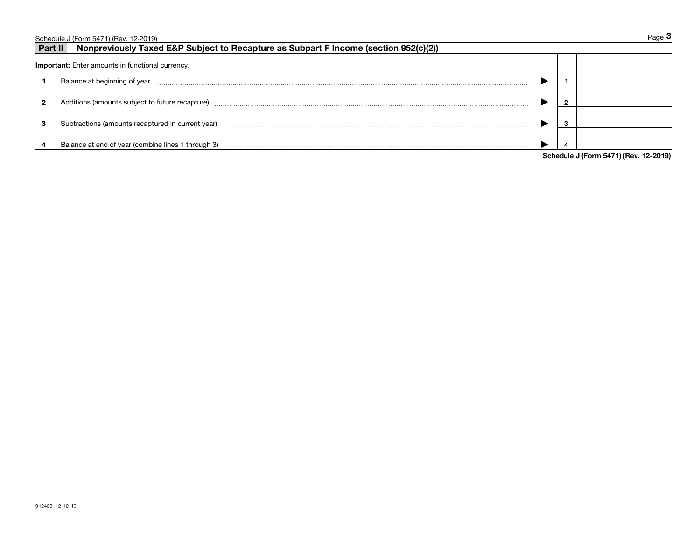|                | Schedule J (Form 5471) (Rev. 12-2019)                                                |  | Page 3                                |
|----------------|--------------------------------------------------------------------------------------|--|---------------------------------------|
| <b>Part II</b> | Nonpreviously Taxed E&P Subject to Recapture as Subpart F Income (section 952(c)(2)) |  |                                       |
|                | <b>Important:</b> Enter amounts in functional currency.                              |  |                                       |
|                | Balance at beginning of year                                                         |  |                                       |
|                | Additions (amounts subject to future recapture)                                      |  |                                       |
|                |                                                                                      |  |                                       |
| з              | Subtractions (amounts recaptured in current year)                                    |  |                                       |
|                | Balance at end of year (combine lines 1 through 3)                                   |  |                                       |
|                |                                                                                      |  | Schedule J (Form 5471) (Rev. 12-2019) |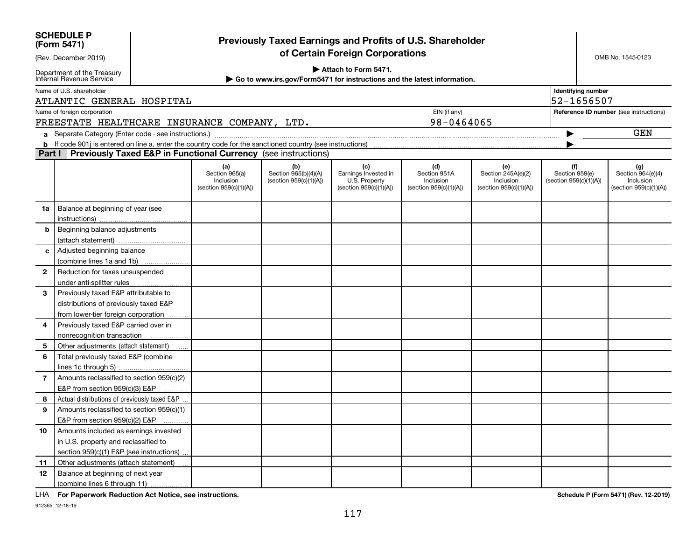|                | <b>SCHEDULE P</b><br>(Form 5471)<br>(Rev. December 2019)                                                             |                                                              |                                                         | of Certain Foreign Corporations                                        | Previously Taxed Earnings and Profits of U.S. Shareholder               |                                                                  |                                                 | OMB No. 1545-0123         |                                                                 |  |
|----------------|----------------------------------------------------------------------------------------------------------------------|--------------------------------------------------------------|---------------------------------------------------------|------------------------------------------------------------------------|-------------------------------------------------------------------------|------------------------------------------------------------------|-------------------------------------------------|---------------------------|-----------------------------------------------------------------|--|
|                | Department of the Treasury<br>Internal Revenue Service                                                               |                                                              |                                                         | Attach to Form 5471.                                                   | Go to www.irs.gov/Form5471 for instructions and the latest information. |                                                                  |                                                 |                           |                                                                 |  |
|                | Name of U.S. shareholder<br>ATLANTIC GENERAL HOSPITAL                                                                |                                                              |                                                         |                                                                        |                                                                         |                                                                  |                                                 | <b>Identifying number</b> | 52-1656507                                                      |  |
|                | Name of foreign corporation<br>FREESTATE HEALTHCARE INSURANCE COMPANY, LTD.                                          |                                                              |                                                         |                                                                        | EIN (if any)<br>98-0464065                                              |                                                                  |                                                 |                           | Reference ID number (see instructions)                          |  |
|                |                                                                                                                      |                                                              |                                                         |                                                                        |                                                                         |                                                                  |                                                 | GEN                       |                                                                 |  |
|                | <b>b</b> If code 901 is entered on line a, enter the country code for the sanctioned country (see instructions)      |                                                              |                                                         |                                                                        |                                                                         |                                                                  |                                                 |                           |                                                                 |  |
|                | Part I Previously Taxed E&P in Functional Currency (see instructions)                                                |                                                              |                                                         |                                                                        |                                                                         |                                                                  |                                                 |                           |                                                                 |  |
|                |                                                                                                                      | (a)<br>Section 965(a)<br>Inclusion<br>(section 959(c)(1)(A)) | (b)<br>Section $965(b)(4)(A)$<br>(section 959(c)(1)(A)) | (c)<br>Earnings Invested in<br>U.S. Property<br>(section 959(c)(1)(A)) | (d)<br>Section 951A<br>Inclusion<br>(section 959(c)(1)(A))              | (e)<br>Section 245A(e)(2)<br>Inclusion<br>(section 959(c)(1)(A)) | (f)<br>Section 959(e)<br>(section 959(c)(1)(A)) |                           | (g)<br>Section 964(e)(4)<br>Inclusion<br>(section 959(c)(1)(A)) |  |
| 1a             | Balance at beginning of year (see                                                                                    |                                                              |                                                         |                                                                        |                                                                         |                                                                  |                                                 |                           |                                                                 |  |
| b              | Beginning balance adjustments<br>(attach statement)                                                                  |                                                              |                                                         |                                                                        |                                                                         |                                                                  |                                                 |                           |                                                                 |  |
| c              | Adjusted beginning balance<br>(combine lines 1a and 1b)                                                              |                                                              |                                                         |                                                                        |                                                                         |                                                                  |                                                 |                           |                                                                 |  |
| $\mathbf{2}$   | Reduction for taxes unsuspended<br>under anti-splitter rules                                                         |                                                              |                                                         |                                                                        |                                                                         |                                                                  |                                                 |                           |                                                                 |  |
| 3              | Previously taxed E&P attributable to<br>distributions of previously taxed E&P<br>from lower-tier foreign corporation |                                                              |                                                         |                                                                        |                                                                         |                                                                  |                                                 |                           |                                                                 |  |
| 4              | Previously taxed E&P carried over in<br>nonrecognition transaction                                                   |                                                              |                                                         |                                                                        |                                                                         |                                                                  |                                                 |                           |                                                                 |  |
| 5              | Other adjustments (attach statement)                                                                                 |                                                              |                                                         |                                                                        |                                                                         |                                                                  |                                                 |                           |                                                                 |  |
| 6              | Total previously taxed E&P (combine<br>lines 1c through 5)                                                           |                                                              |                                                         |                                                                        |                                                                         |                                                                  |                                                 |                           |                                                                 |  |
| $\overline{7}$ | Amounts reclassified to section 959(c)(2)<br>E&P from section 959(c)(3) E&P                                          |                                                              |                                                         |                                                                        |                                                                         |                                                                  |                                                 |                           |                                                                 |  |
| 8              | Actual distributions of previously taxed E&P                                                                         |                                                              |                                                         |                                                                        |                                                                         |                                                                  |                                                 |                           |                                                                 |  |
| 9              | Amounts reclassified to section 959(c)(1)<br>E&P from section 959(c)(2) E&P                                          |                                                              |                                                         |                                                                        |                                                                         |                                                                  |                                                 |                           |                                                                 |  |
| 10             | Amounts included as earnings invested<br>in U.S. property and reclassified to                                        |                                                              |                                                         |                                                                        |                                                                         |                                                                  |                                                 |                           |                                                                 |  |
|                | section 959(c)(1) E&P (see instructions)                                                                             |                                                              |                                                         |                                                                        |                                                                         |                                                                  |                                                 |                           |                                                                 |  |
| 11             | Other adjustments (attach statement)                                                                                 |                                                              |                                                         |                                                                        |                                                                         |                                                                  |                                                 |                           |                                                                 |  |
| 12             | Balance at beginning of next year<br>(combine lines 6 through 11)                                                    |                                                              |                                                         |                                                                        |                                                                         |                                                                  |                                                 |                           |                                                                 |  |

LHA **For Paperwork Reduction Act Notice, see instructions.** 

912365 12-18-19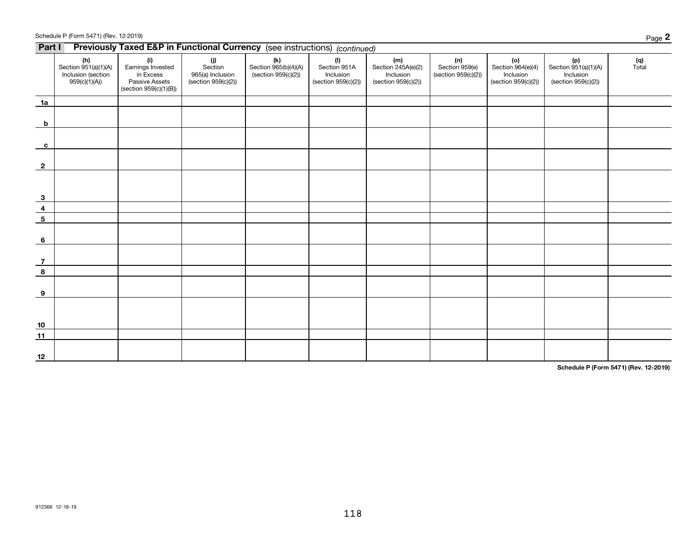|                         | Previously Taxed E&P in Functional Currency (see instructions) (continued)<br>Part I |                                                                                   |                                                           |                                                      |                                                         |                                                                 |                                                   |                                                                |                                                                   |                |
|-------------------------|--------------------------------------------------------------------------------------|-----------------------------------------------------------------------------------|-----------------------------------------------------------|------------------------------------------------------|---------------------------------------------------------|-----------------------------------------------------------------|---------------------------------------------------|----------------------------------------------------------------|-------------------------------------------------------------------|----------------|
|                         | $(h)$<br>Section 951(a)(1)(A)<br>Inclusion (section<br>959(c)(1)(A))                 | (i)<br>Earnings Invested<br>in Excess<br>Passive Assets<br>(section 959(c)(1)(B)) | (j)<br>Section<br>965(a) Inclusion<br>(section 959(c)(2)) | $(k)$<br>Section 965(b)(4)(A)<br>(section 959(c)(2)) | (1)<br>Section 951A<br>Inclusion<br>(section 959(c)(2)) | $(m)$<br>Section 245A(e)(2)<br>Inclusion<br>(section 959(c)(2)) | $(n)$<br>Section 959 $(e)$<br>(section 959(c)(2)) | $(o)$<br>Section 964(e)(4)<br>Inclusion<br>(section 959(c)(2)) | $(p)$<br>Section 951(a)(1)(A)<br>Inclusion<br>(section 959(c)(2)) | $(q)$<br>Total |
| 1a                      |                                                                                      |                                                                                   |                                                           |                                                      |                                                         |                                                                 |                                                   |                                                                |                                                                   |                |
| b                       |                                                                                      |                                                                                   |                                                           |                                                      |                                                         |                                                                 |                                                   |                                                                |                                                                   |                |
| $\mathbf{c}$            |                                                                                      |                                                                                   |                                                           |                                                      |                                                         |                                                                 |                                                   |                                                                |                                                                   |                |
| $\overline{2}$          |                                                                                      |                                                                                   |                                                           |                                                      |                                                         |                                                                 |                                                   |                                                                |                                                                   |                |
| $\overline{\mathbf{3}}$ |                                                                                      |                                                                                   |                                                           |                                                      |                                                         |                                                                 |                                                   |                                                                |                                                                   |                |
| $\overline{4}$          |                                                                                      |                                                                                   |                                                           |                                                      |                                                         |                                                                 |                                                   |                                                                |                                                                   |                |
| $\overline{5}$          |                                                                                      |                                                                                   |                                                           |                                                      |                                                         |                                                                 |                                                   |                                                                |                                                                   |                |
| $6\overline{6}$         |                                                                                      |                                                                                   |                                                           |                                                      |                                                         |                                                                 |                                                   |                                                                |                                                                   |                |
| $\overline{1}$          |                                                                                      |                                                                                   |                                                           |                                                      |                                                         |                                                                 |                                                   |                                                                |                                                                   |                |
| $\overline{\mathbf{8}}$ |                                                                                      |                                                                                   |                                                           |                                                      |                                                         |                                                                 |                                                   |                                                                |                                                                   |                |
| 9                       |                                                                                      |                                                                                   |                                                           |                                                      |                                                         |                                                                 |                                                   |                                                                |                                                                   |                |
| 10                      |                                                                                      |                                                                                   |                                                           |                                                      |                                                         |                                                                 |                                                   |                                                                |                                                                   |                |
| 11                      |                                                                                      |                                                                                   |                                                           |                                                      |                                                         |                                                                 |                                                   |                                                                |                                                                   |                |
| 12                      |                                                                                      |                                                                                   |                                                           |                                                      |                                                         |                                                                 |                                                   |                                                                |                                                                   |                |

#### **Schedule P (Form 5471) (Rev. 12-2019)**

Page  **2**

Schedule P (Form 5471) (Rev. 12-2019)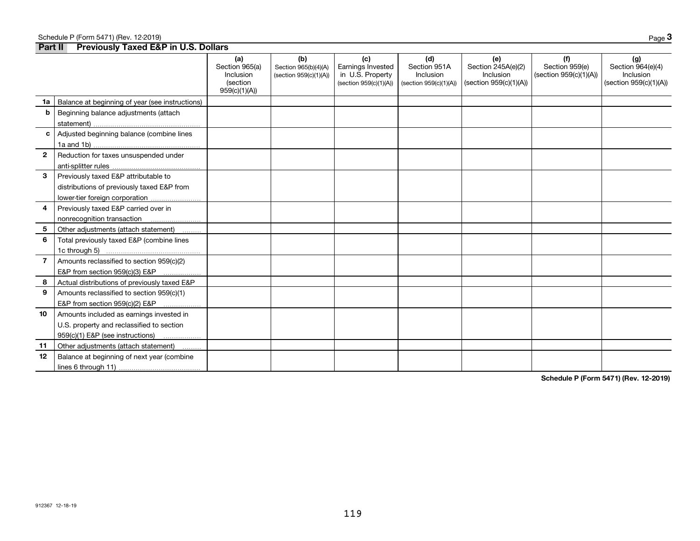|                |                                                      | (a)<br>Section 965(a)<br>Inclusion<br><i>(section</i><br>959(c)(1)(A)) | (b)<br>Section 965(b)(4)(A)<br>(section 959(c)(1)(A)) | (c)<br>Earnings Invested<br>in U.S. Property<br>(section 959(c)(1)(A)) | (d)<br>Section 951A<br>Inclusion<br>(section 959(c)(1)(A)) | (e)<br>Section 245A(e)(2)<br>Inclusion<br>(section 959(c)(1)(A)) | (f)<br>Section 959(e)<br>(section 959(c)(1)(A)) | (g)<br>Section 964(e)(4)<br>Inclusion<br>(section 959(c)(1)(A)) |
|----------------|------------------------------------------------------|------------------------------------------------------------------------|-------------------------------------------------------|------------------------------------------------------------------------|------------------------------------------------------------|------------------------------------------------------------------|-------------------------------------------------|-----------------------------------------------------------------|
|                | 1a   Balance at beginning of year (see instructions) |                                                                        |                                                       |                                                                        |                                                            |                                                                  |                                                 |                                                                 |
| b              | Beginning balance adjustments (attach                |                                                                        |                                                       |                                                                        |                                                            |                                                                  |                                                 |                                                                 |
|                |                                                      |                                                                        |                                                       |                                                                        |                                                            |                                                                  |                                                 |                                                                 |
| $\mathbf{c}$   | Adjusted beginning balance (combine lines            |                                                                        |                                                       |                                                                        |                                                            |                                                                  |                                                 |                                                                 |
|                |                                                      |                                                                        |                                                       |                                                                        |                                                            |                                                                  |                                                 |                                                                 |
| $\mathbf{2}$   | Reduction for taxes unsuspended under                |                                                                        |                                                       |                                                                        |                                                            |                                                                  |                                                 |                                                                 |
|                |                                                      |                                                                        |                                                       |                                                                        |                                                            |                                                                  |                                                 |                                                                 |
| 3              | Previously taxed E&P attributable to                 |                                                                        |                                                       |                                                                        |                                                            |                                                                  |                                                 |                                                                 |
|                | distributions of previously taxed E&P from           |                                                                        |                                                       |                                                                        |                                                            |                                                                  |                                                 |                                                                 |
|                |                                                      |                                                                        |                                                       |                                                                        |                                                            |                                                                  |                                                 |                                                                 |
| 4              | Previously taxed E&P carried over in                 |                                                                        |                                                       |                                                                        |                                                            |                                                                  |                                                 |                                                                 |
|                |                                                      |                                                                        |                                                       |                                                                        |                                                            |                                                                  |                                                 |                                                                 |
| 5              | Other adjustments (attach statement)                 |                                                                        |                                                       |                                                                        |                                                            |                                                                  |                                                 |                                                                 |
| 6              | Total previously taxed E&P (combine lines            |                                                                        |                                                       |                                                                        |                                                            |                                                                  |                                                 |                                                                 |
|                |                                                      |                                                                        |                                                       |                                                                        |                                                            |                                                                  |                                                 |                                                                 |
| $\overline{7}$ | Amounts reclassified to section 959(c)(2)            |                                                                        |                                                       |                                                                        |                                                            |                                                                  |                                                 |                                                                 |
|                | E&P from section 959(c)(3) E&P                       |                                                                        |                                                       |                                                                        |                                                            |                                                                  |                                                 |                                                                 |
| 8              | Actual distributions of previously taxed E&P         |                                                                        |                                                       |                                                                        |                                                            |                                                                  |                                                 |                                                                 |
| 9              | Amounts reclassified to section 959(c)(1)            |                                                                        |                                                       |                                                                        |                                                            |                                                                  |                                                 |                                                                 |
|                | E&P from section 959(c)(2) E&P                       |                                                                        |                                                       |                                                                        |                                                            |                                                                  |                                                 |                                                                 |
| 10             | Amounts included as earnings invested in             |                                                                        |                                                       |                                                                        |                                                            |                                                                  |                                                 |                                                                 |
|                | U.S. property and reclassified to section            |                                                                        |                                                       |                                                                        |                                                            |                                                                  |                                                 |                                                                 |
|                | 959(c)(1) E&P (see instructions)                     |                                                                        |                                                       |                                                                        |                                                            |                                                                  |                                                 |                                                                 |
| 11             | Other adjustments (attach statement)                 |                                                                        |                                                       |                                                                        |                                                            |                                                                  |                                                 |                                                                 |
| 12             | Balance at beginning of next year (combine           |                                                                        |                                                       |                                                                        |                                                            |                                                                  |                                                 |                                                                 |
|                |                                                      |                                                                        |                                                       |                                                                        |                                                            |                                                                  |                                                 |                                                                 |

**Schedule P (Form 5471) (Rev. 12-2019)**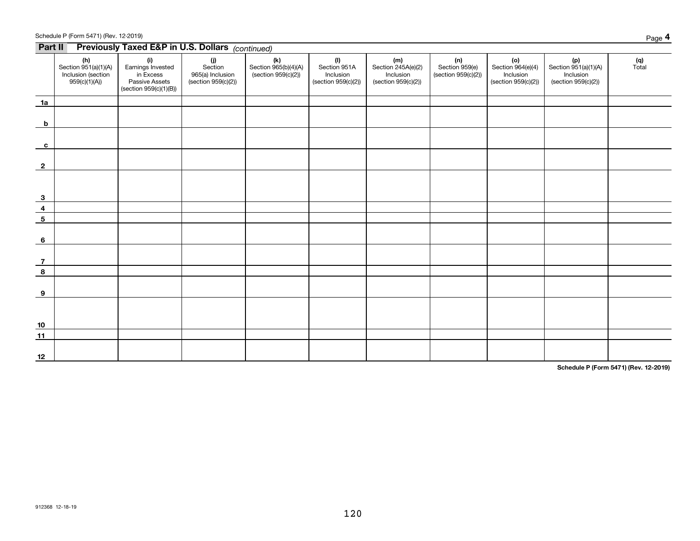|                           | Previously Taxed E&P in U.S. Dollars (continued)<br>Part II        |                                                                                   |                                                           |                                                      |                                                         |                                                                 |                                                   |                                                                |                                                                   |                                       |
|---------------------------|--------------------------------------------------------------------|-----------------------------------------------------------------------------------|-----------------------------------------------------------|------------------------------------------------------|---------------------------------------------------------|-----------------------------------------------------------------|---------------------------------------------------|----------------------------------------------------------------|-------------------------------------------------------------------|---------------------------------------|
|                           | (h)<br>Section 951(a)(1)(A)<br>Inclusion (section<br>959(c)(1)(A)) | (i)<br>Earnings Invested<br>in Excess<br>Passive Assets<br>(section 959(c)(1)(B)) | (j)<br>Section<br>965(a) Inclusion<br>(section 959(c)(2)) | $(k)$<br>Section 965(b)(4)(A)<br>(section 959(c)(2)) | (1)<br>Section 951A<br>Inclusion<br>(section 959(c)(2)) | $(m)$<br>Section 245A(e)(2)<br>Inclusion<br>(section 959(c)(2)) | $(n)$<br>Section 959 $(e)$<br>(section 959(c)(2)) | (o)<br>Section $964(e)(4)$<br>Inclusion<br>(section 959(c)(2)) | $(p)$<br>Section 951(a)(1)(A)<br>Inclusion<br>(section 959(c)(2)) | $(q)$<br>Total                        |
| 1a                        |                                                                    |                                                                                   |                                                           |                                                      |                                                         |                                                                 |                                                   |                                                                |                                                                   |                                       |
| $\mathbf{b}$              |                                                                    |                                                                                   |                                                           |                                                      |                                                         |                                                                 |                                                   |                                                                |                                                                   |                                       |
| $\mathbf{c}$              |                                                                    |                                                                                   |                                                           |                                                      |                                                         |                                                                 |                                                   |                                                                |                                                                   |                                       |
| $\overline{\mathbf{2}}$   |                                                                    |                                                                                   |                                                           |                                                      |                                                         |                                                                 |                                                   |                                                                |                                                                   |                                       |
| $\overline{\mathbf{3}}$   |                                                                    |                                                                                   |                                                           |                                                      |                                                         |                                                                 |                                                   |                                                                |                                                                   |                                       |
| $\overline{4}$            |                                                                    |                                                                                   |                                                           |                                                      |                                                         |                                                                 |                                                   |                                                                |                                                                   |                                       |
| $\overline{\phantom{0}5}$ |                                                                    |                                                                                   |                                                           |                                                      |                                                         |                                                                 |                                                   |                                                                |                                                                   |                                       |
| 6                         |                                                                    |                                                                                   |                                                           |                                                      |                                                         |                                                                 |                                                   |                                                                |                                                                   |                                       |
| $\overline{7}$            |                                                                    |                                                                                   |                                                           |                                                      |                                                         |                                                                 |                                                   |                                                                |                                                                   |                                       |
| $\overline{\mathbf{8}}$   |                                                                    |                                                                                   |                                                           |                                                      |                                                         |                                                                 |                                                   |                                                                |                                                                   |                                       |
| 9                         |                                                                    |                                                                                   |                                                           |                                                      |                                                         |                                                                 |                                                   |                                                                |                                                                   |                                       |
|                           |                                                                    |                                                                                   |                                                           |                                                      |                                                         |                                                                 |                                                   |                                                                |                                                                   |                                       |
| 10                        |                                                                    |                                                                                   |                                                           |                                                      |                                                         |                                                                 |                                                   |                                                                |                                                                   |                                       |
| 11                        |                                                                    |                                                                                   |                                                           |                                                      |                                                         |                                                                 |                                                   |                                                                |                                                                   |                                       |
| 12                        |                                                                    |                                                                                   |                                                           |                                                      |                                                         |                                                                 |                                                   |                                                                |                                                                   |                                       |
|                           |                                                                    |                                                                                   |                                                           |                                                      |                                                         |                                                                 |                                                   |                                                                |                                                                   | Schedule P (Form 5471) (Rev. 12-2019) |

#### Schedule P (Form 5471) (Rev. 12-2019)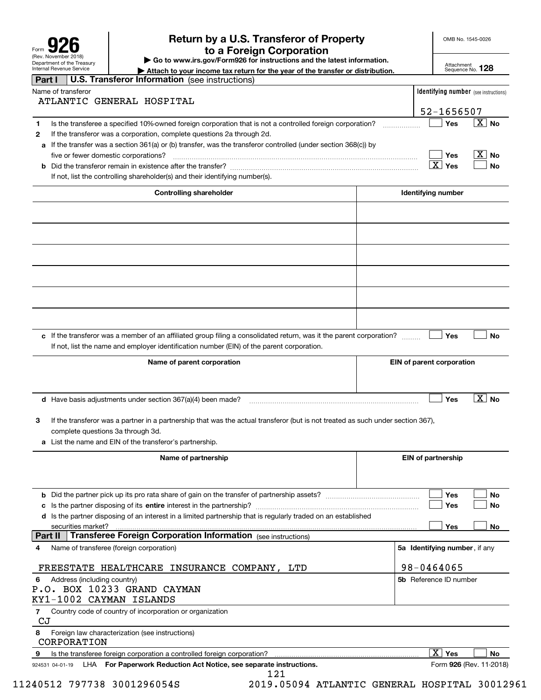| Form                                                   |
|--------------------------------------------------------|
| (Rev. November 2018)                                   |
| Department of the Treasury<br>Internal Revenue Service |

# **Return by a U.S. Transferor of Property 926 to a Foreign Corporation**

OMB No. 1545-0026

**| Go to www.irs.gov/Form926 for instructions and the latest information.**

Attachment Sequence No. **128**

|         | Department or the Treasur<br>Internal Revenue Service | Attach to your income tax return for the year of the transfer or distribution.                                                  | Attachment                            | Sequence No. 128        |
|---------|-------------------------------------------------------|---------------------------------------------------------------------------------------------------------------------------------|---------------------------------------|-------------------------|
| Part I  |                                                       | U.S. Transferor Information (see instructions)                                                                                  |                                       |                         |
|         | Name of transferor                                    | ATLANTIC GENERAL HOSPITAL                                                                                                       | Identifying number (see instructions) |                         |
|         |                                                       |                                                                                                                                 | 52-1656507                            |                         |
| 1       |                                                       | Is the transferee a specified 10%-owned foreign corporation that is not a controlled foreign corporation?                       | Yes                                   | $\boxed{\text{X}}$ No   |
| 2       |                                                       | If the transferor was a corporation, complete questions 2a through 2d.                                                          |                                       |                         |
|         |                                                       | a If the transfer was a section 361(a) or (b) transfer, was the transferor controlled (under section 368(c)) by                 |                                       |                         |
|         |                                                       | five or fewer domestic corporations?                                                                                            | Yes                                   | $ X $ No                |
|         |                                                       |                                                                                                                                 | $\boxed{\text{X}}$ Yes                | <b>No</b>               |
|         |                                                       | If not, list the controlling shareholder(s) and their identifying number(s).                                                    |                                       |                         |
|         |                                                       | <b>Controlling shareholder</b>                                                                                                  | <b>Identifying number</b>             |                         |
|         |                                                       |                                                                                                                                 |                                       |                         |
|         |                                                       |                                                                                                                                 |                                       |                         |
|         |                                                       |                                                                                                                                 |                                       |                         |
|         |                                                       |                                                                                                                                 |                                       |                         |
|         |                                                       |                                                                                                                                 |                                       |                         |
|         |                                                       |                                                                                                                                 |                                       |                         |
|         |                                                       | c If the transferor was a member of an affiliated group filing a consolidated return, was it the parent corporation?            | Yes                                   | <b>No</b>               |
|         |                                                       | If not, list the name and employer identification number (EIN) of the parent corporation.                                       |                                       |                         |
|         |                                                       | Name of parent corporation                                                                                                      | EIN of parent corporation             |                         |
|         |                                                       |                                                                                                                                 |                                       |                         |
|         |                                                       |                                                                                                                                 |                                       |                         |
|         |                                                       |                                                                                                                                 |                                       | $\overline{X}$ No       |
|         |                                                       | d Have basis adjustments under section 367(a)(4) been made?                                                                     | Yes                                   |                         |
| 3       |                                                       | If the transferor was a partner in a partnership that was the actual transferor (but is not treated as such under section 367), |                                       |                         |
|         | complete questions 3a through 3d.                     |                                                                                                                                 |                                       |                         |
|         |                                                       | a List the name and EIN of the transferor's partnership.                                                                        |                                       |                         |
|         |                                                       |                                                                                                                                 |                                       |                         |
|         |                                                       | Name of partnership                                                                                                             | <b>EIN of partnership</b>             |                         |
|         |                                                       |                                                                                                                                 |                                       |                         |
|         |                                                       |                                                                                                                                 |                                       |                         |
|         |                                                       |                                                                                                                                 | Yes                                   | No                      |
|         |                                                       |                                                                                                                                 | Yes                                   | No                      |
|         |                                                       | d Is the partner disposing of an interest in a limited partnership that is regularly traded on an established                   |                                       |                         |
|         | securities market?                                    |                                                                                                                                 | Yes                                   | No                      |
| Part II |                                                       |                                                                                                                                 |                                       |                         |
| 4       |                                                       | Name of transferee (foreign corporation)                                                                                        | 5a Identifying number, if any         |                         |
|         |                                                       | FREESTATE HEALTHCARE INSURANCE COMPANY, LTD                                                                                     | 98-0464065                            |                         |
| 6       | Address (including country)                           |                                                                                                                                 | <b>5b</b> Reference ID number         |                         |
|         |                                                       | <b>P.O. BOX 10233 GRAND CAYMAN</b>                                                                                              |                                       |                         |
|         |                                                       | KY1-1002 CAYMAN ISLANDS                                                                                                         |                                       |                         |
| 7<br>CJ |                                                       | Country code of country of incorporation or organization                                                                        |                                       |                         |
| 8       | CORPORATION                                           | Foreign law characterization (see instructions)                                                                                 |                                       |                         |
| 9       |                                                       | Is the transferee foreign corporation a controlled foreign corporation?                                                         | $\overline{X}$ Yes                    | No                      |
|         |                                                       | 924531 04-01-19 LHA For Paperwork Reduction Act Notice, see separate instructions.                                              |                                       | Form 926 (Rev. 11-2018) |

121

11240512 797738 3001296054S 2019.05094 ATLANTIC GENERAL HOSPITAL 30012961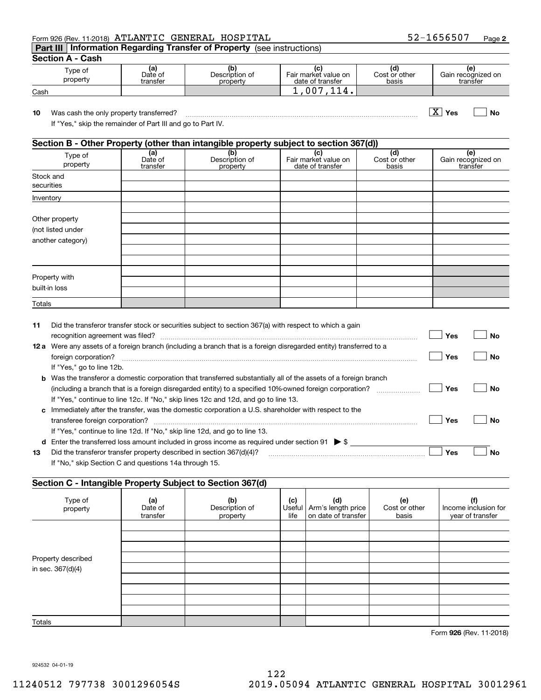#### Form 926 (Rev. 11-2018) <code>ATLANTIC GENERAL HOSPITAL</code>  $52-1656507$  <code>Page</code>

#### **Part III Information Regarding Transfer of Property**  (see instructions)

# **Section A - Cash**

**11**

| Type of<br>property | (a<br>Date of<br>transfer | (b)<br>Description of<br>property | ιc<br>Fair market value on<br>date of transfer | Cost or other<br>basis | le.<br>Gain recognized on<br>transfer |
|---------------------|---------------------------|-----------------------------------|------------------------------------------------|------------------------|---------------------------------------|
| Cash                |                           |                                   | ሰሰ7<br>ີ                                       |                        |                                       |

**10Yes No** Was cash the only property transferred? ~~~~~~~~~~~~~~~~~~~~~~~~~~~~~~~~~~~~~ X

If "Yes," skip the remainder of Part III and go to Part IV.

# **Section B - Other Property (other than intangible property subject to section 367(d))**

| Type of<br>property     | (a)<br>Date of<br>transfer | <b>(b)</b><br>Description of<br>property | (c)<br>Fair market value on<br>date of transfer | (d)<br>Cost or other<br>basis | (e)<br>Gain recognized on<br>transfer |
|-------------------------|----------------------------|------------------------------------------|-------------------------------------------------|-------------------------------|---------------------------------------|
| Stock and<br>securities |                            |                                          |                                                 |                               |                                       |
| Inventory               |                            |                                          |                                                 |                               |                                       |
|                         |                            |                                          |                                                 |                               |                                       |
| Other property          |                            |                                          |                                                 |                               |                                       |
| (not listed under       |                            |                                          |                                                 |                               |                                       |
| another category)       |                            |                                          |                                                 |                               |                                       |
|                         |                            |                                          |                                                 |                               |                                       |
|                         |                            |                                          |                                                 |                               |                                       |
|                         |                            |                                          |                                                 |                               |                                       |
| Property with           |                            |                                          |                                                 |                               |                                       |
| built-in loss           |                            |                                          |                                                 |                               |                                       |
| Totals                  |                            |                                          |                                                 |                               |                                       |

| 11   | Did the transferor transfer stock or securities subject to section 367(a) with respect to which a gain                  |     |    |
|------|-------------------------------------------------------------------------------------------------------------------------|-----|----|
|      | recognition agreement was filed?                                                                                        | Yes | N٥ |
| 12 a | Were any assets of a foreign branch (including a branch that is a foreign disregarded entity) transferred to a          |     |    |
|      | foreign corporation?                                                                                                    | Yes | Nο |
|      | If "Yes," go to line 12b.                                                                                               |     |    |
|      | <b>b</b> Was the transferor a domestic corporation that transferred substantially all of the assets of a foreign branch |     |    |
|      | (including a branch that is a foreign disregarded entity) to a specified 10%-owned foreign corporation?                 | Yes | N٥ |
|      | If "Yes," continue to line 12c. If "No," skip lines 12c and 12d, and go to line 13.                                     |     |    |
| c    | Immediately after the transfer, was the domestic corporation a U.S. shareholder with respect to the                     |     |    |
|      |                                                                                                                         | Yes |    |
|      | If "Yes," continue to line 12d. If "No," skip line 12d, and go to line 13.                                              |     |    |
| d    | Enter the transferred loss amount included in gross income as required under section 91 $\triangleright$ \$             |     |    |
| 13   | Did the transferor transfer property described in section $367(d)(4)?$                                                  | Yes | N٥ |
|      | If "No," skip Section C and questions 14a through 15.                                                                   |     |    |

# **Section C - Intangible Property Subject to Section 367(d)**

| Type of<br>property | (a)<br>Date of<br>transfer | (b)<br>Description of<br>property | (c)<br>life | (d)<br>Useful   Arm's length price<br>on date of transfer | (e)<br>Cost or other<br>basis | (f)<br>Income inclusion for<br>year of transfer |  |
|---------------------|----------------------------|-----------------------------------|-------------|-----------------------------------------------------------|-------------------------------|-------------------------------------------------|--|
|                     |                            |                                   |             |                                                           |                               |                                                 |  |
|                     |                            |                                   |             |                                                           |                               |                                                 |  |
|                     |                            |                                   |             |                                                           |                               |                                                 |  |
| Property described  |                            |                                   |             |                                                           |                               |                                                 |  |
| in sec. 367(d)(4)   |                            |                                   |             |                                                           |                               |                                                 |  |
|                     |                            |                                   |             |                                                           |                               |                                                 |  |
|                     |                            |                                   |             |                                                           |                               |                                                 |  |
|                     |                            |                                   |             |                                                           |                               |                                                 |  |
|                     |                            |                                   |             |                                                           |                               |                                                 |  |
| Totals              |                            |                                   |             |                                                           |                               |                                                 |  |

**926**Form (Rev. 11-2018)

924532 04-01-19

**2**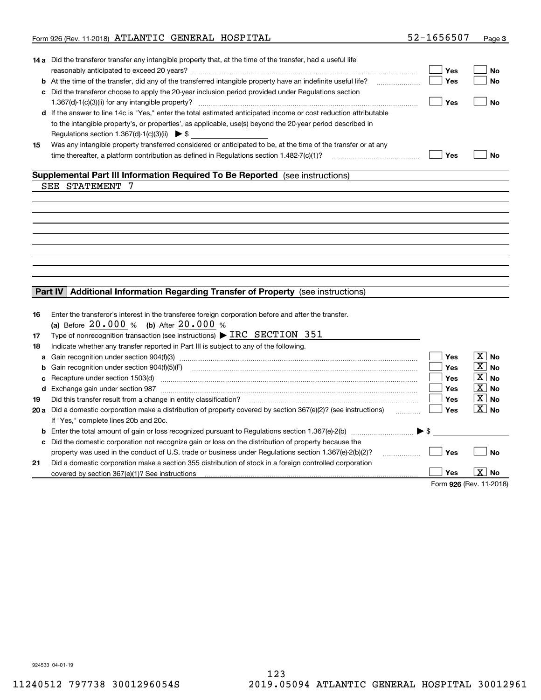|               | Form 926 (Rev. 11-2018) ATLANTIC GENERAL HOSPITAL                                                                                                                                                                                                                                                                                       | 52-1656507               | Page 3                                                                               |
|---------------|-----------------------------------------------------------------------------------------------------------------------------------------------------------------------------------------------------------------------------------------------------------------------------------------------------------------------------------------|--------------------------|--------------------------------------------------------------------------------------|
|               | 14 a Did the transferor transfer any intangible property that, at the time of the transfer, had a useful life<br><b>b</b> At the time of the transfer, did any of the transferred intangible property have an indefinite useful life?                                                                                                   | Yes<br>Yes               | <b>No</b><br>No                                                                      |
|               | c Did the transferor choose to apply the 20-year inclusion period provided under Regulations section<br>d If the answer to line 14c is "Yes," enter the total estimated anticipated income or cost reduction attributable<br>to the intangible property's, or properties', as applicable, use(s) beyond the 20-year period described in | Yes                      | <b>No</b>                                                                            |
| 15            | Regulations section 1.367(d) $1(c)(3)(ii)$ $\triangleright$ \$<br>Was any intangible property transferred considered or anticipated to be, at the time of the transfer or at any                                                                                                                                                        | Yes                      | <b>No</b>                                                                            |
|               | Supplemental Part III Information Required To Be Reported (see instructions)<br>SEE STATEMENT<br>- 7                                                                                                                                                                                                                                    |                          |                                                                                      |
|               |                                                                                                                                                                                                                                                                                                                                         |                          |                                                                                      |
|               |                                                                                                                                                                                                                                                                                                                                         |                          |                                                                                      |
|               | Part IV Additional Information Regarding Transfer of Property (see instructions)                                                                                                                                                                                                                                                        |                          |                                                                                      |
| 16            | Enter the transferor's interest in the transferee foreign corporation before and after the transfer.<br>(a) Before $20.000 %$ (b) After $20.000 %$<br>Type of nonrecognition transaction (see instructions) $\triangleright$ IRC SECTION 351                                                                                            |                          |                                                                                      |
| 17<br>18<br>b | Indicate whether any transfer reported in Part III is subject to any of the following.<br>Gain recognition under section $904(f)(5)(F)$                                                                                                                                                                                                 | Yes<br>Yes<br><b>Yes</b> | $\overline{\text{X}}$ No<br>$\boxed{\text{X}}$ No<br>$\lfloor \texttt{X} \rfloor$ No |
| c<br>19       | Recapture under section 1503(d) manufactured contracts and the contracts of the section 1503(d)<br>Did this transfer result from a change in entity classification?<br>20 a Did a domestic corporation make a distribution of property covered by section 367(e)(2)? (see instructions)                                                 | Yes<br><b>Yes</b><br>Yes | $\boxed{\text{X}}$ No<br>$\boxed{\text{X}}$ No<br>$\boxed{\text{X}}$ No              |
|               | If "Yes," complete lines 20b and 20c.<br>c Did the domestic corporation not recognize gain or loss on the distribution of property because the<br>property was used in the conduct of U.S. trade or business under Regulations section 1.367(e)-2(b)(2)?                                                                                | Yes                      | <b>No</b>                                                                            |
| 21            | Did a domestic corporation make a section 355 distribution of stock in a foreign controlled corporation<br>covered by section 367(e)(1)? See instructions                                                                                                                                                                               | .<br>Yes                 | $\boxed{\text{X}}$ No                                                                |

**926** Form (Rev. 11-2018)

924533 04-01-19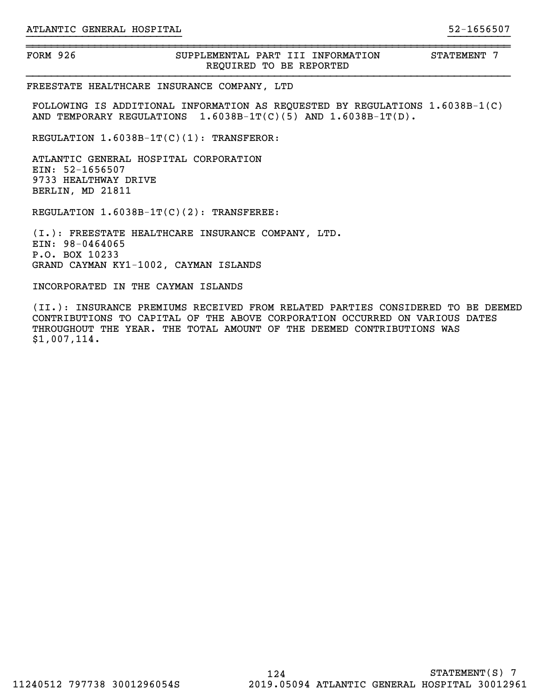# FORM 926 SUPPLEMENTAL PART III INFORMATION STATEMENT 7 REQUIRED TO BE REPORTED

}}}}}}}}}}}}}}}}}}}}}}}}} }}}}}}}}}}

~~~~~~~~~~~~~~~~~~~~~~~~~~~~~~~~~~~~~~~~~~~~~~~~~~~~~~~~~~~~~~~~~~~~~~~~~~~~~~

FREESTATE HEALTHCARE INSURANCE COMPANY, LTD

FOLLOWING IS ADDITIONAL INFORMATION AS REQUESTED BY REGULATIONS 1.6038B-1(C) AND TEMPORARY REGULATIONS 1.6038B-1T(C)(5) AND 1.6038B-1T(D).

REGULATION 1.6038B-1T(C)(1): TRANSFEROR:

ATLANTIC GENERAL HOSPITAL CORPORATION EIN: 52-1656507 9733 HEALTHWAY DRIVE BERLIN, MD 21811

REGULATION 1.6038B-1T(C)(2): TRANSFEREE:

(I.): FREESTATE HEALTHCARE INSURANCE COMPANY, LTD. EIN: 98-0464065 P.O. BOX 10233 GRAND CAYMAN KY1-1002, CAYMAN ISLANDS

INCORPORATED IN THE CAYMAN ISLANDS

(II.): INSURANCE PREMIUMS RECEIVED FROM RELATED PARTIES CONSIDERED TO BE DEEMED CONTRIBUTIONS TO CAPITAL OF THE ABOVE CORPORATION OCCURRED ON VARIOUS DATES THROUGHOUT THE YEAR. THE TOTAL AMOUNT OF THE DEEMED CONTRIBUTIONS WAS \$1,007,114.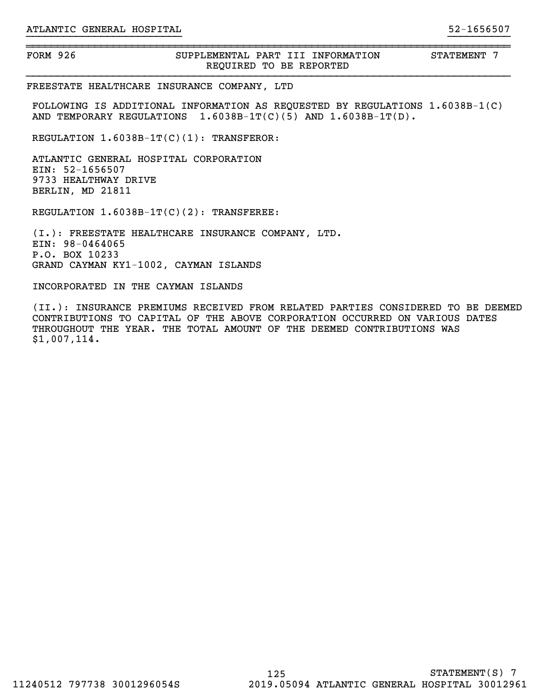# FORM 926 SUPPLEMENTAL PART III INFORMATION STATEMENT 7 REQUIRED TO BE REPORTED

}}}}}}}}}}}}}}}}}}}}}}}}} }}}}}}}}}}

~~~~~~~~~~~~~~~~~~~~~~~~~~~~~~~~~~~~~~~~~~~~~~~~~~~~~~~~~~~~~~~~~~~~~~~~~~~~~~

FREESTATE HEALTHCARE INSURANCE COMPANY, LTD

FOLLOWING IS ADDITIONAL INFORMATION AS REQUESTED BY REGULATIONS 1.6038B-1(C) AND TEMPORARY REGULATIONS 1.6038B-1T(C)(5) AND 1.6038B-1T(D).

REGULATION 1.6038B-1T(C)(1): TRANSFEROR:

ATLANTIC GENERAL HOSPITAL CORPORATION EIN: 52-1656507 9733 HEALTHWAY DRIVE BERLIN, MD 21811

REGULATION 1.6038B-1T(C)(2): TRANSFEREE:

(I.): FREESTATE HEALTHCARE INSURANCE COMPANY, LTD. EIN: 98-0464065 P.O. BOX 10233 GRAND CAYMAN KY1-1002, CAYMAN ISLANDS

INCORPORATED IN THE CAYMAN ISLANDS

(II.): INSURANCE PREMIUMS RECEIVED FROM RELATED PARTIES CONSIDERED TO BE DEEMED CONTRIBUTIONS TO CAPITAL OF THE ABOVE CORPORATION OCCURRED ON VARIOUS DATES THROUGHOUT THE YEAR. THE TOTAL AMOUNT OF THE DEEMED CONTRIBUTIONS WAS \$1,007,114.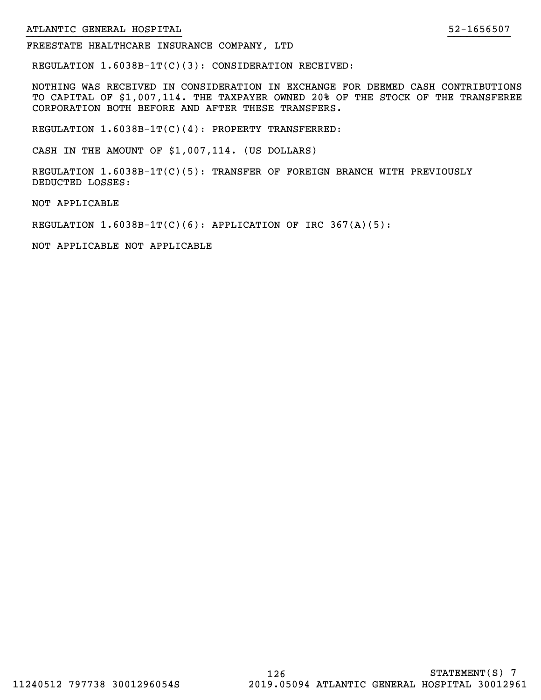# ATLANTIC GENERAL HOSPITAL 52-1656507

FREESTATE HEALTHCARE INSURANCE COMPANY, LTD

REGULATION 1.6038B-1T(C)(3): CONSIDERATION RECEIVED:

NOTHING WAS RECEIVED IN CONSIDERATION IN EXCHANGE FOR DEEMED CASH CONTRIBUTIONS TO CAPITAL OF \$1,007,114. THE TAXPAYER OWNED 20% OF THE STOCK OF THE TRANSFEREE CORPORATION BOTH BEFORE AND AFTER THESE TRANSFERS.

}}}}}}}}}}}}}}}}}}}}}}}}} }}}}}}}}}}

REGULATION 1.6038B-1T(C)(4): PROPERTY TRANSFERRED:

CASH IN THE AMOUNT OF \$1,007,114. (US DOLLARS)

REGULATION 1.6038B-1T(C)(5): TRANSFER OF FOREIGN BRANCH WITH PREVIOUSLY DEDUCTED LOSSES:

NOT APPLICABLE

REGULATION  $1.6038B-1T(C)(6)$ : APPLICATION OF IRC  $367(A)(5)$ :

NOT APPLICABLE NOT APPLICABLE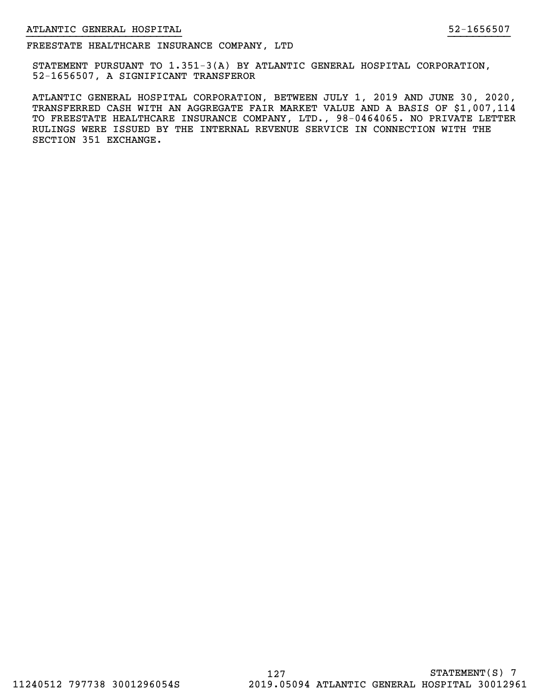# FREESTATE HEALTHCARE INSURANCE COMPANY, LTD

STATEMENT PURSUANT TO 1.351-3(A) BY ATLANTIC GENERAL HOSPITAL CORPORATION, 52-1656507, A SIGNIFICANT TRANSFEROR

}}}}}}}}}}}}}}}}}}}}}}}}} }}}}}}}}}}

ATLANTIC GENERAL HOSPITAL CORPORATION, BETWEEN JULY 1, 2019 AND JUNE 30, 2020, TRANSFERRED CASH WITH AN AGGREGATE FAIR MARKET VALUE AND A BASIS OF \$1,007,114 TO FREESTATE HEALTHCARE INSURANCE COMPANY, LTD., 98-0464065. NO PRIVATE LETTER RULINGS WERE ISSUED BY THE INTERNAL REVENUE SERVICE IN CONNECTION WITH THE SECTION 351 EXCHANGE.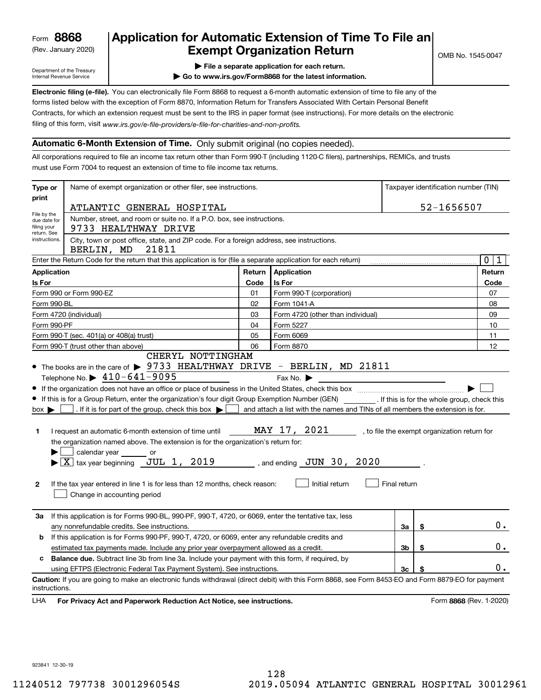(Rev. January 2020)

# **Application for Automatic Extension of Time To File an Exempt Organization Return**

Department of the Treasury Internal Revenue Service

**| File a separate application for each return.**

**| Go to www.irs.gov/Form8868 for the latest information.**

**Electronic filing (e-file).**  You can electronically file Form 8868 to request a 6-month automatic extension of time to file any of the filing of this form, visit www.irs.gov/e-file-providers/e-file-for-charities-and-non-profits. forms listed below with the exception of Form 8870, Information Return for Transfers Associated With Certain Personal Benefit Contracts, for which an extension request must be sent to the IRS in paper format (see instructions). For more details on the electronic

# **Automatic 6-Month Extension of Time.** Only submit original (no copies needed).

All corporations required to file an income tax return other than Form 990-T (including 1120-C filers), partnerships, REMICs, and trusts must use Form 7004 to request an extension of time to file income tax returns.

| Type or                                                                    | Name of exempt organization or other filer, see instructions.                                                                                                                                                                                                                                                                                                                                                                                                                                                                                                                                                                                                                                                                                                                            |      |                                                                                                                                                                                  |              |    | Taxpayer identification number (TIN)         |  |
|----------------------------------------------------------------------------|------------------------------------------------------------------------------------------------------------------------------------------------------------------------------------------------------------------------------------------------------------------------------------------------------------------------------------------------------------------------------------------------------------------------------------------------------------------------------------------------------------------------------------------------------------------------------------------------------------------------------------------------------------------------------------------------------------------------------------------------------------------------------------------|------|----------------------------------------------------------------------------------------------------------------------------------------------------------------------------------|--------------|----|----------------------------------------------|--|
| print                                                                      | ATLANTIC GENERAL HOSPITAL                                                                                                                                                                                                                                                                                                                                                                                                                                                                                                                                                                                                                                                                                                                                                                |      |                                                                                                                                                                                  |              |    | 52-1656507                                   |  |
| File by the<br>due date for<br>filing your<br>return. See<br>instructions. | Number, street, and room or suite no. If a P.O. box, see instructions.<br>9733 HEALTHWAY DRIVE<br>City, town or post office, state, and ZIP code. For a foreign address, see instructions.                                                                                                                                                                                                                                                                                                                                                                                                                                                                                                                                                                                               |      |                                                                                                                                                                                  |              |    |                                              |  |
|                                                                            | 21811<br>BERLIN, MD                                                                                                                                                                                                                                                                                                                                                                                                                                                                                                                                                                                                                                                                                                                                                                      |      |                                                                                                                                                                                  |              |    |                                              |  |
|                                                                            | Enter the Return Code for the return that this application is for (file a separate application for each return)                                                                                                                                                                                                                                                                                                                                                                                                                                                                                                                                                                                                                                                                          |      |                                                                                                                                                                                  |              |    | $\mathbf 0$<br>1                             |  |
|                                                                            | <b>Application</b><br>Return<br>Application                                                                                                                                                                                                                                                                                                                                                                                                                                                                                                                                                                                                                                                                                                                                              |      |                                                                                                                                                                                  |              |    | Return                                       |  |
| Is For                                                                     |                                                                                                                                                                                                                                                                                                                                                                                                                                                                                                                                                                                                                                                                                                                                                                                          | Code | Is For                                                                                                                                                                           |              |    | Code                                         |  |
|                                                                            | Form 990 or Form 990-EZ                                                                                                                                                                                                                                                                                                                                                                                                                                                                                                                                                                                                                                                                                                                                                                  | 01   | Form 990-T (corporation)                                                                                                                                                         |              |    | 07                                           |  |
| Form 990-BL                                                                |                                                                                                                                                                                                                                                                                                                                                                                                                                                                                                                                                                                                                                                                                                                                                                                          | 02   | Form 1041-A                                                                                                                                                                      |              |    | 08                                           |  |
|                                                                            | Form 4720 (individual)                                                                                                                                                                                                                                                                                                                                                                                                                                                                                                                                                                                                                                                                                                                                                                   | 03   | Form 4720 (other than individual)                                                                                                                                                |              |    | 09                                           |  |
| Form 990-PF                                                                |                                                                                                                                                                                                                                                                                                                                                                                                                                                                                                                                                                                                                                                                                                                                                                                          | 04   | Form 5227                                                                                                                                                                        |              |    | 10                                           |  |
|                                                                            | Form 990-T (sec. 401(a) or 408(a) trust)                                                                                                                                                                                                                                                                                                                                                                                                                                                                                                                                                                                                                                                                                                                                                 | 05   | Form 6069                                                                                                                                                                        |              |    | 11                                           |  |
|                                                                            | Form 990-T (trust other than above)                                                                                                                                                                                                                                                                                                                                                                                                                                                                                                                                                                                                                                                                                                                                                      | 06   | Form 8870                                                                                                                                                                        |              |    | 12                                           |  |
| $box \blacktriangleright$<br>1.<br>$\mathbf{2}$                            | $\bullet$ The books are in the care of $\triangleright$ 9733 HEALTHWAY DRIVE - BERLIN, MD 21811<br>Telephone No. $\triangleright$ 410-641-9095<br>If this is for a Group Return, enter the organization's four digit Group Exemption Number (GEN) [f this is for the whole group, check this<br>. If it is for part of the group, check this box $\blacktriangleright$  <br>I request an automatic 6-month extension of time until<br>the organization named above. The extension is for the organization's return for:<br>calendar year ________ or<br>$\blacktriangleright$ $\lfloor \overline{X} \rfloor$ tax year beginning $\lfloor \overline{J} U L \rfloor$ 1, 2019<br>If the tax year entered in line 1 is for less than 12 months, check reason:<br>Change in accounting period |      | Fax No. $\blacktriangleright$<br>and attach a list with the names and TINs of all members the extension is for.<br>MAY 17, 2021<br>, and ending $JUN$ 30, 2020<br>Initial return | Final return |    | , to file the exempt organization return for |  |
| За                                                                         | If this application is for Forms 990-BL, 990-PF, 990-T, 4720, or 6069, enter the tentative tax, less<br>any nonrefundable credits. See instructions.                                                                                                                                                                                                                                                                                                                                                                                                                                                                                                                                                                                                                                     |      |                                                                                                                                                                                  | За           | \$ | 0.                                           |  |
| b                                                                          | If this application is for Forms 990-PF, 990-T, 4720, or 6069, enter any refundable credits and                                                                                                                                                                                                                                                                                                                                                                                                                                                                                                                                                                                                                                                                                          |      |                                                                                                                                                                                  |              |    |                                              |  |
|                                                                            | estimated tax payments made. Include any prior year overpayment allowed as a credit.                                                                                                                                                                                                                                                                                                                                                                                                                                                                                                                                                                                                                                                                                                     |      |                                                                                                                                                                                  | Зb           | \$ | 0.                                           |  |
| c                                                                          | <b>Balance due.</b> Subtract line 3b from line 3a. Include your payment with this form, if required, by                                                                                                                                                                                                                                                                                                                                                                                                                                                                                                                                                                                                                                                                                  |      |                                                                                                                                                                                  |              |    |                                              |  |
|                                                                            | using EFTPS (Electronic Federal Tax Payment System). See instructions.                                                                                                                                                                                                                                                                                                                                                                                                                                                                                                                                                                                                                                                                                                                   |      |                                                                                                                                                                                  | 3c           | S  | 0.                                           |  |
| instructions.<br>LHA                                                       | Caution: If you are going to make an electronic funds withdrawal (direct debit) with this Form 8868, see Form 8453-EO and Form 8879-EO for payment<br>For Privacy Act and Paperwork Reduction Act Notice, see instructions.                                                                                                                                                                                                                                                                                                                                                                                                                                                                                                                                                              |      |                                                                                                                                                                                  |              |    | Form 8868 (Rev. 1-2020)                      |  |